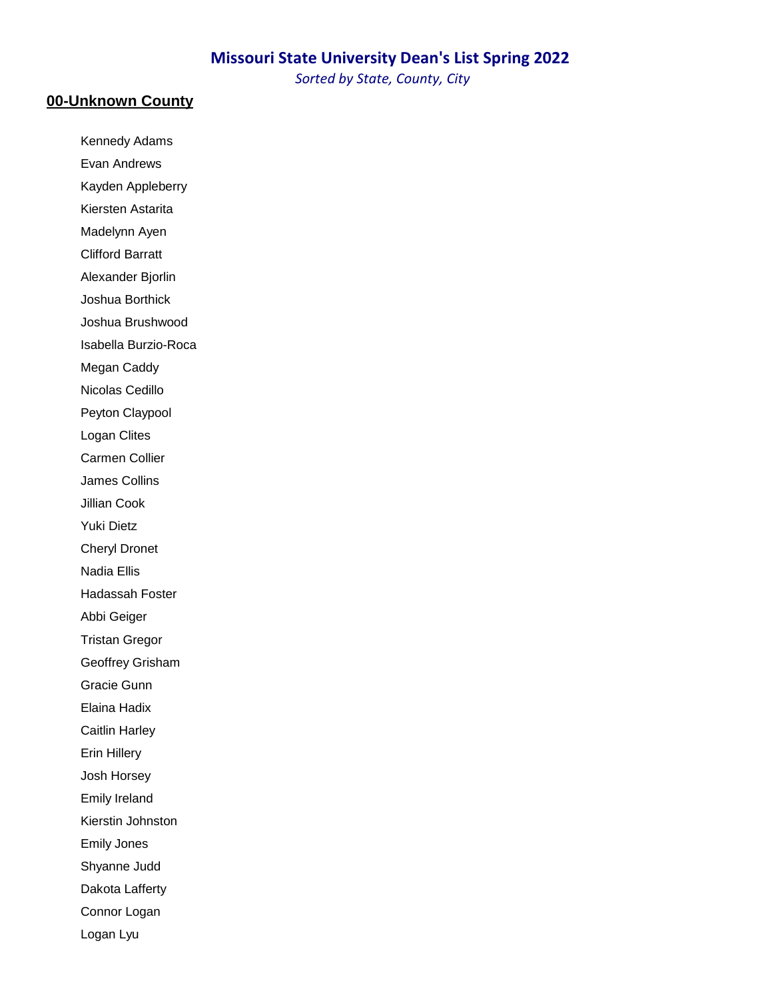### **Missouri State University Dean's List Spring 2022**

*Sorted by State, County, City*

### **00-Unknown County**

Kennedy Adams Evan Andrews

Kayden Appleberry Kiersten Astarita

Madelynn Ayen

Clifford Barratt

Alexander Bjorlin

Joshua Borthick

Joshua Brushwood

Isabella Burzio-Roca

Megan Caddy

Nicolas Cedillo

Peyton Claypool

Logan Clites

Carmen Collier

James Collins

Jillian Cook

Yuki Dietz

Cheryl Dronet

Nadia Ellis

Hadassah Foster

Abbi Geiger

Tristan Gregor

Geoffrey Grisham

Gracie Gunn

Elaina Hadix

Caitlin Harley

Erin Hillery

Josh Horsey

Emily Ireland

Kierstin Johnston

Emily Jones

Shyanne Judd

Dakota Lafferty

Connor Logan

Logan Lyu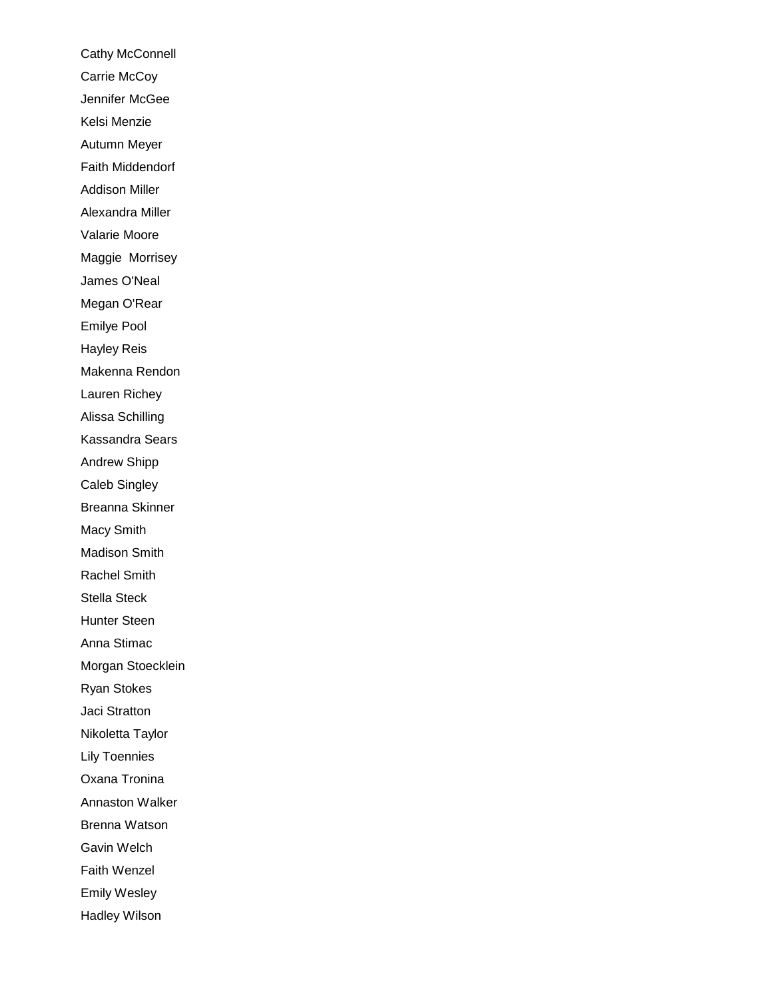Cathy McConnell Carrie McCoy Jennifer McGee Kelsi Menzie Autumn Meyer Faith Middendorf Addison Miller Alexandra Miller Valarie Moore Maggie Morrisey James O'Neal Megan O'Rear Emilye Pool Hayley Reis Makenna Rendon Lauren Richey Alissa Schilling Kassandra Sears Andrew Shipp Caleb Singley Breanna Skinner Macy Smith Madison Smith Rachel Smith Stella Steck Hunter Steen Anna Stimac Morgan Stoecklein Ryan Stokes Jaci Stratton Nikoletta Taylor Lily Toennies Oxana Tronina Annaston Walker Brenna Watson Gavin Welch Faith Wenzel Emily Wesley Hadley Wilson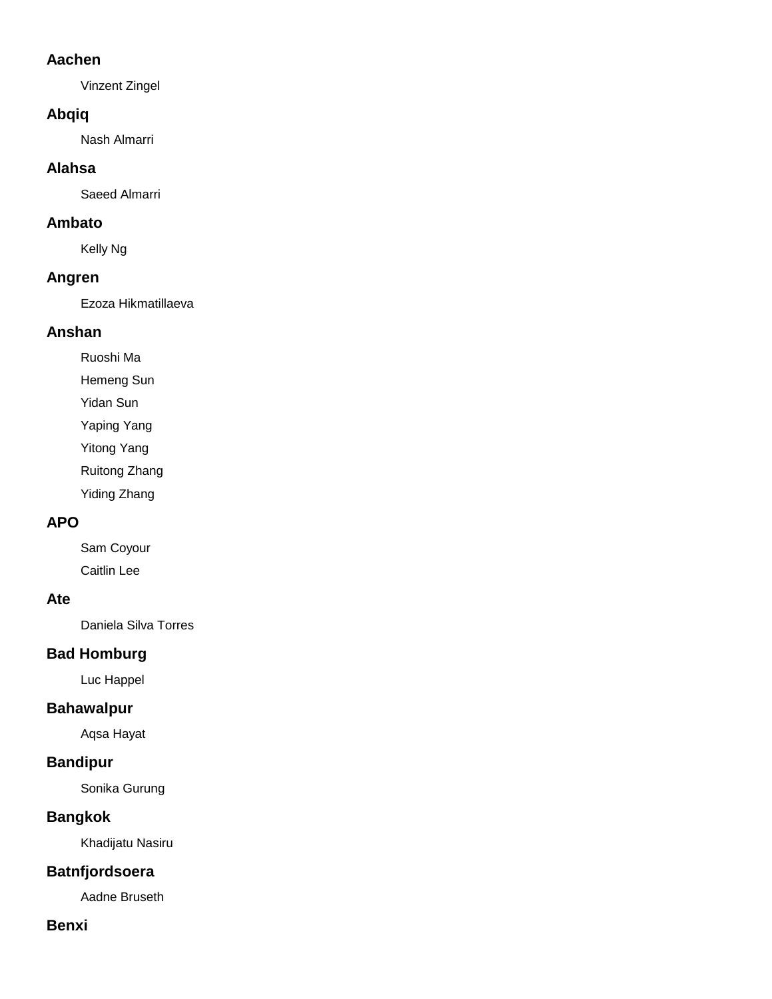## **Aachen**

Vinzent Zingel

## **Abqiq**

Nash Almarri

### **Alahsa**

Saeed Almarri

### **Ambato**

Kelly Ng

### **Angren**

Ezoza Hikmatillaeva

## **Anshan**

Ruoshi Ma

Hemeng Sun

Yidan Sun

Yaping Yang

Yitong Yang

Ruitong Zhang

Yiding Zhang

## **APO**

Sam Coyour Caitlin Lee

### **Ate**

Daniela Silva Torres

# **Bad Homburg**

Luc Happel

## **Bahawalpur**

Aqsa Hayat

## **Bandipur**

Sonika Gurung

## **Bangkok**

Khadijatu Nasiru

## **Batnfjordsoera**

Aadne Bruseth

## **Benxi**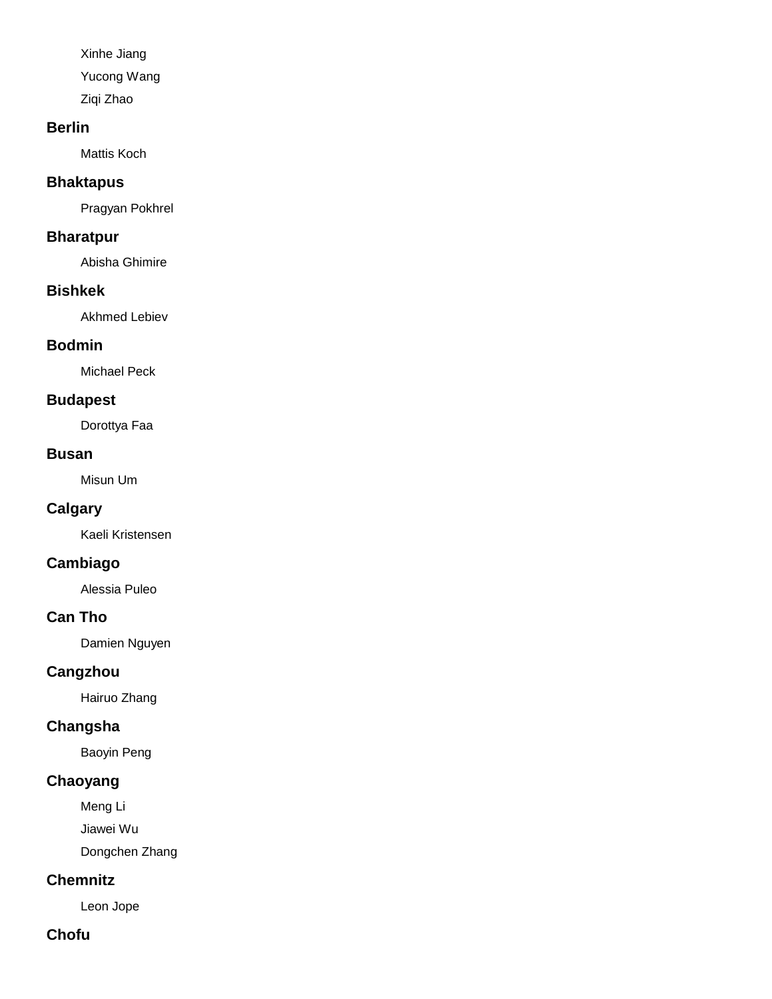Xinhe Jiang Yucong Wang Ziqi Zhao

### **Berlin**

Mattis Koch

## **Bhaktapus**

Pragyan Pokhrel

### **Bharatpur**

Abisha Ghimire

### **Bishkek**

Akhmed Lebiev

### **Bodmin**

Michael Peck

### **Budapest**

Dorottya Faa

#### **Busan**

Misun Um

## **Calgary**

Kaeli Kristensen

# **Cambiago**

Alessia Puleo

### **Can Tho**

Damien Nguyen

## **Cangzhou**

Hairuo Zhang

## **Changsha**

Baoyin Peng

## **Chaoyang**

Meng Li

Jiawei Wu

Dongchen Zhang

## **Chemnitz**

Leon Jope

## **Chofu**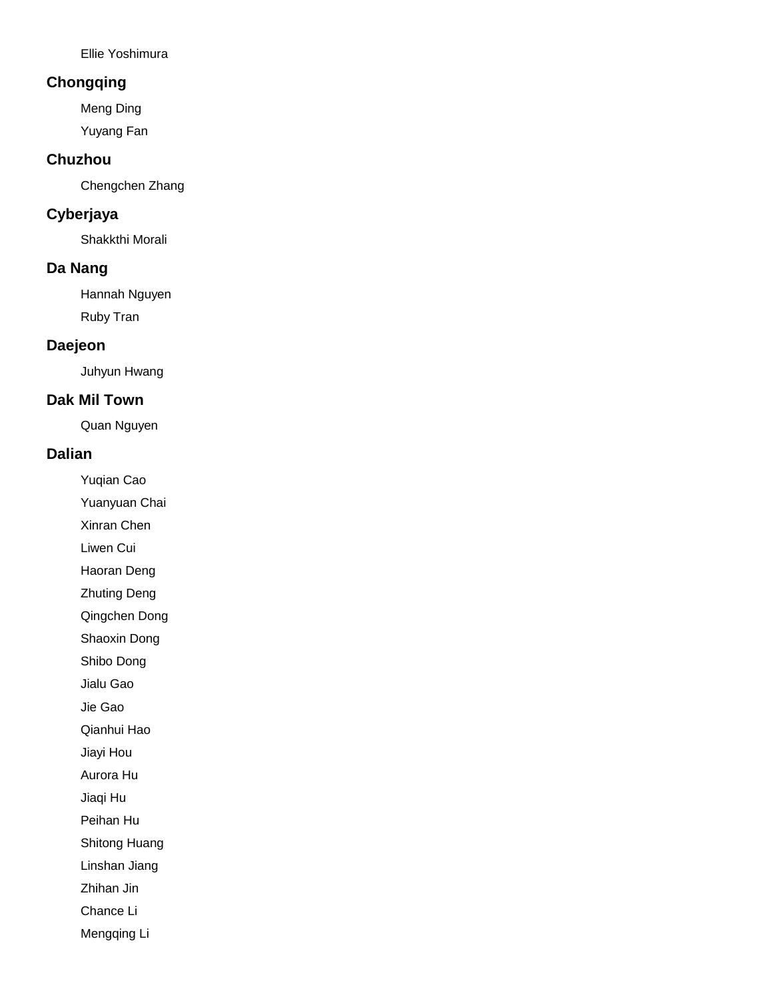Ellie Yoshimura

## **Chongqing**

Meng Ding

Yuyang Fan

### **Chuzhou**

Chengchen Zhang

## **Cyberjaya**

Shakkthi Morali

### **Da Nang**

Hannah Nguyen Ruby Tran

### **Daejeon**

Juhyun Hwang

### **Dak Mil Town**

Quan Nguyen

#### **Dalian**

Yuqian Cao

Yuanyuan Chai

Xinran Chen

Liwen Cui

Haoran Deng

Zhuting Deng

Qingchen Dong

Shaoxin Dong

Shibo Dong

Jialu Gao

Jie Gao

Qianhui Hao

Jiayi Hou

Aurora Hu

Jiaqi Hu

Peihan Hu

Shitong Huang

Linshan Jiang

Zhihan Jin

Chance Li

Mengqing Li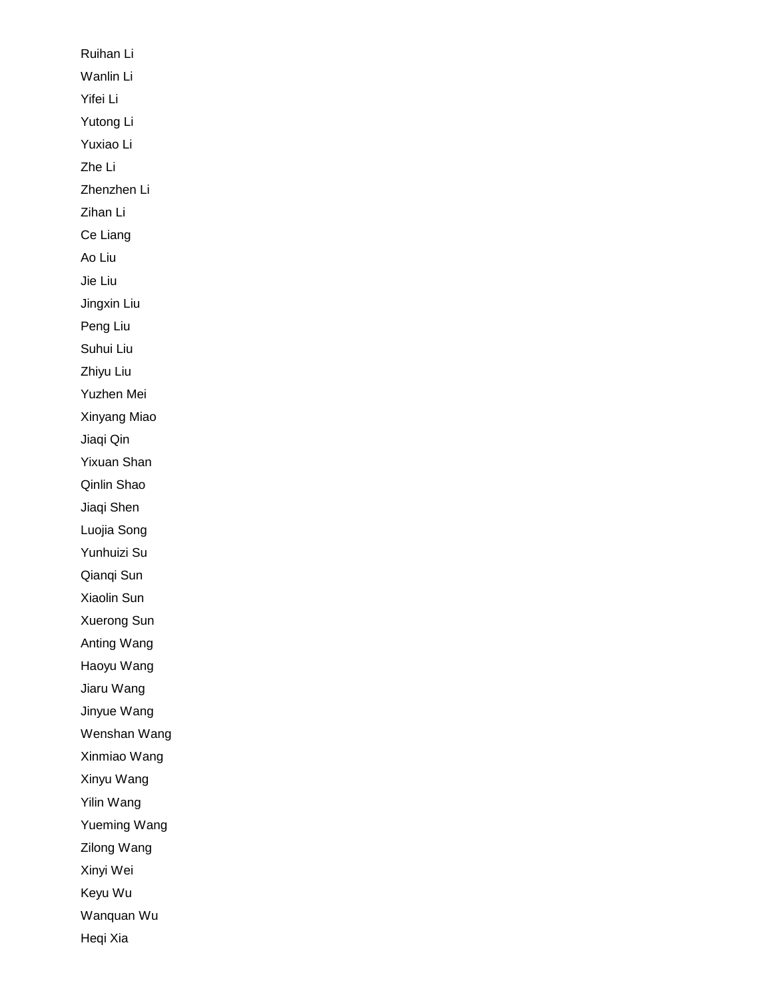Ruihan Li Wanlin Li Yifei Li Yutong Li Yuxiao Li Zhe Li Zhenzhen Li Zihan Li Ce Liang Ao Liu Jie Liu Jingxin Liu Peng Liu Suhui Liu Zhiyu Liu Yuzhen Mei Xinyang Miao Jiaqi Qin Yixuan Shan Qinlin Shao Jiaqi Shen Luojia Song Yunhuizi Su Qianqi Sun Xiaolin Sun Xuerong Sun Anting Wang Haoyu Wang Jiaru Wang Jinyue Wang Wenshan Wang Xinmiao Wang Xinyu Wang Yilin Wang Yueming Wang Zilong Wang Xinyi Wei Keyu Wu Wanquan Wu Heqi Xia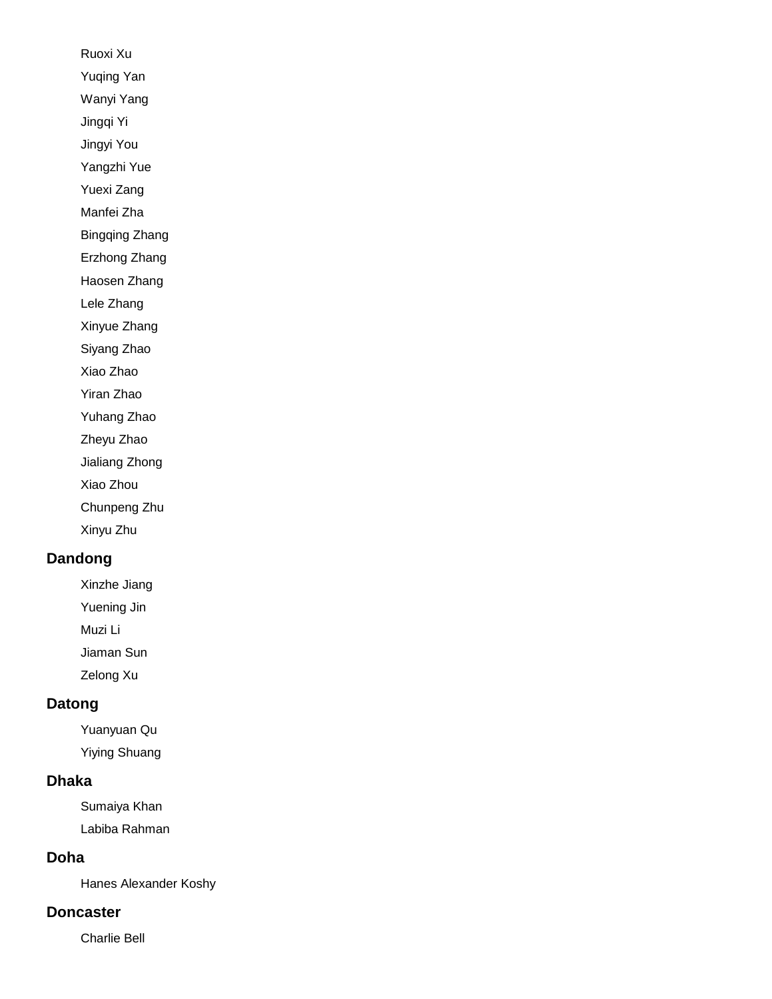Ruoxi Xu Yuqing Yan Wanyi Yang Jingqi Yi Jingyi You Yangzhi Yue Yuexi Zang Manfei Zha Bingqing Zhang Erzhong Zhang Haosen Zhang Lele Zhang Xinyue Zhang Siyang Zhao Xiao Zhao Yiran Zhao Yuhang Zhao Zheyu Zhao Jialiang Zhong Xiao Zhou Chunpeng Zhu Xinyu Zhu

## **Dandong**

Xinzhe Jiang

Yuening Jin

Muzi Li

Jiaman Sun

Zelong Xu

### **Datong**

Yuanyuan Qu Yiying Shuang

#### **Dhaka**

Sumaiya Khan Labiba Rahman

#### **Doha**

Hanes Alexander Koshy

### **Doncaster**

Charlie Bell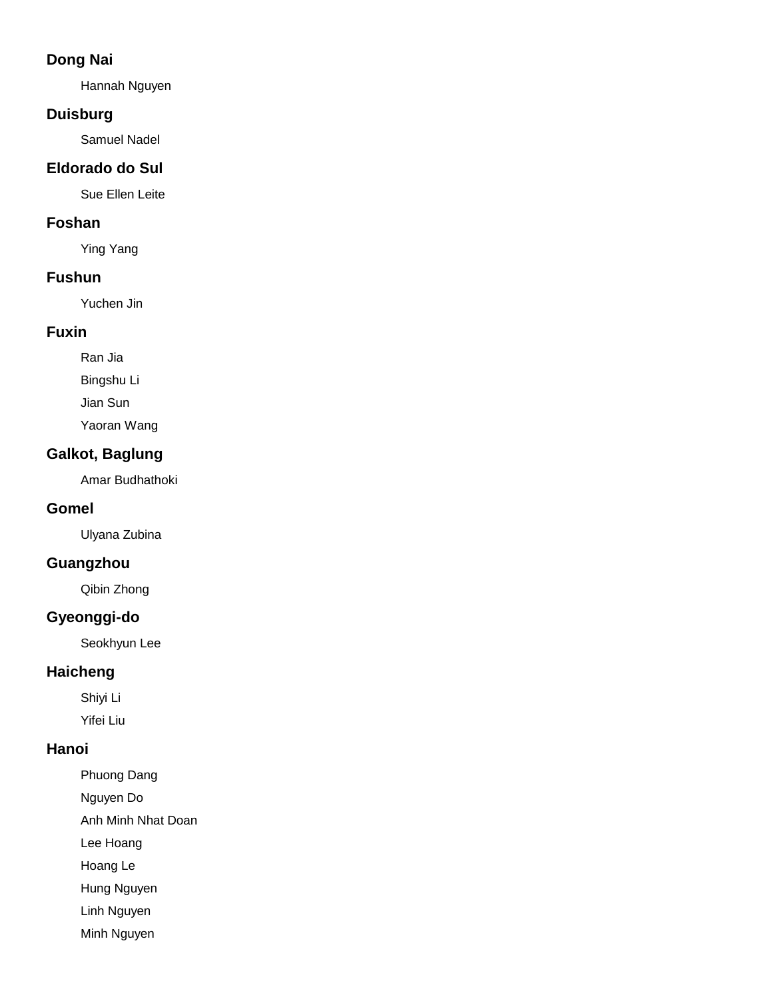## **Dong Nai**

Hannah Nguyen

## **Duisburg**

Samuel Nadel

## **Eldorado do Sul**

Sue Ellen Leite

## **Foshan**

Ying Yang

### **Fushun**

Yuchen Jin

## **Fuxin**

Ran Jia

Bingshu Li

Jian Sun

Yaoran Wang

## **Galkot, Baglung**

Amar Budhathoki

## **Gomel**

Ulyana Zubina

# **Guangzhou**

Qibin Zhong

# **Gyeonggi-do**

Seokhyun Lee

## **Haicheng**

Shiyi Li Yifei Liu

# **Hanoi**

Phuong Dang Nguyen Do Anh Minh Nhat Doan Lee Hoang Hoang Le

Hung Nguyen

Linh Nguyen

Minh Nguyen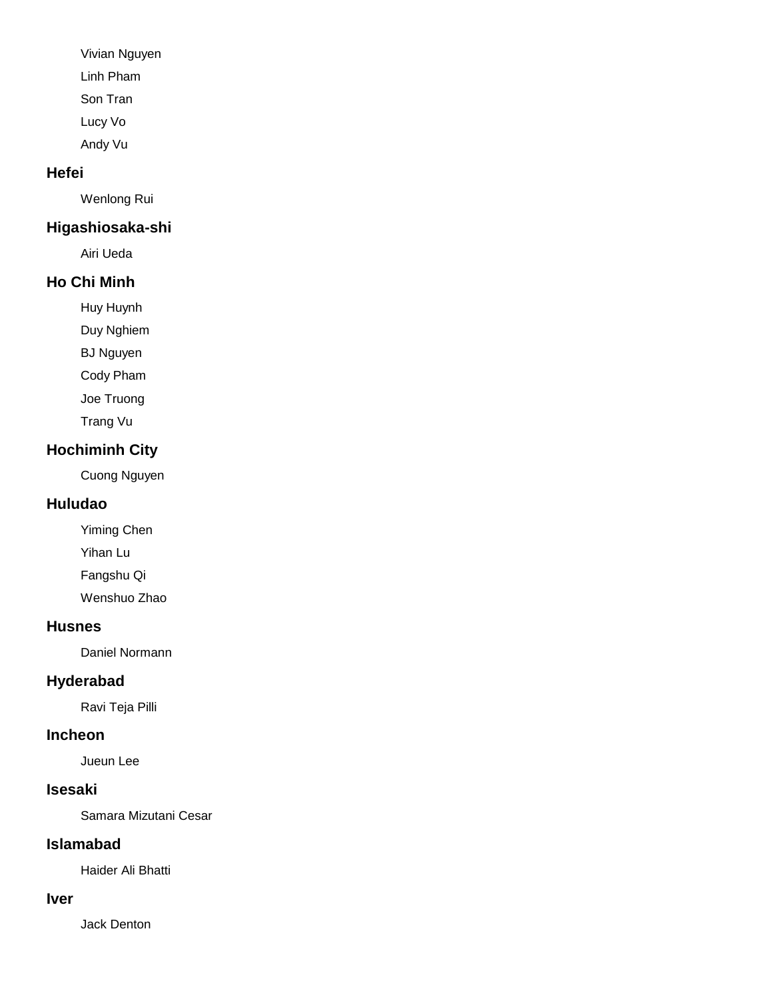Vivian Nguyen

Linh Pham

Son Tran

Lucy Vo

Andy Vu

# **Hefei**

Wenlong Rui

# **Higashiosaka-shi**

Airi Ueda

# **Ho Chi Minh**

Huy Huynh

Duy Nghiem

BJ Nguyen

Cody Pham

Joe Truong

Trang Vu

# **Hochiminh City**

Cuong Nguyen

# **Huludao**

Yiming Chen Yihan Lu Fangshu Qi Wenshuo Zhao

# **Husnes**

Daniel Normann

# **Hyderabad**

Ravi Teja Pilli

# **Incheon**

Jueun Lee

# **Isesaki**

Samara Mizutani Cesar

# **Islamabad**

Haider Ali Bhatti

# **Iver**

Jack Denton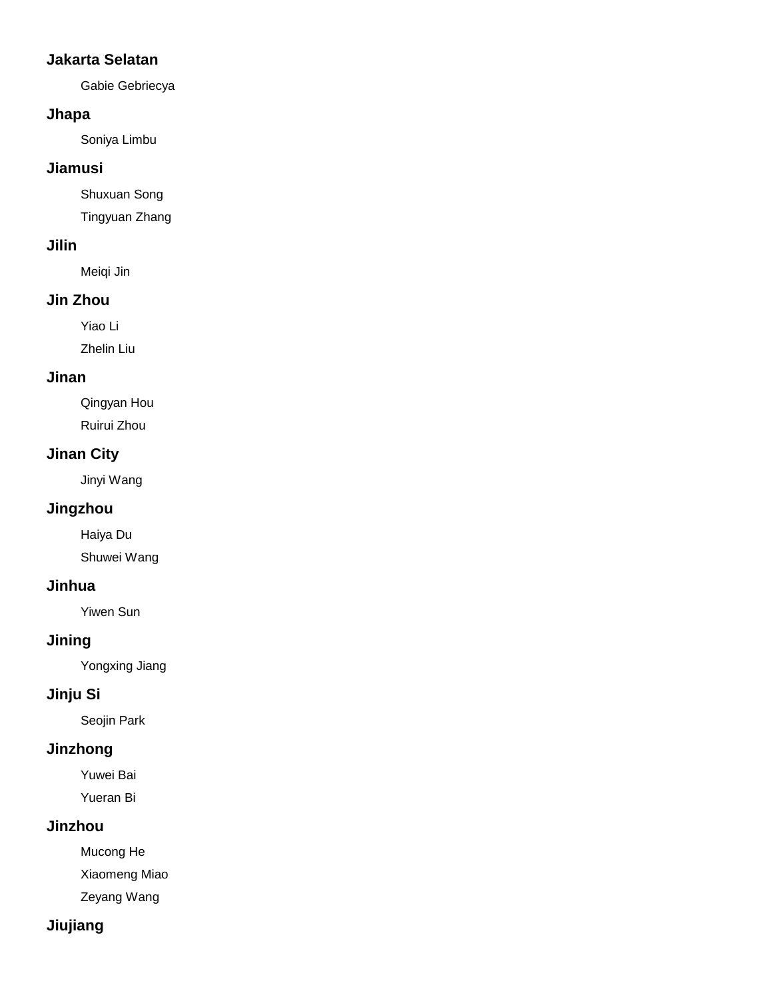## **Jakarta Selatan**

Gabie Gebriecya

### **Jhapa**

Soniya Limbu

### **Jiamusi**

Shuxuan Song

Tingyuan Zhang

## **Jilin**

Meiqi Jin

# **Jin Zhou**

Yiao Li

Zhelin Liu

## **Jinan**

Qingyan Hou Ruirui Zhou

## **Jinan City**

Jinyi Wang

# **Jingzhou**

Haiya Du Shuwei Wang

## **Jinhua**

Yiwen Sun

# **Jining**

Yongxing Jiang

# **Jinju Si**

Seojin Park

# **Jinzhong**

Yuwei Bai Yueran Bi

# **Jinzhou**

Mucong He

Xiaomeng Miao

Zeyang Wang

# **Jiujiang**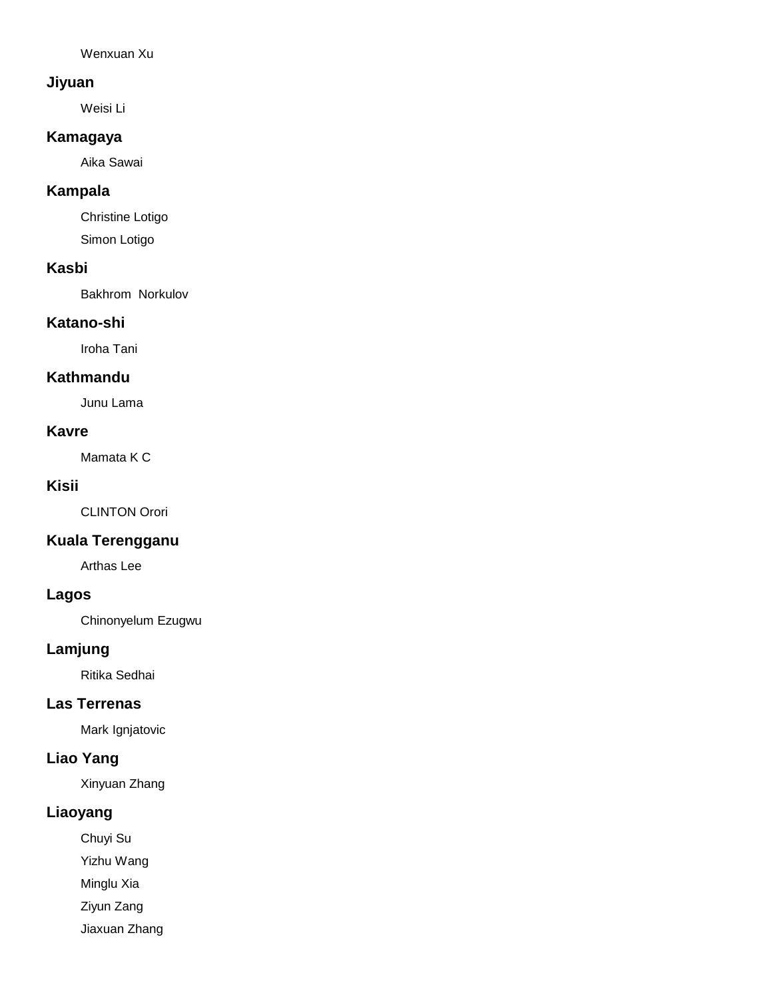Wenxuan Xu

#### **Jiyuan**

Weisi Li

### **Kamagaya**

Aika Sawai

## **Kampala**

Christine Lotigo Simon Lotigo

### **Kasbi**

Bakhrom Norkulov

### **Katano-shi**

Iroha Tani

### **Kathmandu**

Junu Lama

### **Kavre**

Mamata K C

### **Kisii**

CLINTON Orori

## **Kuala Terengganu**

Arthas Lee

# **Lagos**

Chinonyelum Ezugwu

### **Lamjung**

Ritika Sedhai

#### **Las Terrenas**

Mark Ignjatovic

# **Liao Yang**

Xinyuan Zhang

# **Liaoyang**

Chuyi Su

Yizhu Wang

Minglu Xia

Ziyun Zang

Jiaxuan Zhang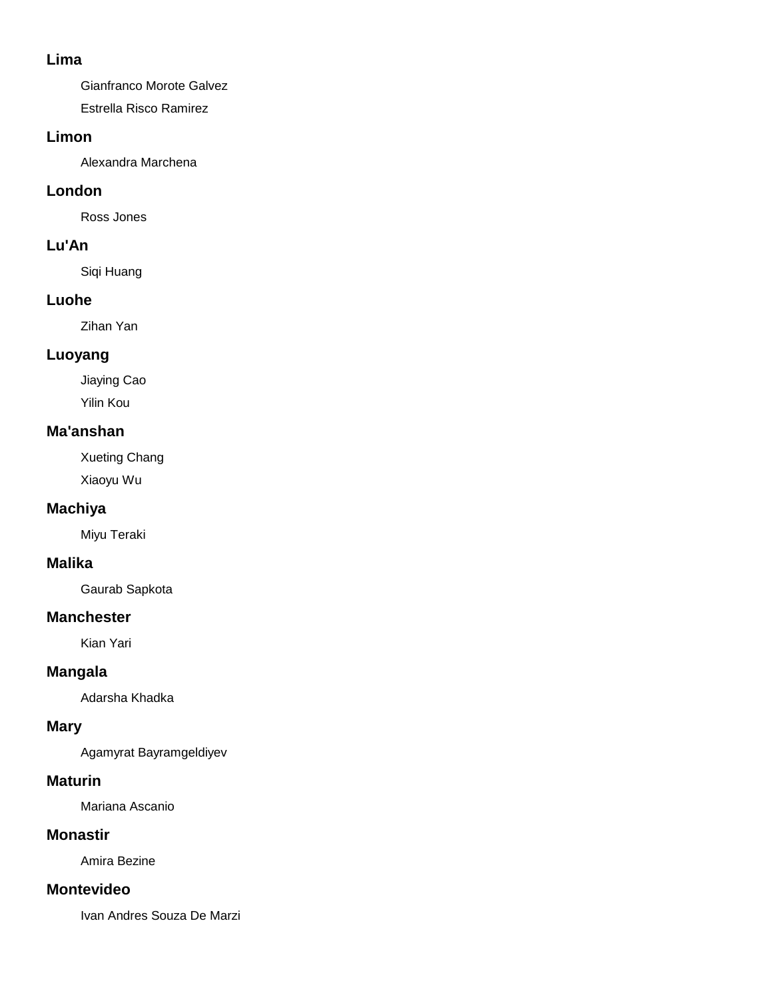### **Lima**

Gianfranco Morote Galvez

Estrella Risco Ramirez

## **Limon**

Alexandra Marchena

# **London**

Ross Jones

# **Lu'An**

Siqi Huang

# **Luohe**

Zihan Yan

# **Luoyang**

Jiaying Cao Yilin Kou

# **Ma'anshan**

Xueting Chang Xiaoyu Wu

# **Machiya**

Miyu Teraki

# **Malika**

Gaurab Sapkota

# **Manchester**

Kian Yari

# **Mangala**

Adarsha Khadka

# **Mary**

Agamyrat Bayramgeldiyev

# **Maturin**

Mariana Ascanio

# **Monastir**

Amira Bezine

# **Montevideo**

Ivan Andres Souza De Marzi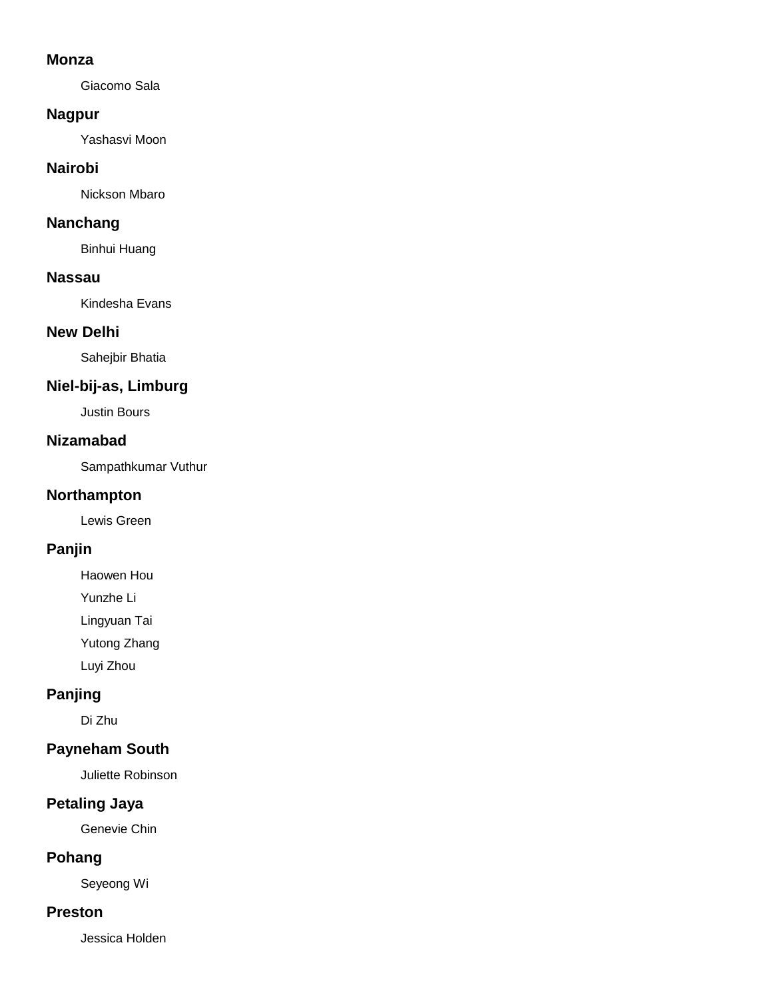#### **Monza**

Giacomo Sala

### **Nagpur**

Yashasvi Moon

### **Nairobi**

Nickson Mbaro

## **Nanchang**

Binhui Huang

#### **Nassau**

Kindesha Evans

### **New Delhi**

Sahejbir Bhatia

# **Niel-bij-as, Limburg**

Justin Bours

#### **Nizamabad**

Sampathkumar Vuthur

### **Northampton**

Lewis Green

# **Panjin**

Haowen Hou

Yunzhe Li

Lingyuan Tai

Yutong Zhang

Luyi Zhou

# **Panjing**

Di Zhu

# **Payneham South**

Juliette Robinson

# **Petaling Jaya**

Genevie Chin

# **Pohang**

Seyeong Wi

## **Preston**

Jessica Holden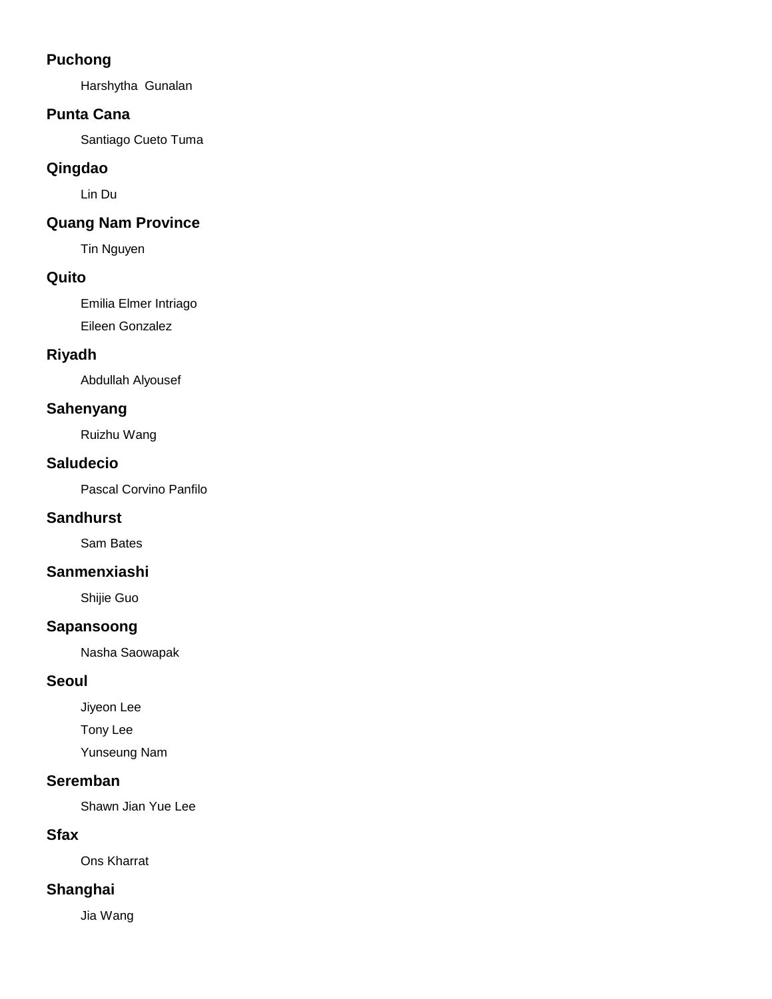## **Puchong**

Harshytha Gunalan

## **Punta Cana**

Santiago Cueto Tuma

# **Qingdao**

Lin Du

# **Quang Nam Province**

Tin Nguyen

## **Quito**

Emilia Elmer Intriago Eileen Gonzalez

# **Riyadh**

Abdullah Alyousef

## **Sahenyang**

Ruizhu Wang

## **Saludecio**

Pascal Corvino Panfilo

## **Sandhurst**

Sam Bates

## **Sanmenxiashi**

Shijie Guo

## **Sapansoong**

Nasha Saowapak

## **Seoul**

Jiyeon Lee

Tony Lee

Yunseung Nam

## **Seremban**

Shawn Jian Yue Lee

## **Sfax**

Ons Kharrat

# **Shanghai**

Jia Wang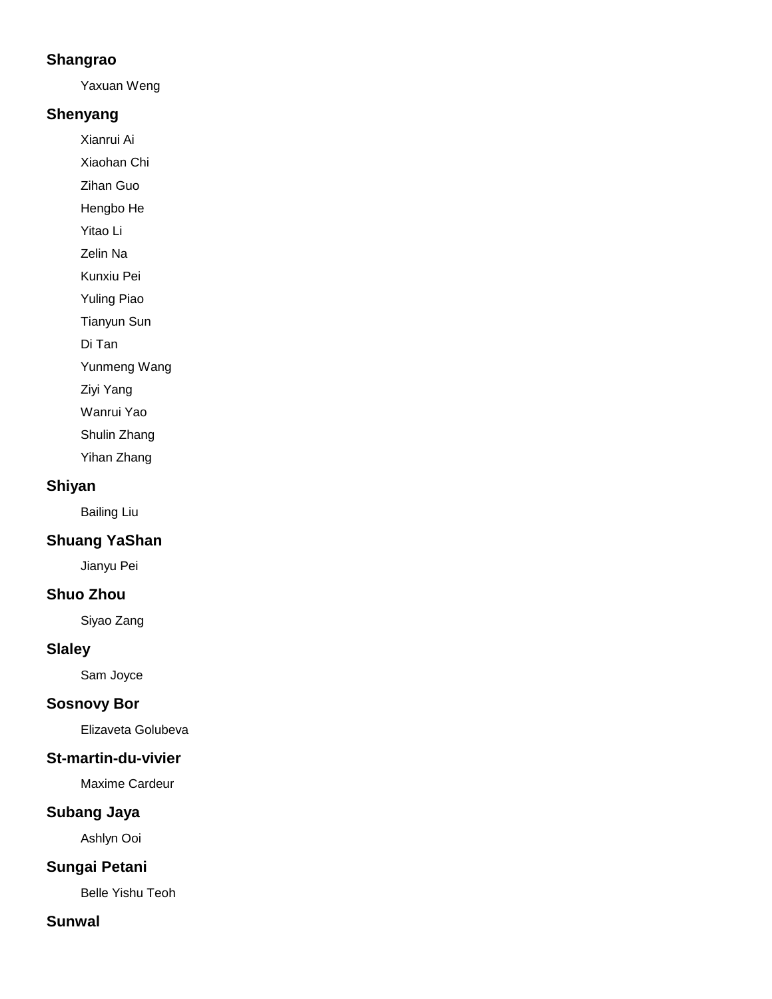## **Shangrao**

Yaxuan Weng

## **Shenyang**

Xianrui Ai

Xiaohan Chi

Zihan Guo

Hengbo He

Yitao Li

Zelin Na

Kunxiu Pei

Yuling Piao

Tianyun Sun

Di Tan

Yunmeng Wang

Ziyi Yang

Wanrui Yao

Shulin Zhang

Yihan Zhang

## **Shiyan**

Bailing Liu

# **Shuang YaShan**

Jianyu Pei

# **Shuo Zhou**

Siyao Zang

# **Slaley**

Sam Joyce

## **Sosnovy Bor**

Elizaveta Golubeva

## **St-martin-du-vivier**

Maxime Cardeur

## **Subang Jaya**

Ashlyn Ooi

# **Sungai Petani**

Belle Yishu Teoh

## **Sunwal**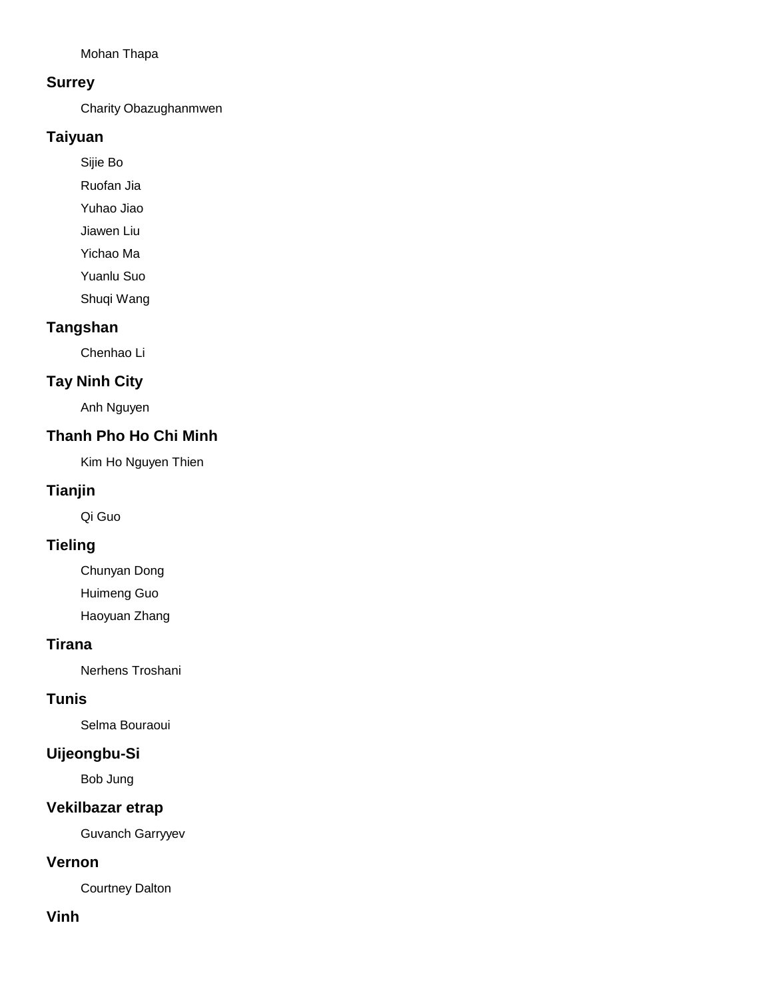Mohan Thapa

### **Surrey**

Charity Obazughanmwen

## **Taiyuan**

Sijie Bo

Ruofan Jia

Yuhao Jiao

Jiawen Liu

Yichao Ma

Yuanlu Suo

Shuqi Wang

## **Tangshan**

Chenhao Li

### **Tay Ninh City**

Anh Nguyen

## **Thanh Pho Ho Chi Minh**

Kim Ho Nguyen Thien

## **Tianjin**

Qi Guo

## **Tieling**

Chunyan Dong Huimeng Guo

Haoyuan Zhang

### **Tirana**

Nerhens Troshani

### **Tunis**

Selma Bouraoui

### **Uijeongbu-Si**

Bob Jung

## **Vekilbazar etrap**

Guvanch Garryyev

### **Vernon**

Courtney Dalton

#### **Vinh**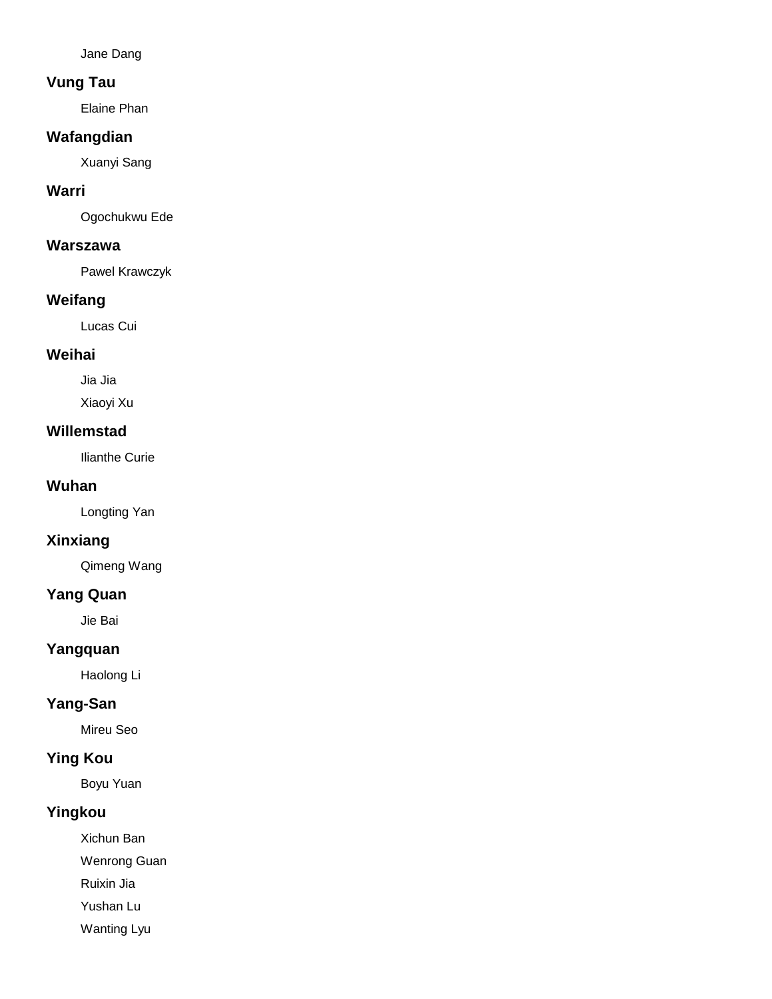Jane Dang

## **Vung Tau**

Elaine Phan

## **Wafangdian**

Xuanyi Sang

### **Warri**

Ogochukwu Ede

### **Warszawa**

Pawel Krawczyk

## **Weifang**

Lucas Cui

### **Weihai**

Jia Jia

Xiaoyi Xu

#### **Willemstad**

Ilianthe Curie

#### **Wuhan**

Longting Yan

## **Xinxiang**

Qimeng Wang

### **Yang Quan**

Jie Bai

## **Yangquan**

Haolong Li

## **Yang-San**

Mireu Seo

# **Ying Kou**

Boyu Yuan

## **Yingkou**

Xichun Ban

Wenrong Guan

Ruixin Jia

Yushan Lu

Wanting Lyu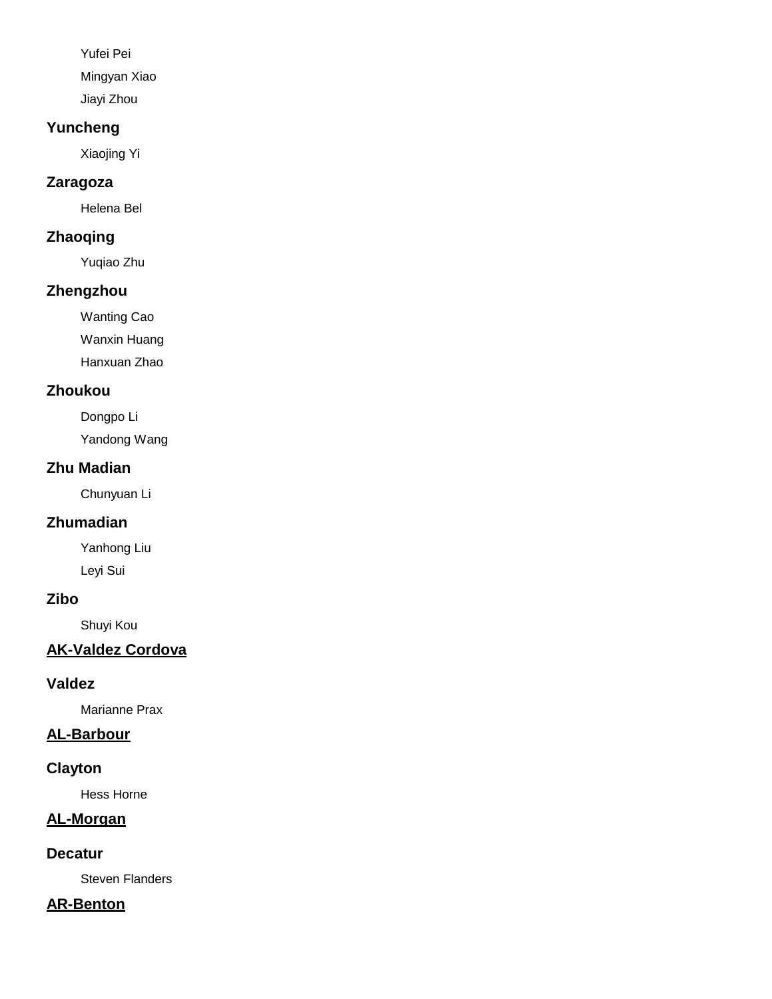Yufei Pei Mingyan Xiao Jiayi Zhou

# **Yuncheng**

Xiaojing Yi

## **Zaragoza**

Helena Bel

## **Zhaoqing**

Yuqiao Zhu

## **Zhengzhou**

Wanting Cao

Wanxin Huang

Hanxuan Zhao

## **Zhoukou**

Dongpo Li

Yandong Wang

# **Zhu Madian**

Chunyuan Li

# **Zhumadian**

Yanhong Liu Leyi Sui

## **Zibo**

Shuyi Kou

# **AK-Valdez Cordova**

## **Valdez**

Marianne Prax

# **AL-Barbour**

## **Clayton**

Hess Horne

# **AL-Morgan**

# **Decatur**

Steven Flanders

# **AR-Benton**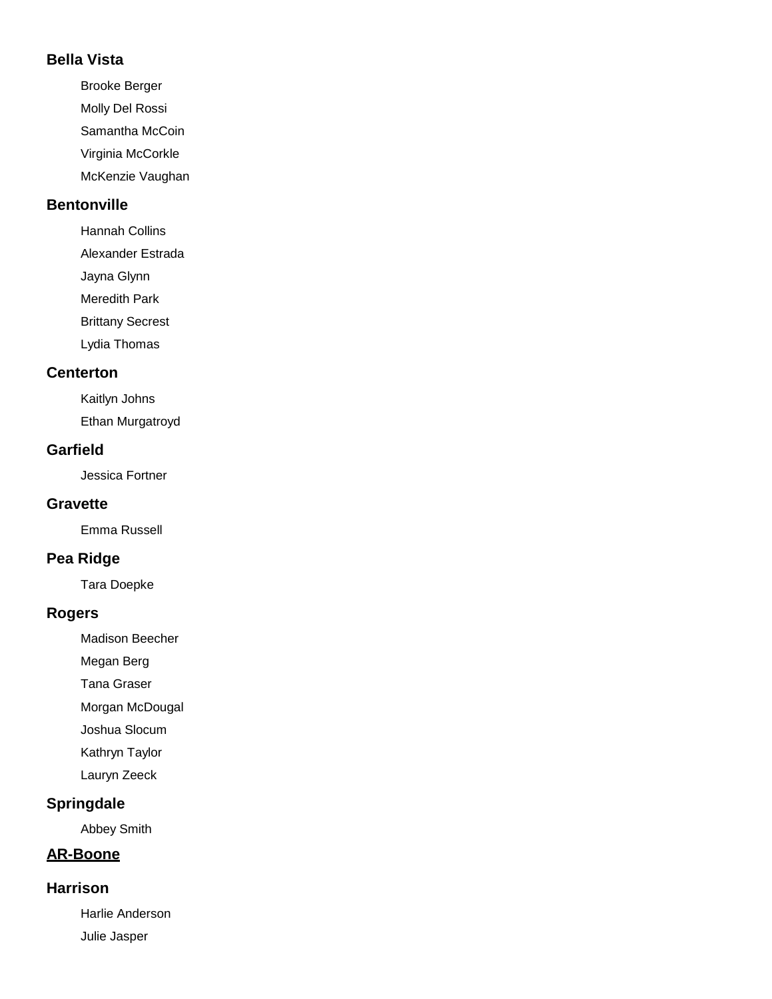## **Bella Vista**

- Brooke Berger
- Molly Del Rossi
- Samantha McCoin
- Virginia McCorkle
- McKenzie Vaughan

# **Bentonville**

- Hannah Collins
- Alexander Estrada
- Jayna Glynn
- Meredith Park
- Brittany Secrest
- Lydia Thomas

# **Centerton**

Kaitlyn Johns Ethan Murgatroyd

# **Garfield**

Jessica Fortner

# **Gravette**

Emma Russell

# **Pea Ridge**

Tara Doepke

# **Rogers**

- Madison Beecher
- Megan Berg
- Tana Graser
- Morgan McDougal
- Joshua Slocum
- Kathryn Taylor
- Lauryn Zeeck

# **Springdale**

Abbey Smith

# **AR-Boone**

# **Harrison**

Harlie Anderson Julie Jasper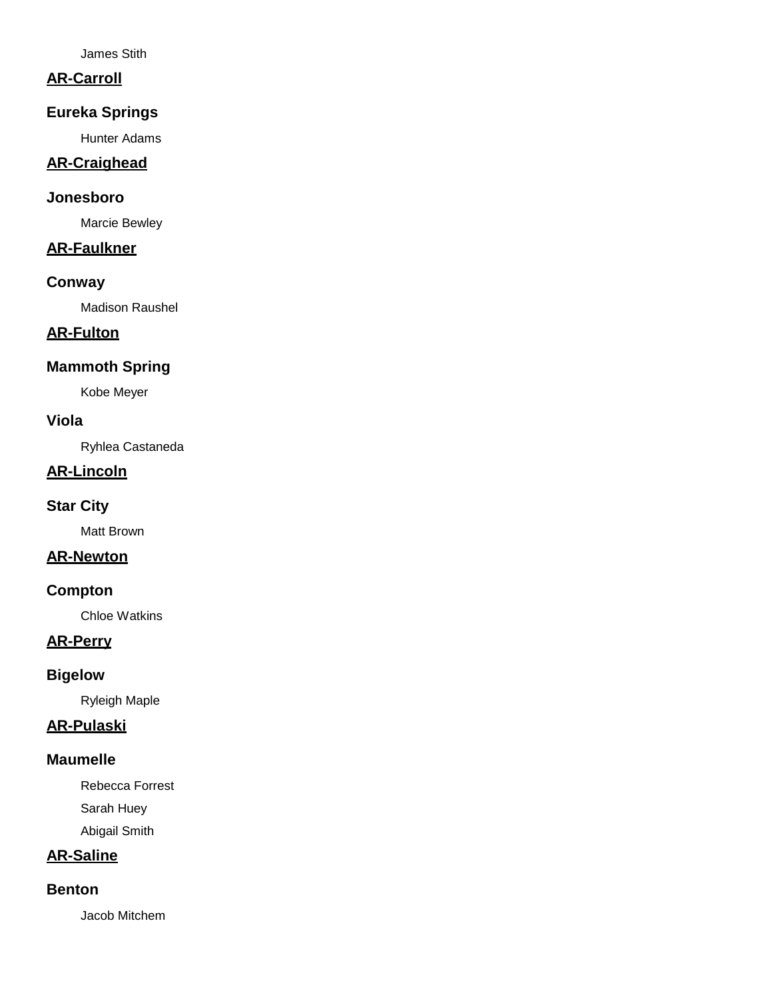James Stith

## **AR-Carroll**

### **Eureka Springs**

Hunter Adams

### **AR-Craighead**

### **Jonesboro**

Marcie Bewley

## **AR-Faulkner**

#### **Conway**

Madison Raushel

# **AR-Fulton**

## **Mammoth Spring**

Kobe Meyer

### **Viola**

Ryhlea Castaneda

## **AR-Lincoln**

## **Star City**

Matt Brown

### **AR-Newton**

#### **Compton**

Chloe Watkins

## **AR-Perry**

### **Bigelow**

Ryleigh Maple

### **AR-Pulaski**

### **Maumelle**

Rebecca Forrest

Sarah Huey

Abigail Smith

# **AR-Saline**

### **Benton**

Jacob Mitchem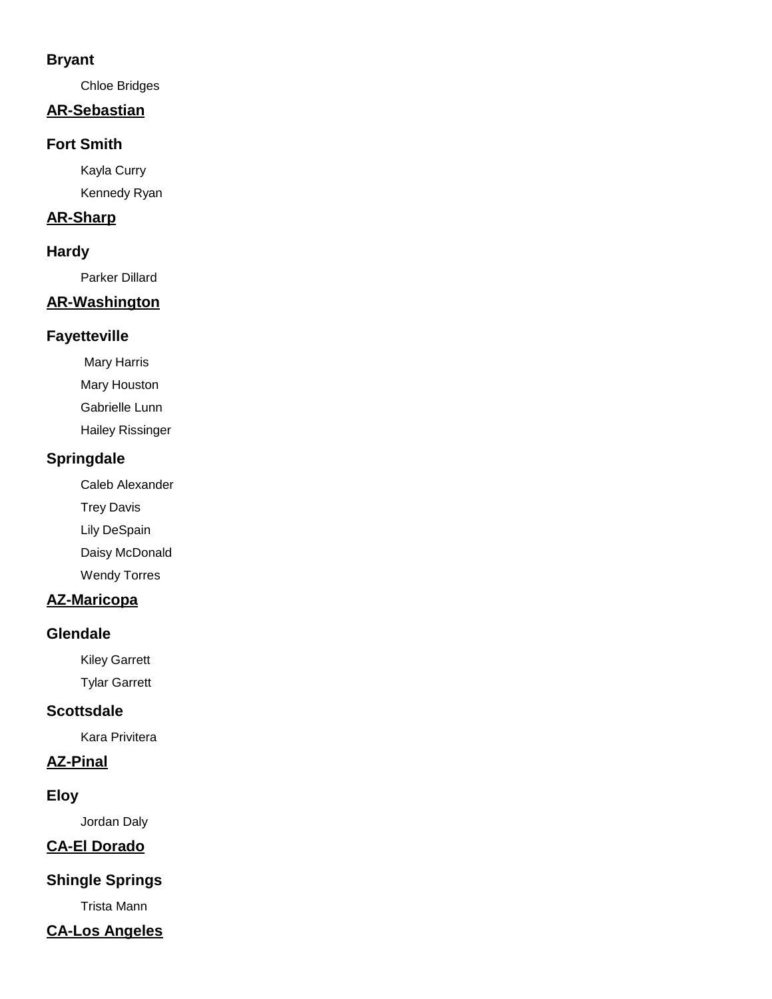## **Bryant**

Chloe Bridges

## **AR-Sebastian**

### **Fort Smith**

Kayla Curry Kennedy Ryan

### **AR-Sharp**

## **Hardy**

Parker Dillard

## **AR-Washington**

### **Fayetteville**

Mary Harris

Mary Houston

Gabrielle Lunn

Hailey Rissinger

## **Springdale**

Caleb Alexander

Trey Davis

Lily DeSpain

Daisy McDonald

Wendy Torres

# **AZ-Maricopa**

## **Glendale**

Kiley Garrett

Tylar Garrett

## **Scottsdale**

Kara Privitera

# **AZ-Pinal**

## **Eloy**

Jordan Daly

# **CA-El Dorado**

# **Shingle Springs**

Trista Mann

# **CA-Los Angeles**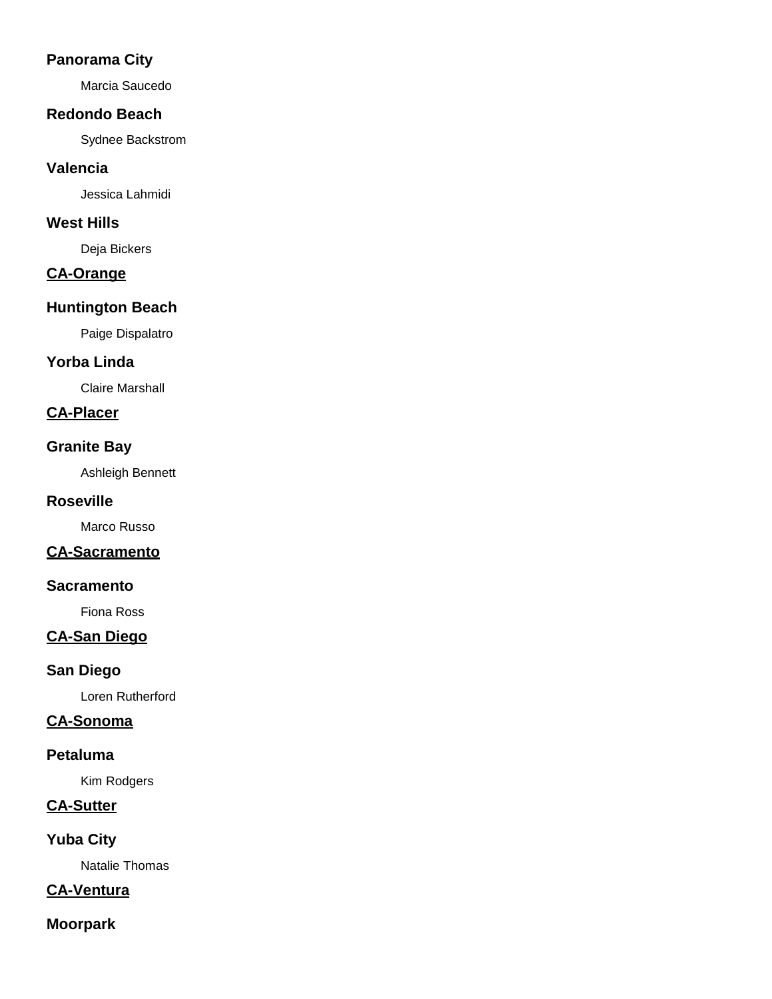## **Panorama City**

Marcia Saucedo

### **Redondo Beach**

Sydnee Backstrom

### **Valencia**

Jessica Lahmidi

### **West Hills**

Deja Bickers

## **CA-Orange**

## **Huntington Beach**

Paige Dispalatro

## **Yorba Linda**

Claire Marshall

# **CA-Placer**

### **Granite Bay**

Ashleigh Bennett

### **Roseville**

Marco Russo

## **CA-Sacramento**

### **Sacramento**

Fiona Ross

## **CA-San Diego**

## **San Diego**

Loren Rutherford

## **CA-Sonoma**

### **Petaluma**

Kim Rodgers

# **CA-Sutter**

**Yuba City**

Natalie Thomas

## **CA-Ventura**

# **Moorpark**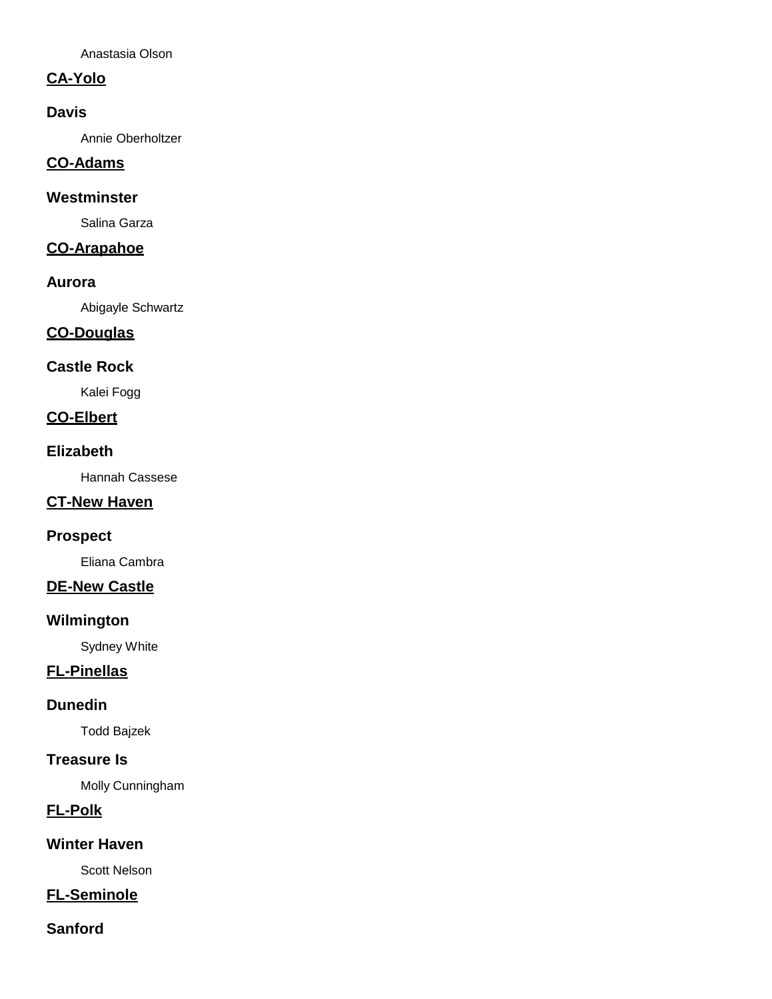Anastasia Olson

## **CA-Yolo**

## **Davis**

Annie Oberholtzer

# **CO-Adams**

## **Westminster**

Salina Garza

## **CO-Arapahoe**

### **Aurora**

Abigayle Schwartz

# **CO-Douglas**

# **Castle Rock**

Kalei Fogg

### **CO-Elbert**

## **Elizabeth**

Hannah Cassese

## **CT-New Haven**

### **Prospect**

Eliana Cambra

## **DE-New Castle**

### **Wilmington**

Sydney White

## **FL-Pinellas**

### **Dunedin**

Todd Bajzek

## **Treasure Is**

Molly Cunningham

## **FL-Polk**

## **Winter Haven**

Scott Nelson

# **FL-Seminole**

## **Sanford**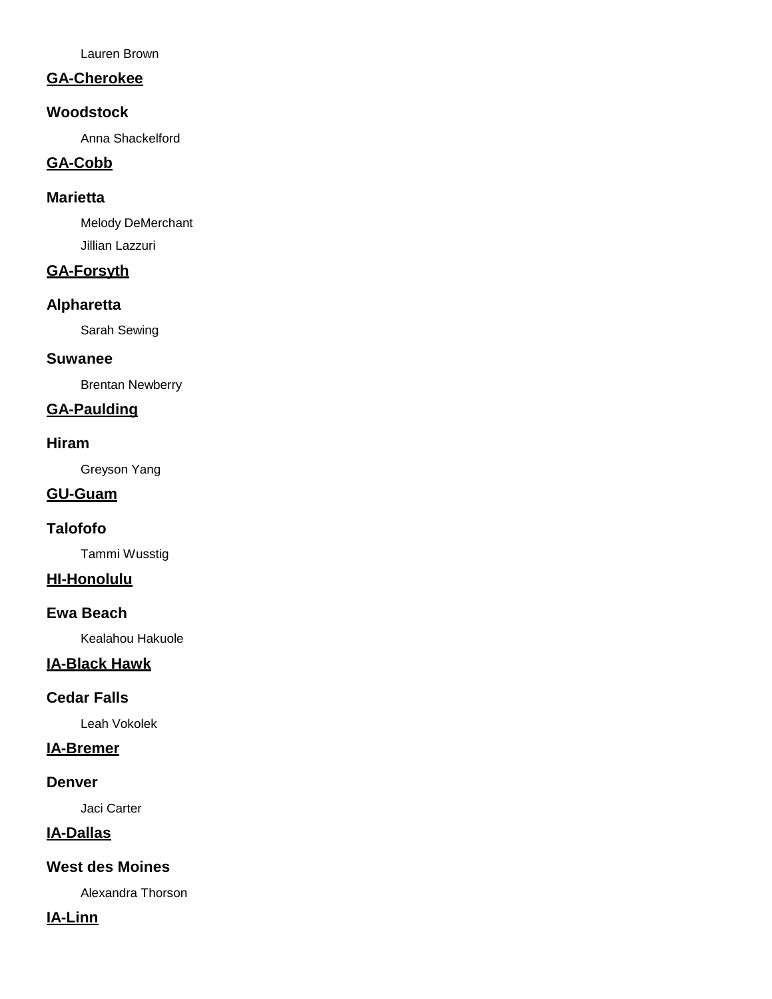Lauren Brown

## **GA-Cherokee**

### **Woodstock**

Anna Shackelford

# **GA-Cobb**

### **Marietta**

Melody DeMerchant Jillian Lazzuri

# **GA-Forsyth**

### **Alpharetta**

Sarah Sewing

### **Suwanee**

Brentan Newberry

# **GA-Paulding**

### **Hiram**

Greyson Yang

### **GU-Guam**

## **Talofofo**

Tammi Wusstig

## **HI-Honolulu**

### **Ewa Beach**

Kealahou Hakuole

## **IA-Black Hawk**

## **Cedar Falls**

Leah Vokolek

# **IA-Bremer**

### **Denver**

Jaci Carter

# **IA-Dallas**

## **West des Moines**

Alexandra Thorson

## **IA-Linn**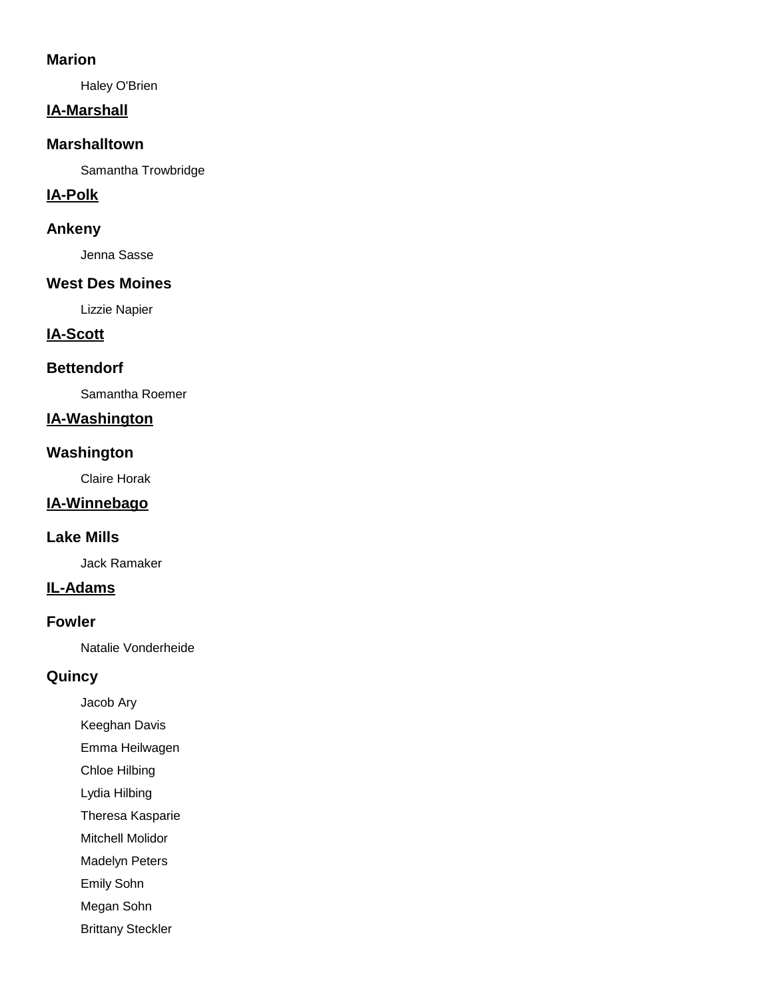### **Marion**

Haley O'Brien

## **IA-Marshall**

### **Marshalltown**

Samantha Trowbridge

## **IA-Polk**

### **Ankeny**

Jenna Sasse

## **West Des Moines**

Lizzie Napier

## **IA-Scott**

### **Bettendorf**

Samantha Roemer

# **IA-Washington**

# **Washington**

Claire Horak

# **IA-Winnebago**

## **Lake Mills**

Jack Ramaker

## **IL-Adams**

### **Fowler**

Natalie Vonderheide

## **Quincy**

- Jacob Ary
- Keeghan Davis
- Emma Heilwagen
- Chloe Hilbing
- Lydia Hilbing
- Theresa Kasparie
- Mitchell Molidor
- Madelyn Peters
- Emily Sohn
- Megan Sohn
- Brittany Steckler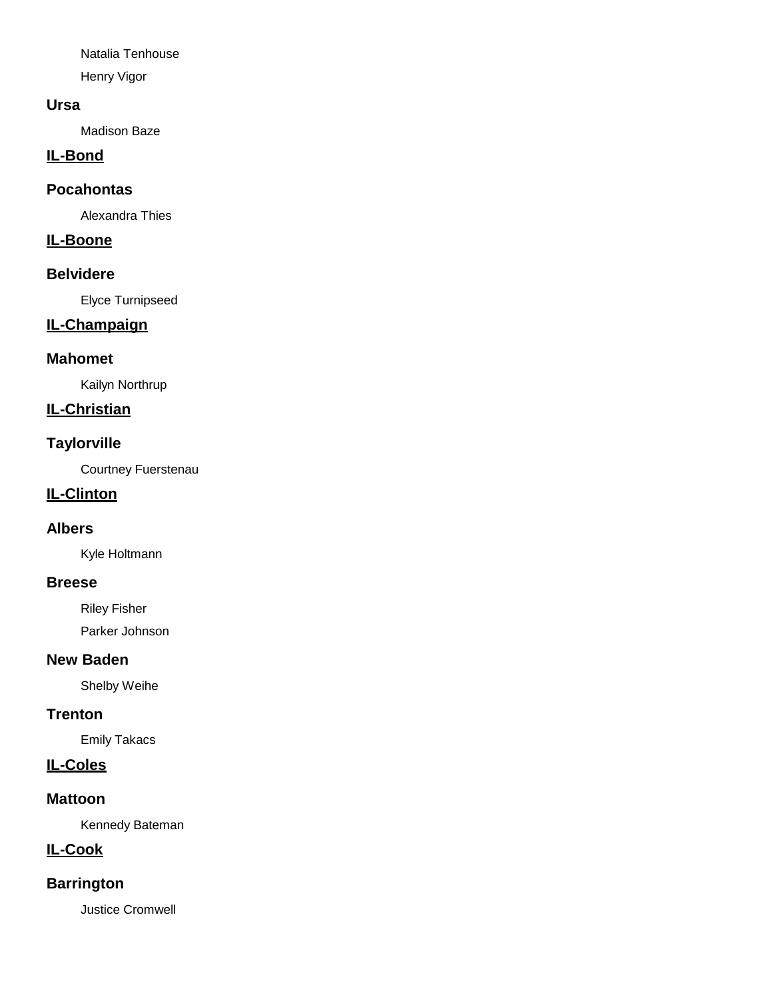Natalia Tenhouse Henry Vigor

### **Ursa**

Madison Baze

# **IL-Bond**

### **Pocahontas**

Alexandra Thies

## **IL-Boone**

### **Belvidere**

Elyce Turnipseed

# **IL-Champaign**

### **Mahomet**

Kailyn Northrup

# **IL-Christian**

### **Taylorville**

Courtney Fuerstenau

### **IL-Clinton**

### **Albers**

Kyle Holtmann

### **Breese**

Riley Fisher Parker Johnson

### **New Baden**

Shelby Weihe

### **Trenton**

Emily Takacs

## **IL-Coles**

### **Mattoon**

Kennedy Bateman

# **IL-Cook**

# **Barrington**

Justice Cromwell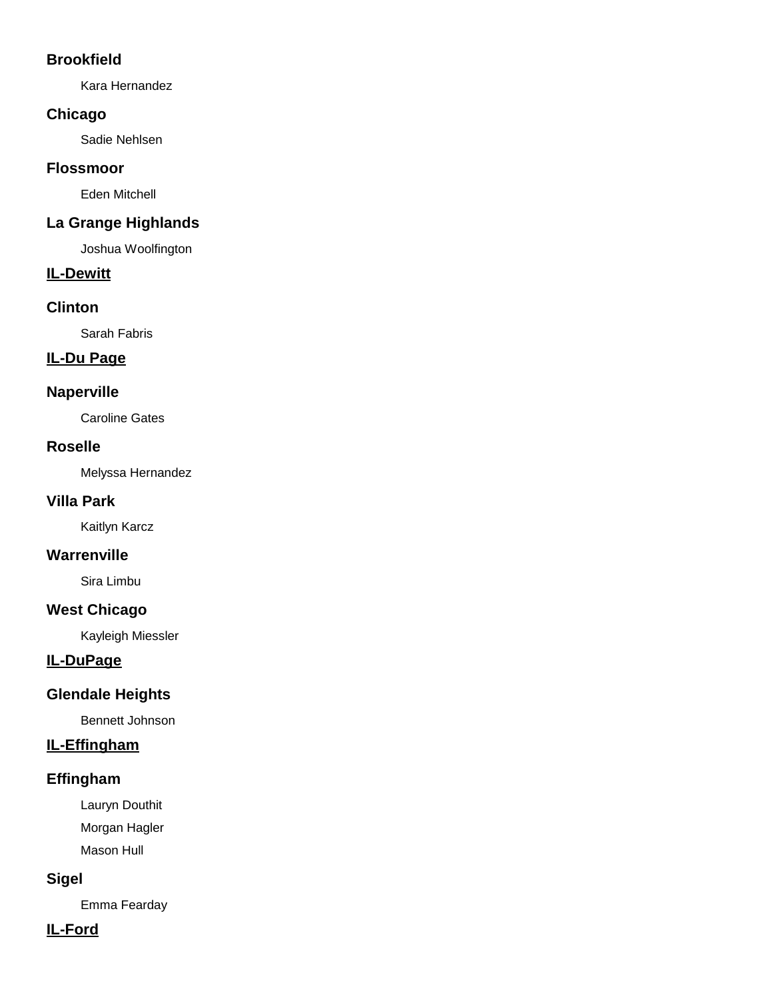## **Brookfield**

Kara Hernandez

## **Chicago**

Sadie Nehlsen

## **Flossmoor**

Eden Mitchell

# **La Grange Highlands**

Joshua Woolfington

## **IL-Dewitt**

## **Clinton**

Sarah Fabris

# **IL-Du Page**

## **Naperville**

Caroline Gates

## **Roselle**

Melyssa Hernandez

# **Villa Park**

Kaitlyn Karcz

# **Warrenville**

Sira Limbu

# **West Chicago**

Kayleigh Miessler

# **IL-DuPage**

# **Glendale Heights**

Bennett Johnson

# **IL-Effingham**

# **Effingham**

Lauryn Douthit Morgan Hagler Mason Hull

# **Sigel**

Emma Fearday

# **IL-Ford**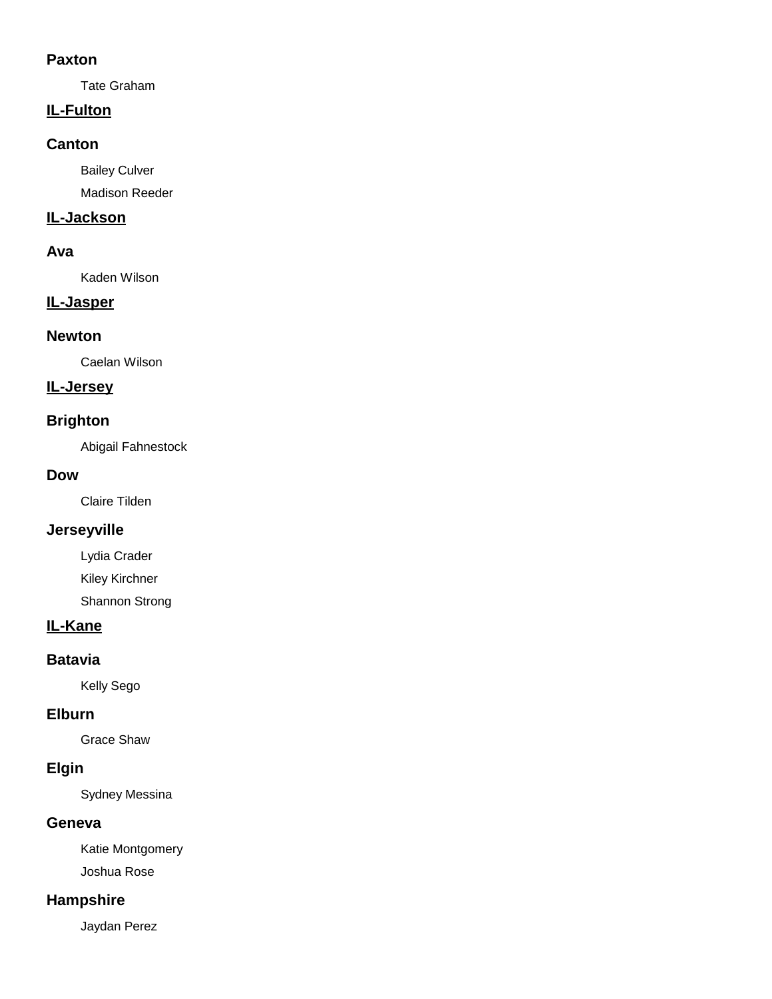### **Paxton**

Tate Graham

## **IL-Fulton**

### **Canton**

Bailey Culver

Madison Reeder

# **IL-Jackson**

## **Ava**

Kaden Wilson

## **IL-Jasper**

### **Newton**

Caelan Wilson

### **IL-Jersey**

## **Brighton**

Abigail Fahnestock

### **Dow**

Claire Tilden

# **Jerseyville**

Lydia Crader

Kiley Kirchner

Shannon Strong

# **IL-Kane**

### **Batavia**

Kelly Sego

## **Elburn**

Grace Shaw

## **Elgin**

Sydney Messina

## **Geneva**

Katie Montgomery Joshua Rose

## **Hampshire**

Jaydan Perez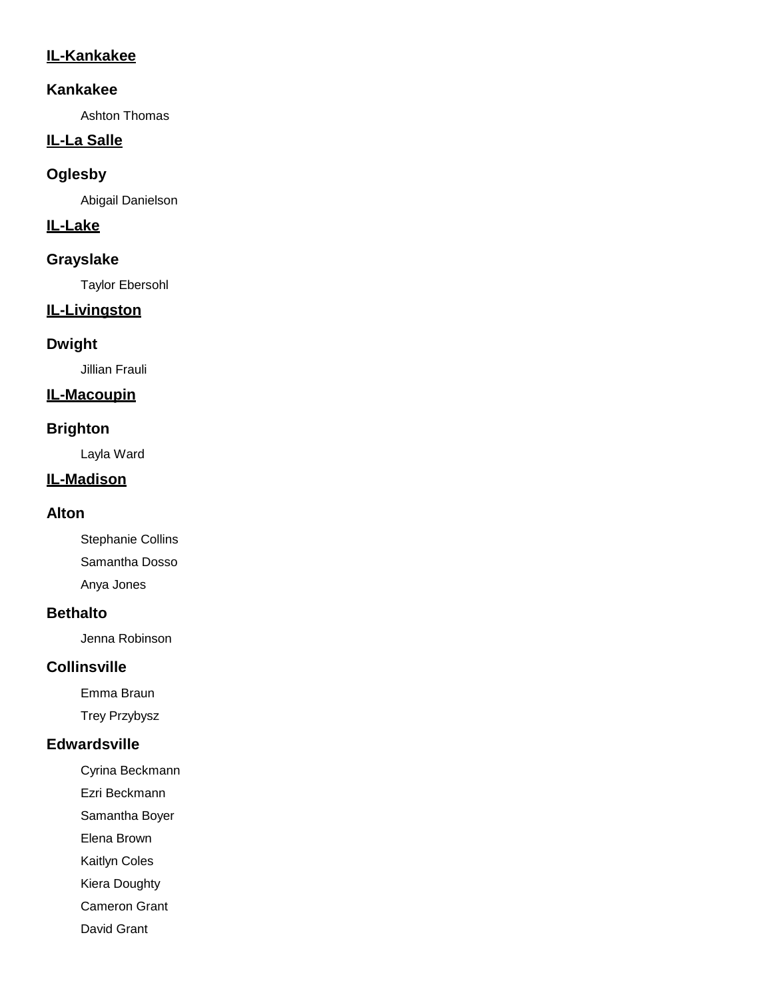## **IL-Kankakee**

### **Kankakee**

Ashton Thomas

# **IL-La Salle**

## **Oglesby**

Abigail Danielson

## **IL-Lake**

## **Grayslake**

Taylor Ebersohl

# **IL-Livingston**

# **Dwight**

Jillian Frauli

## **IL-Macoupin**

## **Brighton**

Layla Ward

# **IL-Madison**

## **Alton**

Stephanie Collins Samantha Dosso Anya Jones

# **Bethalto**

Jenna Robinson

# **Collinsville**

Emma Braun

Trey Przybysz

## **Edwardsville**

- Cyrina Beckmann
- Ezri Beckmann
- Samantha Boyer

Elena Brown

Kaitlyn Coles

Kiera Doughty

Cameron Grant

David Grant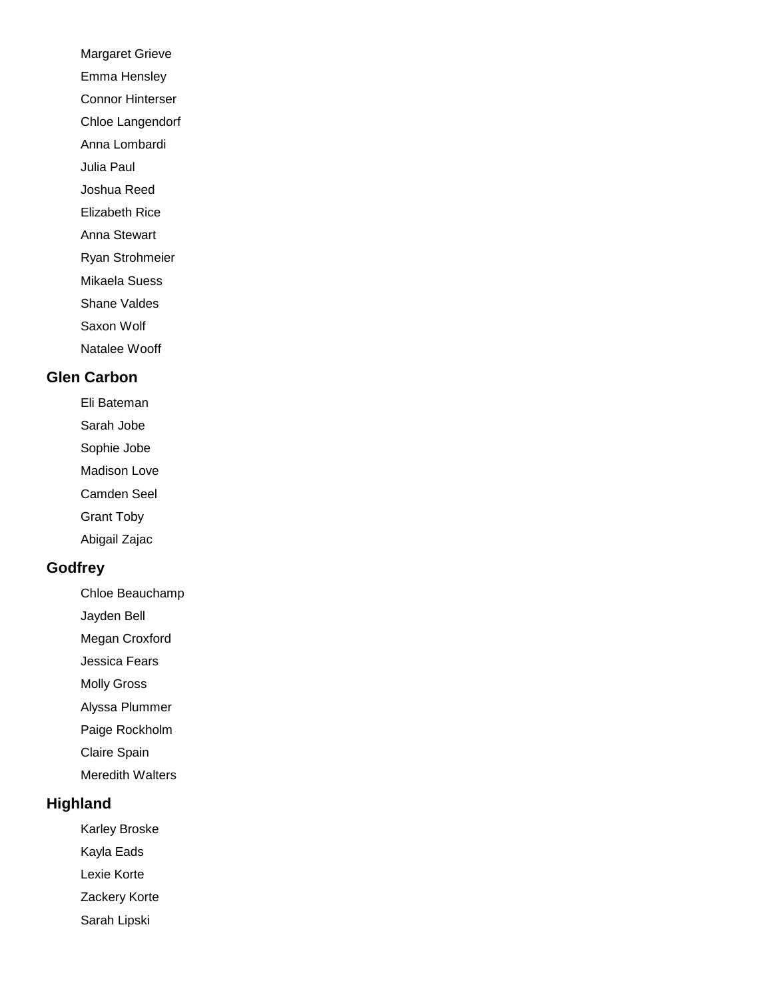- Margaret Grieve
- Emma Hensley

Connor Hinterser

Chloe Langendorf

Anna Lombardi

Julia Paul

Joshua Reed

Elizabeth Rice

Anna Stewart

Ryan Strohmeier

Mikaela Suess

Shane Valdes

Saxon Wolf

Natalee Wooff

## **Glen Carbon**

Eli Bateman

Sarah Jobe

Sophie Jobe

Madison Love

Camden Seel

Grant Toby

Abigail Zajac

# **Godfrey**

Chloe Beauchamp

Jayden Bell

Megan Croxford

Jessica Fears

Molly Gross

Alyssa Plummer

Paige Rockholm

Claire Spain

Meredith Walters

## **Highland**

Karley Broske

Kayla Eads

Lexie Korte

Zackery Korte

Sarah Lipski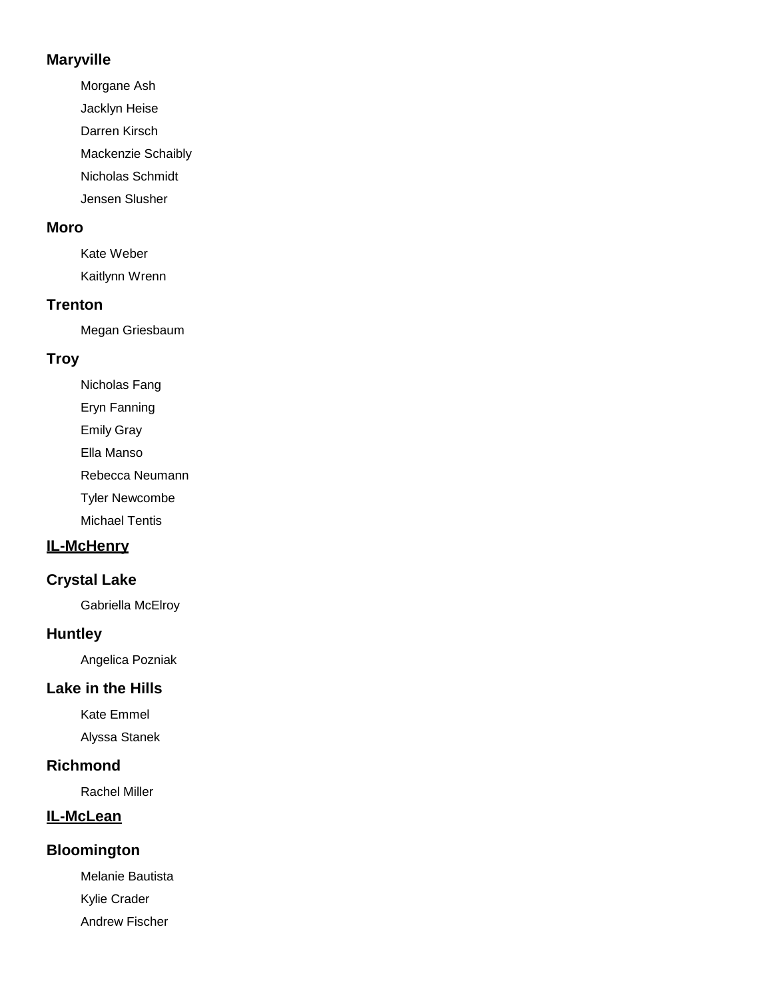### **Maryville**

Morgane Ash Jacklyn Heise Darren Kirsch Mackenzie Schaibly Nicholas Schmidt Jensen Slusher

### **Moro**

Kate Weber Kaitlynn Wrenn

### **Trenton**

Megan Griesbaum

# **Troy**

Nicholas Fang Eryn Fanning

Emily Gray

Ella Manso

Rebecca Neumann

Tyler Newcombe

Michael Tentis

# **IL-McHenry**

## **Crystal Lake**

Gabriella McElroy

### **Huntley**

Angelica Pozniak

## **Lake in the Hills**

Kate Emmel

Alyssa Stanek

## **Richmond**

Rachel Miller

### **IL-McLean**

### **Bloomington**

Melanie Bautista Kylie Crader Andrew Fischer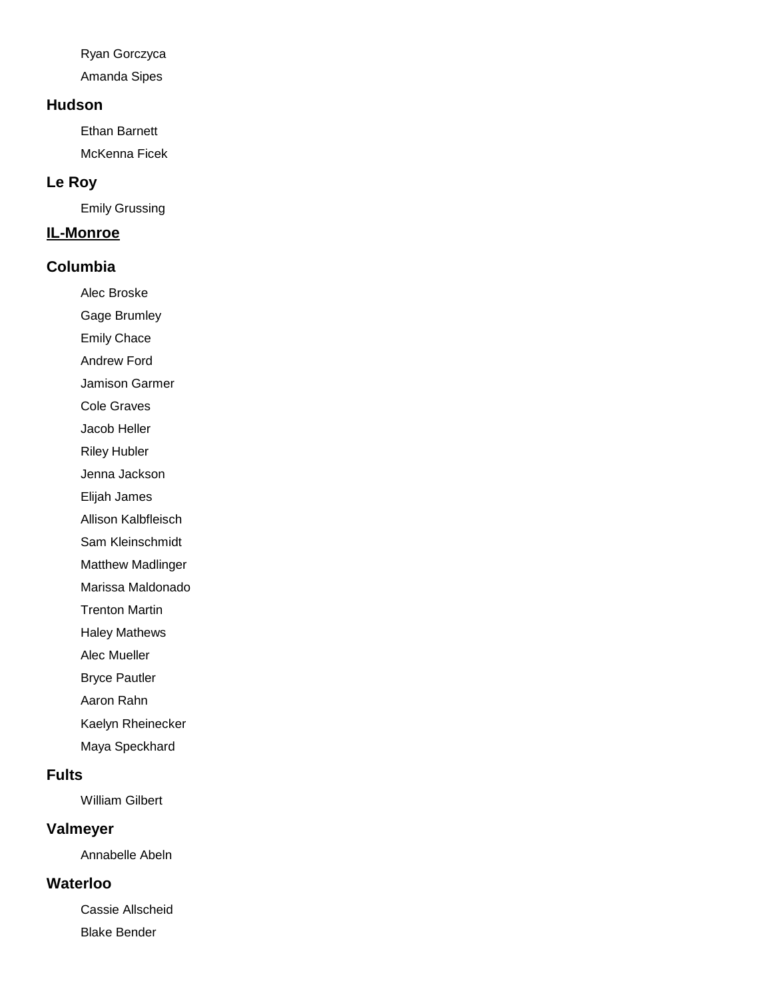Ryan Gorczyca

Amanda Sipes

### **Hudson**

Ethan Barnett McKenna Ficek

## **Le Roy**

Emily Grussing

### **IL-Monroe**

## **Columbia**

Alec Broske

Gage Brumley

Emily Chace

Andrew Ford

Jamison Garmer

Cole Graves

Jacob Heller

Riley Hubler

Jenna Jackson

Elijah James

Allison Kalbfleisch

Sam Kleinschmidt

Matthew Madlinger

Marissa Maldonado

Trenton Martin

Haley Mathews

Alec Mueller

Bryce Pautler

Aaron Rahn

Kaelyn Rheinecker

Maya Speckhard

## **Fults**

William Gilbert

### **Valmeyer**

Annabelle Abeln

## **Waterloo**

Cassie Allscheid Blake Bender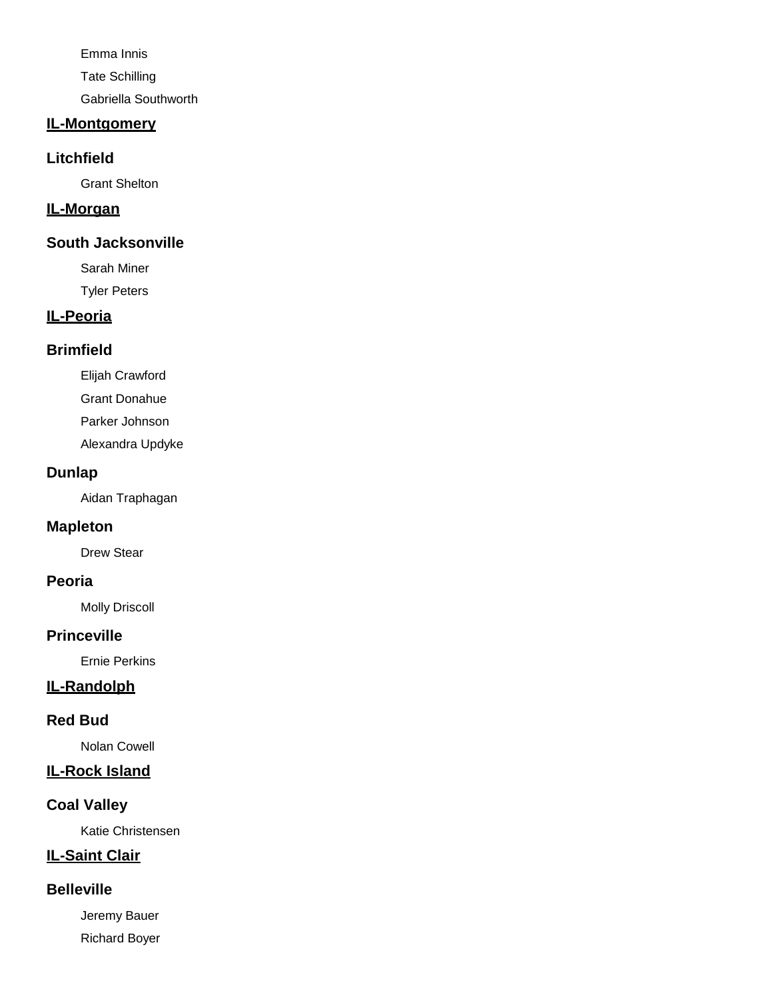Emma Innis Tate Schilling Gabriella Southworth

### **IL-Montgomery**

#### **Litchfield**

Grant Shelton

#### **IL-Morgan**

### **South Jacksonville**

Sarah Miner

Tyler Peters

# **IL-Peoria**

### **Brimfield**

Elijah Crawford

Grant Donahue

Parker Johnson

Alexandra Updyke

### **Dunlap**

Aidan Traphagan

### **Mapleton**

Drew Stear

## **Peoria**

Molly Driscoll

### **Princeville**

Ernie Perkins

## **IL-Randolph**

### **Red Bud**

Nolan Cowell

### **IL-Rock Island**

# **Coal Valley**

Katie Christensen

# **IL-Saint Clair**

### **Belleville**

Jeremy Bauer Richard Boyer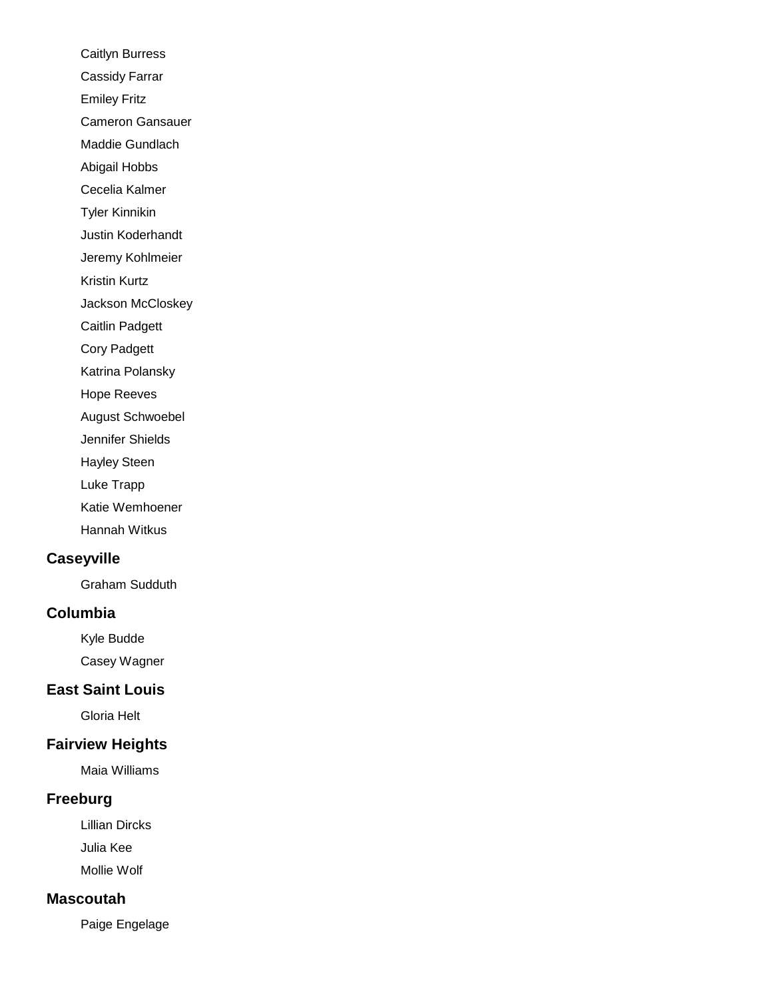Caitlyn Burress Cassidy Farrar Emiley Fritz Cameron Gansauer Maddie Gundlach Abigail Hobbs Cecelia Kalmer Tyler Kinnikin Justin Koderhandt Jeremy Kohlmeier Kristin Kurtz Jackson McCloskey Caitlin Padgett Cory Padgett Katrina Polansky Hope Reeves August Schwoebel Jennifer Shields Hayley Steen Luke Trapp Katie Wemhoener Hannah Witkus **Caseyville**

Graham Sudduth

## **Columbia**

Kyle Budde Casey Wagner

# **East Saint Louis**

Gloria Helt

## **Fairview Heights**

Maia Williams

## **Freeburg**

Lillian Dircks Julia Kee Mollie Wolf

#### **Mascoutah**

Paige Engelage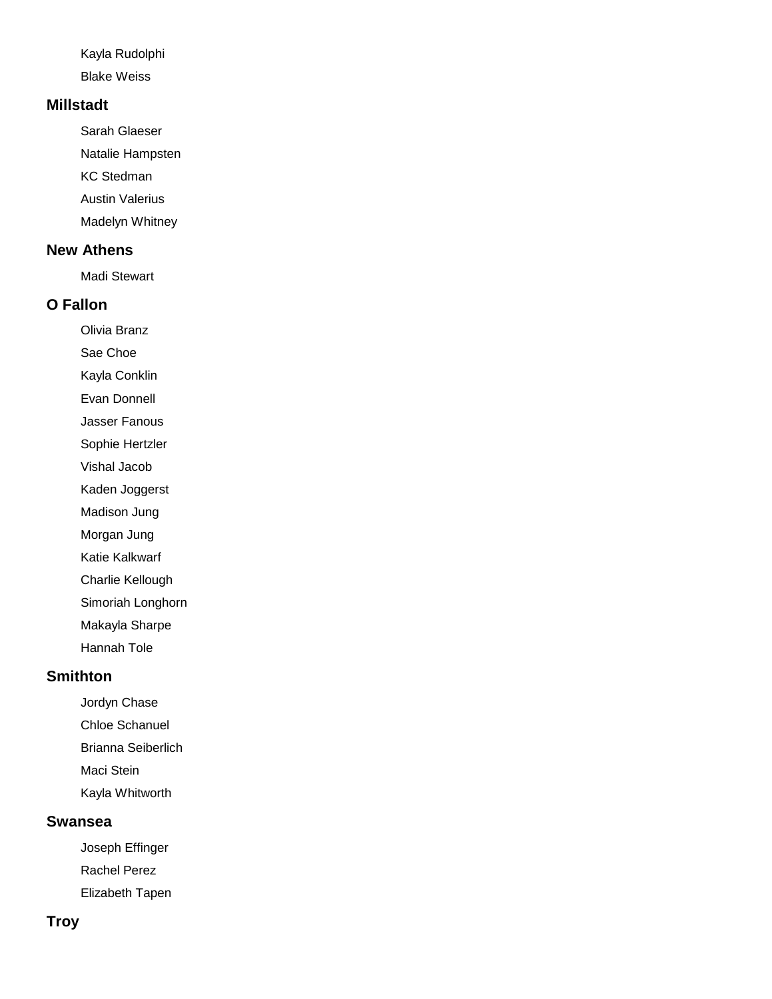Kayla Rudolphi

Blake Weiss

### **Millstadt**

Sarah Glaeser Natalie Hampsten KC Stedman Austin Valerius Madelyn Whitney

## **New Athens**

Madi Stewart

### **O Fallon**

Olivia Branz

Sae Choe

Kayla Conklin

Evan Donnell

Jasser Fanous

Sophie Hertzler

Vishal Jacob

Kaden Joggerst

Madison Jung

Morgan Jung

Katie Kalkwarf

Charlie Kellough

Simoriah Longhorn

Makayla Sharpe

Hannah Tole

# **Smithton**

Jordyn Chase

Chloe Schanuel

Brianna Seiberlich

Maci Stein

Kayla Whitworth

#### **Swansea**

Joseph Effinger Rachel Perez Elizabeth Tapen

### **Troy**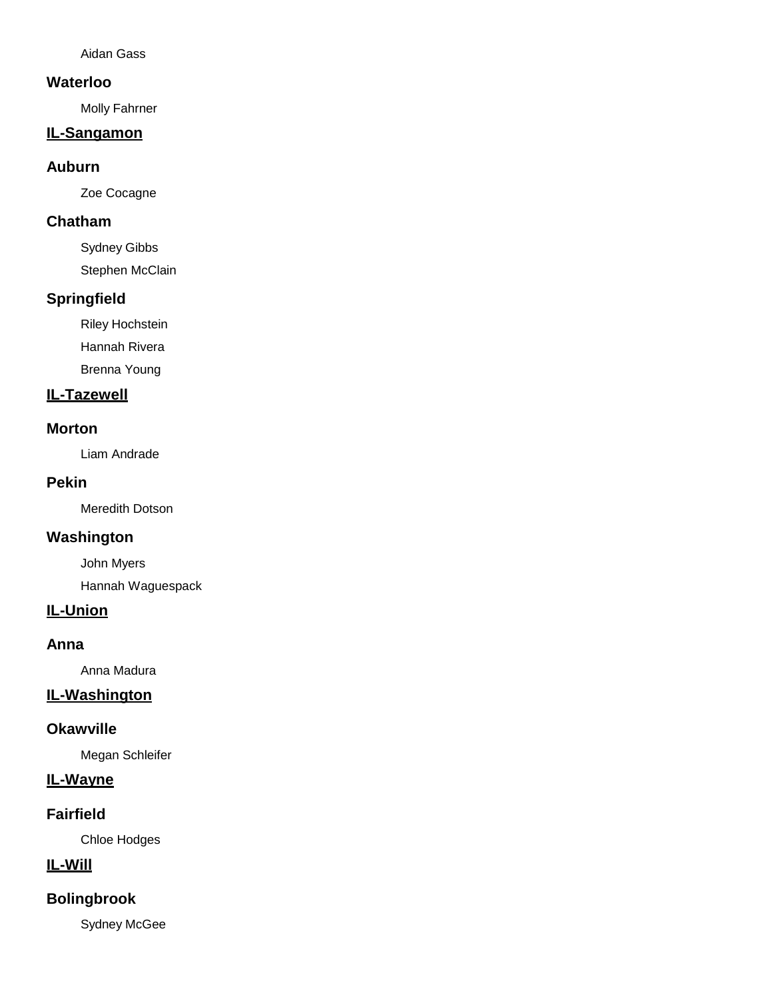Aidan Gass

### **Waterloo**

Molly Fahrner

## **IL-Sangamon**

### **Auburn**

Zoe Cocagne

### **Chatham**

Sydney Gibbs Stephen McClain

## **Springfield**

Riley Hochstein

Hannah Rivera

Brenna Young

## **IL-Tazewell**

### **Morton**

Liam Andrade

### **Pekin**

Meredith Dotson

### **Washington**

John Myers

Hannah Waguespack

## **IL-Union**

### **Anna**

Anna Madura

# **IL-Washington**

### **Okawville**

Megan Schleifer

## **IL-Wayne**

## **Fairfield**

Chloe Hodges

# **IL-Will**

# **Bolingbrook**

Sydney McGee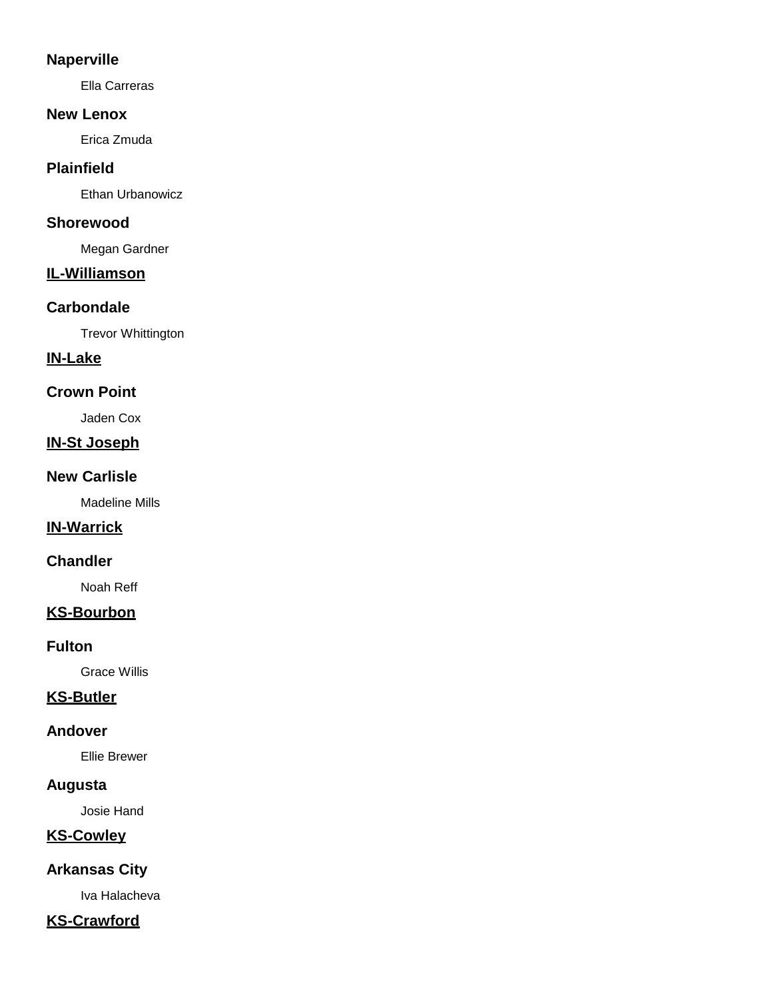### **Naperville**

Ella Carreras

#### **New Lenox**

Erica Zmuda

# **Plainfield**

Ethan Urbanowicz

### **Shorewood**

Megan Gardner

# **IL-Williamson**

# **Carbondale**

Trevor Whittington

# **IN-Lake**

# **Crown Point**

Jaden Cox

# **IN-St Joseph**

### **New Carlisle**

Madeline Mills

### **IN-Warrick**

### **Chandler**

Noah Reff

# **KS-Bourbon**

### **Fulton**

Grace Willis

# **KS-Butler**

### **Andover**

Ellie Brewer

# **Augusta**

Josie Hand

# **KS-Cowley**

# **Arkansas City**

Iva Halacheva

# **KS-Crawford**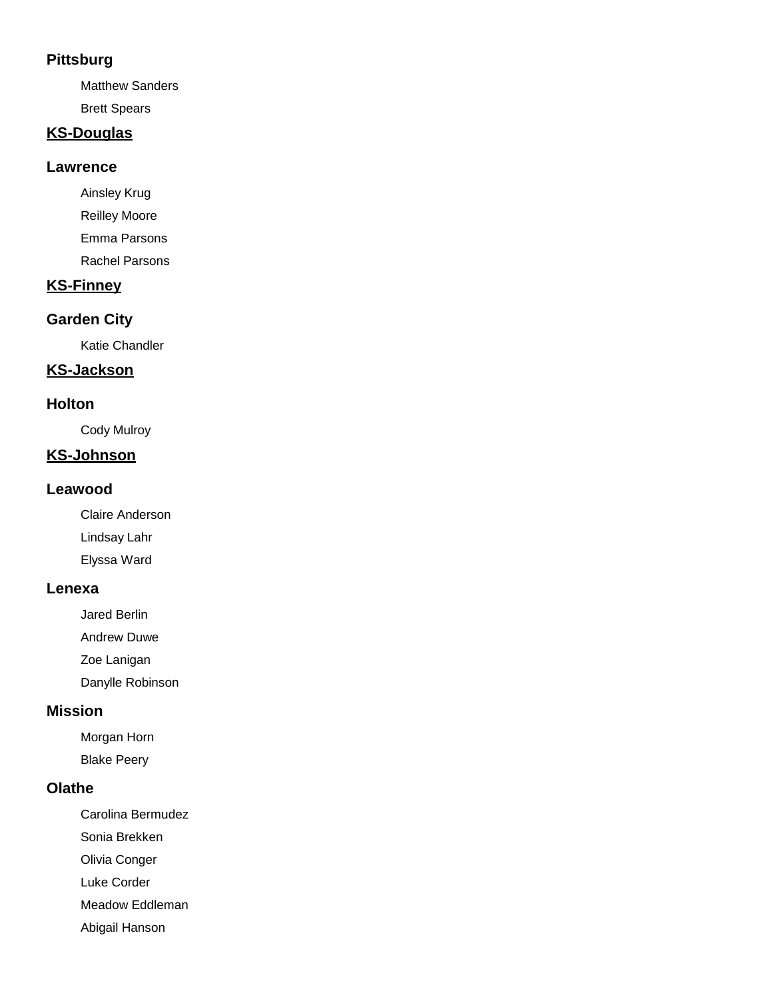## **Pittsburg**

Matthew Sanders

Brett Spears

# **KS-Douglas**

#### **Lawrence**

Ainsley Krug Reilley Moore Emma Parsons Rachel Parsons

# **KS-Finney**

# **Garden City**

Katie Chandler

### **KS-Jackson**

#### **Holton**

Cody Mulroy

# **KS-Johnson**

#### **Leawood**

Claire Anderson Lindsay Lahr Elyssa Ward

#### **Lenexa**

Jared Berlin

Andrew Duwe

Zoe Lanigan

Danylle Robinson

#### **Mission**

Morgan Horn Blake Peery

#### **Olathe**

Carolina Bermudez Sonia Brekken

Olivia Conger

Luke Corder

Meadow Eddleman

Abigail Hanson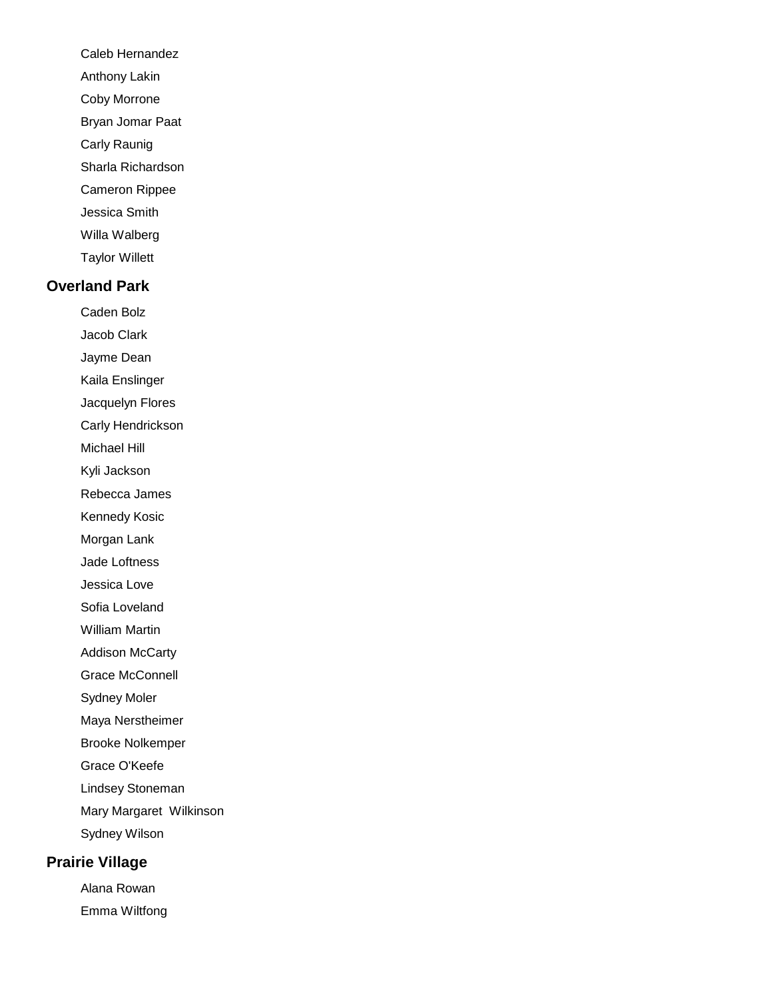- Caleb Hernandez
- Anthony Lakin
- Coby Morrone
- Bryan Jomar Paat
- Carly Raunig
- Sharla Richardson
- Cameron Rippee
- Jessica Smith
- Willa Walberg
- Taylor Willett

#### **Overland Park**

- Caden Bolz
- Jacob Clark
- Jayme Dean
- Kaila Enslinger
- Jacquelyn Flores
- Carly Hendrickson
- Michael Hill
- Kyli Jackson
- Rebecca James
- Kennedy Kosic
- Morgan Lank
- Jade Loftness
- Jessica Love
- Sofia Loveland
- William Martin
- Addison McCarty
- Grace McConnell
- Sydney Moler
- Maya Nerstheimer
- Brooke Nolkemper
- Grace O'Keefe
- Lindsey Stoneman
- Mary Margaret Wilkinson
- Sydney Wilson

# **Prairie Village**

Alana Rowan Emma Wiltfong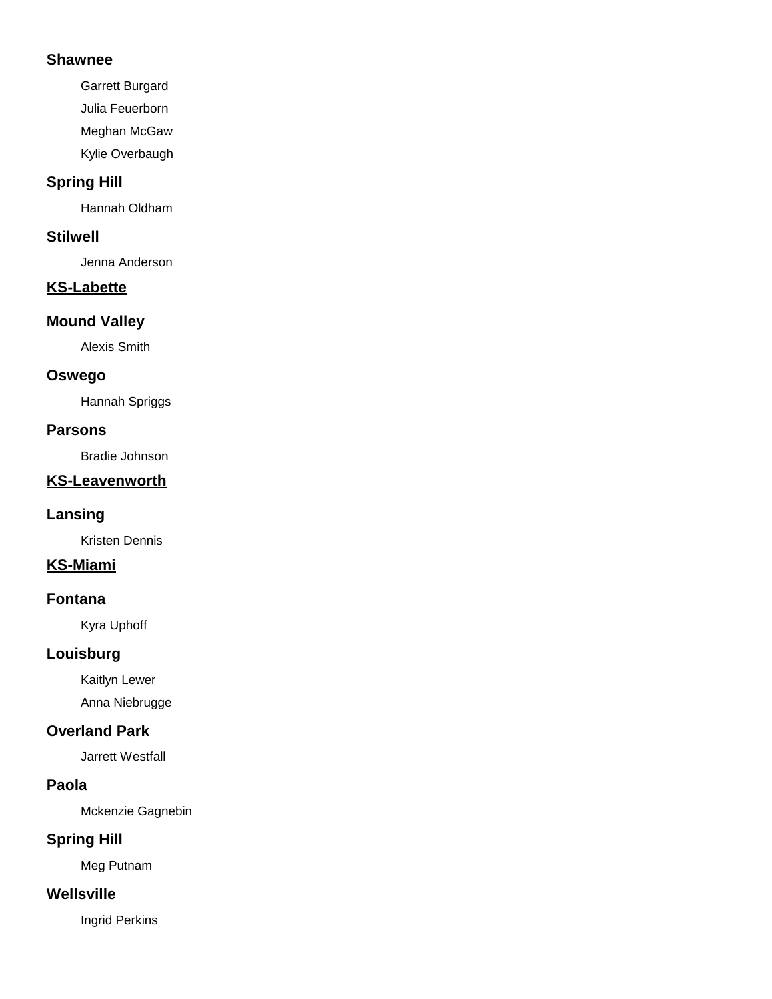#### **Shawnee**

Garrett Burgard

Julia Feuerborn

Meghan McGaw

Kylie Overbaugh

# **Spring Hill**

Hannah Oldham

## **Stilwell**

Jenna Anderson

# **KS-Labette**

### **Mound Valley**

Alexis Smith

### **Oswego**

Hannah Spriggs

### **Parsons**

Bradie Johnson

# **KS-Leavenworth**

### **Lansing**

Kristen Dennis

# **KS-Miami**

### **Fontana**

Kyra Uphoff

# **Louisburg**

Kaitlyn Lewer

Anna Niebrugge

# **Overland Park**

Jarrett Westfall

# **Paola**

Mckenzie Gagnebin

# **Spring Hill**

Meg Putnam

### **Wellsville**

Ingrid Perkins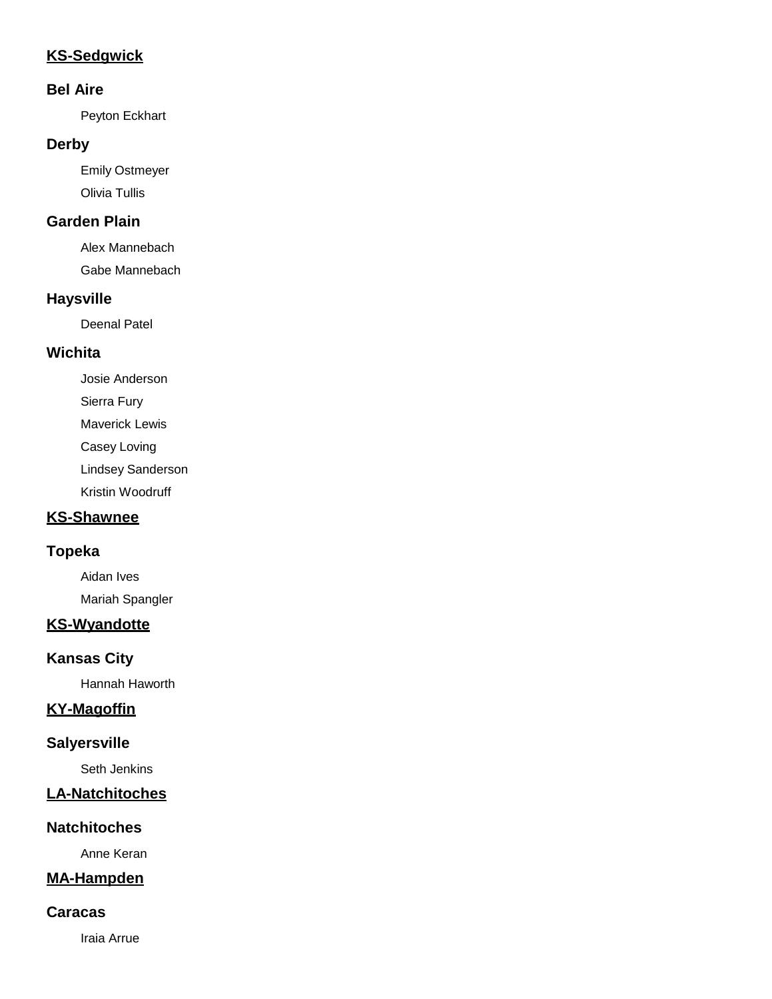# **KS-Sedgwick**

#### **Bel Aire**

Peyton Eckhart

#### **Derby**

Emily Ostmeyer Olivia Tullis

## **Garden Plain**

Alex Mannebach

Gabe Mannebach

# **Haysville**

Deenal Patel

### **Wichita**

Josie Anderson Sierra Fury Maverick Lewis Casey Loving Lindsey Sanderson Kristin Woodruff

# **KS-Shawnee**

### **Topeka**

Aidan Ives Mariah Spangler

# **KS-Wyandotte**

# **Kansas City**

Hannah Haworth

# **KY-Magoffin**

# **Salyersville**

Seth Jenkins

### **LA-Natchitoches**

### **Natchitoches**

Anne Keran

# **MA-Hampden**

#### **Caracas**

Iraia Arrue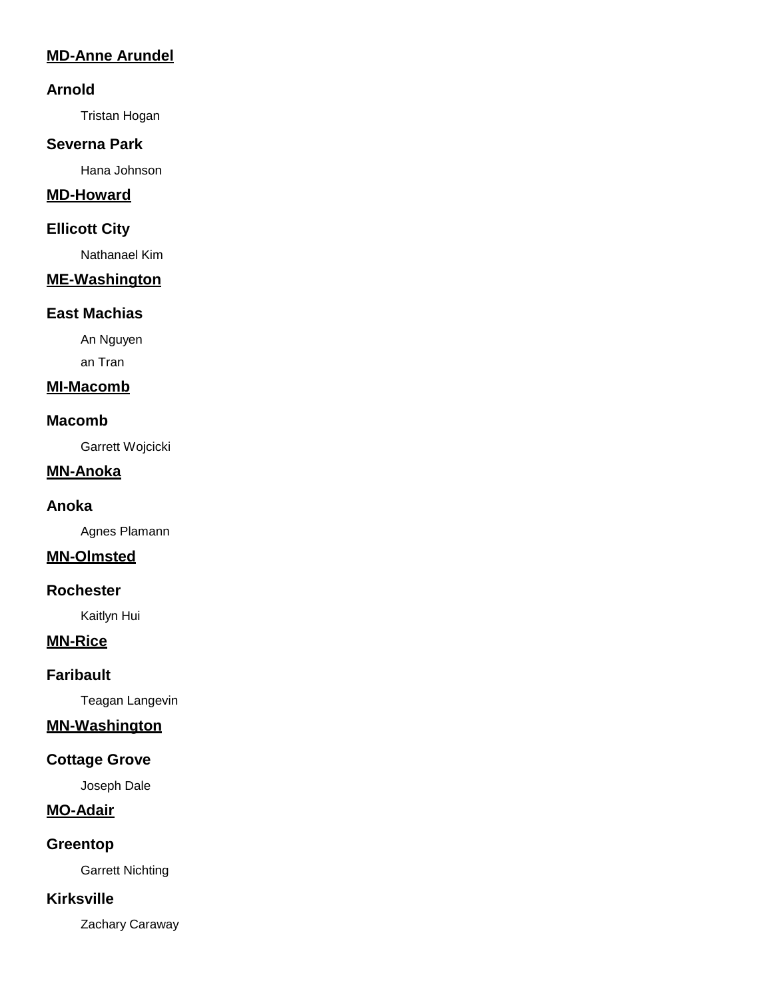# **MD-Anne Arundel**

#### **Arnold**

Tristan Hogan

#### **Severna Park**

Hana Johnson

### **MD-Howard**

#### **Ellicott City**

Nathanael Kim

#### **ME-Washington**

#### **East Machias**

An Nguyen

an Tran

# **MI-Macomb**

#### **Macomb**

Garrett Wojcicki

#### **MN-Anoka**

#### **Anoka**

Agnes Plamann

# **MN-Olmsted**

#### **Rochester**

Kaitlyn Hui

### **MN-Rice**

#### **Faribault**

Teagan Langevin

### **MN-Washington**

### **Cottage Grove**

Joseph Dale

# **MO-Adair**

### **Greentop**

Garrett Nichting

### **Kirksville**

Zachary Caraway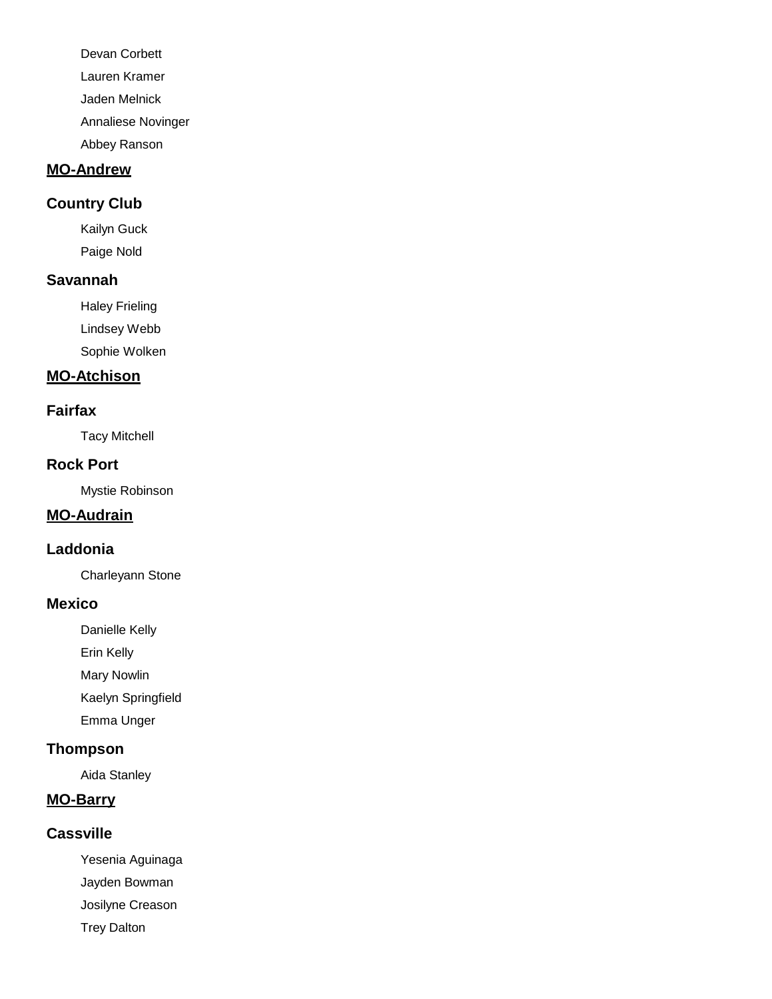Devan Corbett Lauren Kramer Jaden Melnick Annaliese Novinger Abbey Ranson

# **MO-Andrew**

#### **Country Club**

Kailyn Guck Paige Nold

#### **Savannah**

Haley Frieling Lindsey Webb Sophie Wolken

#### **MO-Atchison**

#### **Fairfax**

Tacy Mitchell

#### **Rock Port**

Mystie Robinson

## **MO-Audrain**

#### **Laddonia**

Charleyann Stone

#### **Mexico**

Danielle Kelly

Erin Kelly

Mary Nowlin

Kaelyn Springfield

Emma Unger

# **Thompson**

Aida Stanley

# **MO-Barry**

### **Cassville**

Yesenia Aguinaga

Jayden Bowman

Josilyne Creason

Trey Dalton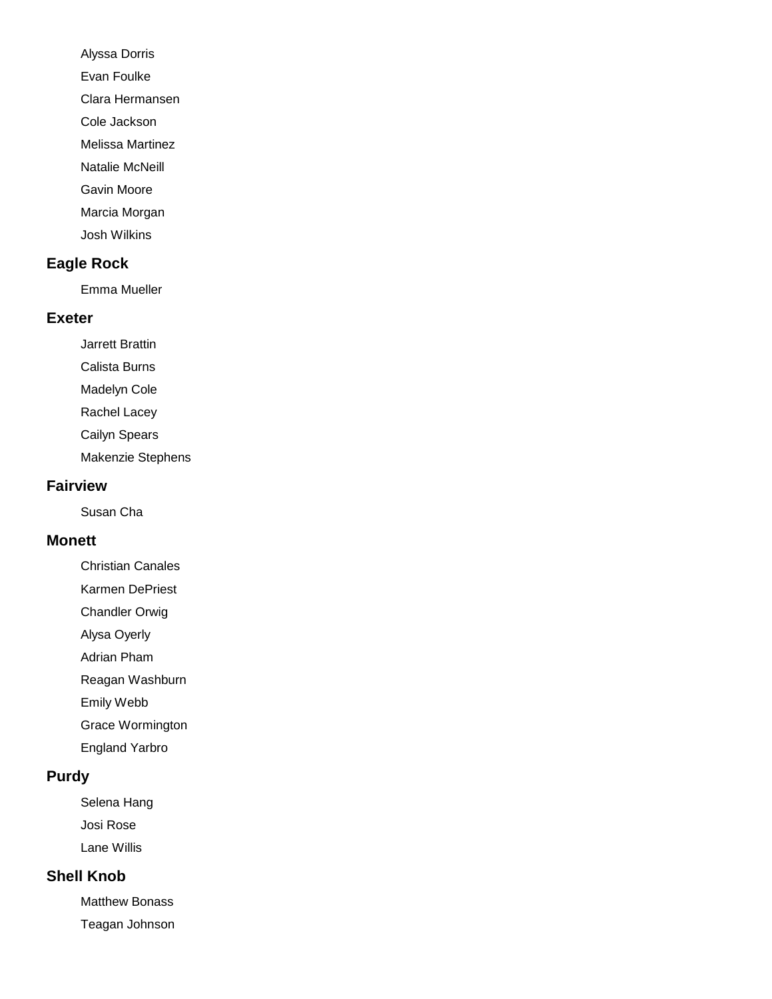Alyssa Dorris

Evan Foulke

Clara Hermansen

Cole Jackson

Melissa Martinez

Natalie McNeill

Gavin Moore

Marcia Morgan

Josh Wilkins

### **Eagle Rock**

Emma Mueller

#### **Exeter**

Jarrett Brattin

Calista Burns

Madelyn Cole

Rachel Lacey

Cailyn Spears

Makenzie Stephens

#### **Fairview**

Susan Cha

#### **Monett**

Christian Canales

Karmen DePriest

Chandler Orwig

Alysa Oyerly

Adrian Pham

Reagan Washburn

Emily Webb

Grace Wormington

England Yarbro

### **Purdy**

Selena Hang Josi Rose Lane Willis

### **Shell Knob**

Matthew Bonass Teagan Johnson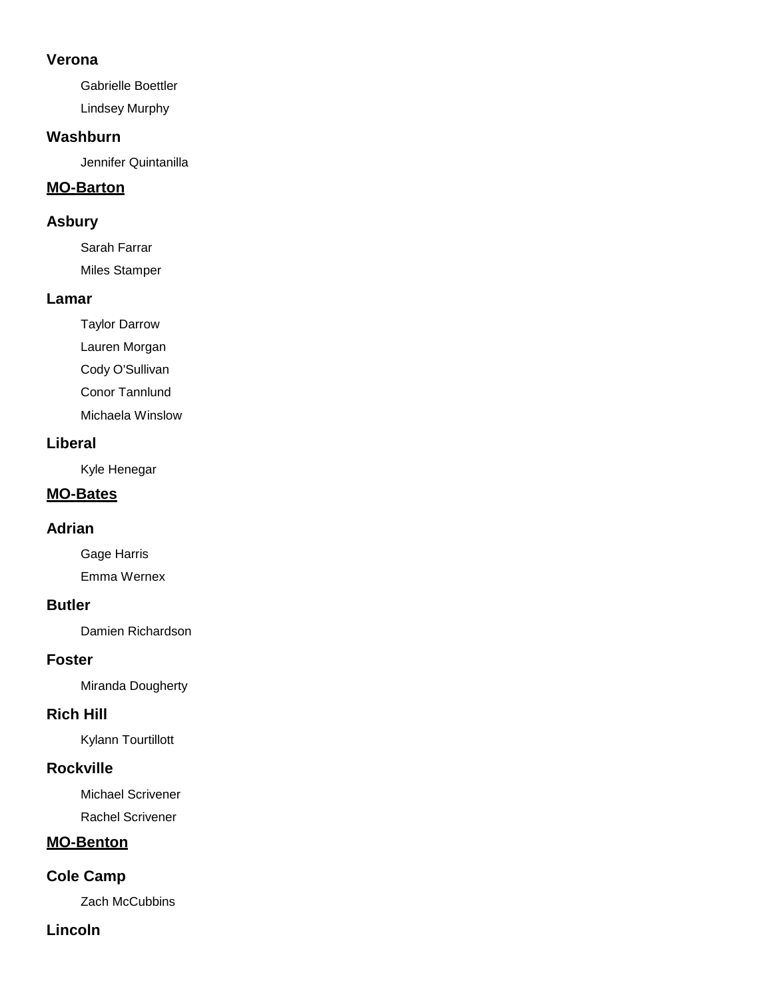#### **Verona**

Gabrielle Boettler Lindsey Murphy

#### **Washburn**

Jennifer Quintanilla

### **MO-Barton**

#### **Asbury**

Sarah Farrar Miles Stamper

#### **Lamar**

Taylor Darrow Lauren Morgan Cody O'Sullivan Conor Tannlund Michaela Winslow

### **Liberal**

Kyle Henegar

## **MO-Bates**

### **Adrian**

Gage Harris Emma Wernex

### **Butler**

Damien Richardson

### **Foster**

Miranda Dougherty

### **Rich Hill**

Kylann Tourtillott

### **Rockville**

Michael Scrivener

Rachel Scrivener

# **MO-Benton**

# **Cole Camp**

Zach McCubbins

### **Lincoln**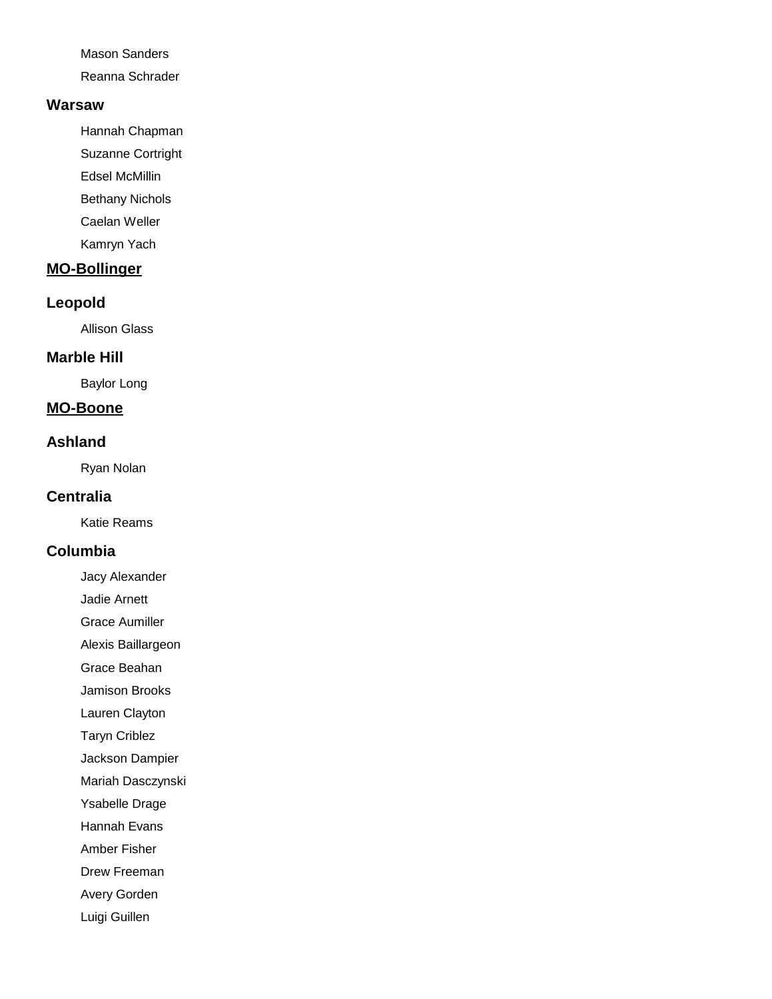Mason Sanders

Reanna Schrader

#### **Warsaw**

Hannah Chapman

- Suzanne Cortright
- Edsel McMillin
- Bethany Nichols
- Caelan Weller
- Kamryn Yach

# **MO-Bollinger**

# **Leopold**

Allison Glass

# **Marble Hill**

Baylor Long

# **MO-Boone**

# **Ashland**

Ryan Nolan

# **Centralia**

Katie Reams

# **Columbia**

- Jacy Alexander
- Jadie Arnett
- Grace Aumiller

Alexis Baillargeon

Grace Beahan

Jamison Brooks

Lauren Clayton

Taryn Criblez

Jackson Dampier

Mariah Dasczynski

Ysabelle Drage

Hannah Evans

Amber Fisher

Drew Freeman

Avery Gorden

Luigi Guillen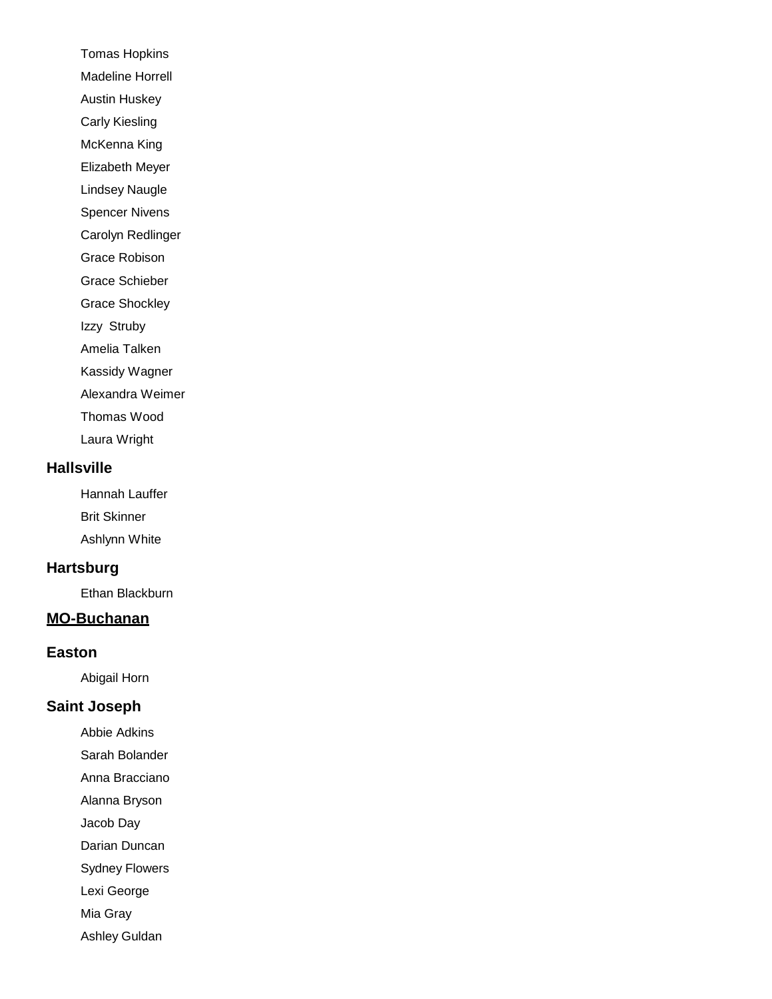Tomas Hopkins Madeline Horrell Austin Huskey Carly Kiesling McKenna King

Elizabeth Meyer

Lindsey Naugle

Spencer Nivens

Carolyn Redlinger

Grace Robison

Grace Schieber

Grace Shockley

Izzy Struby

Amelia Talken

Kassidy Wagner

Alexandra Weimer

Thomas Wood

Laura Wright

#### **Hallsville**

Hannah Lauffer Brit Skinner Ashlynn White

#### **Hartsburg**

Ethan Blackburn

### **MO-Buchanan**

#### **Easton**

Abigail Horn

#### **Saint Joseph**

Abbie Adkins

Sarah Bolander

Anna Bracciano

Alanna Bryson

Jacob Day

Darian Duncan

Sydney Flowers

Lexi George

Mia Gray

Ashley Guldan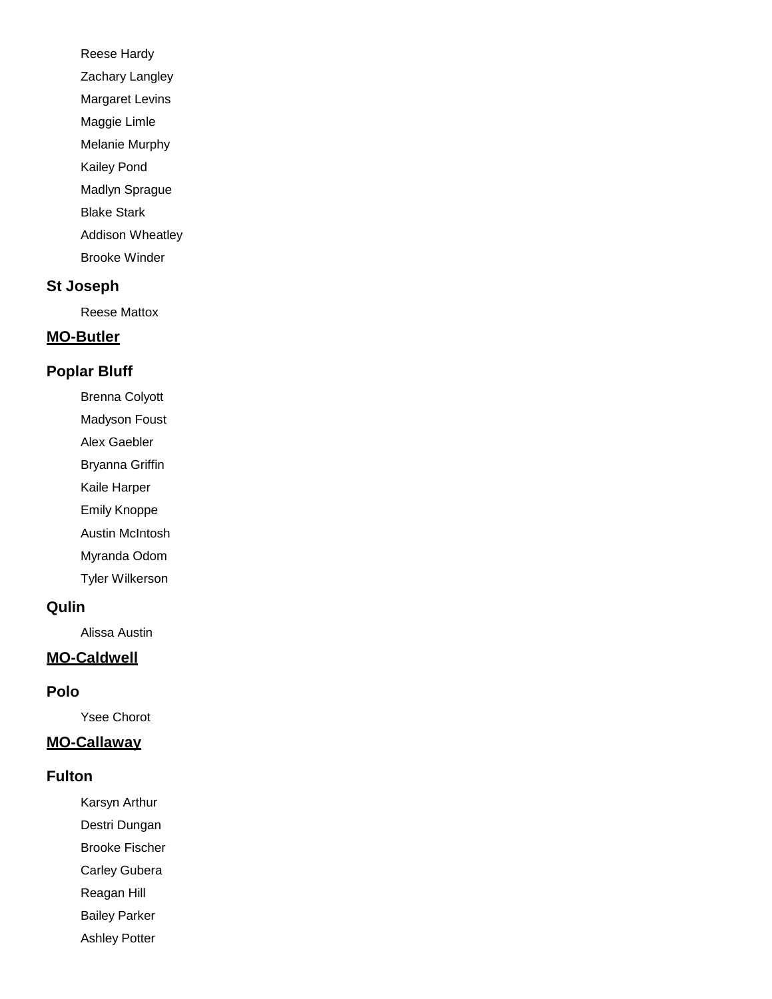Reese Hardy Zachary Langley Margaret Levins Maggie Limle Melanie Murphy Kailey Pond Madlyn Sprague Blake Stark Addison Wheatley

Brooke Winder

#### **St Joseph**

Reese Mattox

#### **MO-Butler**

#### **Poplar Bluff**

- Brenna Colyott
- Madyson Foust
- Alex Gaebler
- Bryanna Griffin
- Kaile Harper
- Emily Knoppe
- Austin McIntosh
- Myranda Odom
- Tyler Wilkerson

#### **Qulin**

Alissa Austin

#### **MO-Caldwell**

#### **Polo**

Ysee Chorot

# **MO-Callaway**

#### **Fulton**

- Karsyn Arthur
- Destri Dungan
- Brooke Fischer
- Carley Gubera
- Reagan Hill
- Bailey Parker
- Ashley Potter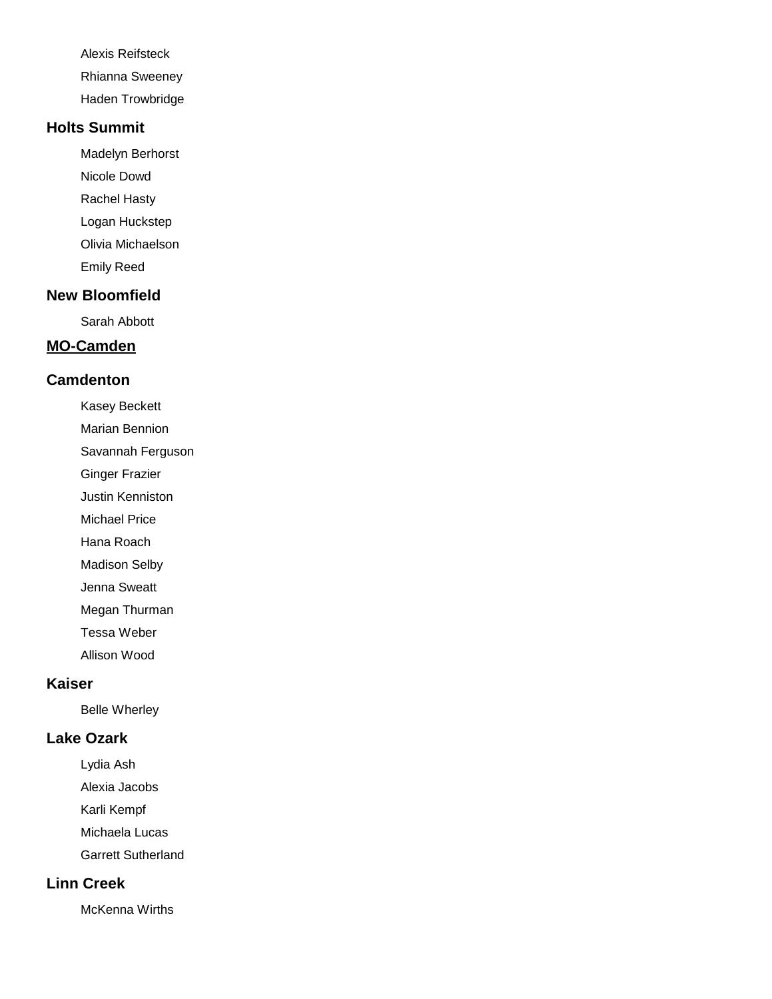Alexis Reifsteck

Rhianna Sweeney

Haden Trowbridge

# **Holts Summit**

Madelyn Berhorst

Nicole Dowd

Rachel Hasty

Logan Huckstep

Olivia Michaelson

Emily Reed

# **New Bloomfield**

Sarah Abbott

# **MO-Camden**

# **Camdenton**

Kasey Beckett

Marian Bennion

Savannah Ferguson

Ginger Frazier

Justin Kenniston

Michael Price

Hana Roach

Madison Selby

Jenna Sweatt

Megan Thurman

Tessa Weber

Allison Wood

# **Kaiser**

Belle Wherley

# **Lake Ozark**

Lydia Ash

Alexia Jacobs

Karli Kempf

Michaela Lucas

Garrett Sutherland

# **Linn Creek**

McKenna Wirths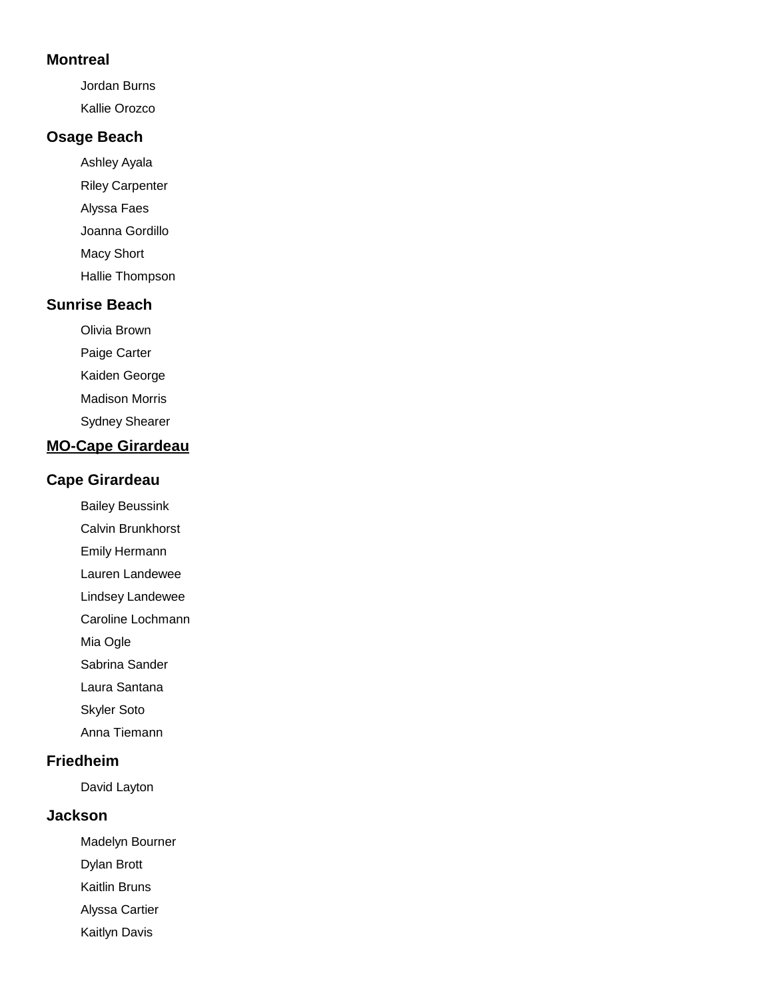#### **Montreal**

Jordan Burns Kallie Orozco

### **Osage Beach**

- Ashley Ayala Riley Carpenter Alyssa Faes Joanna Gordillo Macy Short
- Hallie Thompson

#### **Sunrise Beach**

- Olivia Brown
- Paige Carter
- Kaiden George
- Madison Morris
- Sydney Shearer

# **MO-Cape Girardeau**

#### **Cape Girardeau**

- Bailey Beussink
- Calvin Brunkhorst
- Emily Hermann
- Lauren Landewee
- Lindsey Landewee
- Caroline Lochmann
- Mia Ogle
- Sabrina Sander
- Laura Santana
- Skyler Soto
- Anna Tiemann

#### **Friedheim**

David Layton

#### **Jackson**

- Madelyn Bourner
- Dylan Brott
- Kaitlin Bruns
- Alyssa Cartier
- Kaitlyn Davis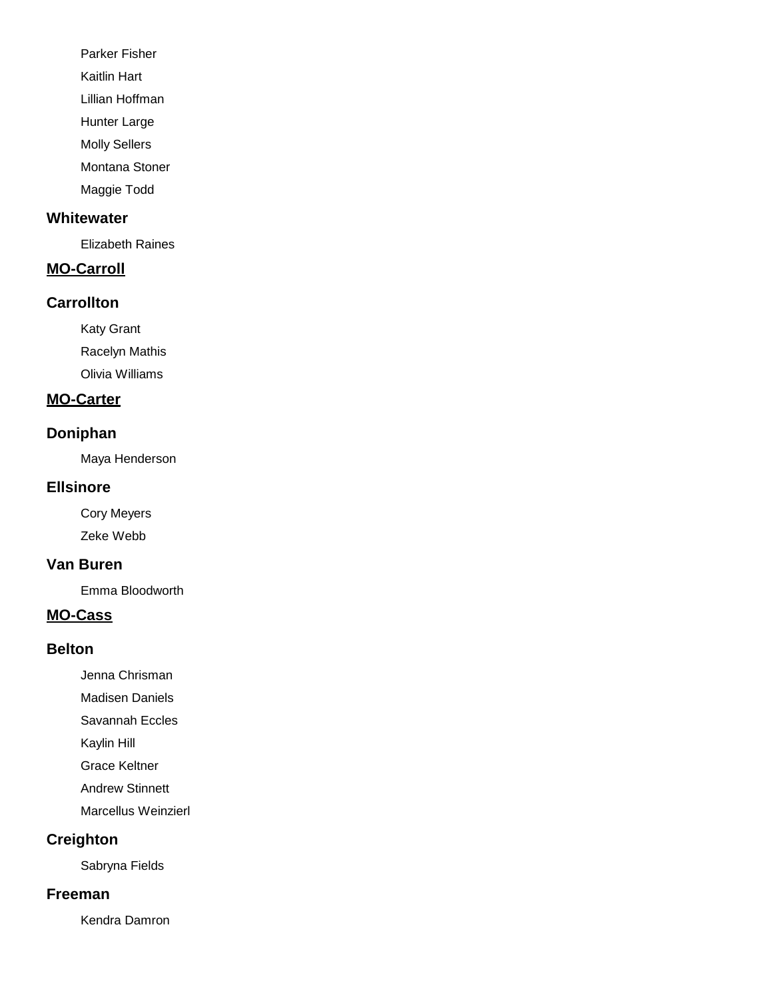Parker Fisher

Kaitlin Hart

Lillian Hoffman

Hunter Large

Molly Sellers

Montana Stoner

Maggie Todd

#### **Whitewater**

Elizabeth Raines

# **MO-Carroll**

### **Carrollton**

Katy Grant Racelyn Mathis Olivia Williams

### **MO-Carter**

# **Doniphan**

Maya Henderson

#### **Ellsinore**

Cory Meyers Zeke Webb

#### **Van Buren**

Emma Bloodworth

### **MO-Cass**

#### **Belton**

Jenna Chrisman

Madisen Daniels

Savannah Eccles

Kaylin Hill

Grace Keltner

Andrew Stinnett

Marcellus Weinzierl

# **Creighton**

Sabryna Fields

## **Freeman**

Kendra Damron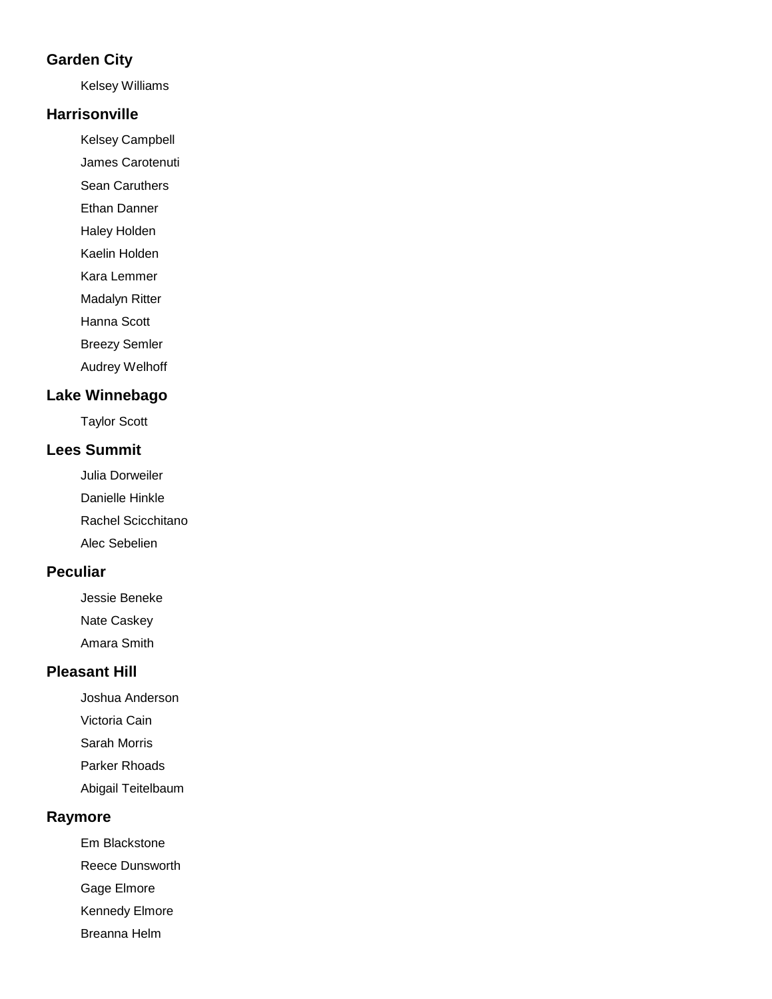### **Garden City**

Kelsey Williams

#### **Harrisonville**

Kelsey Campbell

James Carotenuti

Sean Caruthers

Ethan Danner

Haley Holden

Kaelin Holden

Kara Lemmer

Madalyn Ritter

Hanna Scott

Breezy Semler

Audrey Welhoff

# **Lake Winnebago**

Taylor Scott

# **Lees Summit**

Julia Dorweiler Danielle Hinkle Rachel Scicchitano Alec Sebelien

# **Peculiar**

Jessie Beneke Nate Caskey

Amara Smith

# **Pleasant Hill**

Joshua Anderson

Victoria Cain

Sarah Morris

Parker Rhoads

Abigail Teitelbaum

### **Raymore**

Em Blackstone

Reece Dunsworth

Gage Elmore

Kennedy Elmore

Breanna Helm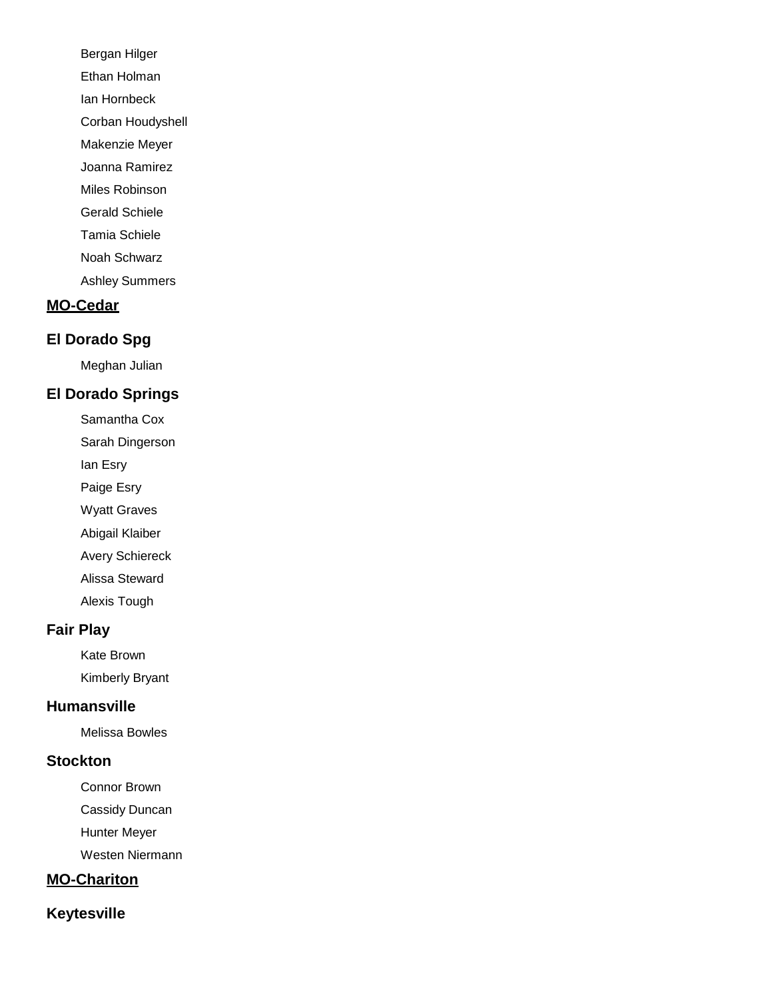Bergan Hilger Ethan Holman Ian Hornbeck Corban Houdyshell Makenzie Meyer Joanna Ramirez Miles Robinson Gerald Schiele Tamia Schiele Noah Schwarz Ashley Summers

### **MO-Cedar**

### **El Dorado Spg**

Meghan Julian

# **El Dorado Springs**

- Samantha Cox
- Sarah Dingerson
- Ian Esry
- Paige Esry
- Wyatt Graves
- Abigail Klaiber
- Avery Schiereck
- Alissa Steward
- Alexis Tough

### **Fair Play**

Kate Brown Kimberly Bryant

#### **Humansville**

Melissa Bowles

#### **Stockton**

- Connor Brown
- Cassidy Duncan
- Hunter Meyer
- Westen Niermann

# **MO-Chariton**

### **Keytesville**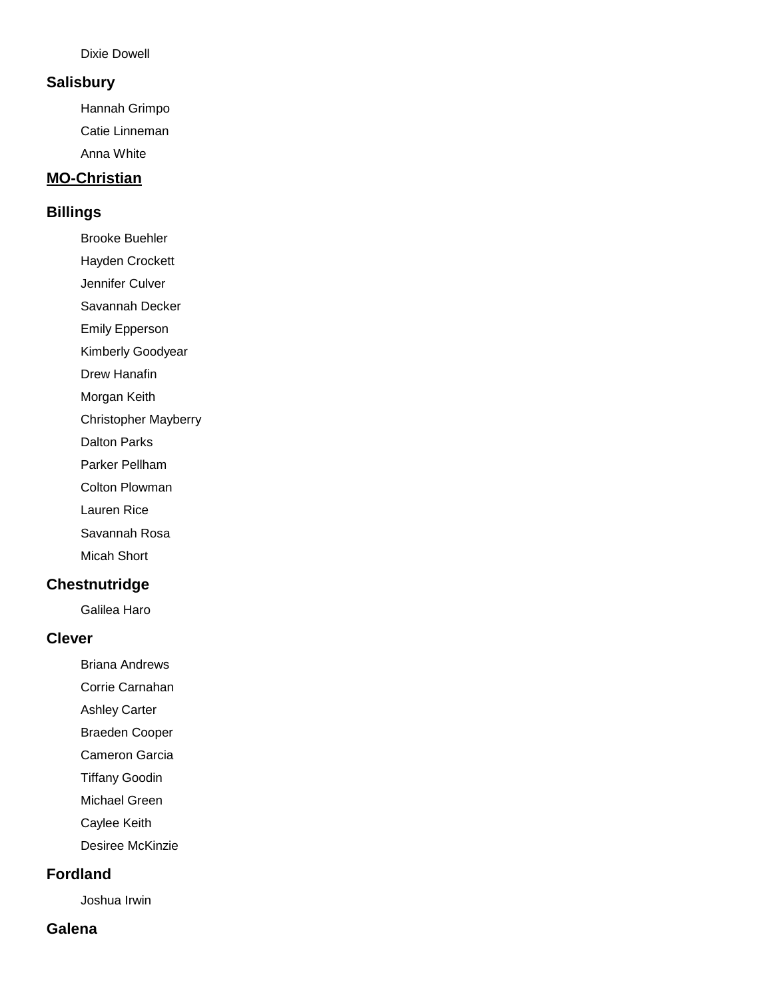#### Dixie Dowell

#### **Salisbury**

Hannah Grimpo Catie Linneman Anna White

#### **MO-Christian**

#### **Billings**

Brooke Buehler

Hayden Crockett

Jennifer Culver

Savannah Decker

Emily Epperson

Kimberly Goodyear

Drew Hanafin

Morgan Keith

Christopher Mayberry

Dalton Parks

Parker Pellham

Colton Plowman

Lauren Rice

Savannah Rosa

Micah Short

### **Chestnutridge**

Galilea Haro

#### **Clever**

Briana Andrews

Corrie Carnahan

Ashley Carter

Braeden Cooper

Cameron Garcia

Tiffany Goodin

Michael Green

Caylee Keith

Desiree McKinzie

#### **Fordland**

Joshua Irwin

#### **Galena**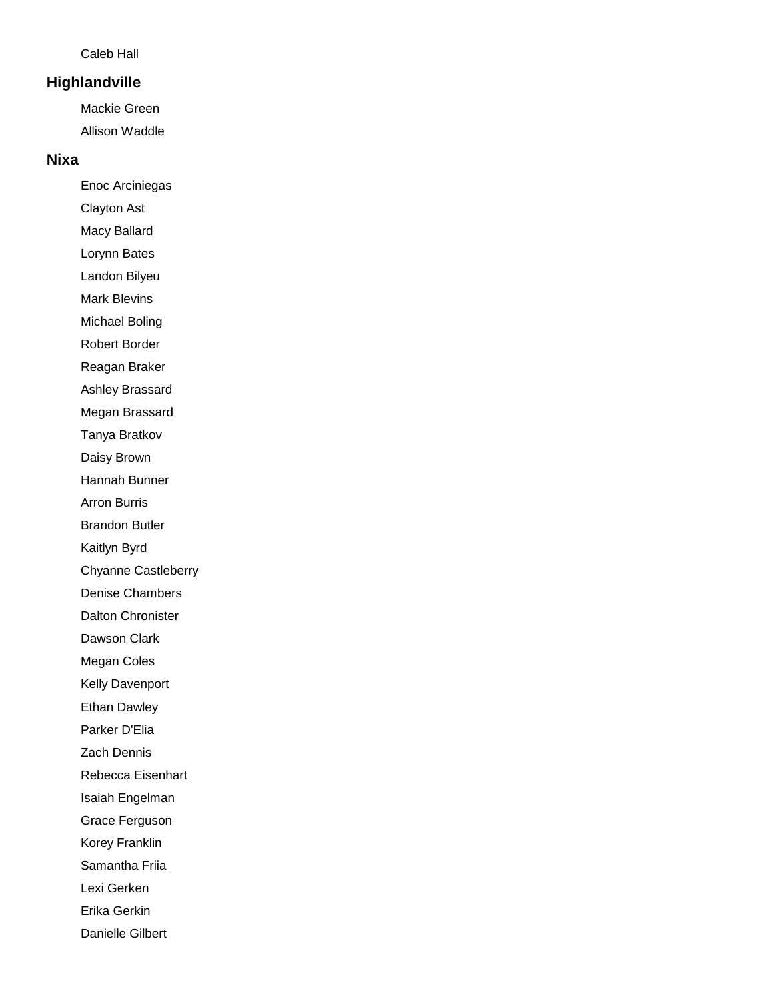#### Caleb Hall

#### **Highlandville**

Mackie Green Allison Waddle

#### **Nixa**

Enoc Arciniegas

- Clayton Ast
- Macy Ballard
- Lorynn Bates

Landon Bilyeu

Mark Blevins

Michael Boling

Robert Border

Reagan Braker

Ashley Brassard

Megan Brassard

Tanya Bratkov

Daisy Brown

Hannah Bunner

Arron Burris

Brandon Butler

Kaitlyn Byrd

Chyanne Castleberry

Denise Chambers

Dalton Chronister

Dawson Clark

Megan Coles

Kelly Davenport

Ethan Dawley

Parker D'Elia

Zach Dennis

Rebecca Eisenhart

Isaiah Engelman

Grace Ferguson

Korey Franklin

Samantha Friia

Lexi Gerken

Erika Gerkin

Danielle Gilbert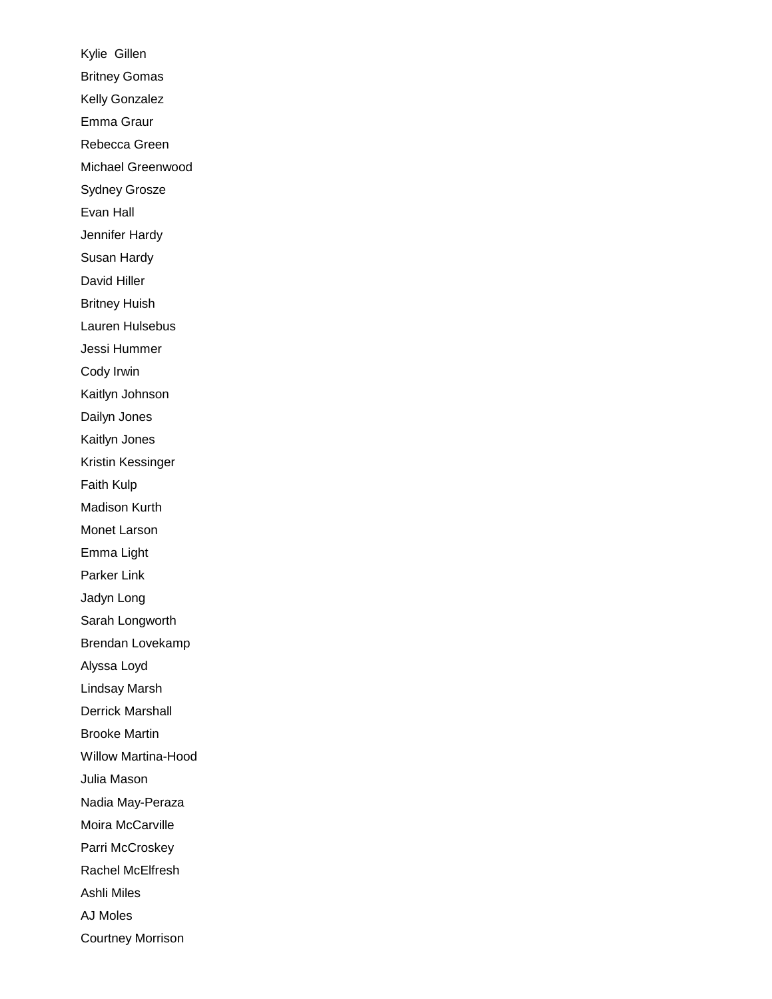Kylie Gillen Britney Gomas Kelly Gonzalez Emma Graur Rebecca Green Michael Greenwood Sydney Grosze Evan Hall Jennifer Hardy Susan Hardy David Hiller Britney Huish Lauren Hulsebus Jessi Hummer Cody Irwin Kaitlyn Johnson Dailyn Jones Kaitlyn Jones Kristin Kessinger Faith Kulp Madison Kurth Monet Larson Emma Light Parker Link Jadyn Long Sarah Longworth Brendan Lovekamp Alyssa Loyd Lindsay Marsh Derrick Marshall Brooke Martin Willow Martina-Hood Julia Mason Nadia May-Peraza Moira McCarville Parri McCroskey Rachel McElfresh Ashli Miles AJ Moles Courtney Morrison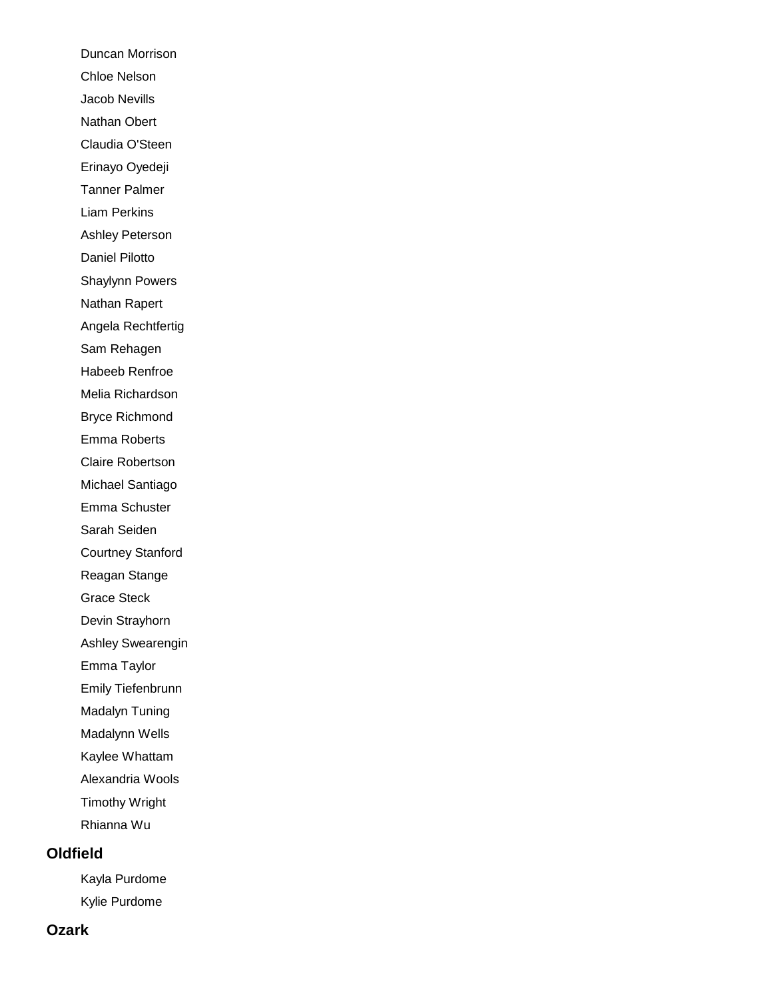Duncan Morrison Chloe Nelson Jacob Nevills Nathan Obert Claudia O'Steen Erinayo Oyedeji Tanner Palmer Liam Perkins Ashley Peterson Daniel Pilotto Shaylynn Powers Nathan Rapert Angela Rechtfertig Sam Rehagen Habeeb Renfroe Melia Richardson Bryce Richmond Emma Roberts Claire Robertson Michael Santiago Emma Schuster Sarah Seiden Courtney Stanford Reagan Stange Grace Steck Devin Strayhorn Ashley Swearengin Emma Taylor Emily Tiefenbrunn Madalyn Tuning Madalynn Wells Kaylee Whattam Alexandria Wools Timothy Wright Rhianna Wu **Oldfield**

> Kayla Purdome Kylie Purdome

#### **Ozark**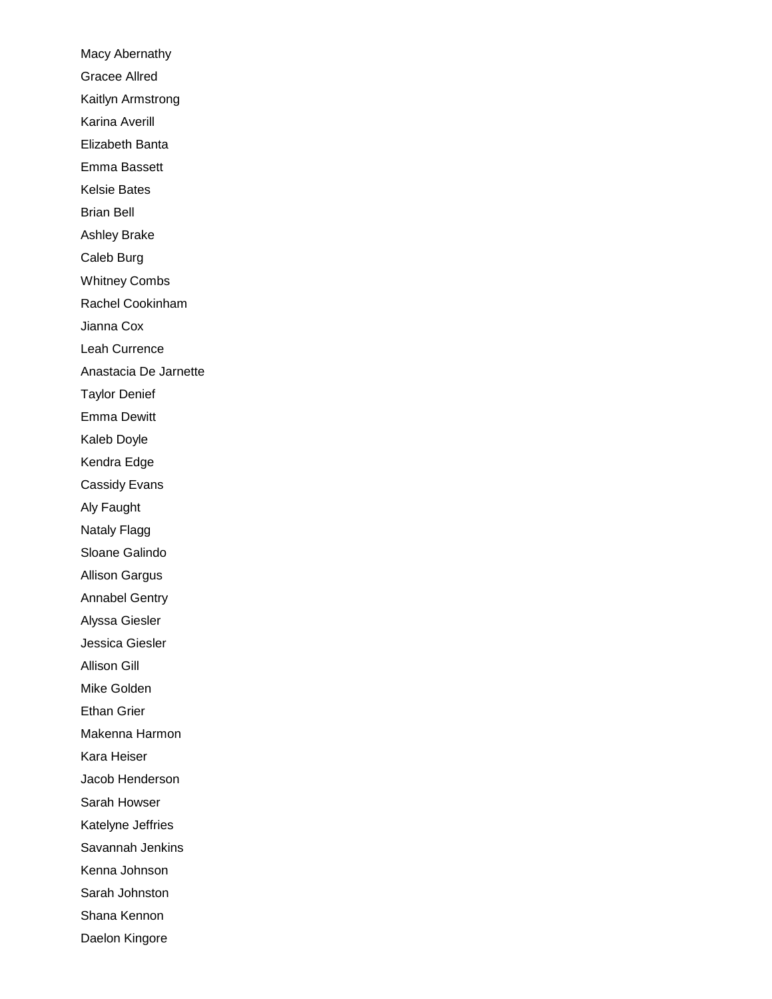Macy Abernathy Gracee Allred Kaitlyn Armstrong Karina Averill Elizabeth Banta Emma Bassett Kelsie Bates Brian Bell Ashley Brake Caleb Burg Whitney Combs Rachel Cookinham Jianna Cox Leah Currence Anastacia De Jarnette Taylor Denief Emma Dewitt Kaleb Doyle Kendra Edge Cassidy Evans Aly Faught Nataly Flagg Sloane Galindo Allison Gargus Annabel Gentry Alyssa Giesler Jessica Giesler Allison Gill Mike Golden Ethan Grier Makenna Harmon Kara Heiser Jacob Henderson Sarah Howser Katelyne Jeffries Savannah Jenkins Kenna Johnson Sarah Johnston Shana Kennon Daelon Kingore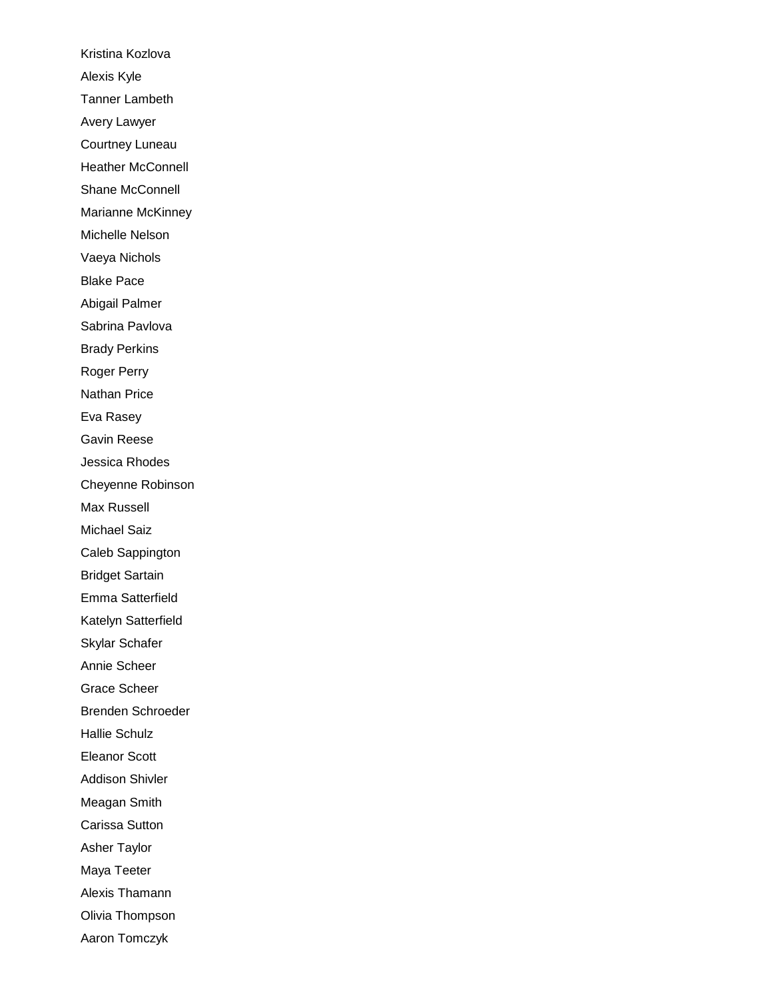Kristina Kozlova Alexis Kyle Tanner Lambeth Avery Lawyer Courtney Luneau Heather McConnell Shane McConnell Marianne McKinney Michelle Nelson Vaeya Nichols Blake Pace Abigail Palmer Sabrina Pavlova Brady Perkins Roger Perry Nathan Price Eva Rasey Gavin Reese Jessica Rhodes Cheyenne Robinson Max Russell Michael Saiz Caleb Sappington Bridget Sartain Emma Satterfield Katelyn Satterfield Skylar Schafer Annie Scheer Grace Scheer Brenden Schroeder Hallie Schulz Eleanor Scott Addison Shivler Meagan Smith Carissa Sutton Asher Taylor Maya Teeter Alexis Thamann Olivia Thompson Aaron Tomczyk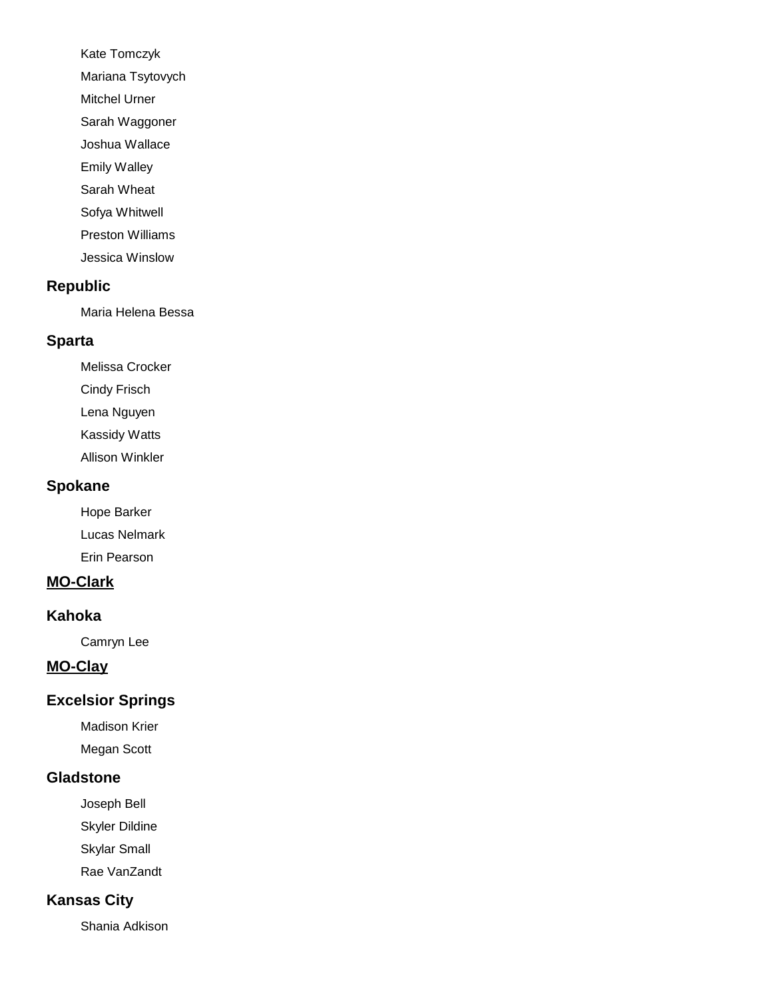Kate Tomczyk Mariana Tsytovych Mitchel Urner Sarah Waggoner Joshua Wallace Emily Walley Sarah Wheat Sofya Whitwell

Preston Williams

Jessica Winslow

#### **Republic**

Maria Helena Bessa

#### **Sparta**

Melissa Crocker Cindy Frisch Lena Nguyen Kassidy Watts Allison Winkler

#### **Spokane**

Hope Barker Lucas Nelmark Erin Pearson

### **MO-Clark**

#### **Kahoka**

Camryn Lee

## **MO-Clay**

#### **Excelsior Springs**

Madison Krier Megan Scott

#### **Gladstone**

Joseph Bell

Skyler Dildine

Skylar Small

Rae VanZandt

# **Kansas City**

Shania Adkison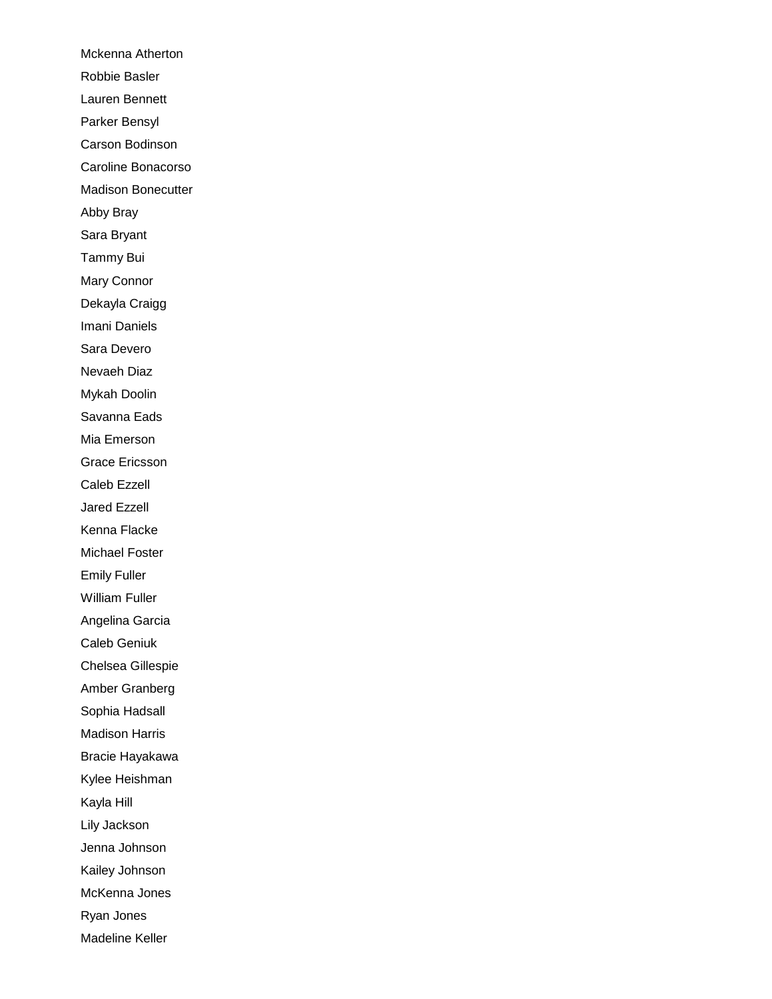Mckenna Atherton Robbie Basler Lauren Bennett Parker Bensyl Carson Bodinson Caroline Bonacorso Madison Bonecutter Abby Bray Sara Bryant Tammy Bui Mary Connor Dekayla Craigg Imani Daniels Sara Devero Nevaeh Diaz Mykah Doolin Savanna Eads Mia Emerson Grace Ericsson Caleb Ezzell Jared Ezzell Kenna Flacke Michael Foster Emily Fuller William Fuller Angelina Garcia Caleb Geniuk Chelsea Gillespie Amber Granberg Sophia Hadsall Madison Harris Bracie Hayakawa Kylee Heishman Kayla Hill Lily Jackson Jenna Johnson Kailey Johnson McKenna Jones Ryan Jones Madeline Keller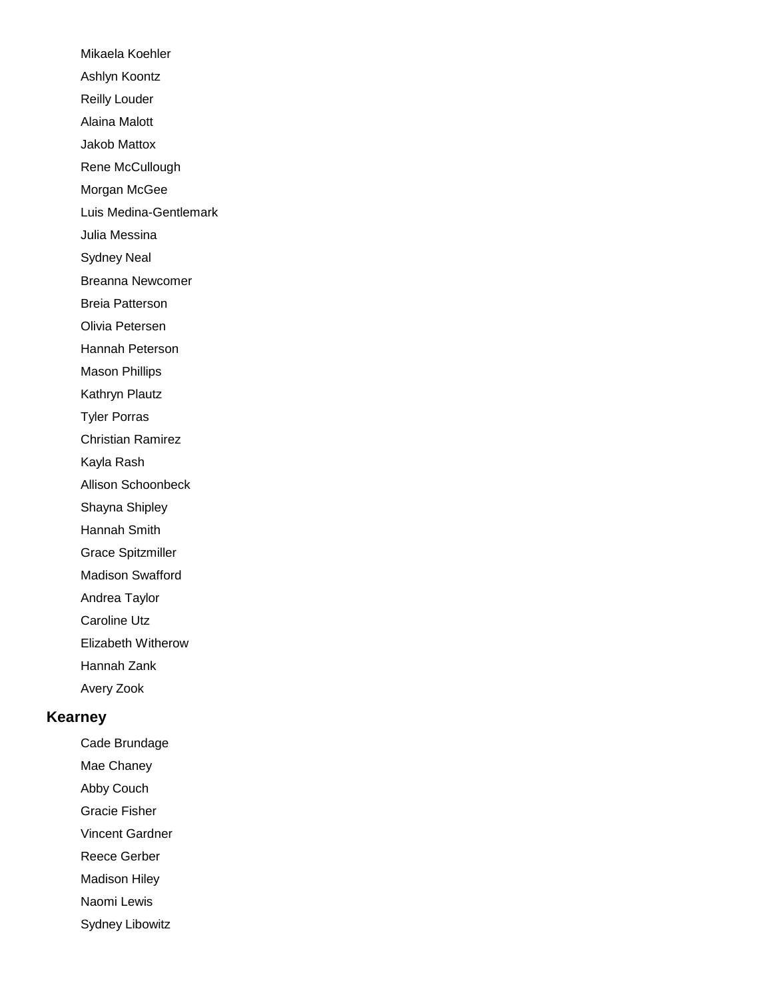Mikaela Koehler Ashlyn Koontz Reilly Louder Alaina Malott Jakob Mattox Rene McCullough Morgan McGee Luis Medina-Gentlemark Julia Messina Sydney Neal Breanna Newcomer Breia Patterson Olivia Petersen Hannah Peterson Mason Phillips Kathryn Plautz Tyler Porras Christian Ramirez Kayla Rash Allison Schoonbeck Shayna Shipley Hannah Smith Grace Spitzmiller Madison Swafford Andrea Taylor Caroline Utz Elizabeth Witherow Hannah Zank Avery Zook

# **Kearney**

Cade Brundage

Mae Chaney

Abby Couch

Gracie Fisher

Vincent Gardner

Reece Gerber

Madison Hiley

Naomi Lewis

Sydney Libowitz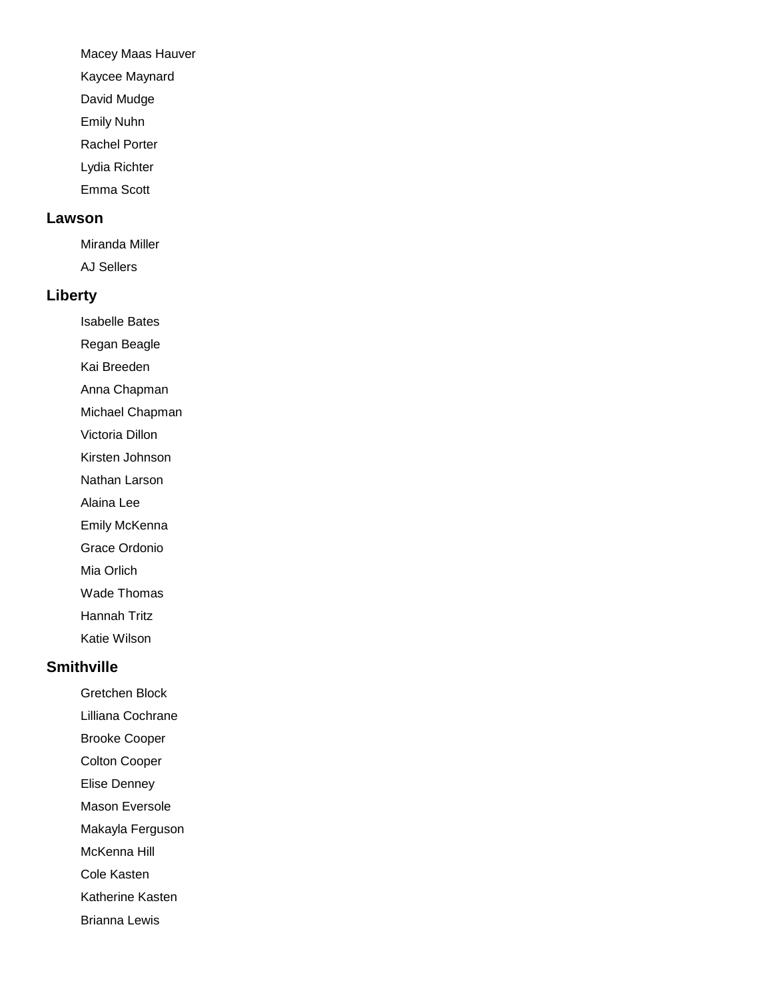Macey Maas Hauver

Kaycee Maynard

David Mudge

Emily Nuhn

Rachel Porter

Lydia Richter

Emma Scott

#### **Lawson**

Miranda Miller AJ Sellers

#### **Liberty**

Isabelle Bates

Regan Beagle

Kai Breeden

Anna Chapman

Michael Chapman

Victoria Dillon

Kirsten Johnson

Nathan Larson

Alaina Lee

Emily McKenna

Grace Ordonio

Mia Orlich

Wade Thomas

Hannah Tritz

Katie Wilson

#### **Smithville**

Gretchen Block

Lilliana Cochrane

Brooke Cooper

Colton Cooper

Elise Denney

Mason Eversole

Makayla Ferguson

McKenna Hill

Cole Kasten

Katherine Kasten

Brianna Lewis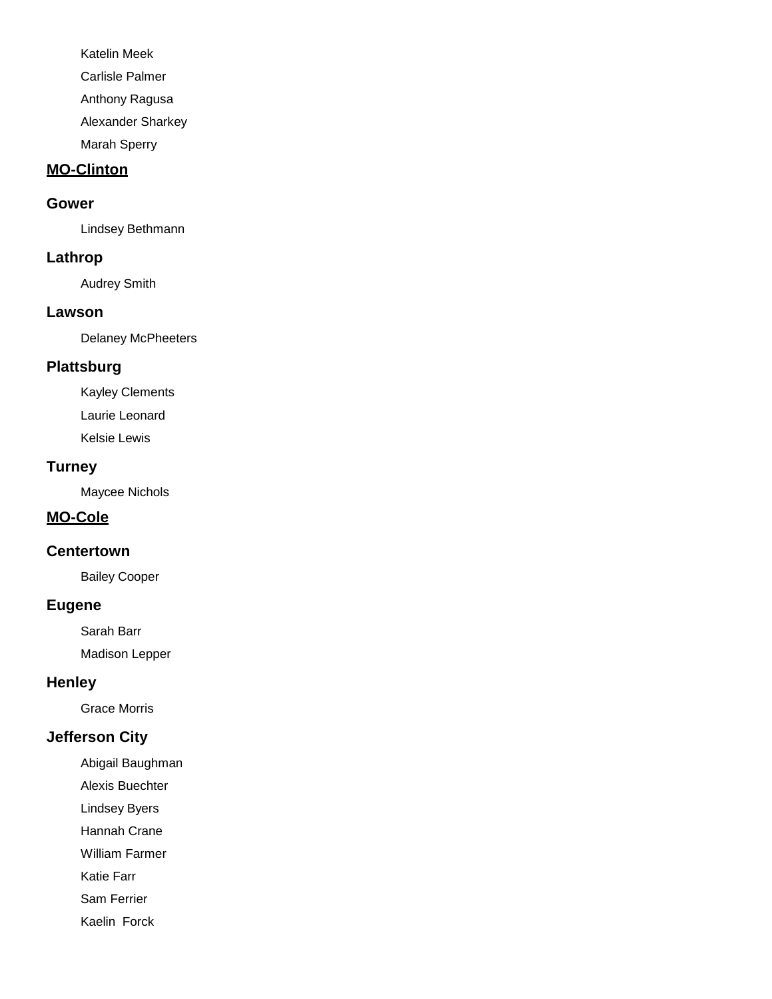Katelin Meek

Carlisle Palmer

Anthony Ragusa

Alexander Sharkey

Marah Sperry

# **MO-Clinton**

#### **Gower**

Lindsey Bethmann

### **Lathrop**

Audrey Smith

#### **Lawson**

Delaney McPheeters

# **Plattsburg**

Kayley Clements

Laurie Leonard

Kelsie Lewis

### **Turney**

Maycee Nichols

### **MO-Cole**

### **Centertown**

Bailey Cooper

### **Eugene**

Sarah Barr

Madison Lepper

### **Henley**

Grace Morris

# **Jefferson City**

Abigail Baughman

- Alexis Buechter
- Lindsey Byers
- Hannah Crane
- William Farmer

Katie Farr

Sam Ferrier

Kaelin Forck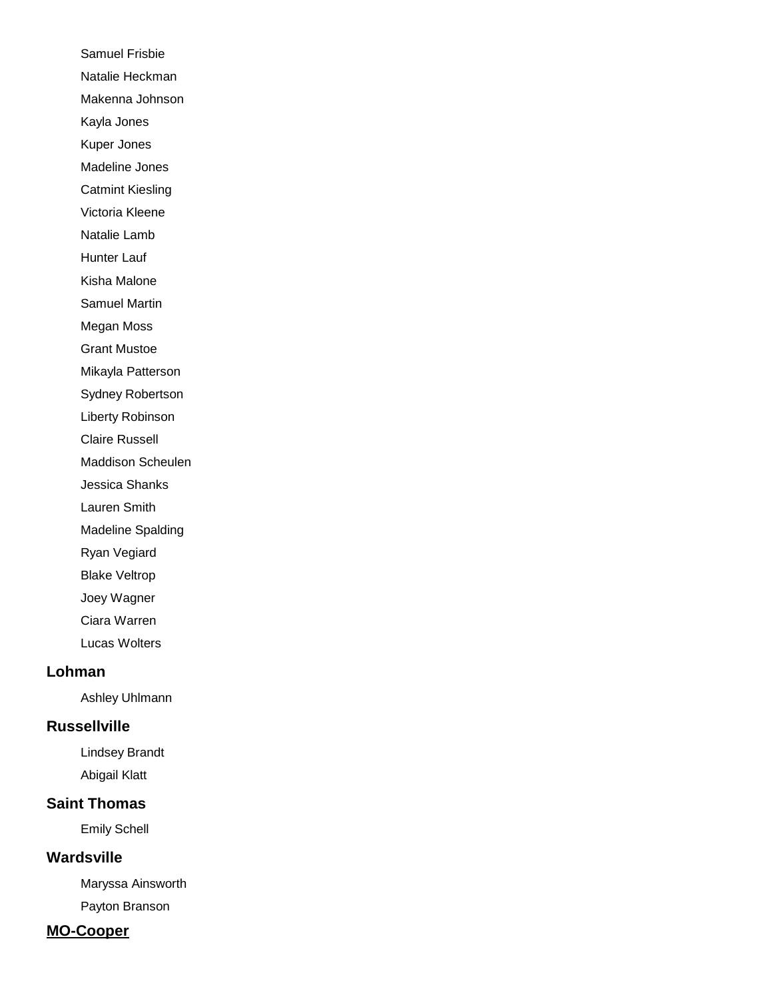Samuel Frisbie Natalie Heckman Makenna Johnson Kayla Jones Kuper Jones Madeline Jones Catmint Kiesling Victoria Kleene Natalie Lamb Hunter Lauf Kisha Malone Samuel Martin Megan Moss Grant Mustoe Mikayla Patterson Sydney Robertson Liberty Robinson Claire Russell Maddison Scheulen Jessica Shanks Lauren Smith Madeline Spalding Ryan Vegiard Blake Veltrop Joey Wagner Ciara Warren Lucas Wolters

#### **Lohman**

Ashley Uhlmann

### **Russellville**

Lindsey Brandt Abigail Klatt

### **Saint Thomas**

Emily Schell

#### **Wardsville**

Maryssa Ainsworth Payton Branson

#### **MO-Cooper**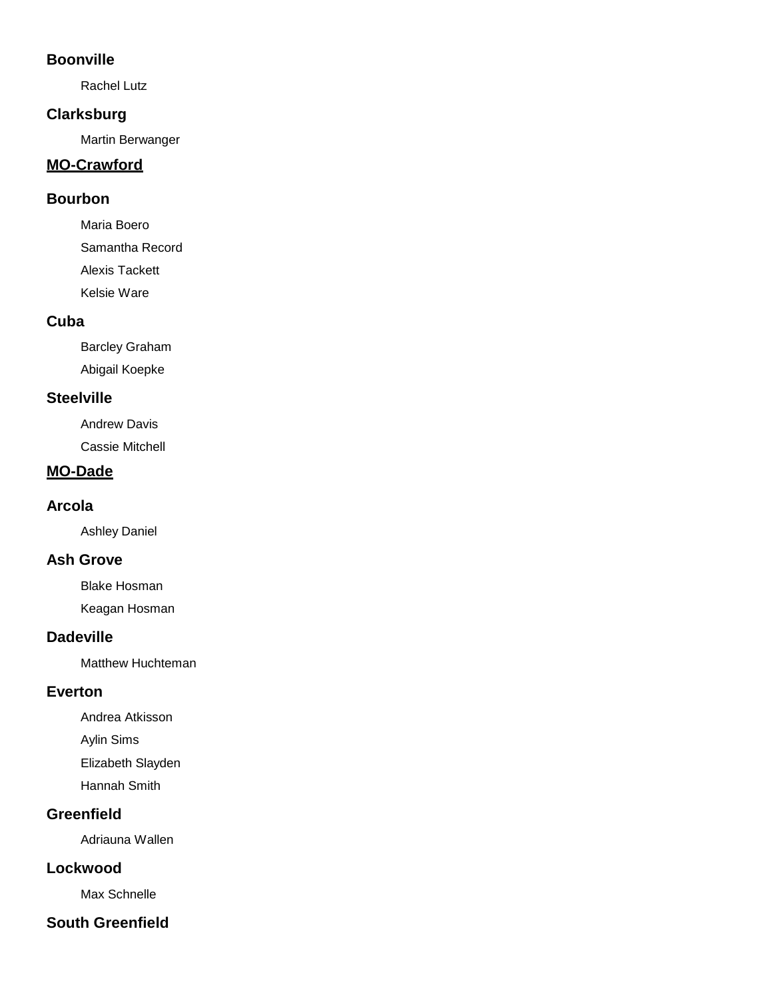### **Boonville**

Rachel Lutz

### **Clarksburg**

Martin Berwanger

# **MO-Crawford**

## **Bourbon**

Maria Boero Samantha Record Alexis Tackett Kelsie Ware

# **Cuba**

Barcley Graham Abigail Koepke

# **Steelville**

Andrew Davis Cassie Mitchell

# **MO-Dade**

## **Arcola**

Ashley Daniel

# **Ash Grove**

Blake Hosman

Keagan Hosman

# **Dadeville**

Matthew Huchteman

# **Everton**

Andrea Atkisson Aylin Sims Elizabeth Slayden

Hannah Smith

# **Greenfield**

Adriauna Wallen

# **Lockwood**

Max Schnelle

# **South Greenfield**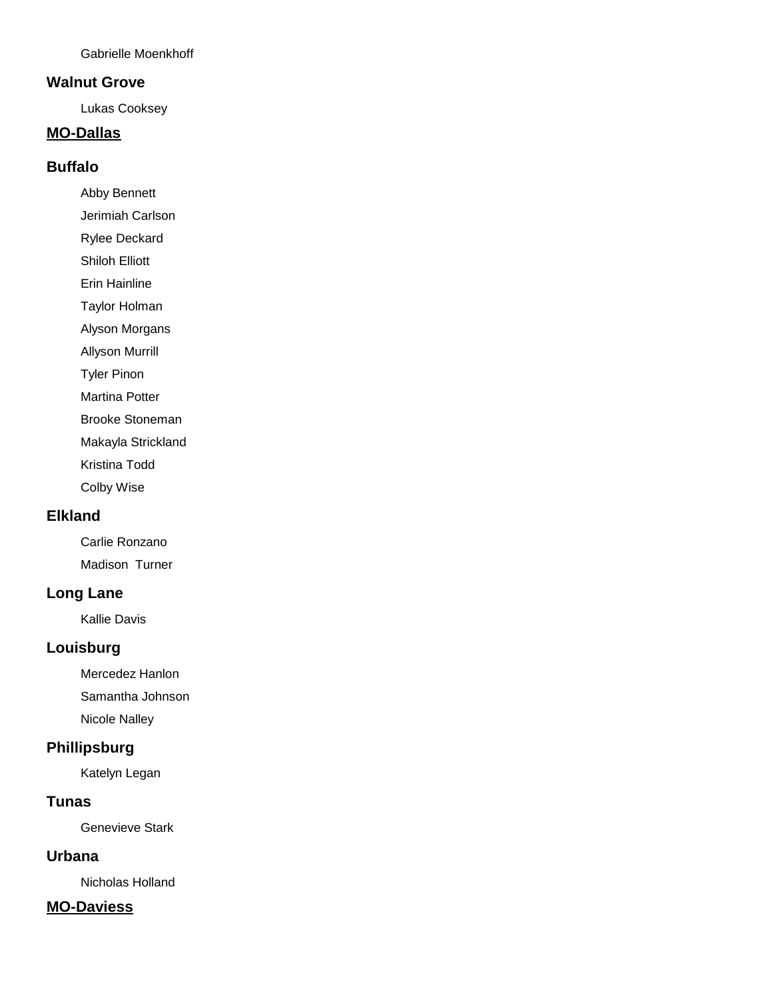Gabrielle Moenkhoff

#### **Walnut Grove**

Lukas Cooksey

## **MO-Dallas**

#### **Buffalo**

Abby Bennett

Jerimiah Carlson

Rylee Deckard

Shiloh Elliott

Erin Hainline

Taylor Holman

Alyson Morgans

Allyson Murrill

Tyler Pinon

Martina Potter

Brooke Stoneman

Makayla Strickland

Kristina Todd

Colby Wise

#### **Elkland**

Carlie Ronzano Madison Turner

## **Long Lane**

Kallie Davis

#### **Louisburg**

Mercedez Hanlon Samantha Johnson Nicole Nalley

# **Phillipsburg**

Katelyn Legan

## **Tunas**

Genevieve Stark

#### **Urbana**

Nicholas Holland

#### **MO-Daviess**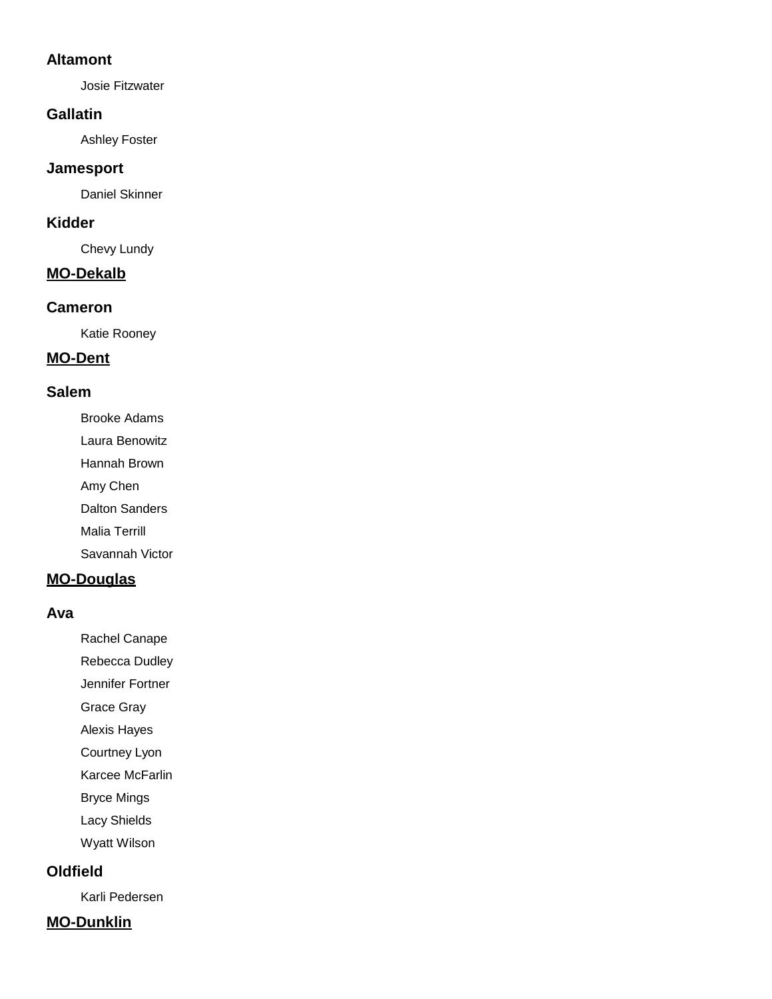#### **Altamont**

Josie Fitzwater

#### **Gallatin**

Ashley Foster

#### **Jamesport**

Daniel Skinner

#### **Kidder**

Chevy Lundy

#### **MO-Dekalb**

#### **Cameron**

Katie Rooney

# **MO-Dent**

### **Salem**

Brooke Adams

Laura Benowitz

Hannah Brown

Amy Chen

Dalton Sanders

Malia Terrill

Savannah Victor

### **MO-Douglas**

#### **Ava**

Rachel Canape

Rebecca Dudley

Jennifer Fortner

Grace Gray

Alexis Hayes

Courtney Lyon

Karcee McFarlin

Bryce Mings

Lacy Shields

Wyatt Wilson

### **Oldfield**

Karli Pedersen

# **MO-Dunklin**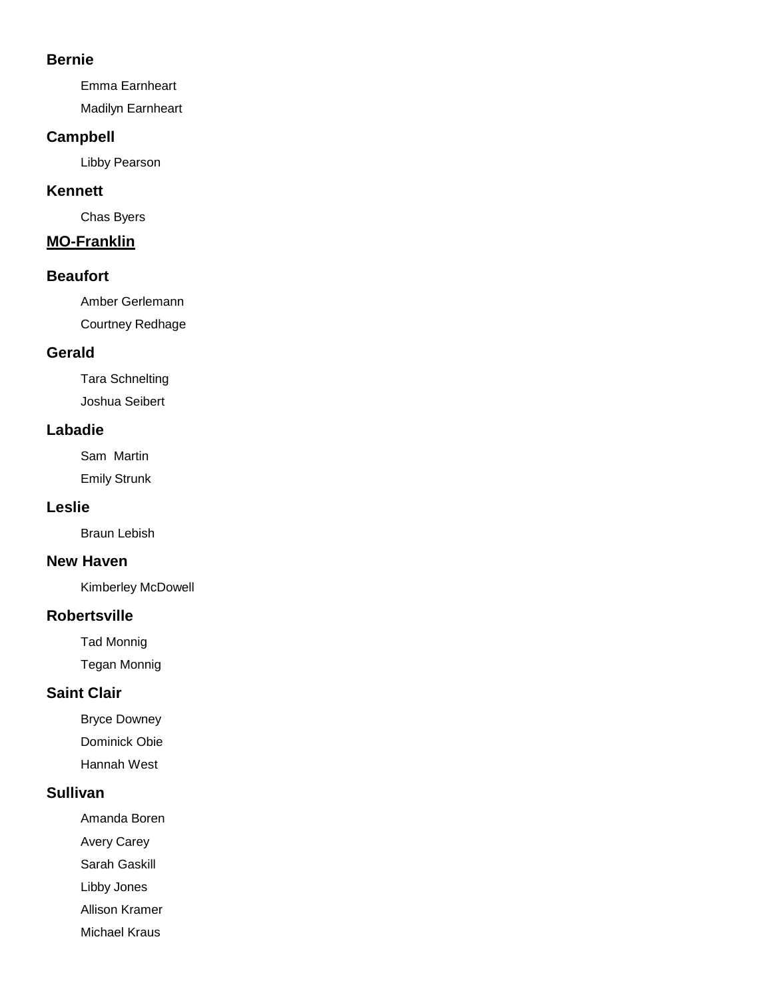#### **Bernie**

Emma Earnheart

Madilyn Earnheart

### **Campbell**

Libby Pearson

### **Kennett**

Chas Byers

# **MO-Franklin**

#### **Beaufort**

Amber Gerlemann

Courtney Redhage

# **Gerald**

Tara Schnelting Joshua Seibert

# **Labadie**

Sam Martin Emily Strunk

# **Leslie**

Braun Lebish

### **New Haven**

Kimberley McDowell

# **Robertsville**

Tad Monnig

Tegan Monnig

# **Saint Clair**

Bryce Downey Dominick Obie Hannah West

### **Sullivan**

Amanda Boren

Avery Carey

Sarah Gaskill

Libby Jones

Allison Kramer

Michael Kraus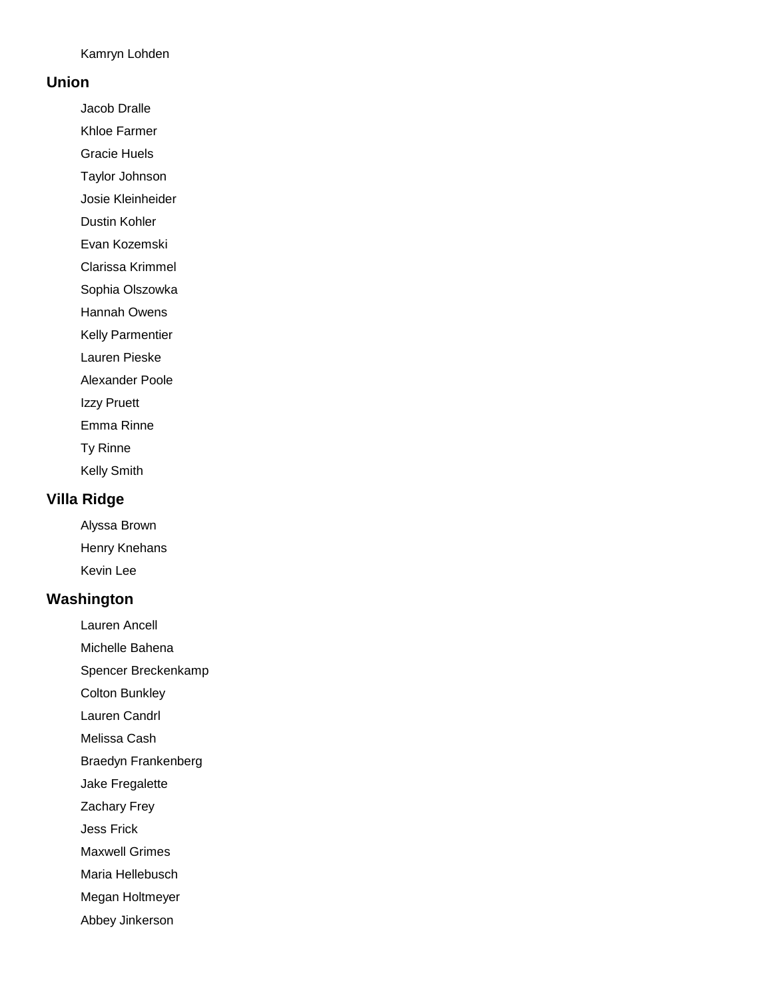Kamryn Lohden

#### **Union**

Jacob Dralle

Khloe Farmer

Gracie Huels

Taylor Johnson

Josie Kleinheider

Dustin Kohler

Evan Kozemski

Clarissa Krimmel

Sophia Olszowka

Hannah Owens

Kelly Parmentier

Lauren Pieske

Alexander Poole

Izzy Pruett

Emma Rinne

Ty Rinne

Kelly Smith

### **Villa Ridge**

Alyssa Brown Henry Knehans Kevin Lee

#### **Washington**

Lauren Ancell

Michelle Bahena

Spencer Breckenkamp

Colton Bunkley

Lauren Candrl

Melissa Cash

Braedyn Frankenberg

Jake Fregalette

Zachary Frey

Jess Frick

Maxwell Grimes

Maria Hellebusch

Megan Holtmeyer

Abbey Jinkerson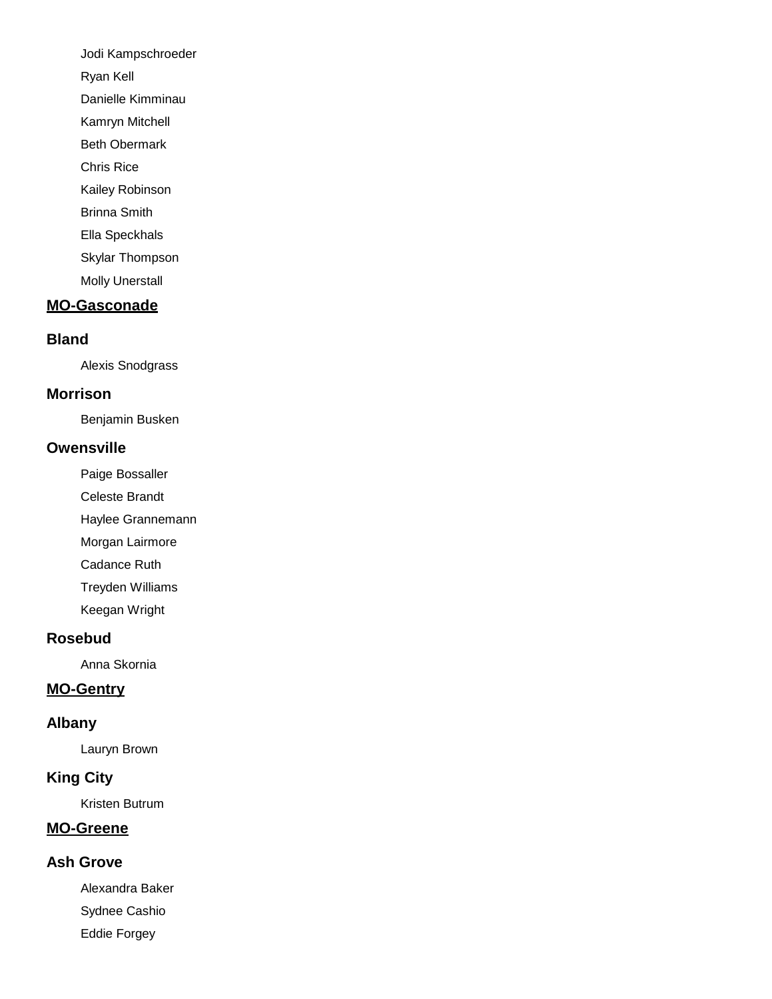Jodi Kampschroeder

Ryan Kell

Danielle Kimminau

Kamryn Mitchell

Beth Obermark

Chris Rice

Kailey Robinson

Brinna Smith

Ella Speckhals

Skylar Thompson

Molly Unerstall

# **MO-Gasconade**

### **Bland**

Alexis Snodgrass

### **Morrison**

Benjamin Busken

### **Owensville**

Paige Bossaller

Celeste Brandt

Haylee Grannemann

Morgan Lairmore

Cadance Ruth

Treyden Williams

Keegan Wright

# **Rosebud**

Anna Skornia

# **MO-Gentry**

### **Albany**

Lauryn Brown

# **King City**

Kristen Butrum

# **MO-Greene**

# **Ash Grove**

Alexandra Baker Sydnee Cashio Eddie Forgey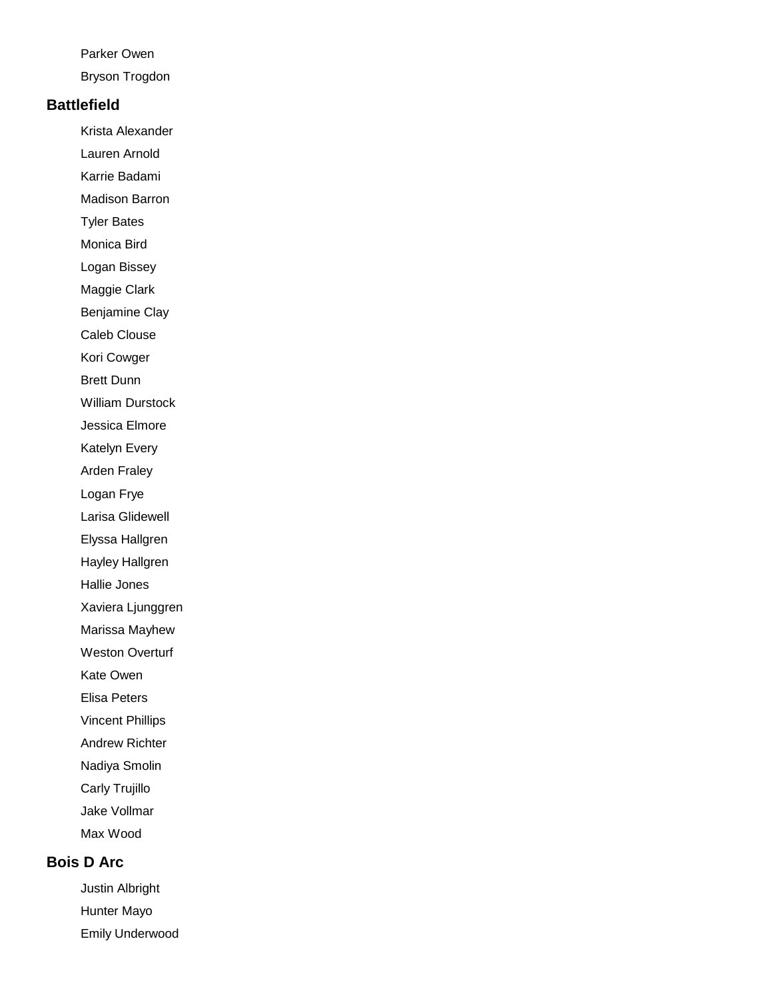#### Parker Owen

Bryson Trogdon

#### **Battlefield**

Krista Alexander

Lauren Arnold

Karrie Badami

Madison Barron

Tyler Bates

Monica Bird

Logan Bissey

Maggie Clark

Benjamine Clay

Caleb Clouse

Kori Cowger

Brett Dunn

William Durstock

Jessica Elmore

Katelyn Every

Arden Fraley

Logan Frye

Larisa Glidewell

Elyssa Hallgren

Hayley Hallgren

Hallie Jones

Xaviera Ljunggren

Marissa Mayhew

Weston Overturf

Kate Owen

Elisa Peters

Vincent Phillips

Andrew Richter

Nadiya Smolin

Carly Trujillo

Jake Vollmar

Max Wood

# **Bois D Arc**

Justin Albright Hunter Mayo Emily Underwood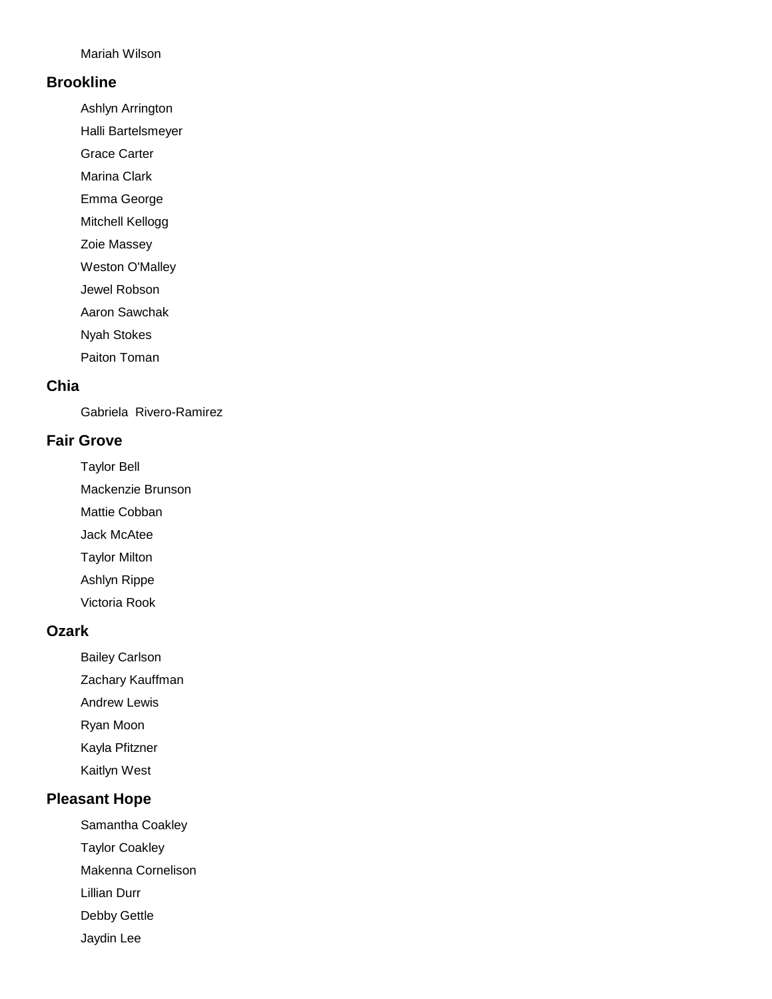Mariah Wilson

#### **Brookline**

Ashlyn Arrington

Halli Bartelsmeyer

Grace Carter

Marina Clark

Emma George

Mitchell Kellogg

Zoie Massey

Weston O'Malley

Jewel Robson

Aaron Sawchak

Nyah Stokes

Paiton Toman

# **Chia**

Gabriela Rivero-Ramirez

#### **Fair Grove**

Taylor Bell

Mackenzie Brunson

Mattie Cobban

Jack McAtee

Taylor Milton

Ashlyn Rippe

Victoria Rook

#### **Ozark**

Bailey Carlson

Zachary Kauffman

Andrew Lewis

Ryan Moon

Kayla Pfitzner

Kaitlyn West

# **Pleasant Hope**

Samantha Coakley

Taylor Coakley

Makenna Cornelison

Lillian Durr

Debby Gettle

Jaydin Lee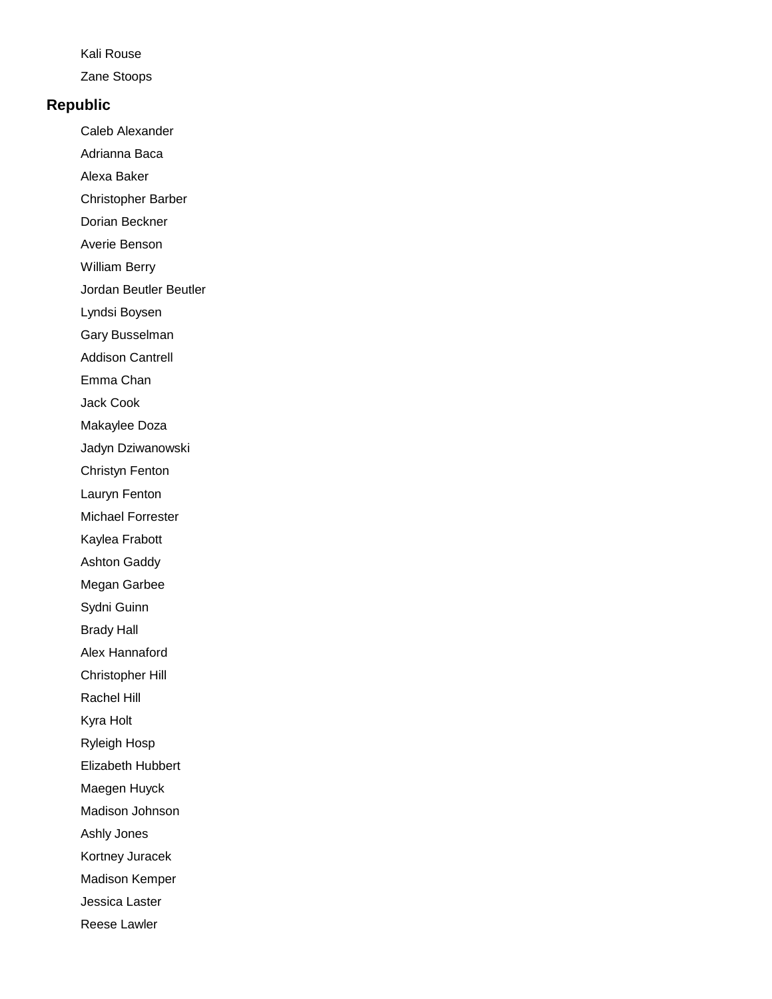#### Kali Rouse

Zane Stoops

#### **Republic**

Caleb Alexander

- Adrianna Baca
- Alexa Baker
- Christopher Barber
- Dorian Beckner
- Averie Benson
- William Berry
- Jordan Beutler Beutler
- Lyndsi Boysen
- Gary Busselman
- Addison Cantrell
- Emma Chan
- Jack Cook
- Makaylee Doza
- Jadyn Dziwanowski
- Christyn Fenton
- Lauryn Fenton
- Michael Forrester
- Kaylea Frabott
- Ashton Gaddy
- Megan Garbee
- Sydni Guinn
- Brady Hall
- Alex Hannaford
- Christopher Hill
- Rachel Hill
- Kyra Holt
- Ryleigh Hosp
- Elizabeth Hubbert
- Maegen Huyck
- Madison Johnson
- Ashly Jones
- Kortney Juracek
- Madison Kemper
- Jessica Laster
- Reese Lawler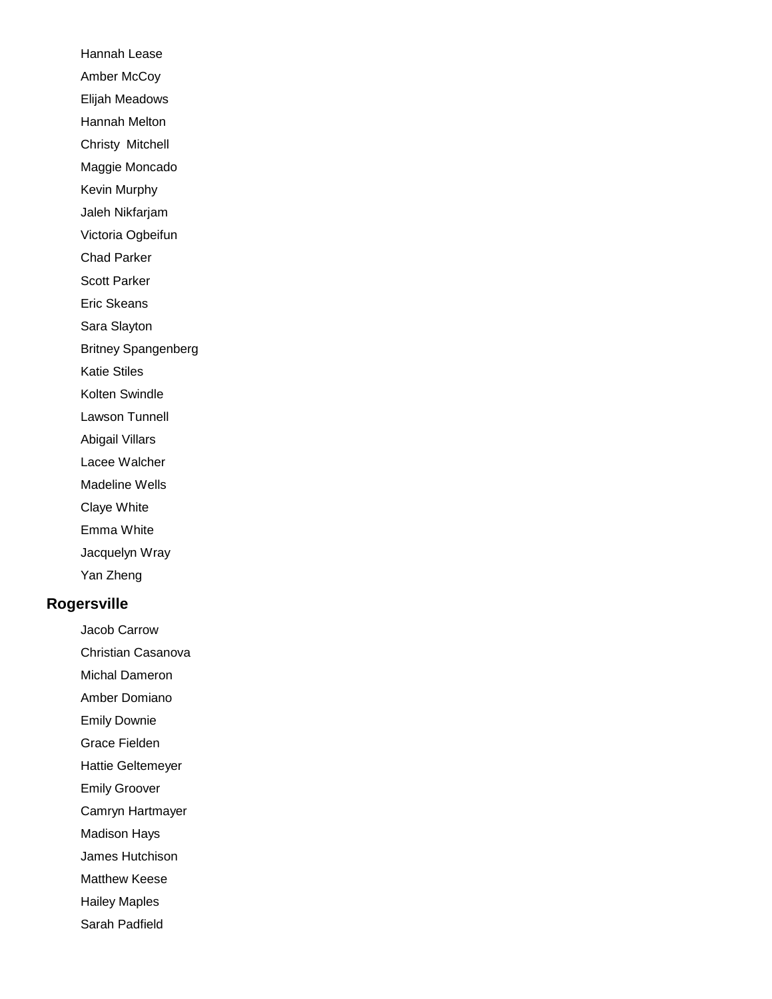Hannah Lease Amber McCoy Elijah Meadows Hannah Melton Christy Mitchell Maggie Moncado Kevin Murphy Jaleh Nikfarjam Victoria Ogbeifun Chad Parker Scott Parker Eric Skeans Sara Slayton Britney Spangenberg Katie Stiles Kolten Swindle Lawson Tunnell Abigail Villars Lacee Walcher Madeline Wells Claye White Emma White Jacquelyn Wray Yan Zheng

# **Rogersville**

Jacob Carrow

Christian Casanova

- Michal Dameron
- Amber Domiano
- Emily Downie
- Grace Fielden
- Hattie Geltemeyer
- Emily Groover
- Camryn Hartmayer
- Madison Hays
- James Hutchison
- Matthew Keese
- Hailey Maples
- Sarah Padfield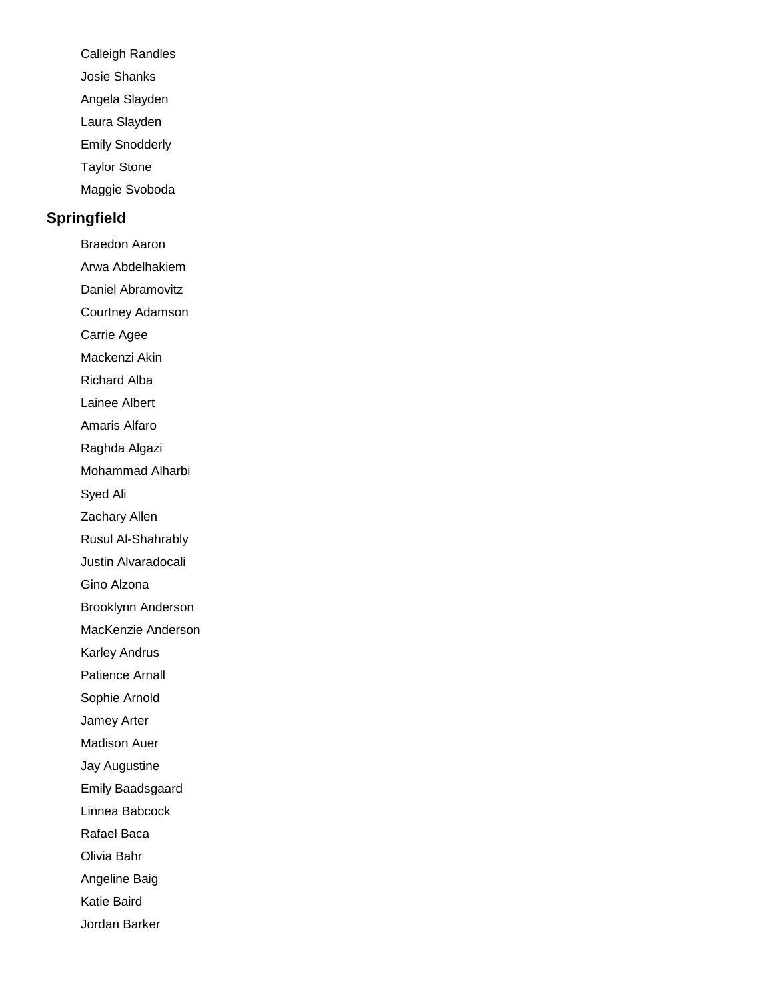- Calleigh Randles
- Josie Shanks
- Angela Slayden
- Laura Slayden
- Emily Snodderly
- Taylor Stone
- Maggie Svoboda

### **Springfield**

Braedon Aaron Arwa Abdelhakiem Daniel Abramovitz Courtney Adamson Carrie Agee Mackenzi Akin Richard Alba Lainee Albert Amaris Alfaro Raghda Algazi Mohammad Alharbi Syed Ali Zachary Allen Rusul Al-Shahrably Justin Alvaradocali Gino Alzona Brooklynn Anderson MacKenzie Anderson Karley Andrus Patience Arnall Sophie Arnold Jamey Arter Madison Auer Jay Augustine Emily Baadsgaard Linnea Babcock Rafael Baca Olivia Bahr Angeline Baig Katie Baird Jordan Barker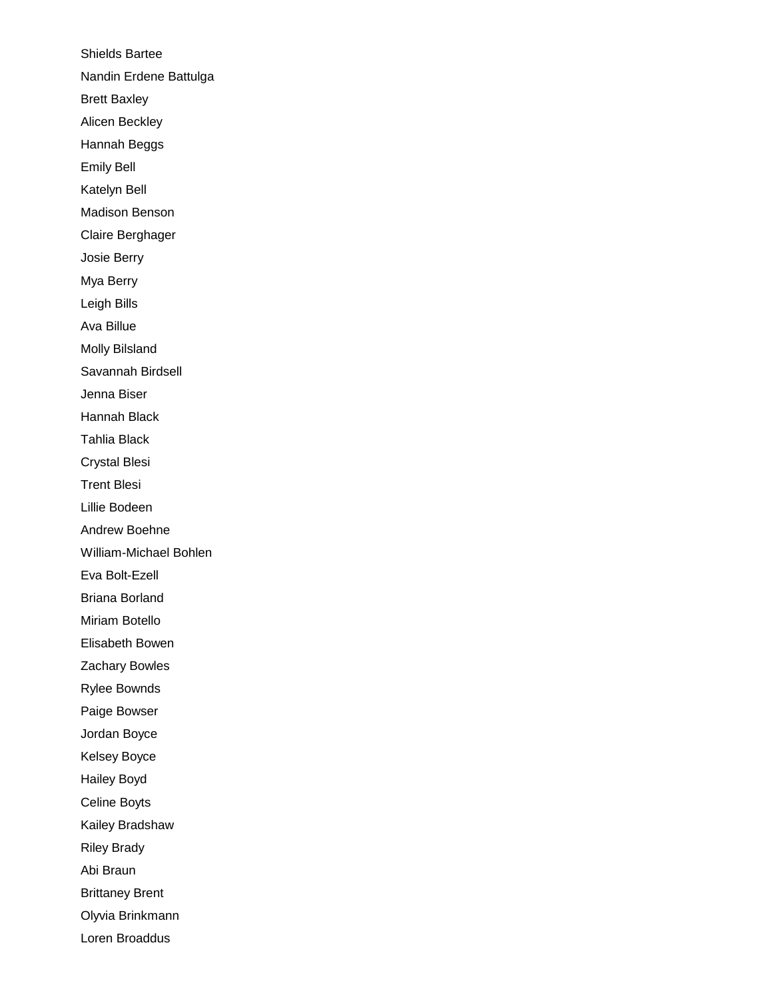Shields Bartee Nandin Erdene Battulga Brett Baxley Alicen Beckley Hannah Beggs Emily Bell Katelyn Bell Madison Benson Claire Berghager Josie Berry Mya Berry Leigh Bills Ava Billue Molly Bilsland Savannah Birdsell Jenna Biser Hannah Black Tahlia Black Crystal Blesi Trent Blesi Lillie Bodeen Andrew Boehne William-Michael Bohlen Eva Bolt-Ezell Briana Borland Miriam Botello Elisabeth Bowen Zachary Bowles Rylee Bownds Paige Bowser Jordan Boyce Kelsey Boyce Hailey Boyd Celine Boyts Kailey Bradshaw Riley Brady Abi Braun Brittaney Brent Olyvia Brinkmann Loren Broaddus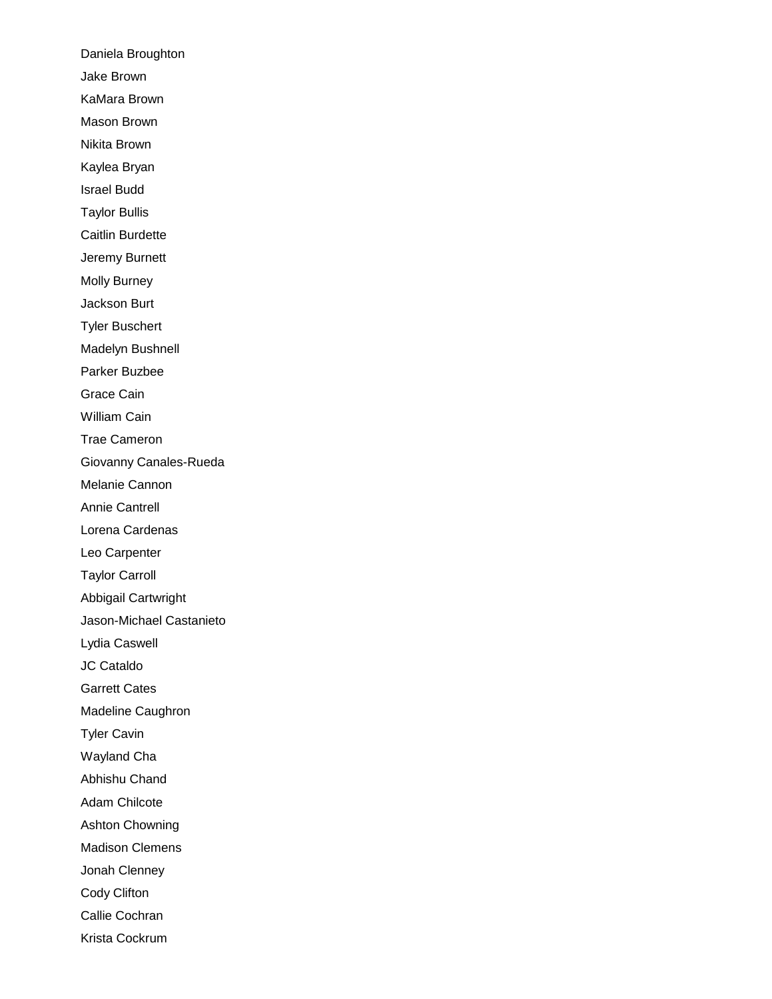Daniela Broughton Jake Brown KaMara Brown Mason Brown Nikita Brown Kaylea Bryan Israel Budd Taylor Bullis Caitlin Burdette Jeremy Burnett Molly Burney Jackson Burt Tyler Buschert Madelyn Bushnell Parker Buzbee Grace Cain William Cain Trae Cameron Giovanny Canales-Rueda Melanie Cannon Annie Cantrell Lorena Cardenas Leo Carpenter Taylor Carroll Abbigail Cartwright Jason-Michael Castanieto Lydia Caswell JC Cataldo Garrett Cates Madeline Caughron Tyler Cavin Wayland Cha Abhishu Chand Adam Chilcote Ashton Chowning Madison Clemens Jonah Clenney Cody Clifton Callie Cochran Krista Cockrum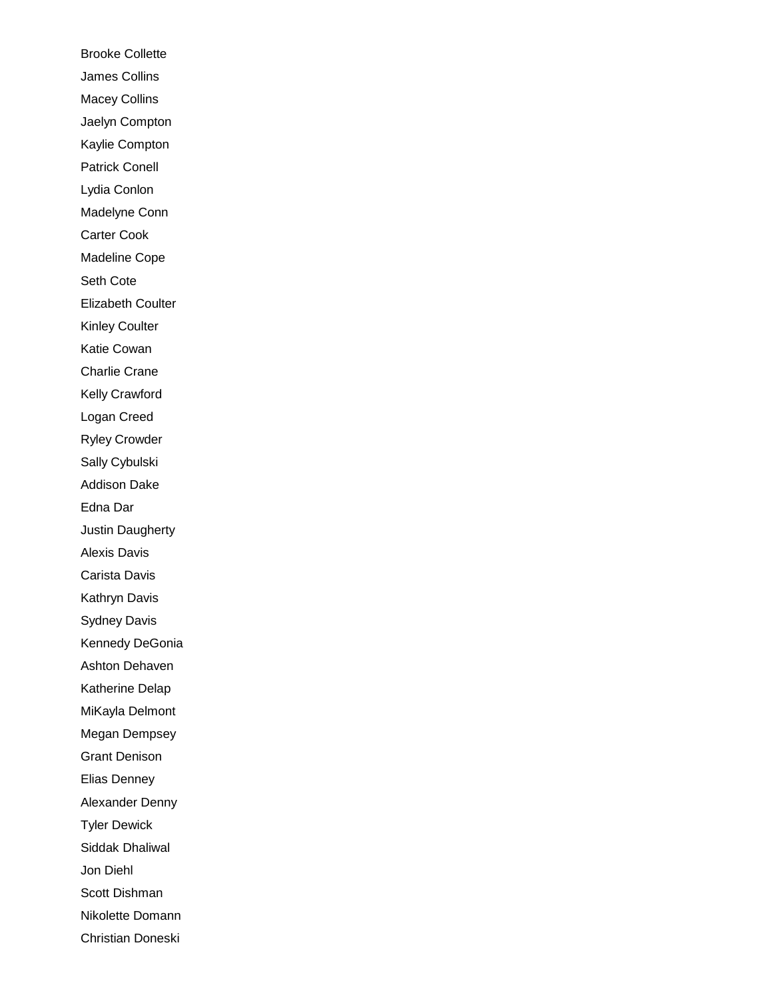Brooke Collette James Collins Macey Collins Jaelyn Compton Kaylie Compton Patrick Conell Lydia Conlon Madelyne Conn Carter Cook Madeline Cope Seth Cote Elizabeth Coulter Kinley Coulter Katie Cowan Charlie Crane Kelly Crawford Logan Creed Ryley Crowder Sally Cybulski Addison Dake Edna Dar Justin Daugherty Alexis Davis Carista Davis Kathryn Davis Sydney Davis Kennedy DeGonia Ashton Dehaven Katherine Delap MiKayla Delmont Megan Dempsey Grant Denison Elias Denney Alexander Denny Tyler Dewick Siddak Dhaliwal Jon Diehl Scott Dishman Nikolette Domann Christian Doneski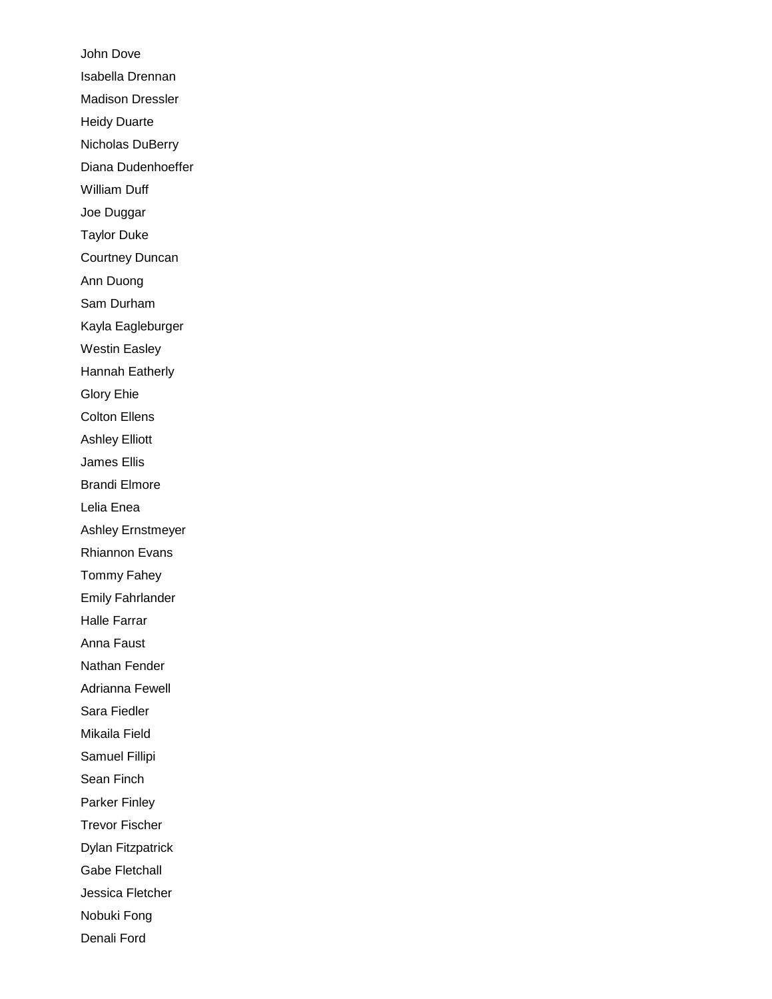John Dove Isabella Drennan Madison Dressler Heidy Duarte Nicholas DuBerry Diana Dudenhoeffer William Duff Joe Duggar Taylor Duke Courtney Duncan Ann Duong Sam Durham Kayla Eagleburger Westin Easley Hannah Eatherly Glory Ehie Colton Ellens Ashley Elliott James Ellis Brandi Elmore Lelia Enea Ashley Ernstmeyer Rhiannon Evans Tommy Fahey Emily Fahrlander Halle Farrar Anna Faust Nathan Fender Adrianna Fewell Sara Fiedler Mikaila Field Samuel Fillipi Sean Finch Parker Finley Trevor Fischer Dylan Fitzpatrick Gabe Fletchall Jessica Fletcher Nobuki Fong Denali Ford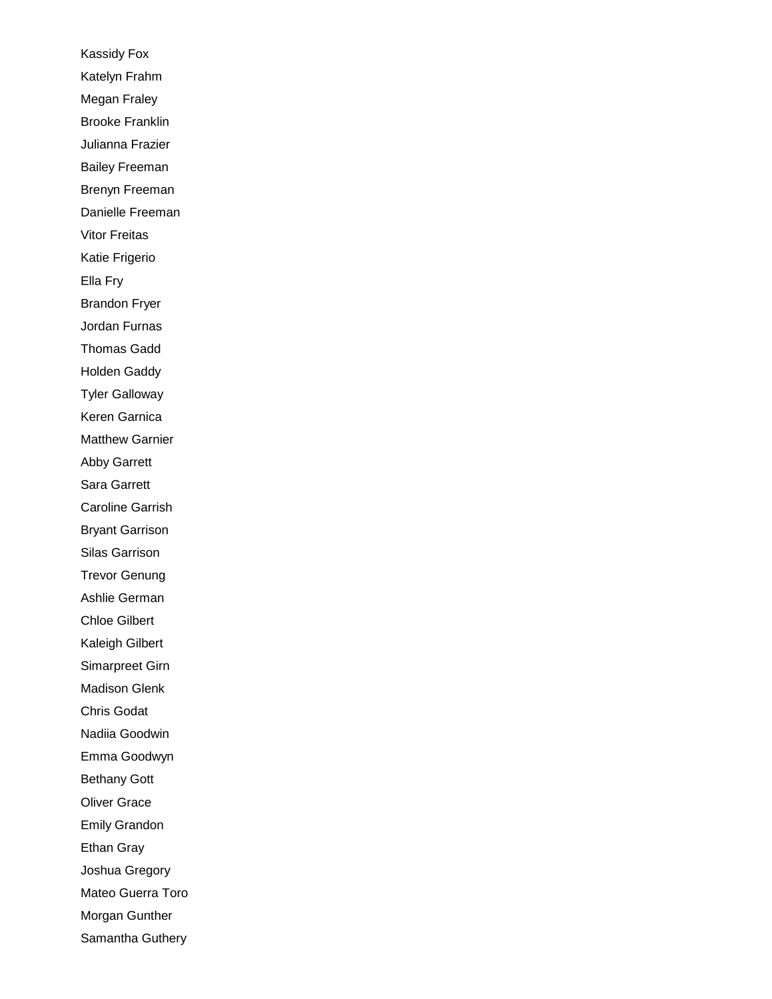Kassidy Fox Katelyn Frahm Megan Fraley Brooke Franklin Julianna Frazier Bailey Freeman Brenyn Freeman Danielle Freeman Vitor Freitas Katie Frigerio Ella Fry Brandon Fryer Jordan Furnas Thomas Gadd Holden Gaddy Tyler Galloway Keren Garnica Matthew Garnier Abby Garrett Sara Garrett Caroline Garrish Bryant Garrison Silas Garrison Trevor Genung Ashlie German Chloe Gilbert Kaleigh Gilbert Simarpreet Girn Madison Glenk Chris Godat Nadiia Goodwin Emma Goodwyn Bethany Gott Oliver Grace Emily Grandon Ethan Gray Joshua Gregory Mateo Guerra Toro Morgan Gunther Samantha Guthery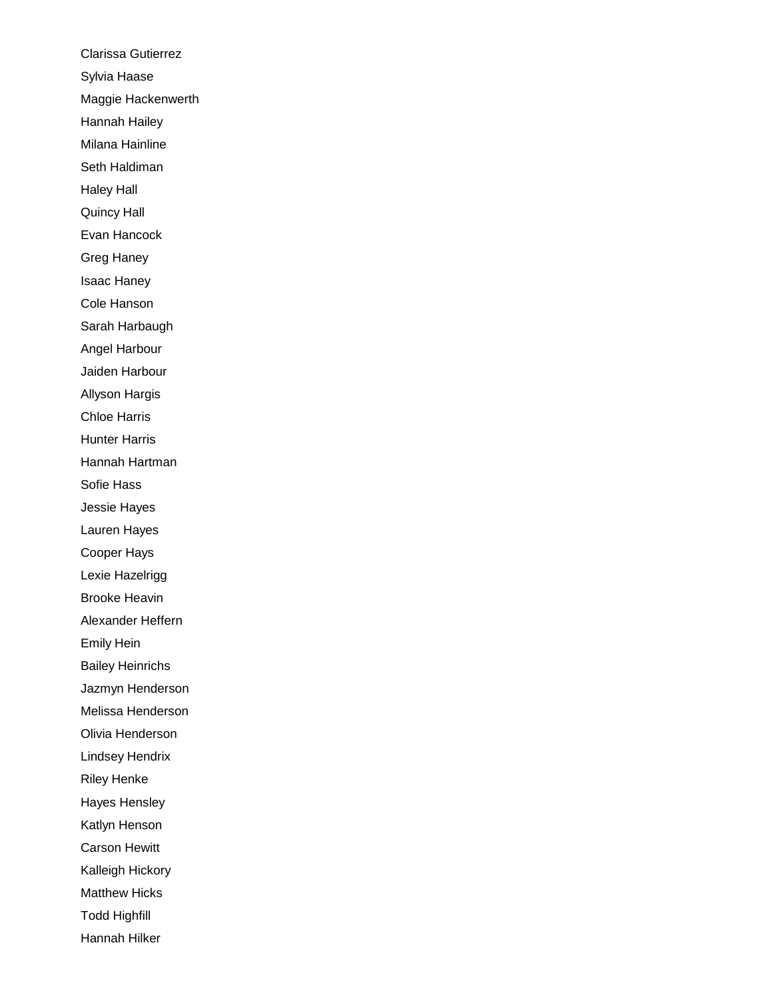Clarissa Gutierrez Sylvia Haase Maggie Hackenwerth Hannah Hailey Milana Hainline Seth Haldiman Haley Hall Quincy Hall Evan Hancock Greg Haney Isaac Haney Cole Hanson Sarah Harbaugh Angel Harbour Jaiden Harbour Allyson Hargis Chloe Harris Hunter Harris Hannah Hartman Sofie Hass Jessie Hayes Lauren Hayes Cooper Hays Lexie Hazelrigg Brooke Heavin Alexander Heffern Emily Hein Bailey Heinrichs Jazmyn Henderson Melissa Henderson Olivia Henderson Lindsey Hendrix Riley Henke Hayes Hensley Katlyn Henson Carson Hewitt Kalleigh Hickory Matthew Hicks Todd Highfill Hannah Hilker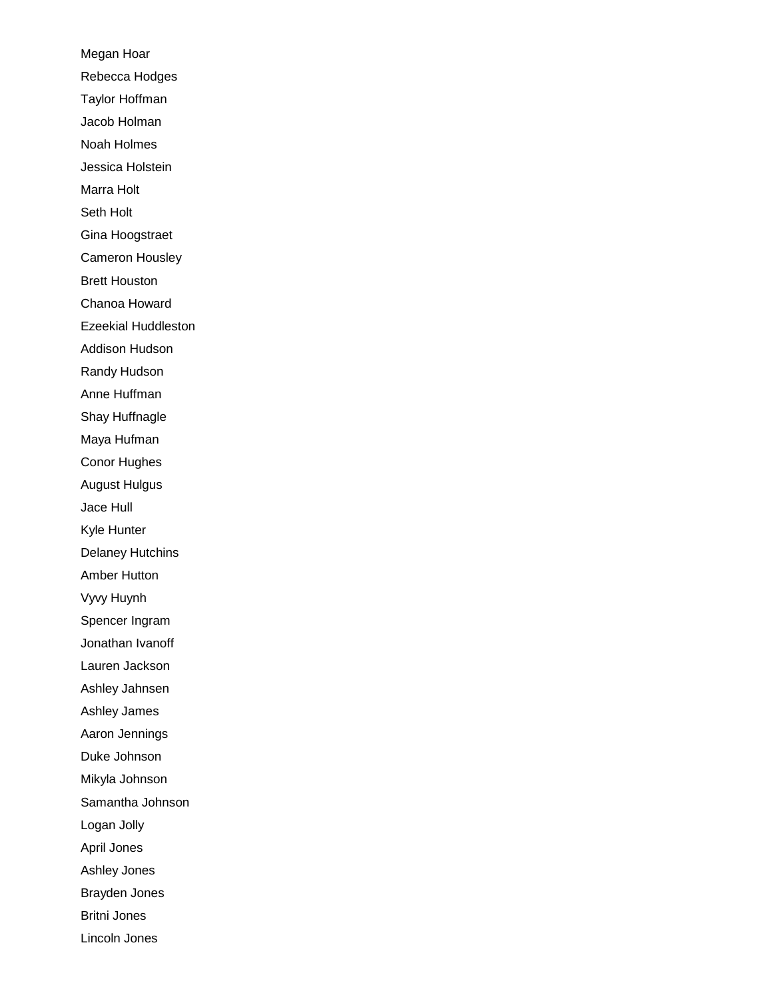Megan Hoar Rebecca Hodges Taylor Hoffman Jacob Holman Noah Holmes Jessica Holstein Marra Holt Seth Holt Gina Hoogstraet Cameron Housley Brett Houston Chanoa Howard Ezeekial Huddleston Addison Hudson Randy Hudson Anne Huffman Shay Huffnagle Maya Hufman Conor Hughes August Hulgus Jace Hull Kyle Hunter Delaney Hutchins Amber Hutton Vyvy Huynh Spencer Ingram Jonathan Ivanoff Lauren Jackson Ashley Jahnsen Ashley James Aaron Jennings Duke Johnson Mikyla Johnson Samantha Johnson Logan Jolly April Jones Ashley Jones Brayden Jones Britni Jones Lincoln Jones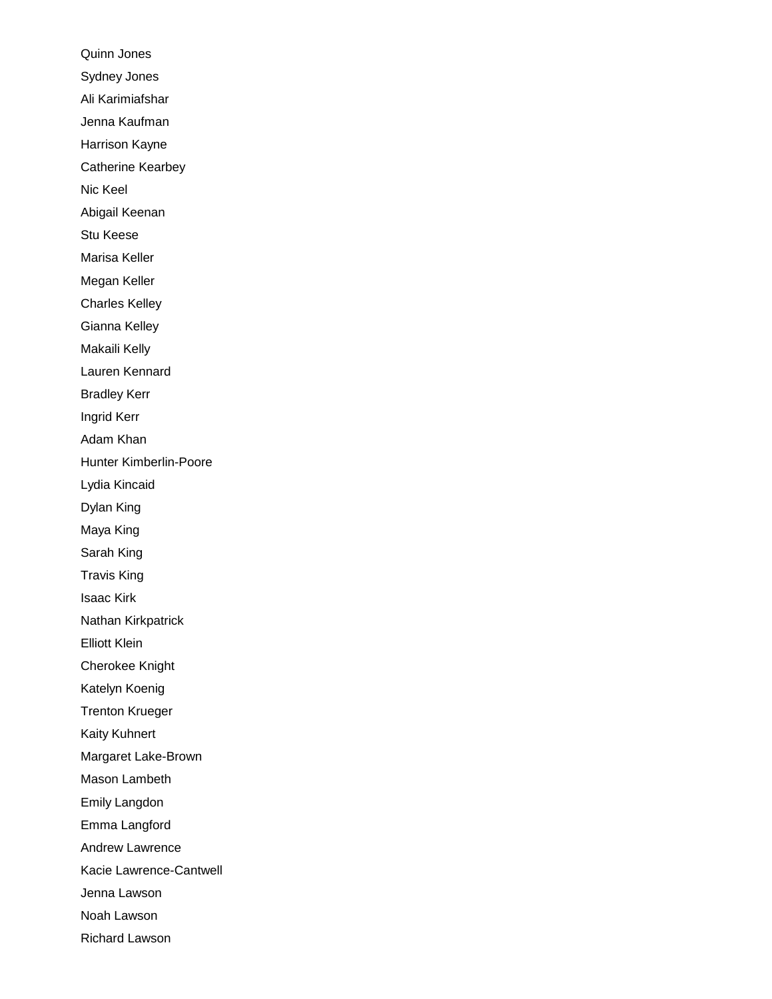Quinn Jones Sydney Jones Ali Karimiafshar Jenna Kaufman Harrison Kayne Catherine Kearbey Nic Keel Abigail Keenan Stu Keese Marisa Keller Megan Keller Charles Kelley Gianna Kelley Makaili Kelly Lauren Kennard Bradley Kerr Ingrid Kerr Adam Khan Hunter Kimberlin-Poore Lydia Kincaid Dylan King Maya King Sarah King Travis King Isaac Kirk Nathan Kirkpatrick Elliott Klein Cherokee Knight Katelyn Koenig Trenton Krueger Kaity Kuhnert Margaret Lake-Brown Mason Lambeth Emily Langdon Emma Langford Andrew Lawrence Kacie Lawrence-Cantwell Jenna Lawson Noah Lawson Richard Lawson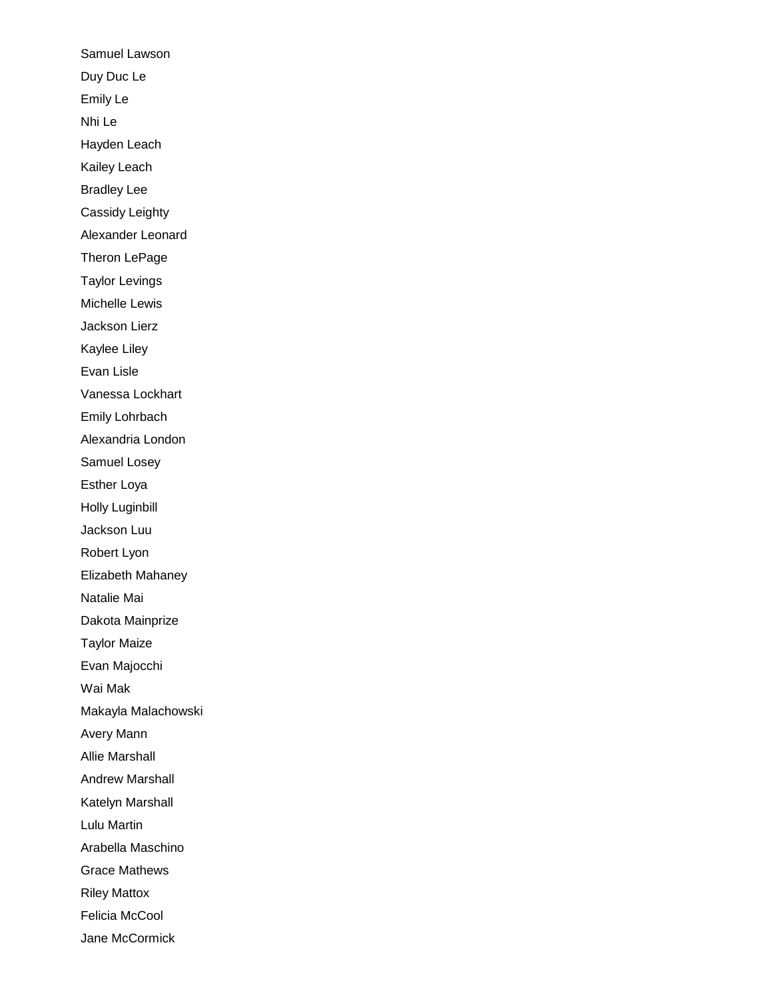Samuel Lawson Duy Duc Le Emily Le Nhi Le Hayden Leach Kailey Leach Bradley Lee Cassidy Leighty Alexander Leonard Theron LePage Taylor Levings Michelle Lewis Jackson Lierz Kaylee Liley Evan Lisle Vanessa Lockhart Emily Lohrbach Alexandria London Samuel Losey Esther Loya Holly Luginbill Jackson Luu Robert Lyon Elizabeth Mahaney Natalie Mai Dakota Mainprize Taylor Maize Evan Majocchi Wai Mak Makayla Malachowski Avery Mann Allie Marshall Andrew Marshall Katelyn Marshall Lulu Martin Arabella Maschino Grace Mathews Riley Mattox Felicia McCool Jane McCormick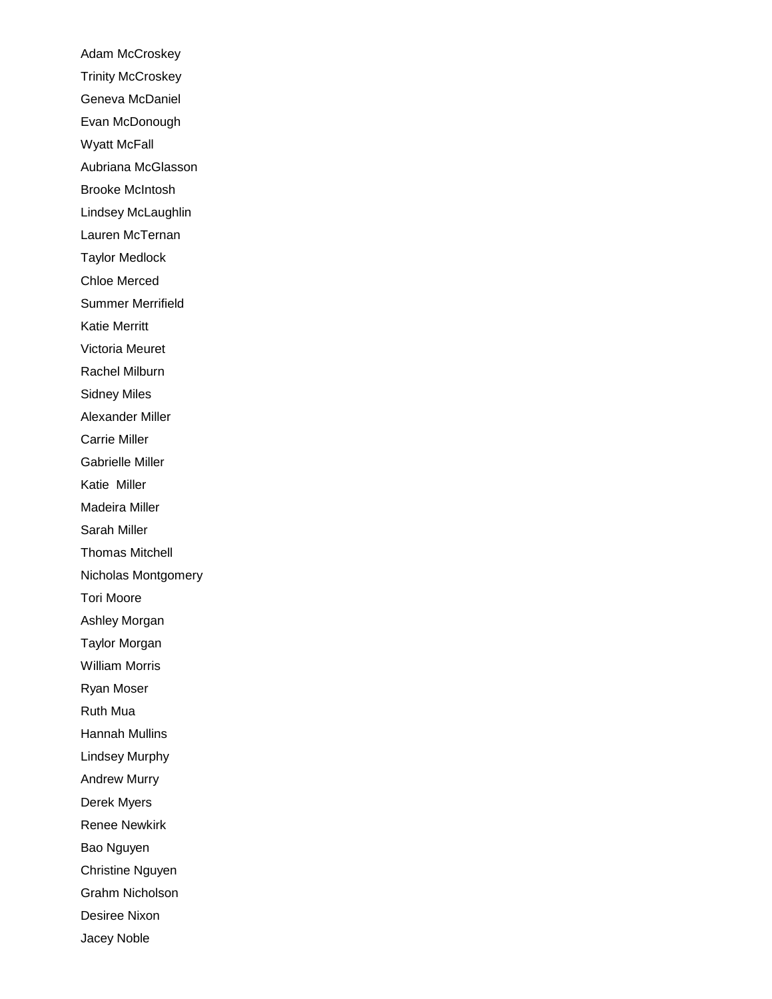Adam McCroskey Trinity McCroskey Geneva McDaniel Evan McDonough Wyatt McFall Aubriana McGlasson Brooke McIntosh Lindsey McLaughlin Lauren McTernan Taylor Medlock Chloe Merced Summer Merrifield Katie Merritt Victoria Meuret Rachel Milburn Sidney Miles Alexander Miller Carrie Miller Gabrielle Miller Katie Miller Madeira Miller Sarah Miller Thomas Mitchell Nicholas Montgomery Tori Moore Ashley Morgan Taylor Morgan William Morris Ryan Moser Ruth Mua Hannah Mullins Lindsey Murphy Andrew Murry Derek Myers Renee Newkirk Bao Nguyen Christine Nguyen Grahm Nicholson Desiree Nixon Jacey Noble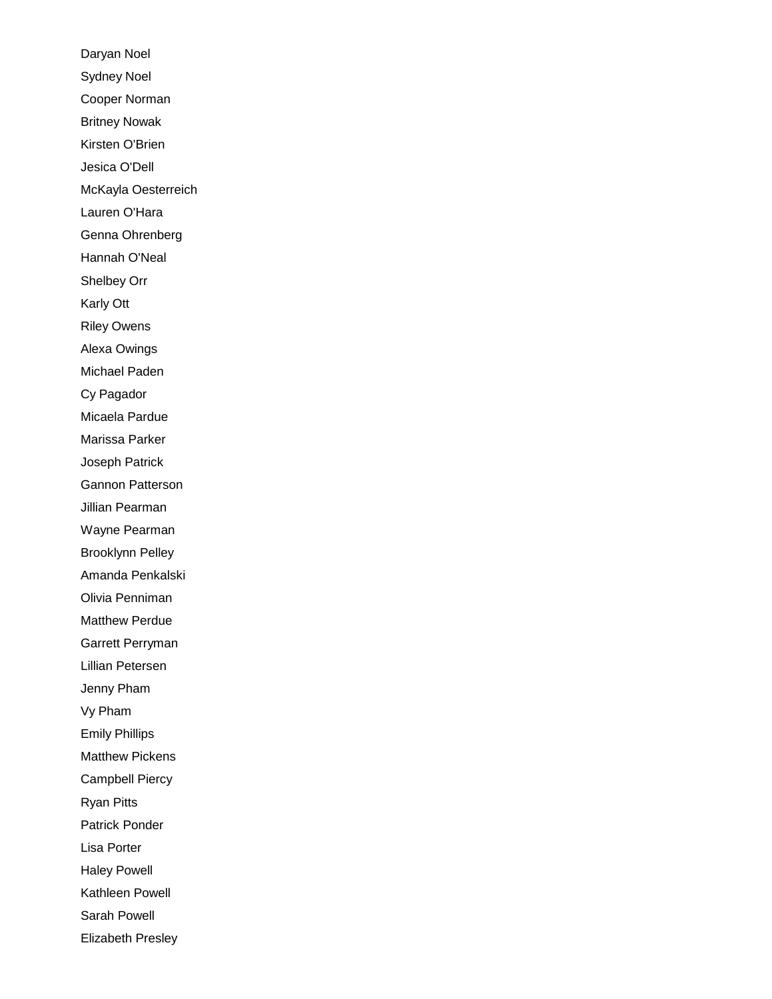Daryan Noel Sydney Noel Cooper Norman Britney Nowak Kirsten O'Brien Jesica O'Dell McKayla Oesterreich Lauren O'Hara Genna Ohrenberg Hannah O'Neal Shelbey Orr Karly Ott Riley Owens Alexa Owings Michael Paden Cy Pagador Micaela Pardue Marissa Parker Joseph Patrick Gannon Patterson Jillian Pearman Wayne Pearman Brooklynn Pelley Amanda Penkalski Olivia Penniman Matthew Perdue Garrett Perryman Lillian Petersen Jenny Pham Vy Pham Emily Phillips Matthew Pickens Campbell Piercy Ryan Pitts Patrick Ponder Lisa Porter Haley Powell Kathleen Powell Sarah Powell Elizabeth Presley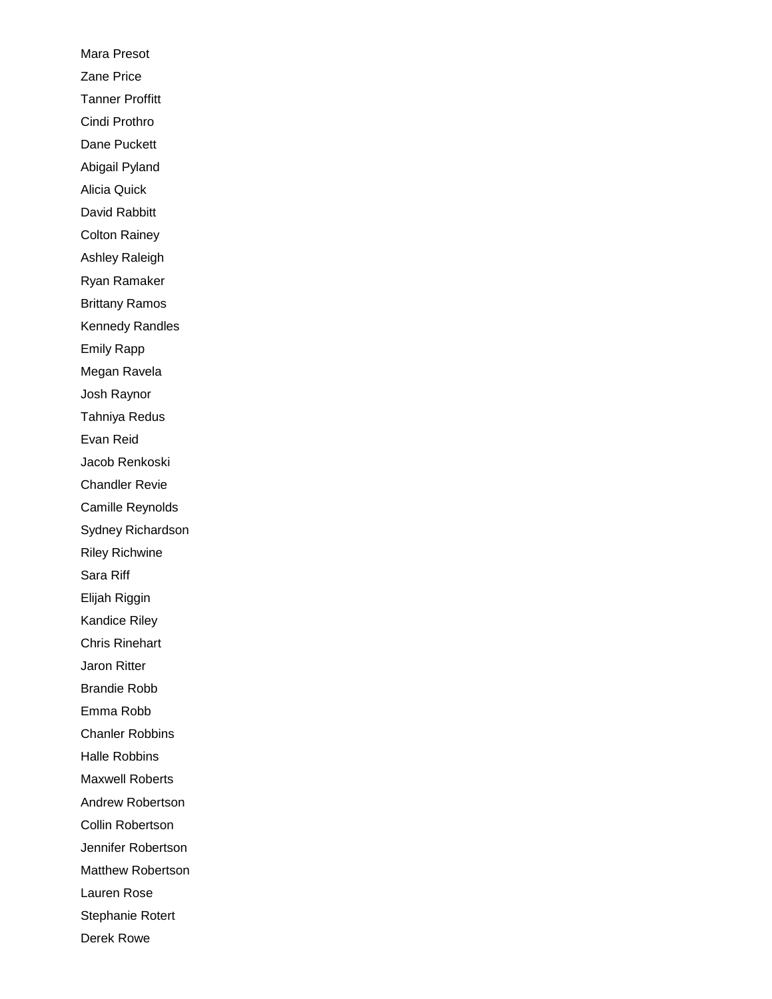Mara Presot Zane Price Tanner Proffitt Cindi Prothro Dane Puckett Abigail Pyland Alicia Quick David Rabbitt Colton Rainey Ashley Raleigh Ryan Ramaker Brittany Ramos Kennedy Randles Emily Rapp Megan Ravela Josh Raynor Tahniya Redus Evan Reid Jacob Renkoski Chandler Revie Camille Reynolds Sydney Richardson Riley Richwine Sara Riff Elijah Riggin Kandice Riley Chris Rinehart Jaron Ritter Brandie Robb Emma Robb Chanler Robbins Halle Robbins Maxwell Roberts Andrew Robertson Collin Robertson Jennifer Robertson Matthew Robertson Lauren Rose Stephanie Rotert Derek Rowe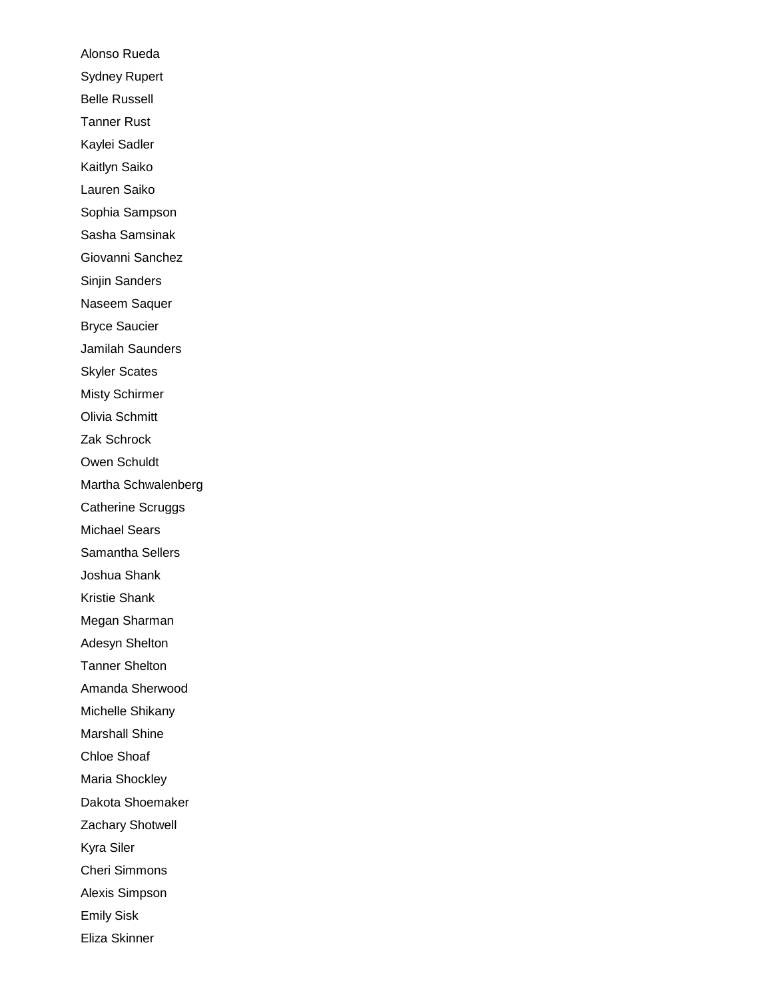Alonso Rueda Sydney Rupert Belle Russell Tanner Rust Kaylei Sadler Kaitlyn Saiko Lauren Saiko Sophia Sampson Sasha Samsinak Giovanni Sanchez Sinjin Sanders Naseem Saquer Bryce Saucier Jamilah Saunders Skyler Scates Misty Schirmer Olivia Schmitt Zak Schrock Owen Schuldt Martha Schwalenberg Catherine Scruggs Michael Sears Samantha Sellers Joshua Shank Kristie Shank Megan Sharman Adesyn Shelton Tanner Shelton Amanda Sherwood Michelle Shikany Marshall Shine Chloe Shoaf Maria Shockley Dakota Shoemaker Zachary Shotwell Kyra Siler Cheri Simmons Alexis Simpson Emily Sisk Eliza Skinner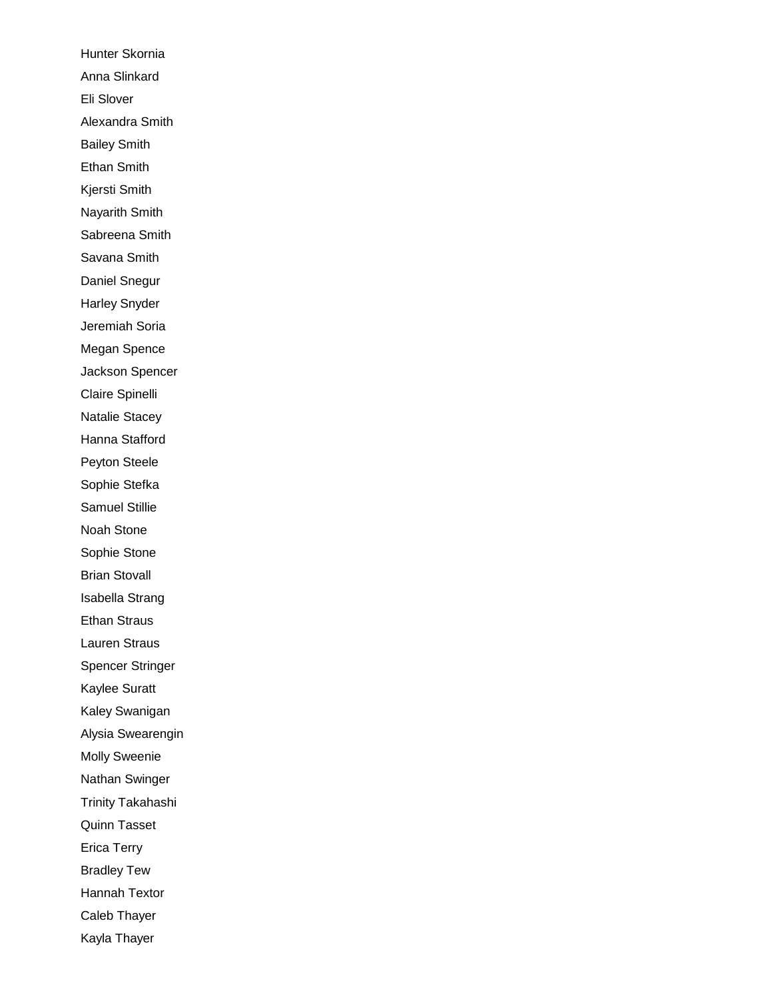Hunter Skornia Anna Slinkard Eli Slover Alexandra Smith Bailey Smith Ethan Smith Kjersti Smith Nayarith Smith Sabreena Smith Savana Smith Daniel Snegur Harley Snyder Jeremiah Soria Megan Spence Jackson Spencer Claire Spinelli Natalie Stacey Hanna Stafford Peyton Steele Sophie Stefka Samuel Stillie Noah Stone Sophie Stone Brian Stovall Isabella Strang Ethan Straus Lauren Straus Spencer Stringer Kaylee Suratt Kaley Swanigan Alysia Swearengin Molly Sweenie Nathan Swinger Trinity Takahashi Quinn Tasset Erica Terry Bradley Tew Hannah Textor Caleb Thayer Kayla Thayer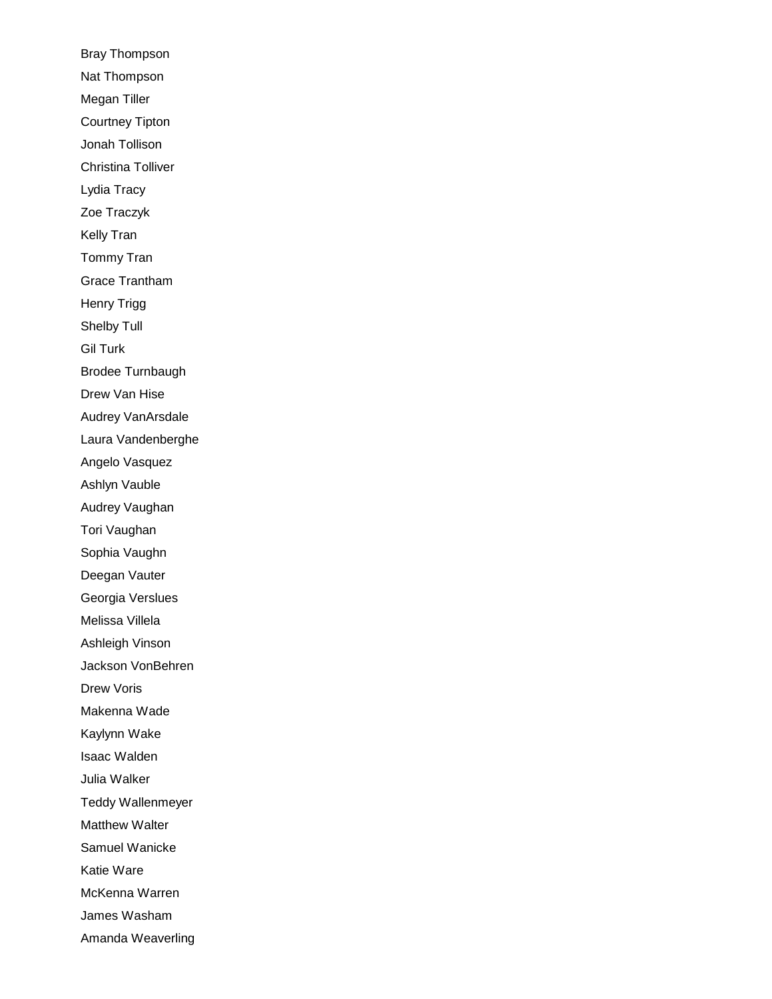Bray Thompson Nat Thompson Megan Tiller Courtney Tipton Jonah Tollison Christina Tolliver Lydia Tracy Zoe Traczyk Kelly Tran Tommy Tran Grace Trantham Henry Trigg Shelby Tull Gil Turk Brodee Turnbaugh Drew Van Hise Audrey VanArsdale Laura Vandenberghe Angelo Vasquez Ashlyn Vauble Audrey Vaughan Tori Vaughan Sophia Vaughn Deegan Vauter Georgia Verslues Melissa Villela Ashleigh Vinson Jackson VonBehren Drew Voris Makenna Wade Kaylynn Wake Isaac Walden Julia Walker Teddy Wallenmeyer Matthew Walter Samuel Wanicke Katie Ware McKenna Warren James Washam Amanda Weaverling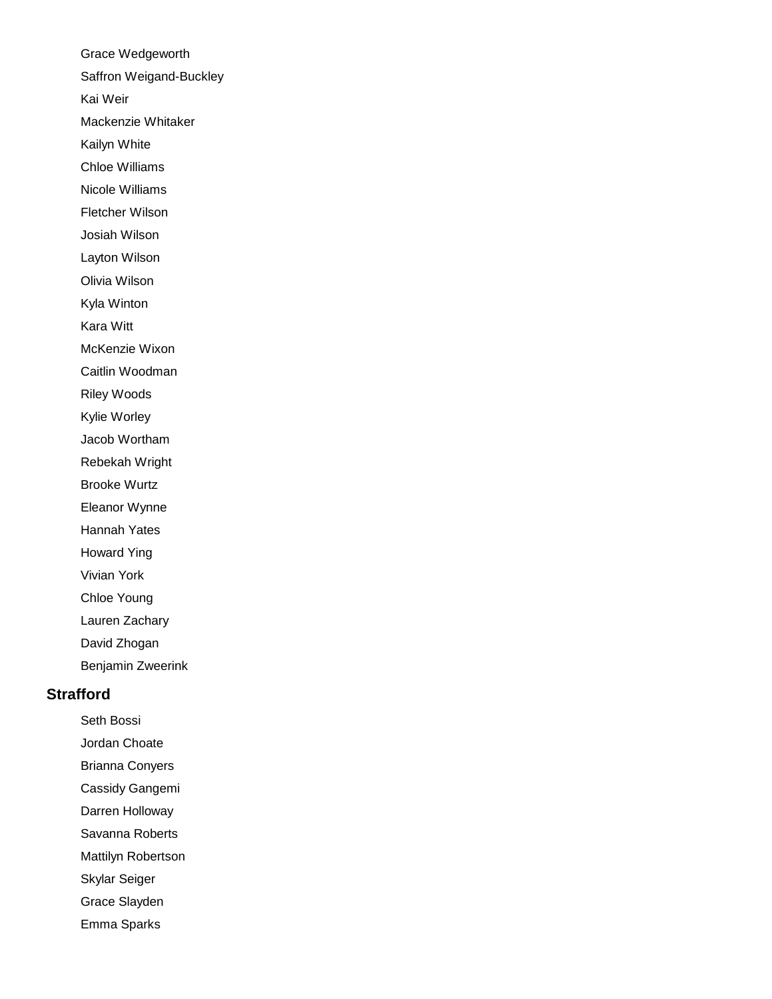Grace Wedgeworth Saffron Weigand-Buckley Kai Weir Mackenzie Whitaker Kailyn White Chloe Williams Nicole Williams Fletcher Wilson Josiah Wilson Layton Wilson Olivia Wilson Kyla Winton Kara Witt McKenzie Wixon Caitlin Woodman Riley Woods Kylie Worley Jacob Wortham Rebekah Wright Brooke Wurtz Eleanor Wynne Hannah Yates Howard Ying Vivian York Chloe Young Lauren Zachary David Zhogan Benjamin Zweerink

# **Strafford**

Seth Bossi Jordan Choate

Brianna Conyers

Cassidy Gangemi

Darren Holloway

Savanna Roberts

Mattilyn Robertson

Skylar Seiger

Grace Slayden

Emma Sparks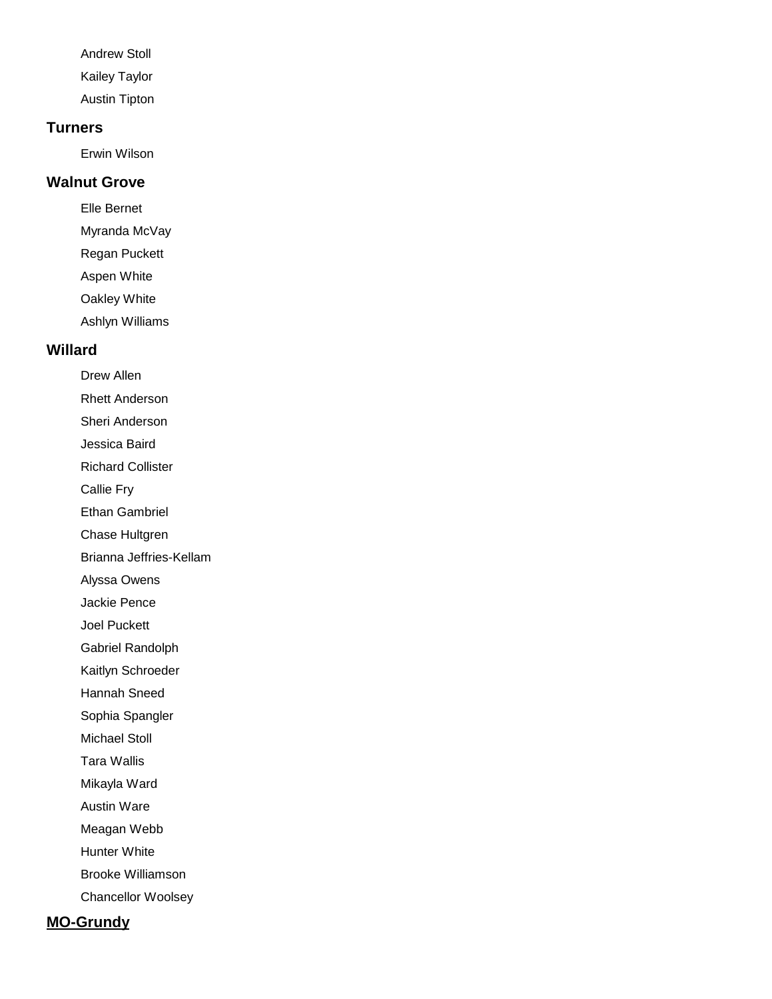Andrew Stoll Kailey Taylor Austin Tipton

#### **Turners**

Erwin Wilson

# **Walnut Grove**

Elle Bernet Myranda McVay Regan Puckett Aspen White Oakley White Ashlyn Williams

### **Willard**

Drew Allen

Rhett Anderson

Sheri Anderson

Jessica Baird

Richard Collister

Callie Fry

Ethan Gambriel

Chase Hultgren

Brianna Jeffries-Kellam

Alyssa Owens

Jackie Pence

Joel Puckett

Gabriel Randolph

Kaitlyn Schroeder

Hannah Sneed

Sophia Spangler

Michael Stoll

Tara Wallis

Mikayla Ward

Austin Ware

Meagan Webb

Hunter White

Brooke Williamson

Chancellor Woolsey

# **MO-Grundy**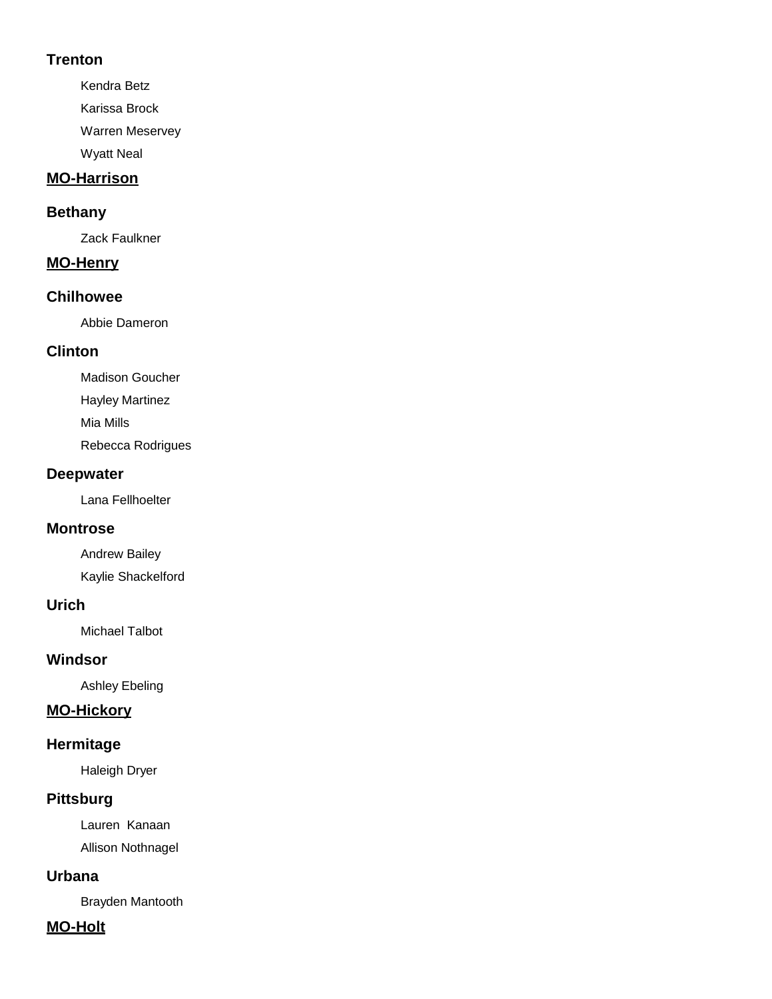### **Trenton**

Kendra Betz Karissa Brock

Warren Meservey

Wyatt Neal

# **MO-Harrison**

# **Bethany**

Zack Faulkner

# **MO-Henry**

# **Chilhowee**

Abbie Dameron

# **Clinton**

Madison Goucher Hayley Martinez Mia Mills Rebecca Rodrigues

# **Deepwater**

Lana Fellhoelter

# **Montrose**

Andrew Bailey Kaylie Shackelford

# **Urich**

Michael Talbot

# **Windsor**

Ashley Ebeling

# **MO-Hickory**

# **Hermitage**

Haleigh Dryer

# **Pittsburg**

Lauren Kanaan Allison Nothnagel

# **Urbana**

Brayden Mantooth

# **MO-Holt**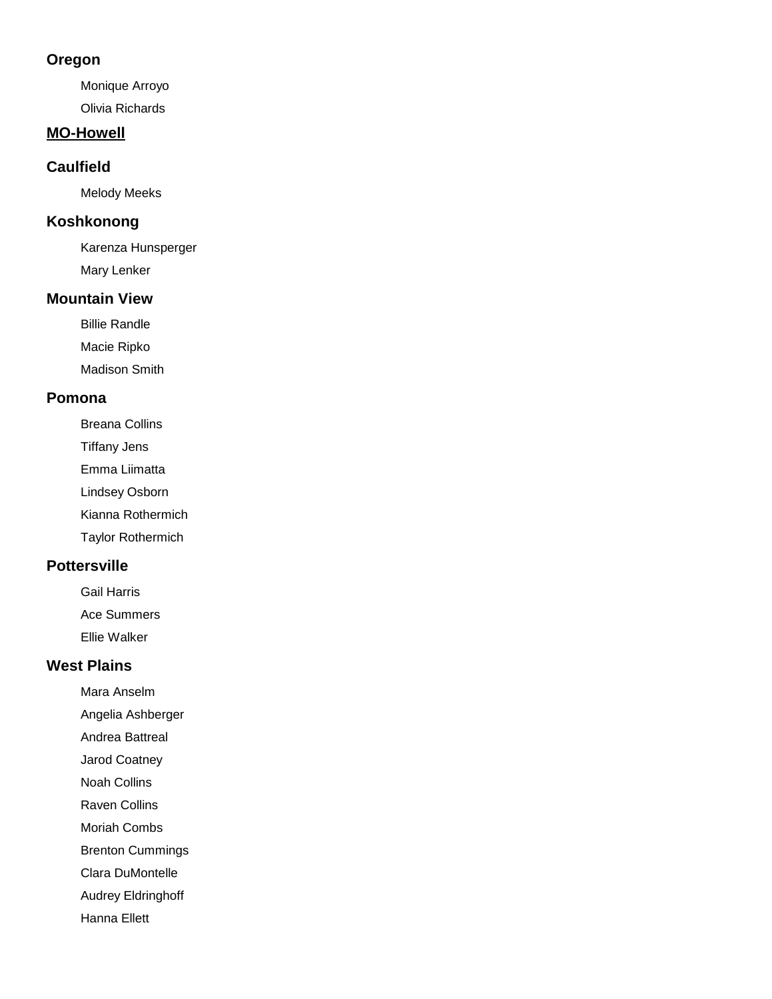#### **Oregon**

Monique Arroyo Olivia Richards

#### **MO-Howell**

#### **Caulfield**

Melody Meeks

# **Koshkonong**

Karenza Hunsperger Mary Lenker

### **Mountain View**

Billie Randle

Macie Ripko

Madison Smith

### **Pomona**

Breana Collins

Tiffany Jens

Emma Liimatta

Lindsey Osborn

Kianna Rothermich

Taylor Rothermich

## **Pottersville**

Gail Harris

Ace Summers

Ellie Walker

# **West Plains**

Mara Anselm

Angelia Ashberger

Andrea Battreal

Jarod Coatney

Noah Collins

Raven Collins

Moriah Combs

Brenton Cummings

Clara DuMontelle

Audrey Eldringhoff

Hanna Ellett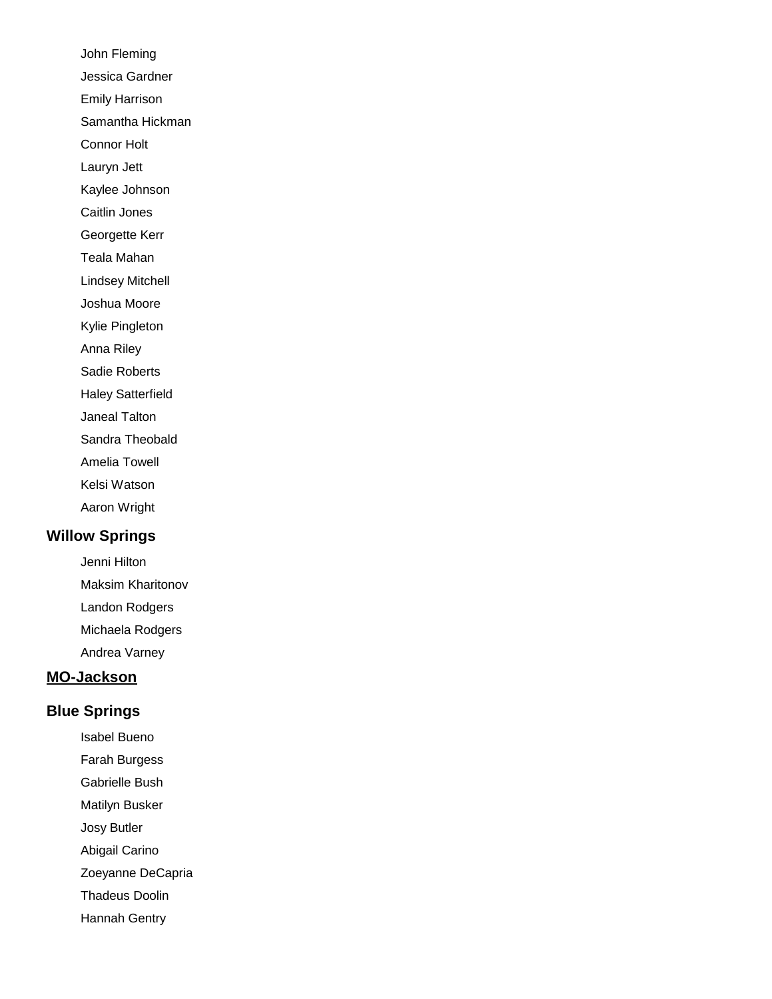John Fleming Jessica Gardner Emily Harrison Samantha Hickman Connor Holt Lauryn Jett Kaylee Johnson Caitlin Jones Georgette Kerr Teala Mahan Lindsey Mitchell Joshua Moore Kylie Pingleton Anna Riley Sadie Roberts Haley Satterfield Janeal Talton

Sandra Theobald

Amelia Towell

Kelsi Watson

Aaron Wright

# **Willow Springs**

Jenni Hilton Maksim Kharitonov Landon Rodgers Michaela Rodgers Andrea Varney

# **MO-Jackson**

# **Blue Springs**

Isabel Bueno

Farah Burgess

Gabrielle Bush

Matilyn Busker

Josy Butler

Abigail Carino

Zoeyanne DeCapria

Thadeus Doolin

Hannah Gentry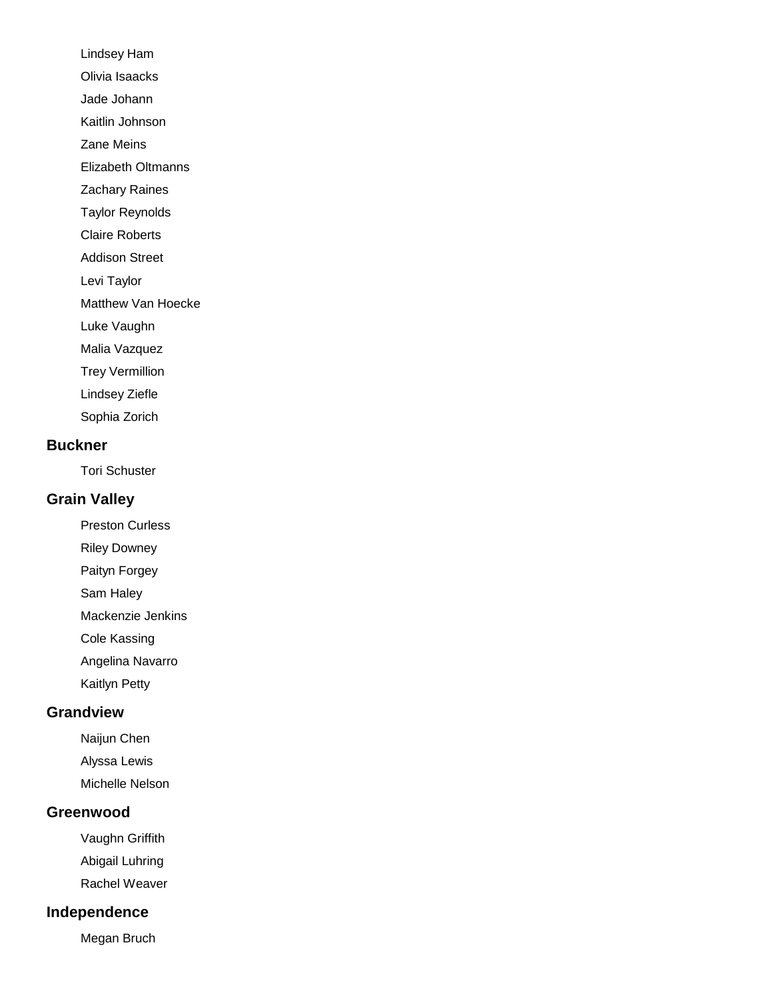Lindsey Ham Olivia Isaacks Jade Johann Kaitlin Johnson Zane Meins Elizabeth Oltmanns Zachary Raines Taylor Reynolds Claire Roberts Addison Street Levi Taylor

Matthew Van Hoecke

Luke Vaughn

Malia Vazquez

Trey Vermillion

Lindsey Ziefle

Sophia Zorich

#### **Buckner**

Tori Schuster

# **Grain Valley**

Preston Curless

Riley Downey

Paityn Forgey

Sam Haley

Mackenzie Jenkins

Cole Kassing

Angelina Navarro

Kaitlyn Petty

### **Grandview**

Naijun Chen

Alyssa Lewis

Michelle Nelson

#### **Greenwood**

Vaughn Griffith Abigail Luhring

Rachel Weaver

#### **Independence**

Megan Bruch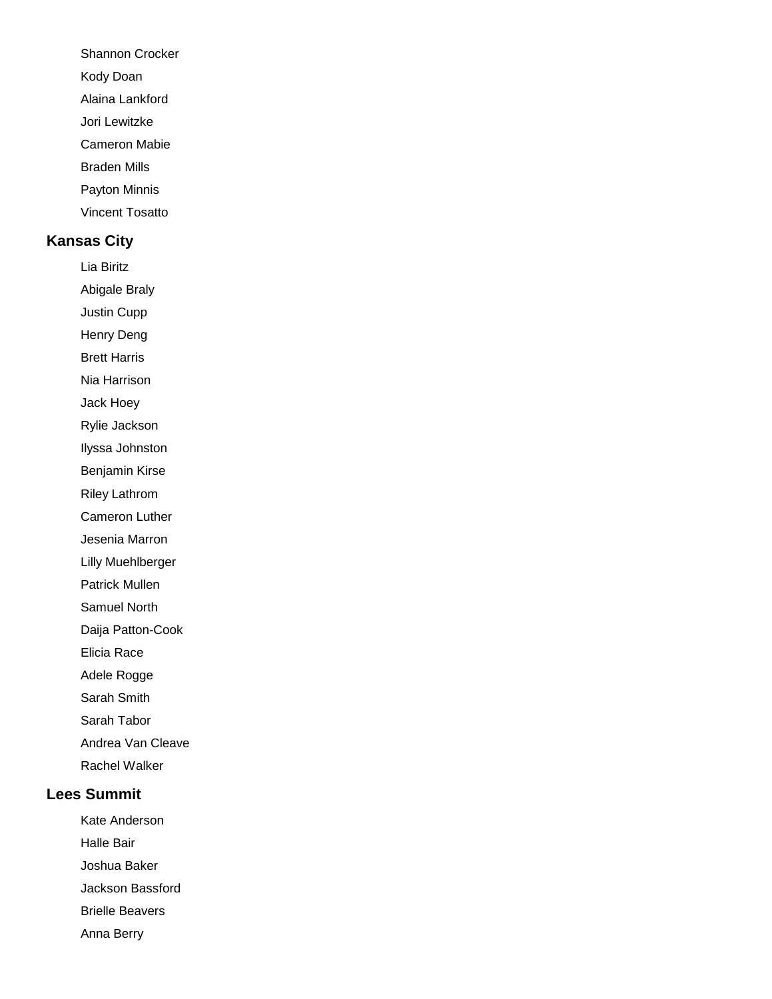Shannon Crocker

Kody Doan

Alaina Lankford

Jori Lewitzke

Cameron Mabie

Braden Mills

Payton Minnis

Vincent Tosatto

### **Kansas City**

Lia Biritz

Abigale Braly

Justin Cupp

Henry Deng

Brett Harris

Nia Harrison

Jack Hoey

Rylie Jackson

Ilyssa Johnston

Benjamin Kirse

Riley Lathrom

Cameron Luther

Jesenia Marron

Lilly Muehlberger

Patrick Mullen

Samuel North

Daija Patton-Cook

Elicia Race

Adele Rogge

Sarah Smith

Sarah Tabor

Andrea Van Cleave

Rachel Walker

# **Lees Summit**

Kate Anderson Halle Bair Joshua Baker Jackson Bassford Brielle Beavers

Anna Berry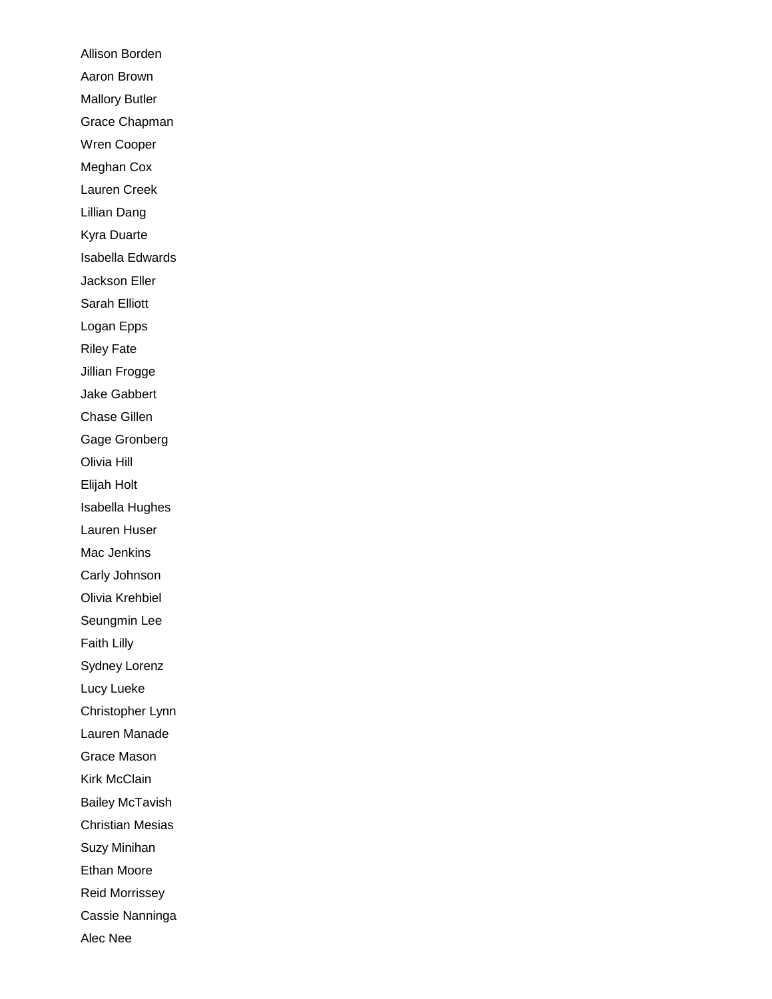Allison Borden Aaron Brown Mallory Butler Grace Chapman Wren Cooper Meghan Cox Lauren Creek Lillian Dang Kyra Duarte Isabella Edwards Jackson Eller Sarah Elliott Logan Epps Riley Fate Jillian Frogge Jake Gabbert Chase Gillen Gage Gronberg Olivia Hill Elijah Holt Isabella Hughes Lauren Huser Mac Jenkins Carly Johnson Olivia Krehbiel Seungmin Lee Faith Lilly Sydney Lorenz Lucy Lueke Christopher Lynn Lauren Manade Grace Mason Kirk McClain Bailey McTavish Christian Mesias Suzy Minihan Ethan Moore Reid Morrissey Cassie Nanninga Alec Nee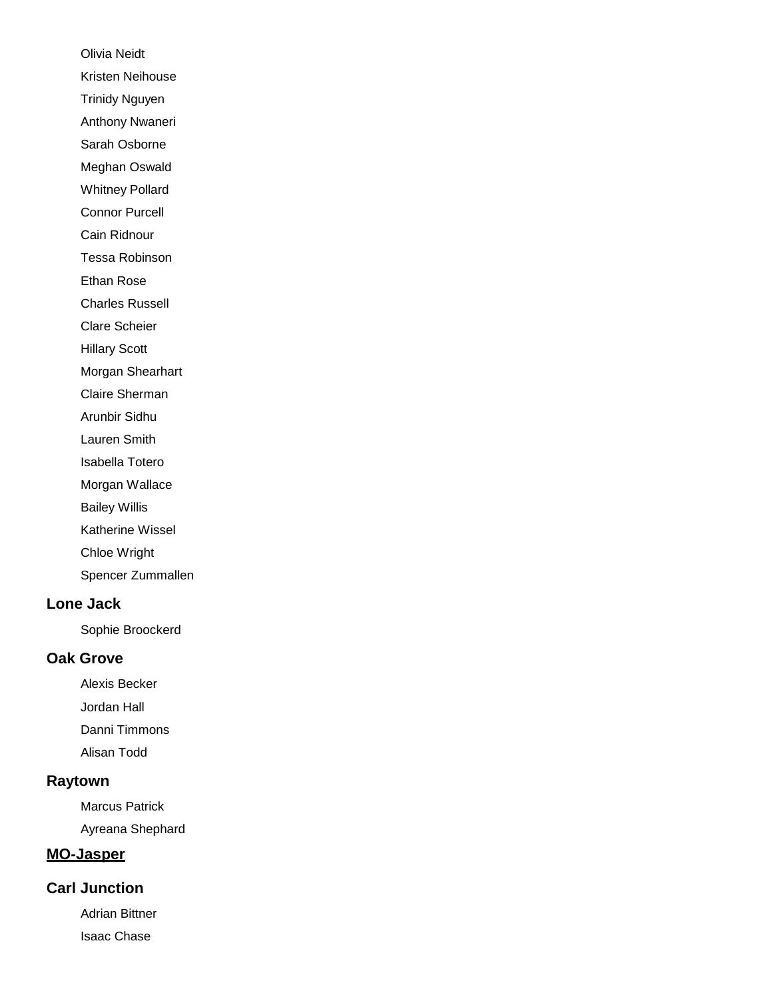Olivia Neidt Kristen Neihouse Trinidy Nguyen Anthony Nwaneri Sarah Osborne Meghan Oswald Whitney Pollard Connor Purcell Cain Ridnour Tessa Robinson Ethan Rose Charles Russell Clare Scheier Hillary Scott Morgan Shearhart Claire Sherman Arunbir Sidhu Lauren Smith Isabella Totero Morgan Wallace Bailey Willis Katherine Wissel Chloe Wright Spencer Zummallen

### **Lone Jack**

Sophie Broockerd

#### **Oak Grove**

Alexis Becker Jordan Hall Danni Timmons Alisan Todd

# **Raytown**

Marcus Patrick Ayreana Shephard

### **MO-Jasper**

### **Carl Junction**

Adrian Bittner Isaac Chase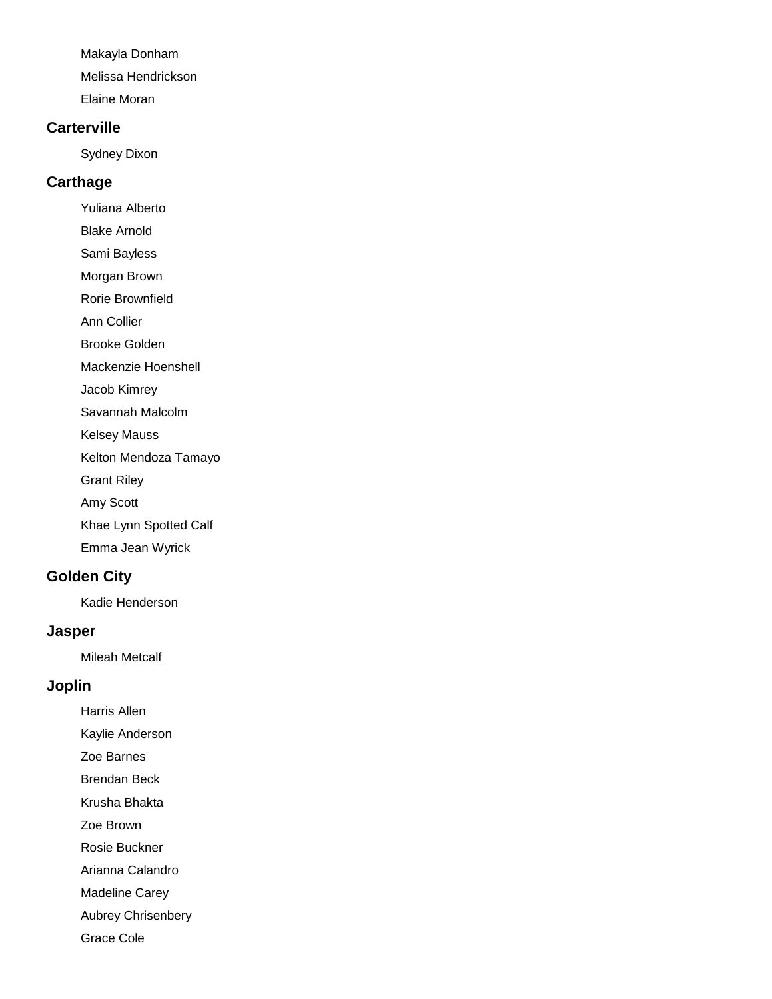Makayla Donham Melissa Hendrickson

Elaine Moran

#### **Carterville**

Sydney Dixon

# **Carthage**

Yuliana Alberto

Blake Arnold

Sami Bayless

Morgan Brown

Rorie Brownfield

Ann Collier

Brooke Golden

Mackenzie Hoenshell

Jacob Kimrey

Savannah Malcolm

Kelsey Mauss

Kelton Mendoza Tamayo

Grant Riley

Amy Scott

Khae Lynn Spotted Calf

Emma Jean Wyrick

# **Golden City**

Kadie Henderson

# **Jasper**

Mileah Metcalf

# **Joplin**

Harris Allen Kaylie Anderson

Zoe Barnes

Brendan Beck

Krusha Bhakta

Zoe Brown

Rosie Buckner

Arianna Calandro

Madeline Carey

Aubrey Chrisenbery

Grace Cole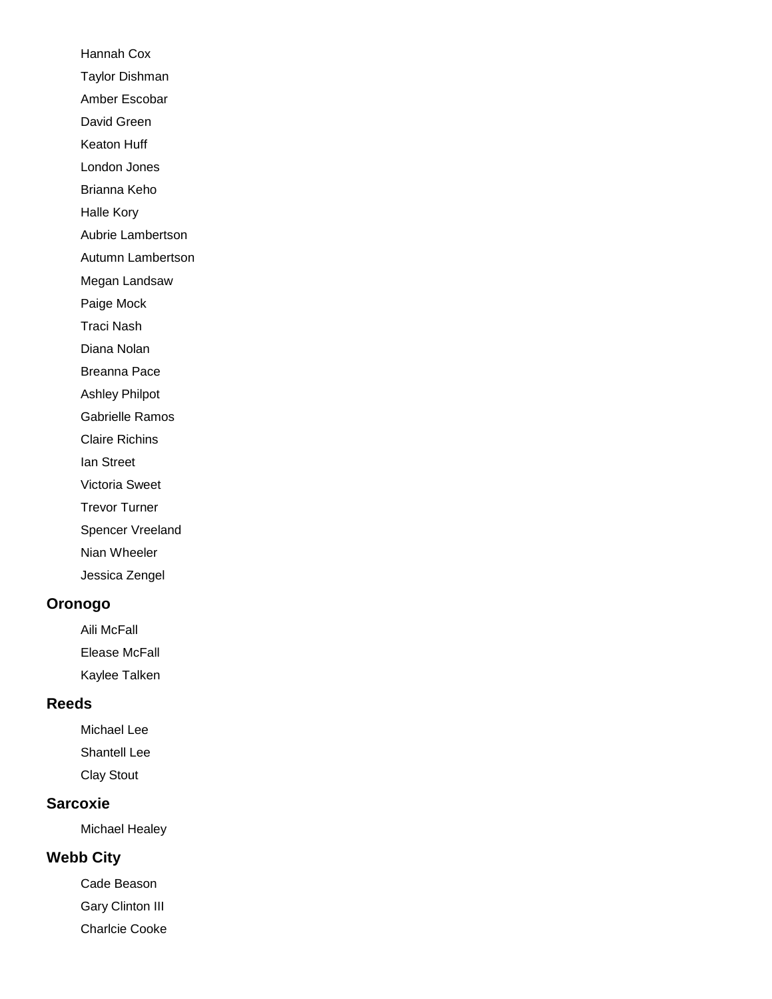Hannah Cox Taylor Dishman Amber Escobar David Green Keaton Huff London Jones Brianna Keho Halle Kory Aubrie Lambertson Autumn Lambertson Megan Landsaw Paige Mock Traci Nash Diana Nolan Breanna Pace Ashley Philpot Gabrielle Ramos Claire Richins Ian Street Victoria Sweet Trevor Turner Spencer Vreeland Nian Wheeler Jessica Zengel

### **Oronogo**

Aili McFall Elease McFall Kaylee Talken

#### **Reeds**

Michael Lee Shantell Lee Clay Stout

# **Sarcoxie**

Michael Healey

# **Webb City**

Cade Beason Gary Clinton III Charlcie Cooke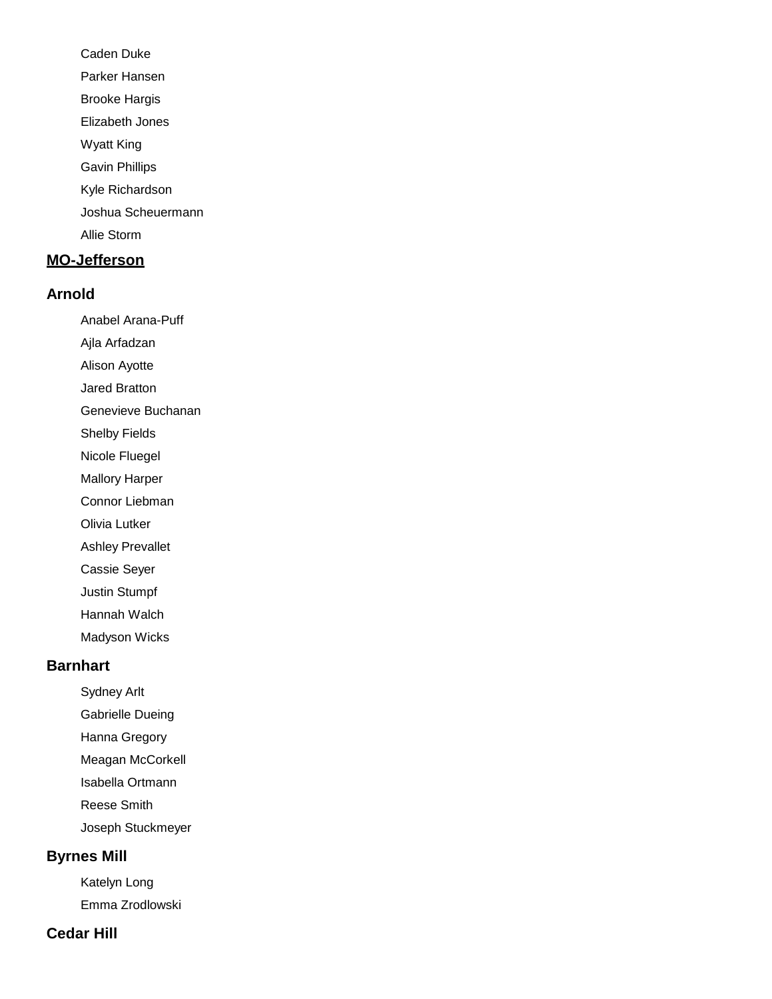Caden Duke Parker Hansen Brooke Hargis Elizabeth Jones Wyatt King Gavin Phillips Kyle Richardson Joshua Scheuermann Allie Storm

# **MO-Jefferson**

#### **Arnold**

Anabel Arana-Puff

Ajla Arfadzan

Alison Ayotte

Jared Bratton

Genevieve Buchanan

Shelby Fields

Nicole Fluegel

Mallory Harper

Connor Liebman

Olivia Lutker

Ashley Prevallet

Cassie Seyer

Justin Stumpf

Hannah Walch

Madyson Wicks

# **Barnhart**

Sydney Arlt

Gabrielle Dueing

Hanna Gregory

Meagan McCorkell

Isabella Ortmann

Reese Smith

Joseph Stuckmeyer

# **Byrnes Mill**

Katelyn Long Emma Zrodlowski

# **Cedar Hill**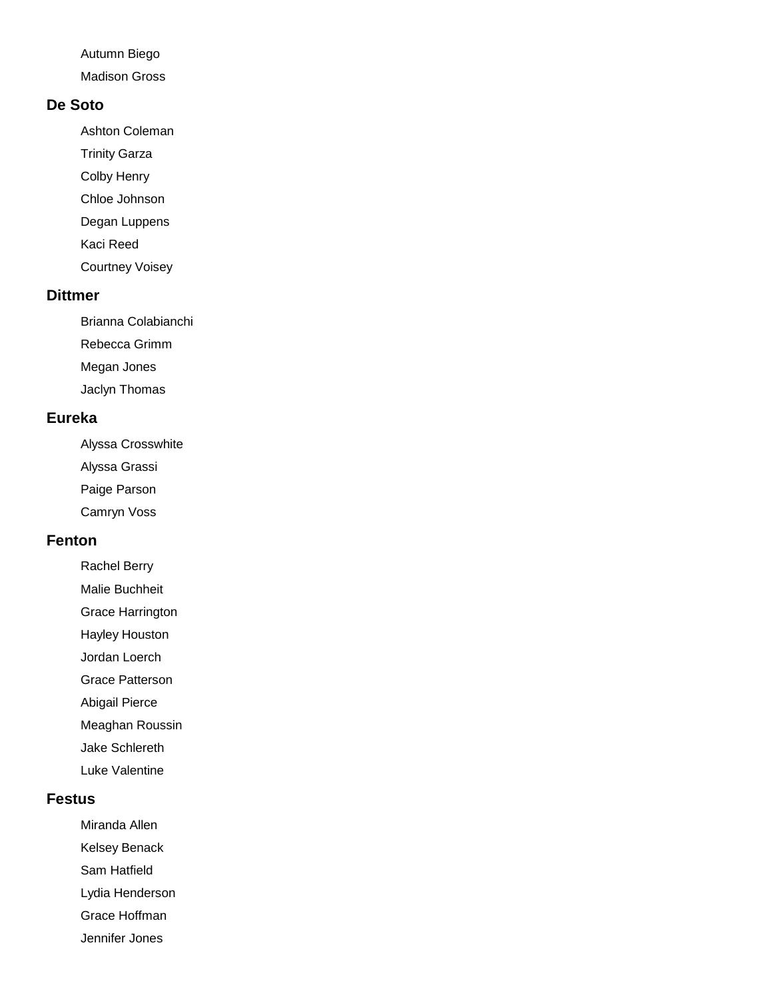Autumn Biego

Madison Gross

### **De Soto**

Ashton Coleman

- Trinity Garza
- Colby Henry
- Chloe Johnson
- Degan Luppens
- Kaci Reed
- Courtney Voisey

# **Dittmer**

Brianna Colabianchi

Rebecca Grimm

Megan Jones

Jaclyn Thomas

# **Eureka**

Alyssa Crosswhite

- Alyssa Grassi
- Paige Parson
- Camryn Voss

# **Fenton**

- Rachel Berry
- Malie Buchheit
- Grace Harrington
- Hayley Houston
- Jordan Loerch
- Grace Patterson
- Abigail Pierce
- Meaghan Roussin
- Jake Schlereth
- Luke Valentine

# **Festus**

- Miranda Allen
- Kelsey Benack
- Sam Hatfield
- Lydia Henderson
- Grace Hoffman
- Jennifer Jones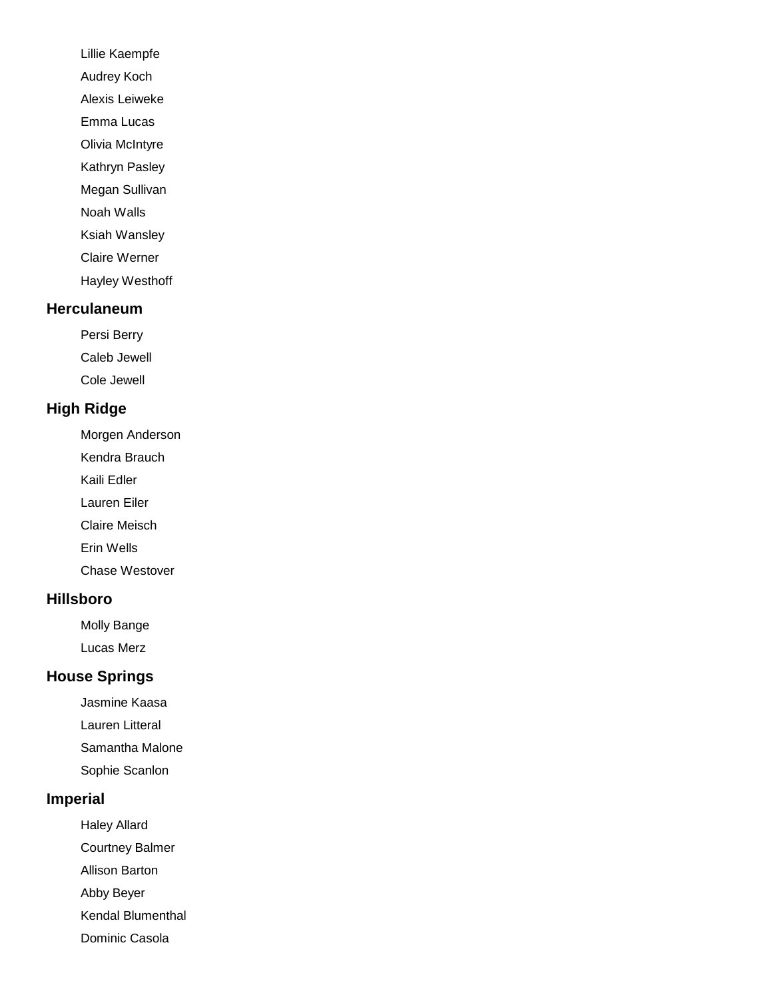- Lillie Kaempfe
- Audrey Koch
- Alexis Leiweke
- Emma Lucas
- Olivia McIntyre
- Kathryn Pasley Megan Sullivan
- Noah Walls
- Ksiah Wansley
- Claire Werner
- Hayley Westhoff

# **Herculaneum**

- Persi Berry
- Caleb Jewell
- Cole Jewell

# **High Ridge**

- Morgen Anderson
- Kendra Brauch
- Kaili Edler
- Lauren Eiler
- Claire Meisch
- Erin Wells
- Chase Westover

# **Hillsboro**

- Molly Bange
- Lucas Merz

# **House Springs**

- Jasmine Kaasa
- Lauren Litteral
- Samantha Malone
- Sophie Scanlon

# **Imperial**

- Haley Allard
- Courtney Balmer
- Allison Barton
- Abby Beyer
- Kendal Blumenthal
- Dominic Casola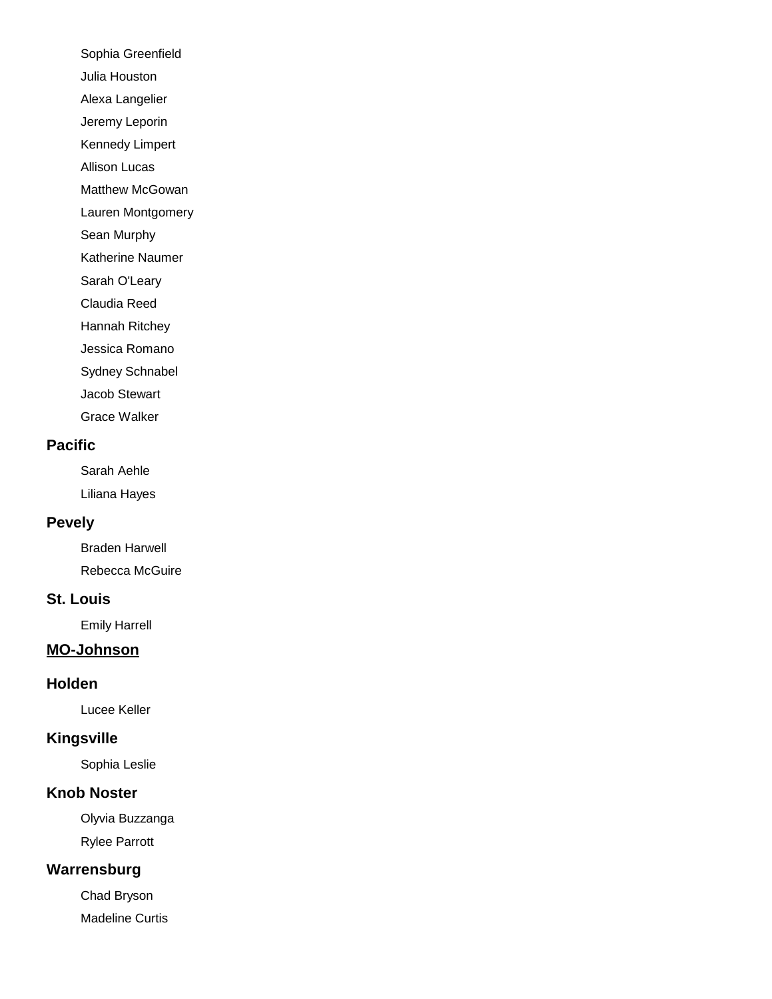Sophia Greenfield

Julia Houston

Alexa Langelier

Jeremy Leporin

Kennedy Limpert

Allison Lucas

Matthew McGowan

Lauren Montgomery

Sean Murphy

Katherine Naumer

Sarah O'Leary

Claudia Reed

Hannah Ritchey

Jessica Romano

Sydney Schnabel

Jacob Stewart

Grace Walker

# **Pacific**

Sarah Aehle Liliana Hayes

# **Pevely**

Braden Harwell Rebecca McGuire

# **St. Louis**

Emily Harrell

# **MO-Johnson**

# **Holden**

Lucee Keller

# **Kingsville**

Sophia Leslie

# **Knob Noster**

Olyvia Buzzanga Rylee Parrott

# **Warrensburg**

Chad Bryson Madeline Curtis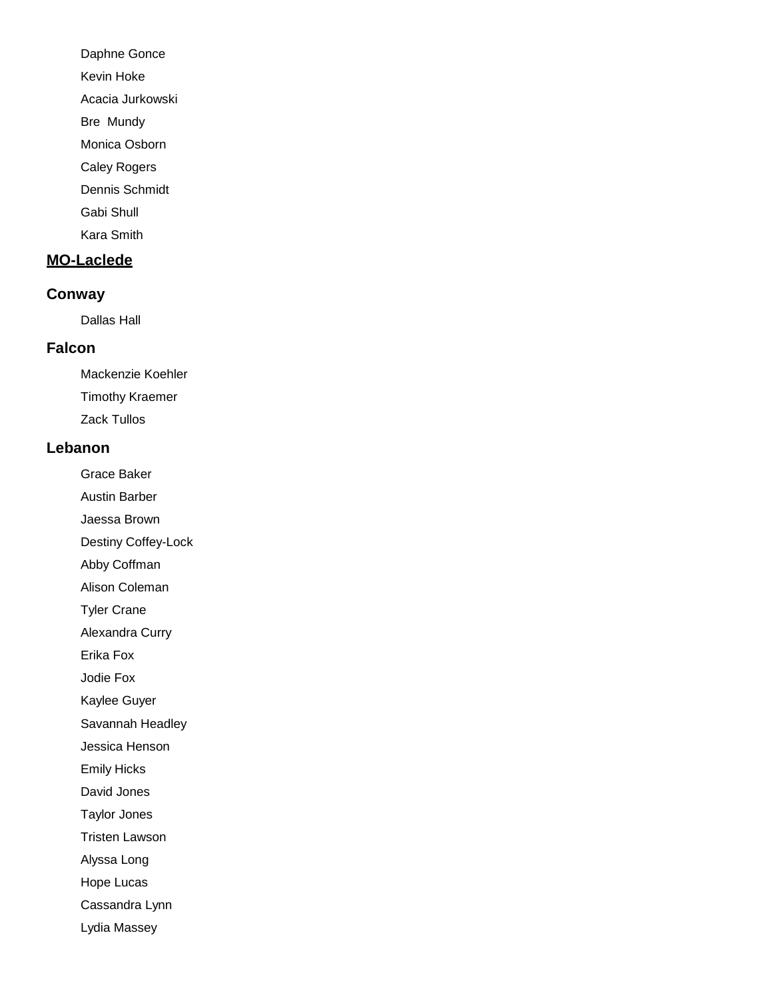Daphne Gonce

Kevin Hoke

Acacia Jurkowski

Bre Mundy

Monica Osborn

Caley Rogers

Dennis Schmidt

Gabi Shull

Kara Smith

# **MO-Laclede**

# **Conway**

Dallas Hall

# **Falcon**

Mackenzie Koehler Timothy Kraemer Zack Tullos

# **Lebanon**

Grace Baker Austin Barber

Jaessa Brown

Destiny Coffey-Lock

Abby Coffman

Alison Coleman

Tyler Crane

Alexandra Curry

Erika Fox

Jodie Fox

Kaylee Guyer

Savannah Headley

Jessica Henson

Emily Hicks

David Jones

Taylor Jones

Tristen Lawson

Alyssa Long

Hope Lucas

Cassandra Lynn

Lydia Massey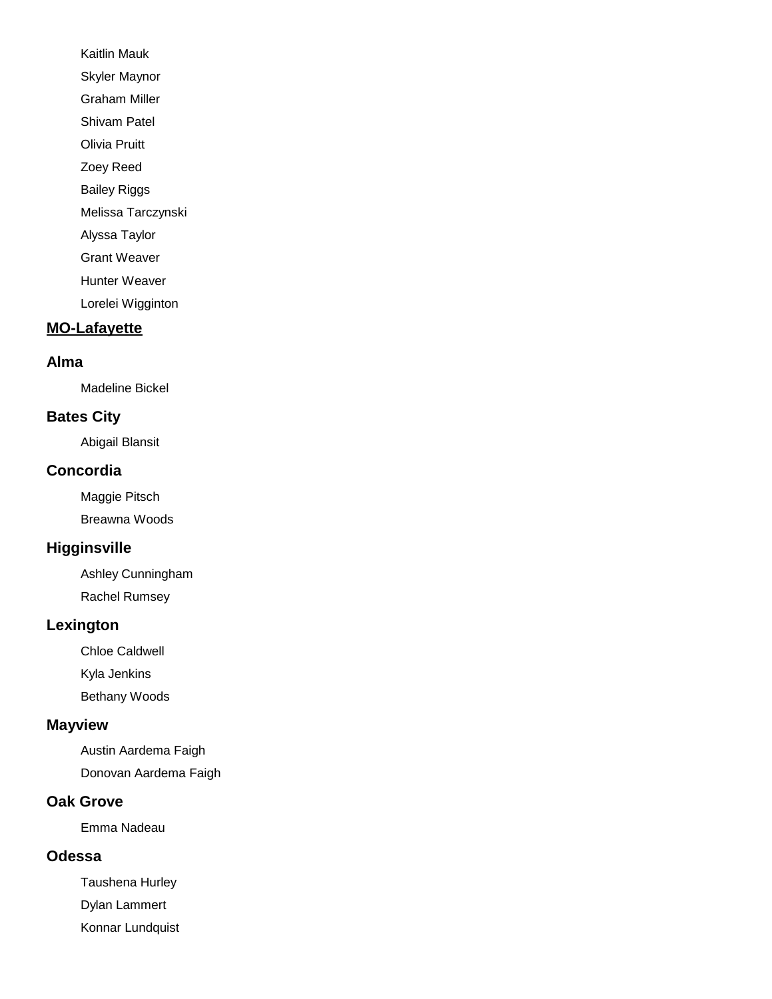Kaitlin Mauk Skyler Maynor Graham Miller Shivam Patel Olivia Pruitt Zoey Reed Bailey Riggs Melissa Tarczynski Alyssa Taylor Grant Weaver Hunter Weaver Lorelei Wigginton

### **MO-Lafayette**

#### **Alma**

Madeline Bickel

### **Bates City**

Abigail Blansit

#### **Concordia**

Maggie Pitsch Breawna Woods

# **Higginsville**

Ashley Cunningham Rachel Rumsey

#### **Lexington**

Chloe Caldwell

Kyla Jenkins

Bethany Woods

### **Mayview**

Austin Aardema Faigh

Donovan Aardema Faigh

### **Oak Grove**

Emma Nadeau

### **Odessa**

Taushena Hurley Dylan Lammert Konnar Lundquist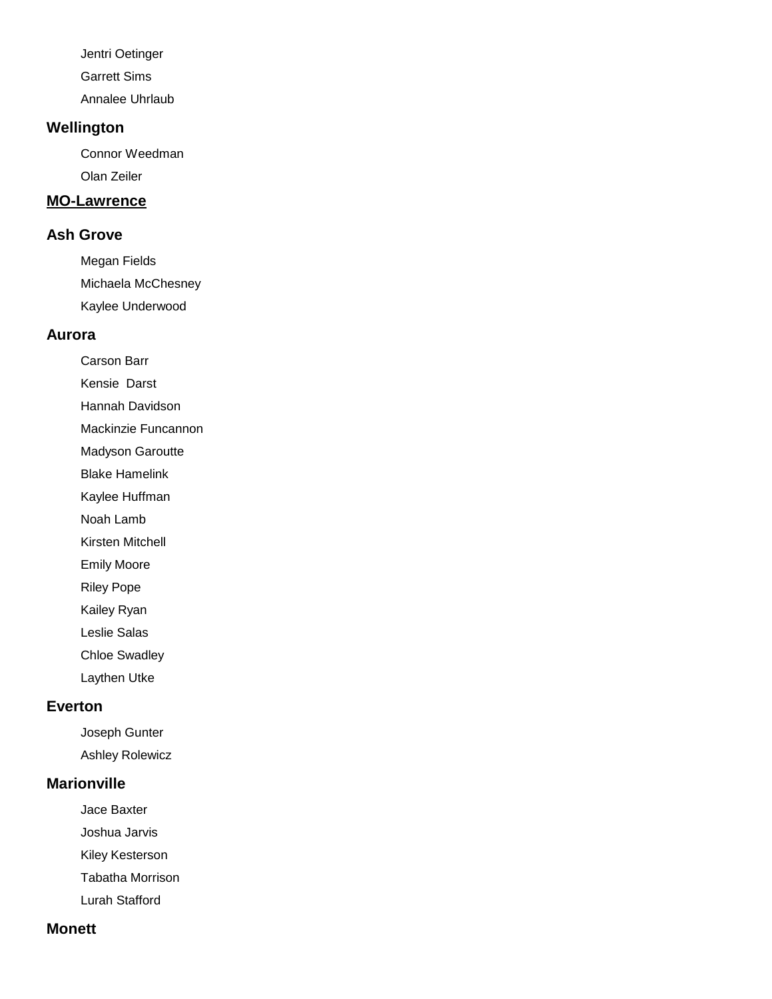Jentri Oetinger Garrett Sims

Annalee Uhrlaub

### **Wellington**

Connor Weedman Olan Zeiler

### **MO-Lawrence**

### **Ash Grove**

Megan Fields Michaela McChesney Kaylee Underwood

### **Aurora**

Carson Barr

Kensie Darst

Hannah Davidson

Mackinzie Funcannon

Madyson Garoutte

Blake Hamelink

Kaylee Huffman

Noah Lamb

Kirsten Mitchell

Emily Moore

Riley Pope

Kailey Ryan

Leslie Salas

Chloe Swadley

Laythen Utke

### **Everton**

Joseph Gunter Ashley Rolewicz

#### **Marionville**

Jace Baxter

Joshua Jarvis

Kiley Kesterson

Tabatha Morrison

Lurah Stafford

## **Monett**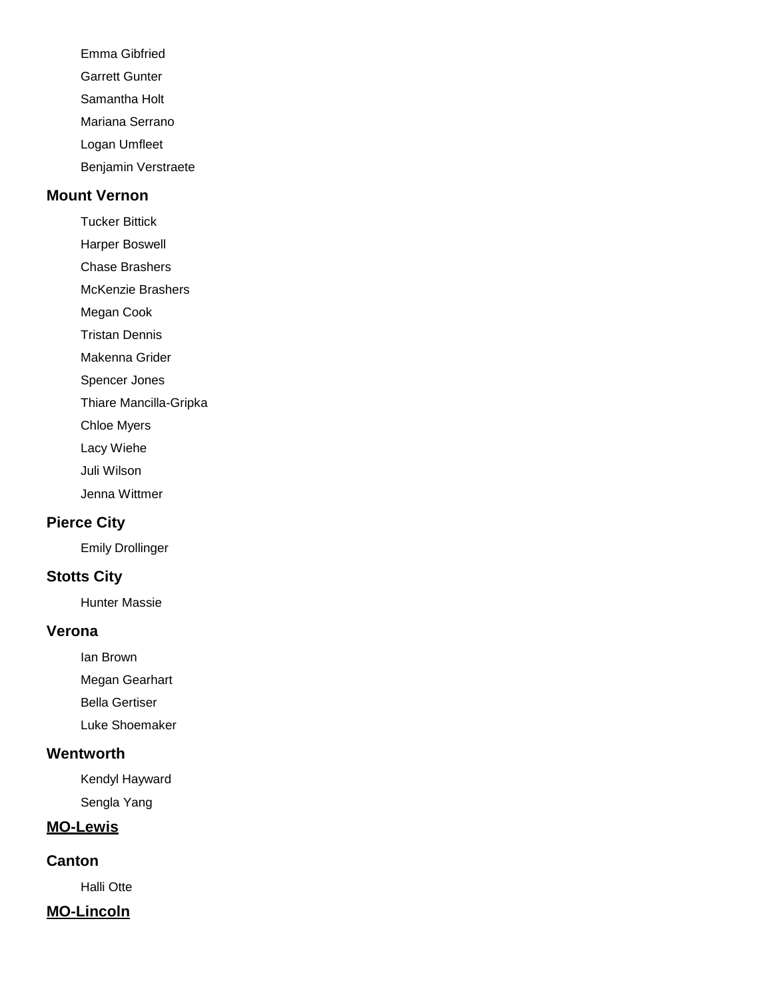Emma Gibfried Garrett Gunter Samantha Holt Mariana Serrano Logan Umfleet Benjamin Verstraete

#### **Mount Vernon**

Tucker Bittick

Harper Boswell Chase Brashers

McKenzie Brashers

Megan Cook

Tristan Dennis

Makenna Grider

Spencer Jones

Thiare Mancilla-Gripka

Chloe Myers

Lacy Wiehe

Juli Wilson

Jenna Wittmer

## **Pierce City**

Emily Drollinger

## **Stotts City**

Hunter Massie

#### **Verona**

Ian Brown

Megan Gearhart

Bella Gertiser

Luke Shoemaker

### **Wentworth**

Kendyl Hayward Sengla Yang

#### **MO-Lewis**

**Canton**

Halli Otte

### **MO-Lincoln**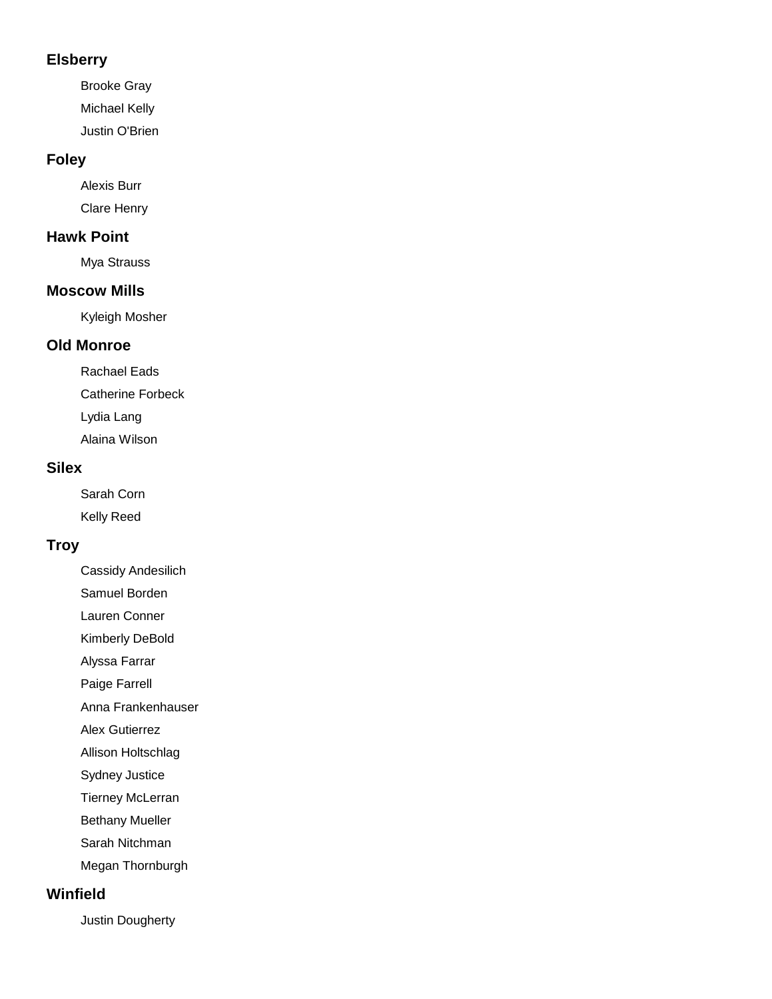### **Elsberry**

Brooke Gray Michael Kelly Justin O'Brien

### **Foley**

Alexis Burr Clare Henry

### **Hawk Point**

Mya Strauss

#### **Moscow Mills**

Kyleigh Mosher

## **Old Monroe**

Rachael Eads Catherine Forbeck Lydia Lang Alaina Wilson

#### **Silex**

Sarah Corn Kelly Reed

## **Troy**

Cassidy Andesilich

Samuel Borden

Lauren Conner

Kimberly DeBold

Alyssa Farrar

Paige Farrell

Anna Frankenhauser

Alex Gutierrez

Allison Holtschlag

Sydney Justice

Tierney McLerran

Bethany Mueller

Sarah Nitchman

Megan Thornburgh

### **Winfield**

Justin Dougherty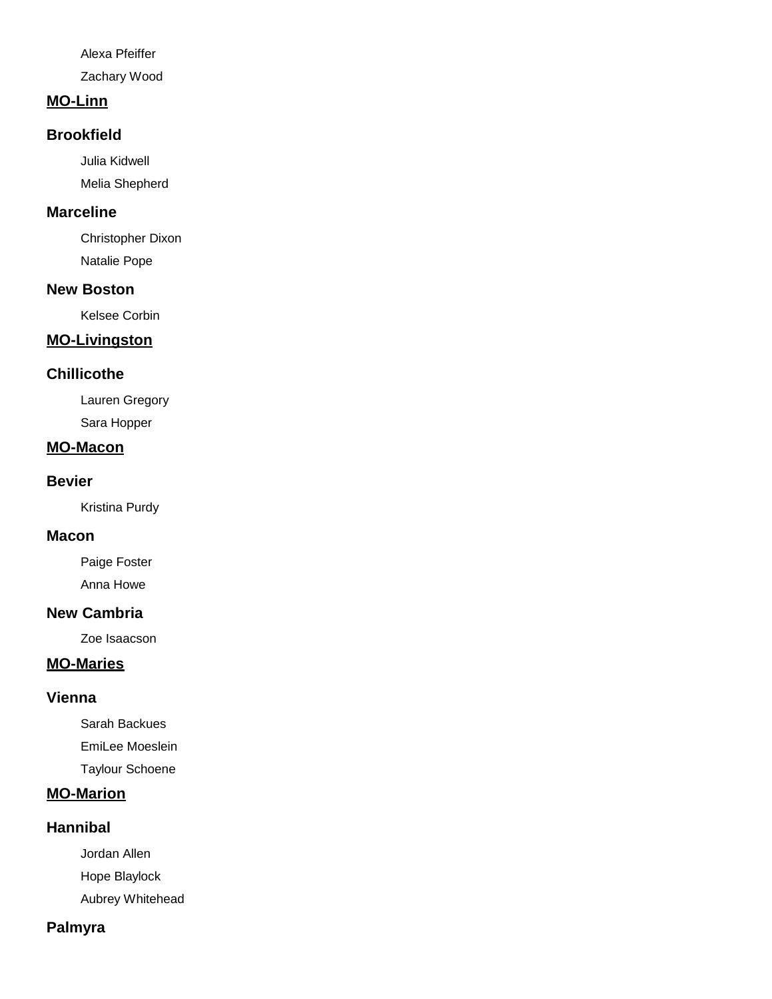Alexa Pfeiffer

Zachary Wood

### **MO-Linn**

### **Brookfield**

Julia Kidwell Melia Shepherd

### **Marceline**

Christopher Dixon Natalie Pope

## **New Boston**

Kelsee Corbin

### **MO-Livingston**

#### **Chillicothe**

Lauren Gregory Sara Hopper

#### **MO-Macon**

#### **Bevier**

Kristina Purdy

#### **Macon**

Paige Foster Anna Howe

## **New Cambria**

Zoe Isaacson

### **MO-Maries**

## **Vienna**

Sarah Backues EmiLee Moeslein

Taylour Schoene

## **MO-Marion**

#### **Hannibal**

Jordan Allen

Hope Blaylock

Aubrey Whitehead

## **Palmyra**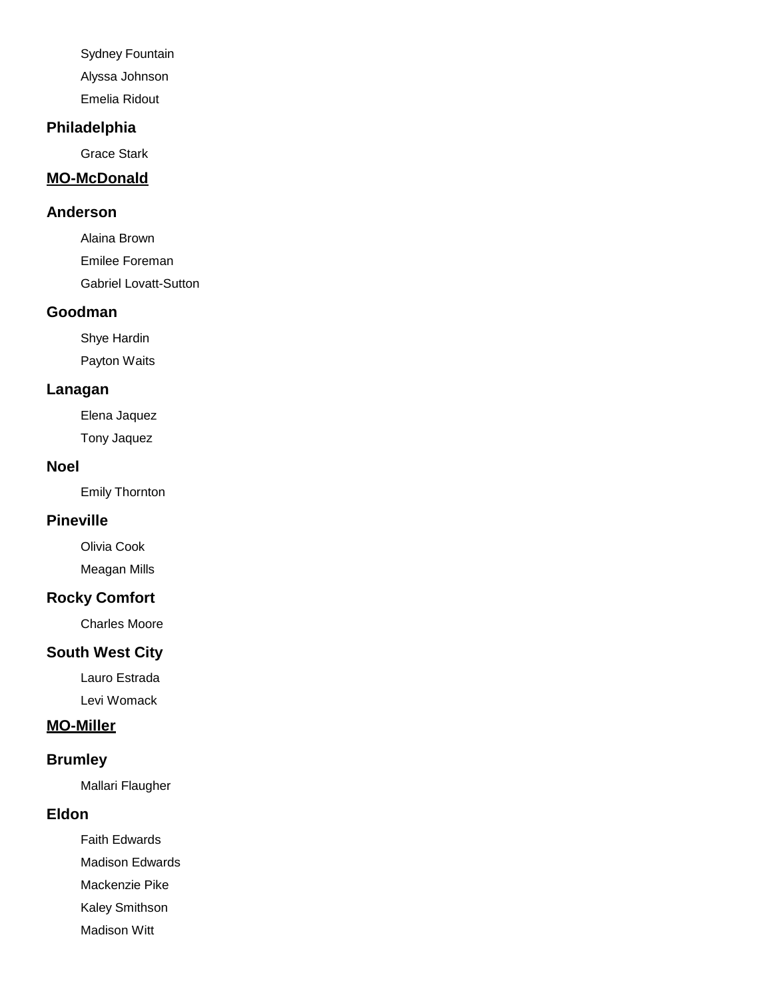Sydney Fountain

Alyssa Johnson

Emelia Ridout

## **Philadelphia**

Grace Stark

## **MO-McDonald**

### **Anderson**

Alaina Brown Emilee Foreman Gabriel Lovatt-Sutton

#### **Goodman**

Shye Hardin Payton Waits

## **Lanagan**

Elena Jaquez Tony Jaquez

#### **Noel**

Emily Thornton

## **Pineville**

Olivia Cook Meagan Mills

# **Rocky Comfort**

Charles Moore

## **South West City**

Lauro Estrada Levi Womack

### **MO-Miller**

# **Brumley**

Mallari Flaugher

## **Eldon**

Faith Edwards Madison Edwards

Mackenzie Pike

Kaley Smithson

Madison Witt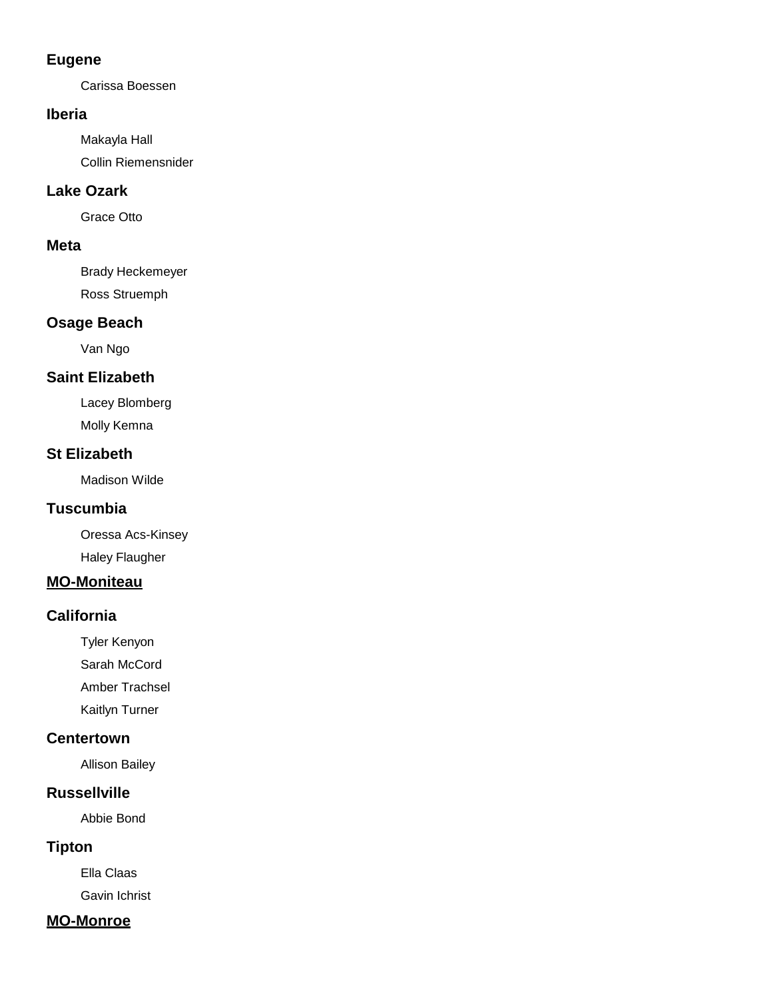## **Eugene**

Carissa Boessen

### **Iberia**

Makayla Hall Collin Riemensnider

## **Lake Ozark**

Grace Otto

## **Meta**

Brady Heckemeyer Ross Struemph

## **Osage Beach**

Van Ngo

# **Saint Elizabeth**

Lacey Blomberg Molly Kemna

## **St Elizabeth**

Madison Wilde

# **Tuscumbia**

Oressa Acs-Kinsey Haley Flaugher

# **MO-Moniteau**

# **California**

Tyler Kenyon

Sarah McCord

Amber Trachsel

Kaitlyn Turner

## **Centertown**

Allison Bailey

# **Russellville**

Abbie Bond

# **Tipton**

Ella Claas

Gavin Ichrist

# **MO-Monroe**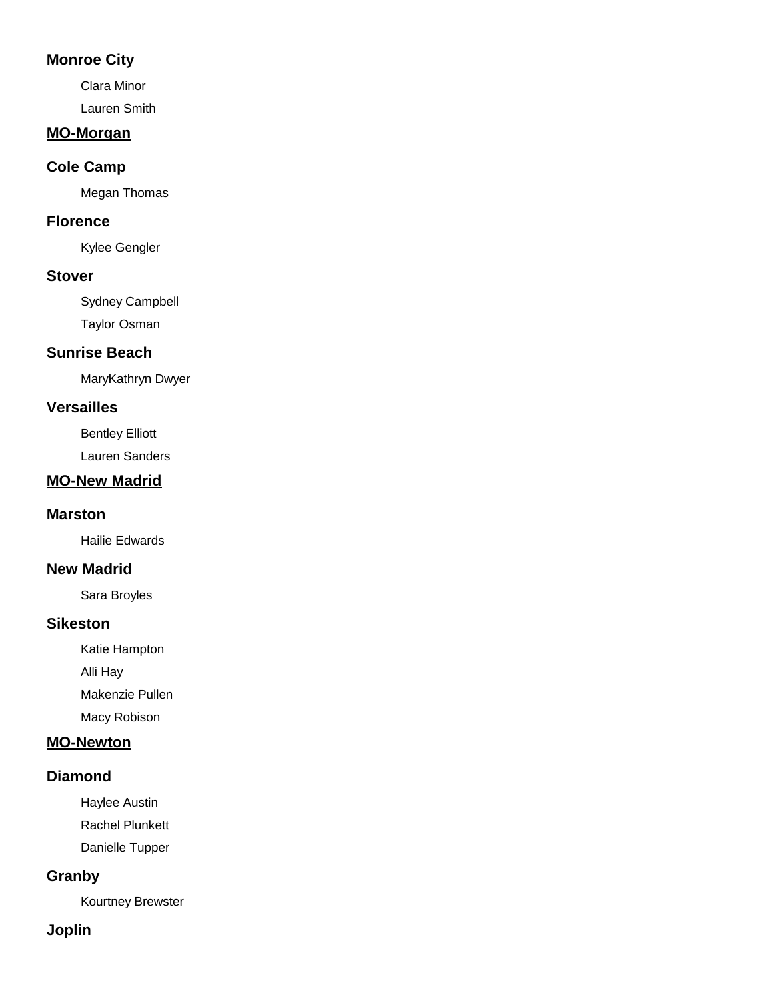## **Monroe City**

Clara Minor Lauren Smith

## **MO-Morgan**

## **Cole Camp**

Megan Thomas

## **Florence**

Kylee Gengler

## **Stover**

Sydney Campbell

Taylor Osman

# **Sunrise Beach**

MaryKathryn Dwyer

# **Versailles**

Bentley Elliott

Lauren Sanders

# **MO-New Madrid**

# **Marston**

Hailie Edwards

# **New Madrid**

Sara Broyles

# **Sikeston**

Katie Hampton

Alli Hay

Makenzie Pullen

Macy Robison

# **MO-Newton**

# **Diamond**

Haylee Austin

Rachel Plunkett

Danielle Tupper

# **Granby**

Kourtney Brewster

# **Joplin**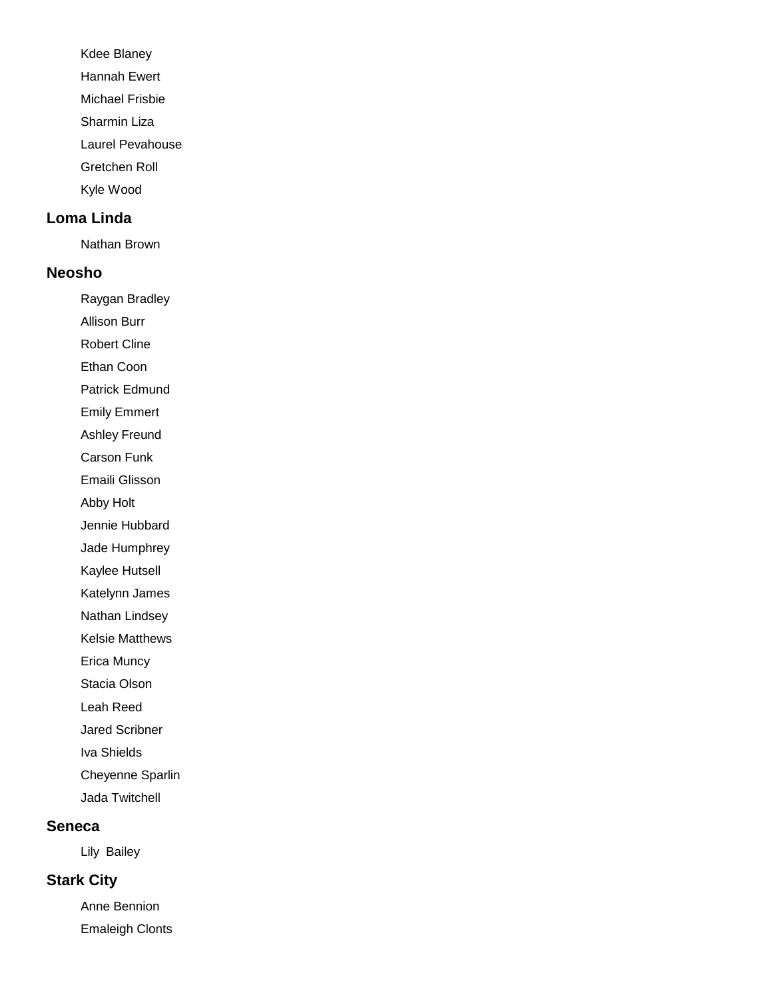Kdee Blaney

Hannah Ewert

Michael Frisbie

Sharmin Liza

Laurel Pevahouse

Gretchen Roll

Kyle Wood

### **Loma Linda**

Nathan Brown

#### **Neosho**

Raygan Bradley

Allison Burr

Robert Cline

Ethan Coon

Patrick Edmund

Emily Emmert

Ashley Freund

Carson Funk

Emaili Glisson

Abby Holt

Jennie Hubbard

Jade Humphrey

Kaylee Hutsell

Katelynn James

Nathan Lindsey

Kelsie Matthews

Erica Muncy

Stacia Olson

Leah Reed

Jared Scribner

Iva Shields

Cheyenne Sparlin

Jada Twitchell

#### **Seneca**

Lily Bailey

## **Stark City**

Anne Bennion Emaleigh Clonts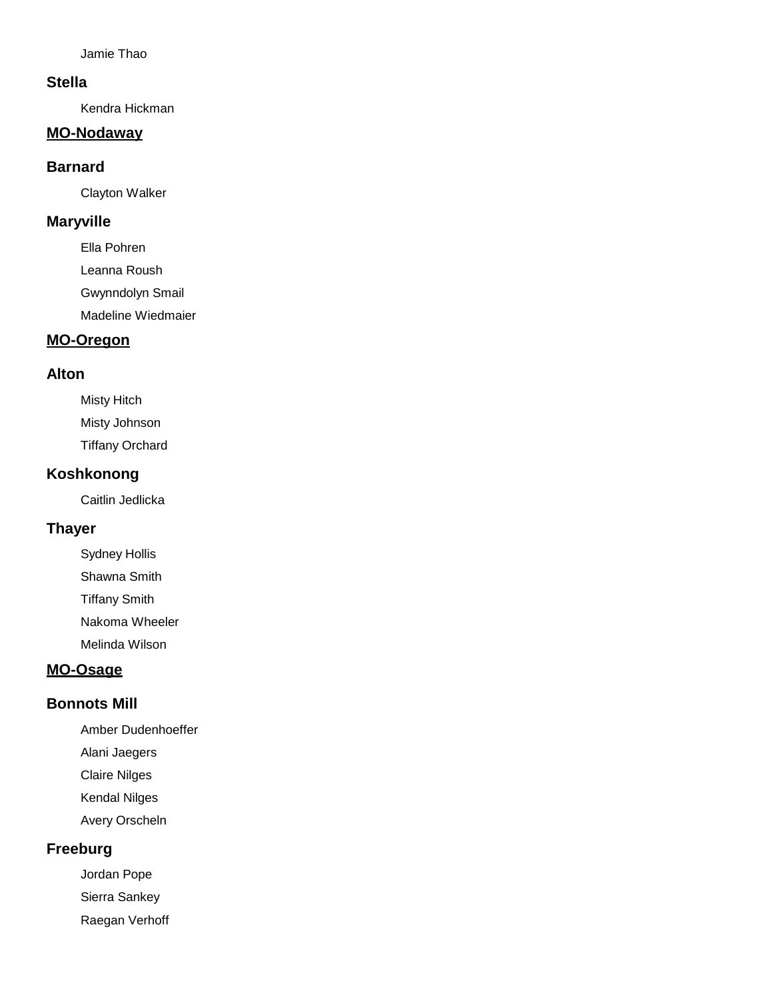Jamie Thao

#### **Stella**

Kendra Hickman

## **MO-Nodaway**

#### **Barnard**

Clayton Walker

#### **Maryville**

Ella Pohren Leanna Roush Gwynndolyn Smail Madeline Wiedmaier

### **MO-Oregon**

#### **Alton**

Misty Hitch Misty Johnson Tiffany Orchard

### **Koshkonong**

Caitlin Jedlicka

## **Thayer**

Sydney Hollis Shawna Smith

Tiffany Smith

Nakoma Wheeler

Melinda Wilson

## **MO-Osage**

#### **Bonnots Mill**

- Amber Dudenhoeffer
- Alani Jaegers
- Claire Nilges
- Kendal Nilges
- Avery Orscheln

## **Freeburg**

Jordan Pope

Sierra Sankey

Raegan Verhoff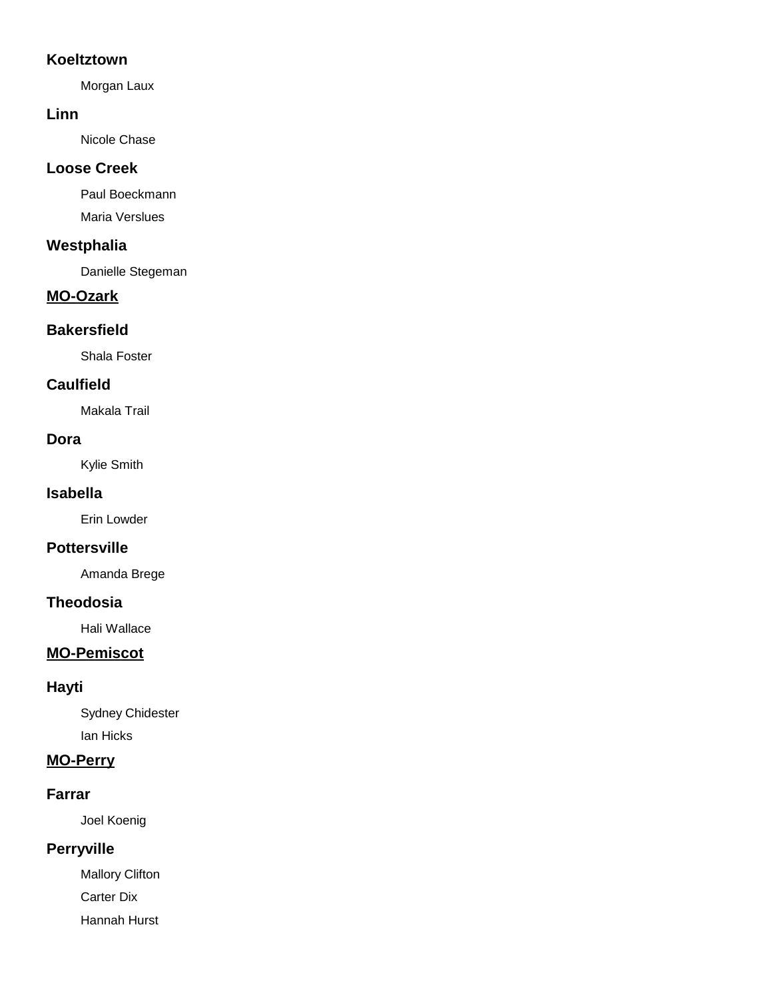## **Koeltztown**

Morgan Laux

### **Linn**

Nicole Chase

## **Loose Creek**

Paul Boeckmann Maria Verslues

## **Westphalia**

Danielle Stegeman

# **MO-Ozark**

## **Bakersfield**

Shala Foster

## **Caulfield**

Makala Trail

### **Dora**

Kylie Smith

### **Isabella**

Erin Lowder

## **Pottersville**

Amanda Brege

#### **Theodosia**

Hali Wallace

# **MO-Pemiscot**

## **Hayti**

Sydney Chidester Ian Hicks

## **MO-Perry**

## **Farrar**

Joel Koenig

# **Perryville**

Mallory Clifton Carter Dix

Hannah Hurst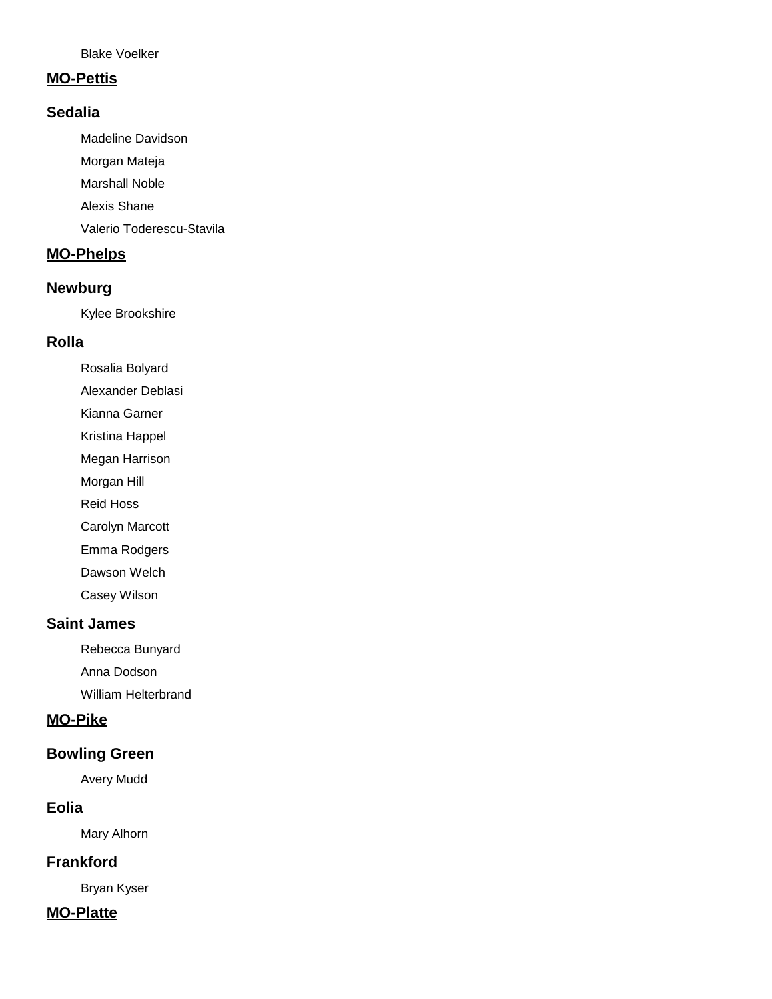Blake Voelker

#### **MO-Pettis**

### **Sedalia**

Madeline Davidson

Morgan Mateja

Marshall Noble

Alexis Shane

Valerio Toderescu-Stavila

# **MO-Phelps**

### **Newburg**

Kylee Brookshire

#### **Rolla**

Rosalia Bolyard

Alexander Deblasi

Kianna Garner

Kristina Happel

Megan Harrison

Morgan Hill

Reid Hoss

Carolyn Marcott

Emma Rodgers

Dawson Welch

Casey Wilson

## **Saint James**

Rebecca Bunyard

Anna Dodson

William Helterbrand

# **MO-Pike**

## **Bowling Green**

Avery Mudd

### **Eolia**

Mary Alhorn

## **Frankford**

Bryan Kyser

### **MO-Platte**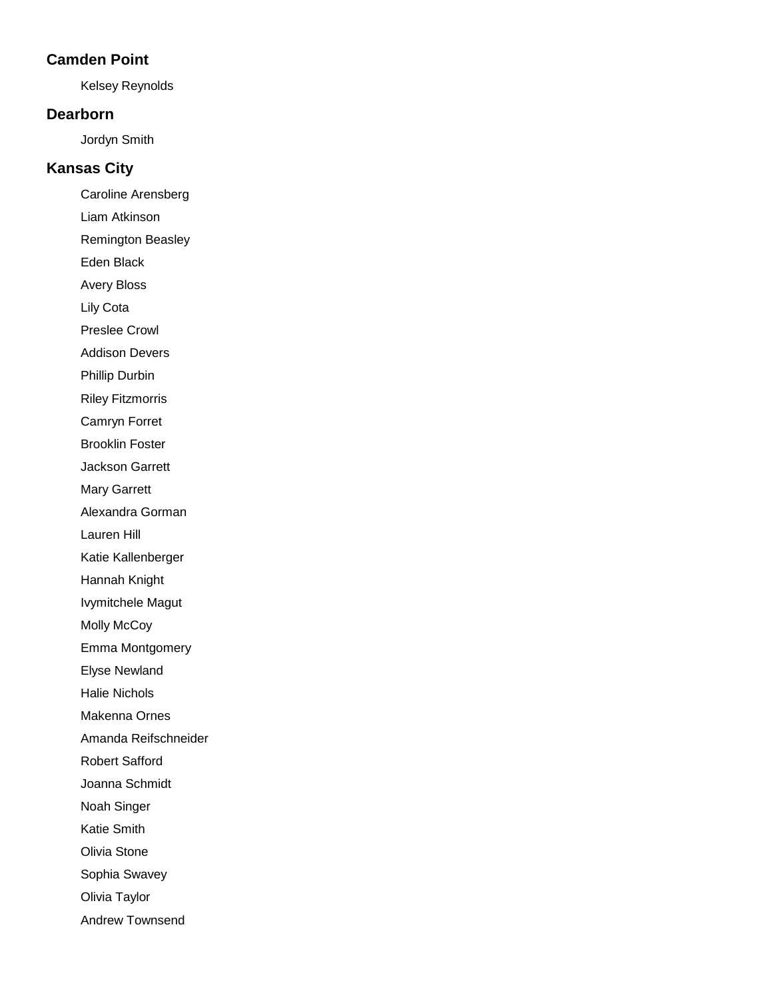### **Camden Point**

Kelsey Reynolds

### **Dearborn**

Jordyn Smith

## **Kansas City**

Caroline Arensberg

Liam Atkinson

Remington Beasley

Eden Black

Avery Bloss

Lily Cota

Preslee Crowl

Addison Devers

Phillip Durbin

Riley Fitzmorris

Camryn Forret

Brooklin Foster

Jackson Garrett

Mary Garrett

Alexandra Gorman

Lauren Hill

Katie Kallenberger

Hannah Knight

Ivymitchele Magut

Molly McCoy

Emma Montgomery

Elyse Newland

Halie Nichols

Makenna Ornes

Amanda Reifschneider

Robert Safford

Joanna Schmidt

Noah Singer

Katie Smith

Olivia Stone

Sophia Swavey

Olivia Taylor

Andrew Townsend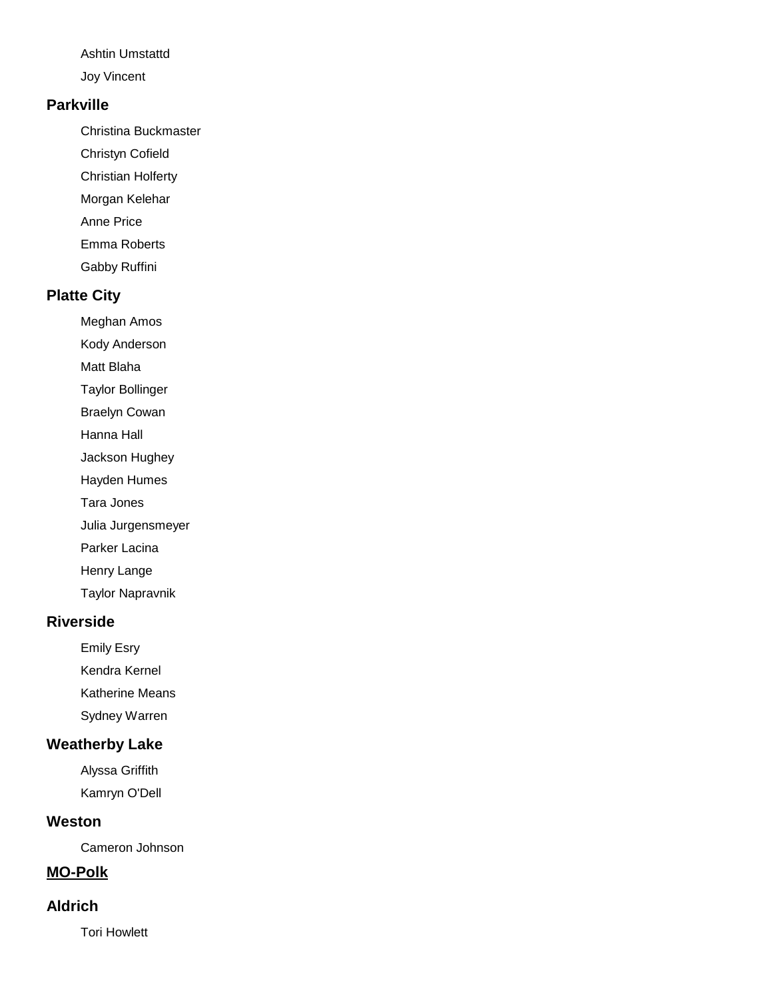Ashtin Umstattd

Joy Vincent

### **Parkville**

Christina Buckmaster

- Christyn Cofield
- Christian Holferty
- Morgan Kelehar
- Anne Price
- Emma Roberts
- Gabby Ruffini

# **Platte City**

Meghan Amos

Kody Anderson

Matt Blaha

Taylor Bollinger

Braelyn Cowan

Hanna Hall

Jackson Hughey

Hayden Humes

Tara Jones

Julia Jurgensmeyer

Parker Lacina

Henry Lange

Taylor Napravnik

## **Riverside**

Emily Esry

Kendra Kernel

Katherine Means

Sydney Warren

## **Weatherby Lake**

Alyssa Griffith Kamryn O'Dell

## **Weston**

Cameron Johnson

# **MO-Polk**

## **Aldrich**

Tori Howlett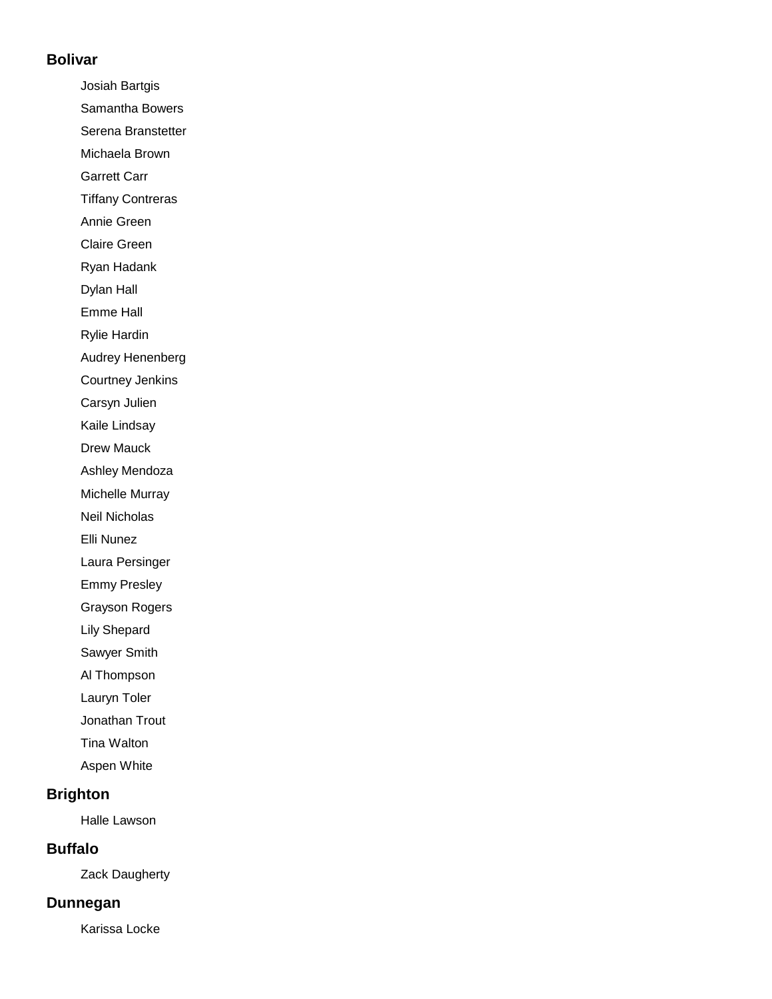#### **Bolivar**

Josiah Bartgis Samantha Bowers Serena Branstetter Michaela Brown Garrett Carr Tiffany Contreras Annie Green Claire Green Ryan Hadank Dylan Hall Emme Hall Rylie Hardin Audrey Henenberg Courtney Jenkins Carsyn Julien Kaile Lindsay Drew Mauck Ashley Mendoza Michelle Murray Neil Nicholas Elli Nunez Laura Persinger Emmy Presley Grayson Rogers Lily Shepard Sawyer Smith Al Thompson Lauryn Toler Jonathan Trout Tina Walton

Aspen White

### **Brighton**

Halle Lawson

### **Buffalo**

Zack Daugherty

#### **Dunnegan**

Karissa Locke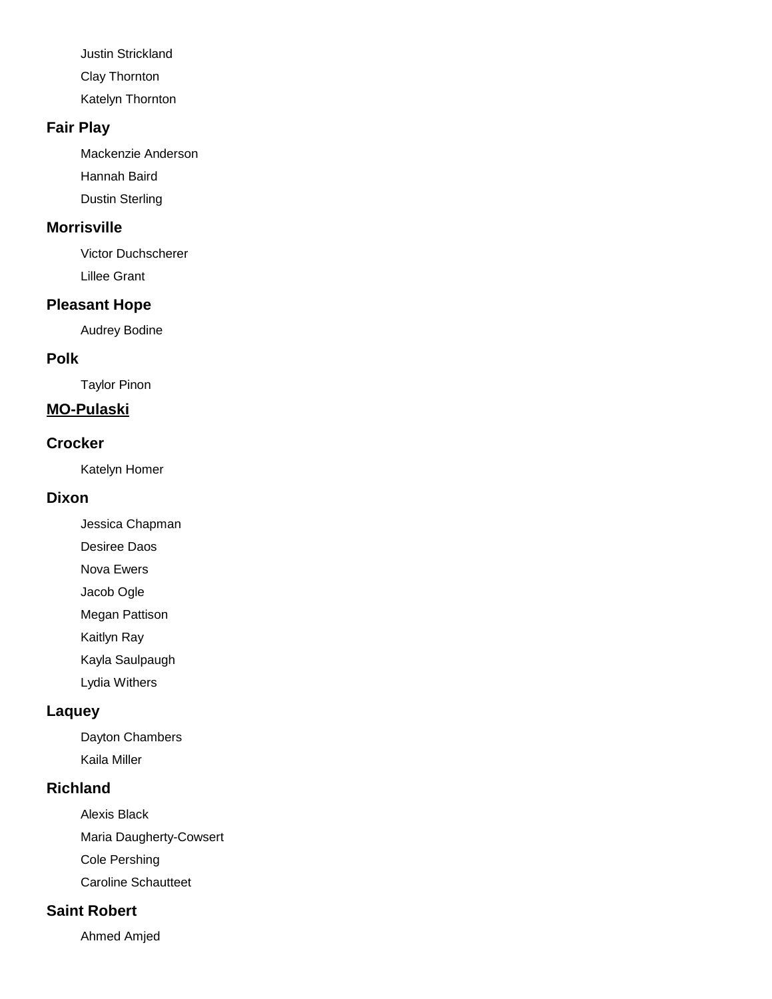Justin Strickland Clay Thornton

Katelyn Thornton

## **Fair Play**

Mackenzie Anderson Hannah Baird Dustin Sterling

## **Morrisville**

Victor Duchscherer Lillee Grant

# **Pleasant Hope**

Audrey Bodine

# **Polk**

Taylor Pinon

# **MO-Pulaski**

## **Crocker**

Katelyn Homer

## **Dixon**

Jessica Chapman

Desiree Daos

Nova Ewers

Jacob Ogle

Megan Pattison

Kaitlyn Ray

Kayla Saulpaugh

Lydia Withers

# **Laquey**

Dayton Chambers Kaila Miller

# **Richland**

Alexis Black Maria Daugherty-Cowsert Cole Pershing Caroline Schautteet

# **Saint Robert**

Ahmed Amjed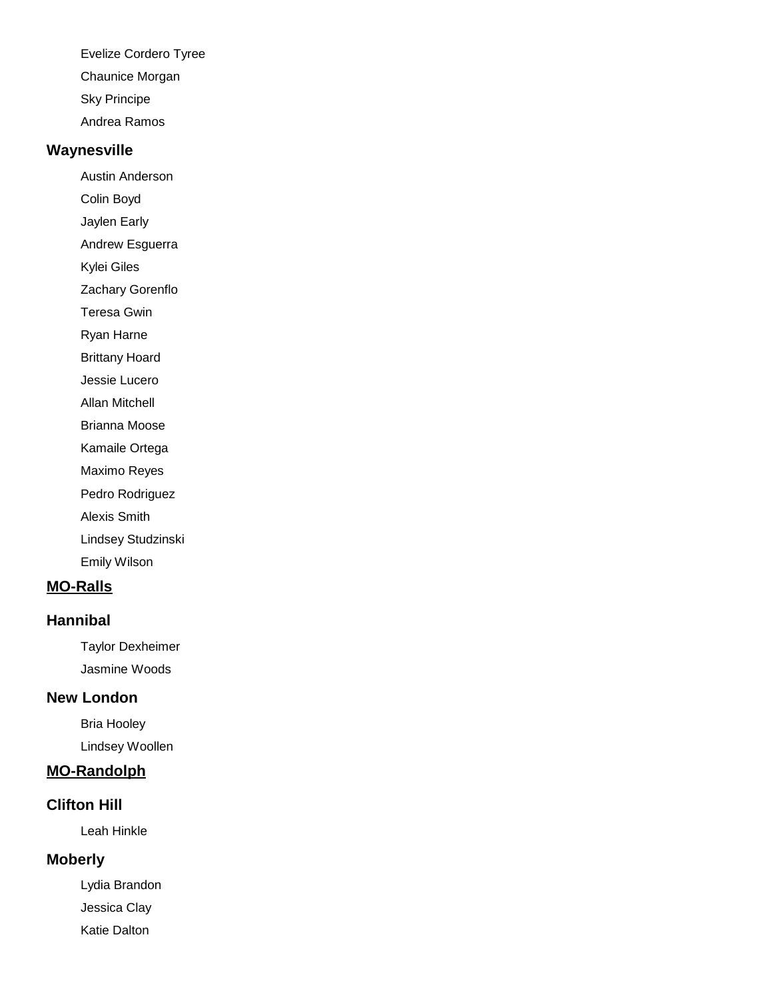Evelize Cordero Tyree

Chaunice Morgan

Sky Principe

Andrea Ramos

### **Waynesville**

Austin Anderson

Colin Boyd

Jaylen Early

Andrew Esguerra

Kylei Giles

Zachary Gorenflo

Teresa Gwin

Ryan Harne

Brittany Hoard

Jessie Lucero

Allan Mitchell

Brianna Moose

Kamaile Ortega

Maximo Reyes

Pedro Rodriguez

Alexis Smith

Lindsey Studzinski

Emily Wilson

# **MO-Ralls**

# **Hannibal**

Taylor Dexheimer Jasmine Woods

# **New London**

Bria Hooley Lindsey Woollen

# **MO-Randolph**

# **Clifton Hill**

Leah Hinkle

# **Moberly**

Lydia Brandon Jessica Clay Katie Dalton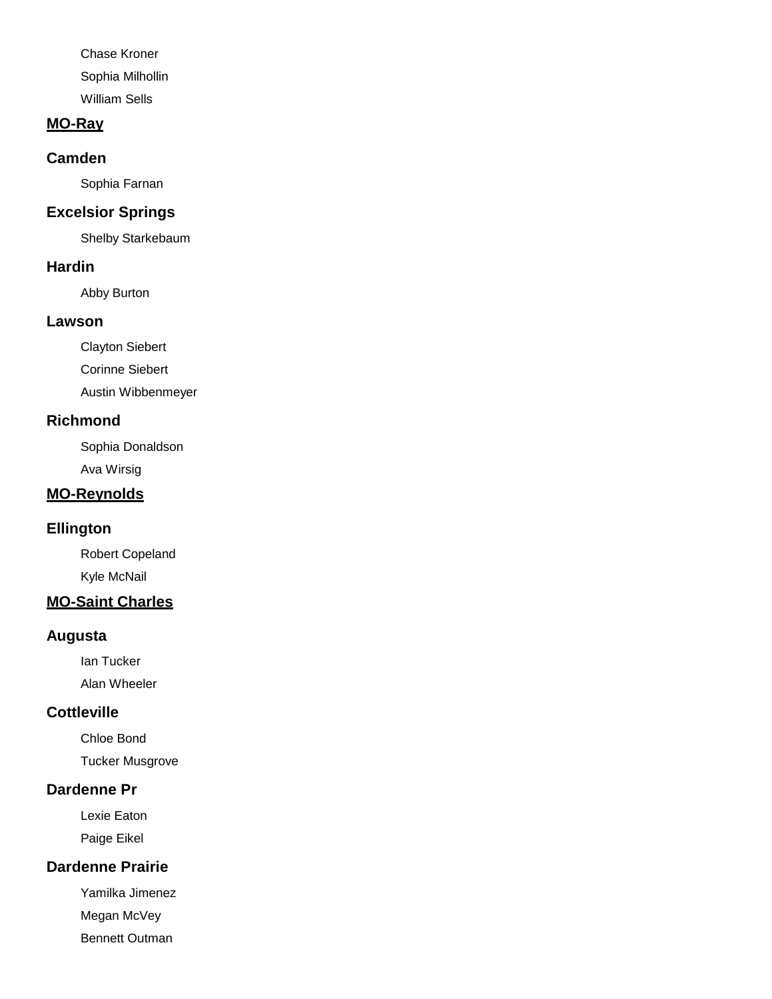Chase Kroner Sophia Milhollin William Sells

#### **MO-Ray**

#### **Camden**

Sophia Farnan

### **Excelsior Springs**

Shelby Starkebaum

#### **Hardin**

Abby Burton

#### **Lawson**

Clayton Siebert

Corinne Siebert

Austin Wibbenmeyer

#### **Richmond**

Sophia Donaldson Ava Wirsig

## **MO-Reynolds**

### **Ellington**

Robert Copeland Kyle McNail

## **MO-Saint Charles**

#### **Augusta**

Ian Tucker Alan Wheeler

### **Cottleville**

Chloe Bond Tucker Musgrove

### **Dardenne Pr**

Lexie Eaton Paige Eikel

### **Dardenne Prairie**

Yamilka Jimenez Megan McVey

Bennett Outman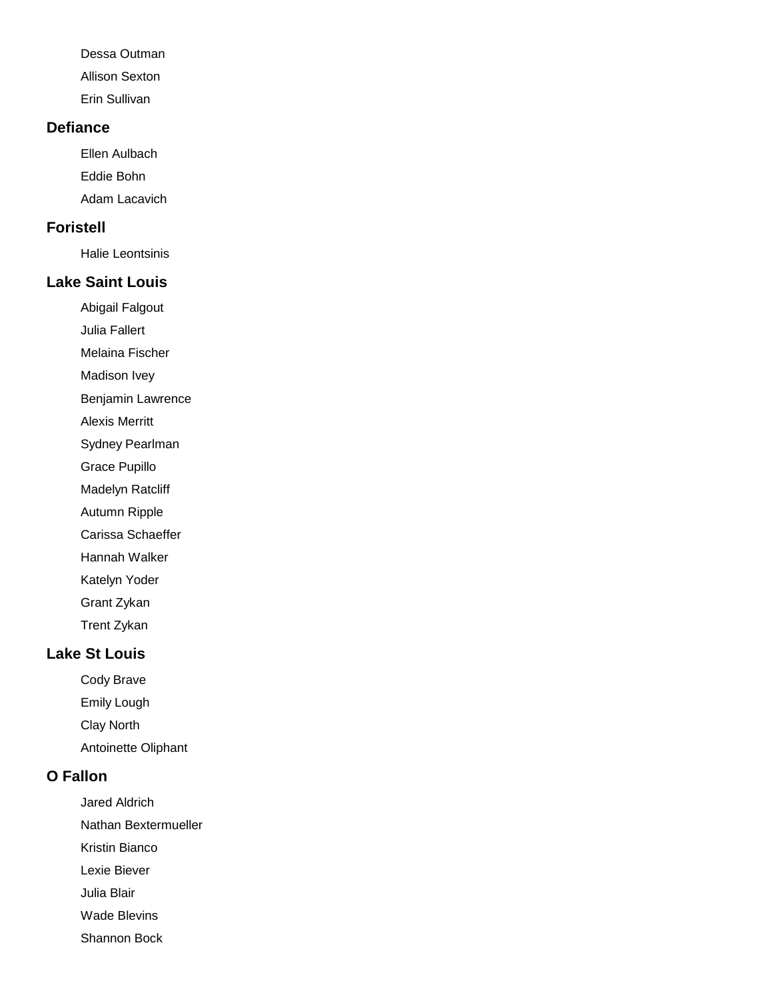Dessa Outman Allison Sexton

Erin Sullivan

#### **Defiance**

Ellen Aulbach Eddie Bohn Adam Lacavich

#### **Foristell**

Halie Leontsinis

### **Lake Saint Louis**

Abigail Falgout

Julia Fallert

Melaina Fischer

Madison Ivey

Benjamin Lawrence

Alexis Merritt

Sydney Pearlman

Grace Pupillo

Madelyn Ratcliff

Autumn Ripple

Carissa Schaeffer

Hannah Walker

Katelyn Yoder

Grant Zykan

Trent Zykan

#### **Lake St Louis**

Cody Brave Emily Lough Clay North

Antoinette Oliphant

### **O Fallon**

Jared Aldrich Nathan Bextermueller Kristin Bianco Lexie Biever Julia Blair Wade Blevins

Shannon Bock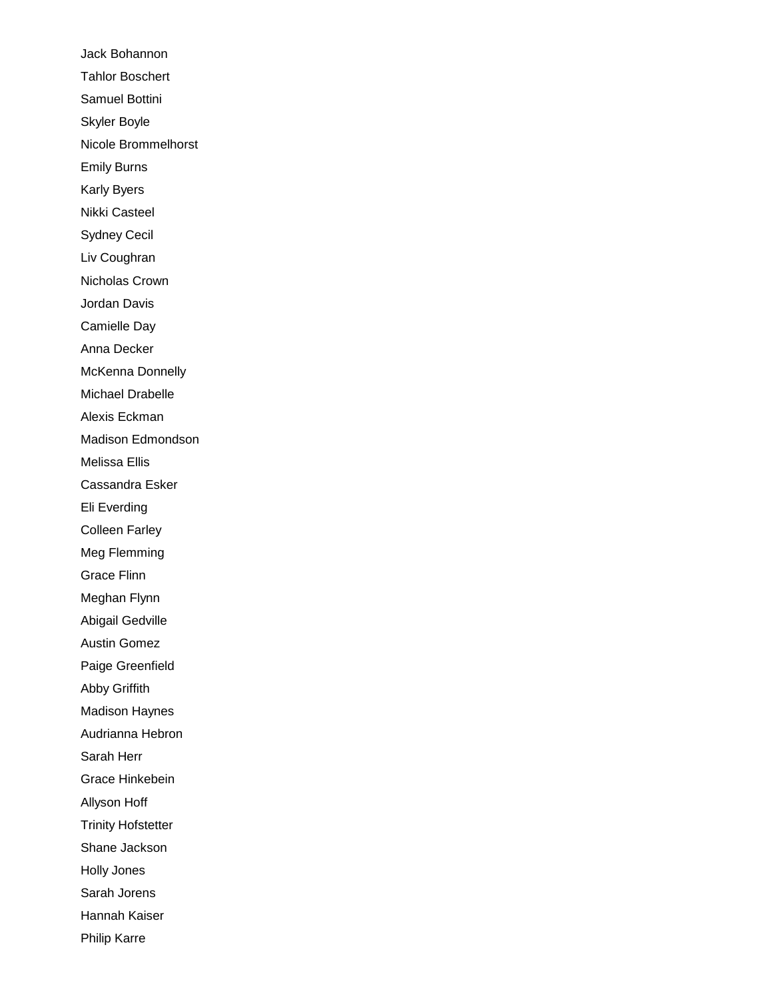Jack Bohannon Tahlor Boschert Samuel Bottini Skyler Boyle Nicole Brommelhorst Emily Burns Karly Byers Nikki Casteel Sydney Cecil Liv Coughran Nicholas Crown Jordan Davis Camielle Day Anna Decker McKenna Donnelly Michael Drabelle Alexis Eckman Madison Edmondson Melissa Ellis Cassandra Esker Eli Everding Colleen Farley Meg Flemming Grace Flinn Meghan Flynn Abigail Gedville Austin Gomez Paige Greenfield Abby Griffith Madison Haynes Audrianna Hebron Sarah Herr Grace Hinkebein Allyson Hoff Trinity Hofstetter Shane Jackson Holly Jones Sarah Jorens Hannah Kaiser Philip Karre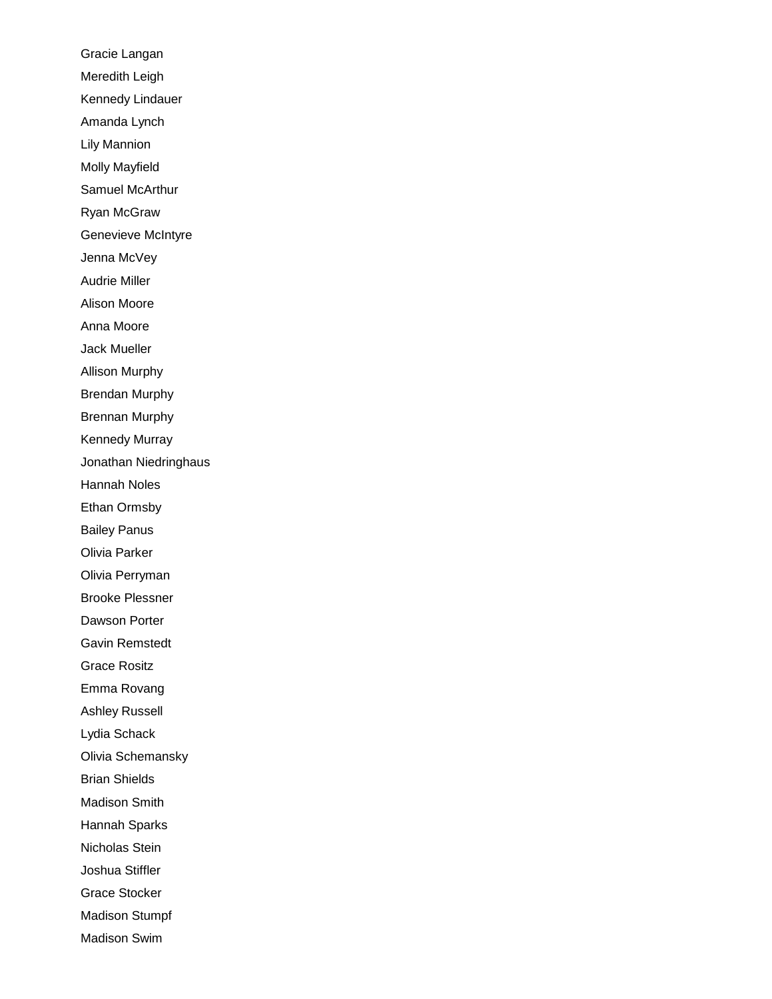Gracie Langan Meredith Leigh Kennedy Lindauer Amanda Lynch Lily Mannion Molly Mayfield Samuel McArthur Ryan McGraw Genevieve McIntyre Jenna McVey Audrie Miller Alison Moore Anna Moore Jack Mueller Allison Murphy Brendan Murphy Brennan Murphy Kennedy Murray Jonathan Niedringhaus Hannah Noles Ethan Ormsby Bailey Panus Olivia Parker Olivia Perryman Brooke Plessner Dawson Porter Gavin Remstedt Grace Rositz Emma Rovang Ashley Russell Lydia Schack Olivia Schemansky Brian Shields Madison Smith Hannah Sparks Nicholas Stein Joshua Stiffler Grace Stocker Madison Stumpf Madison Swim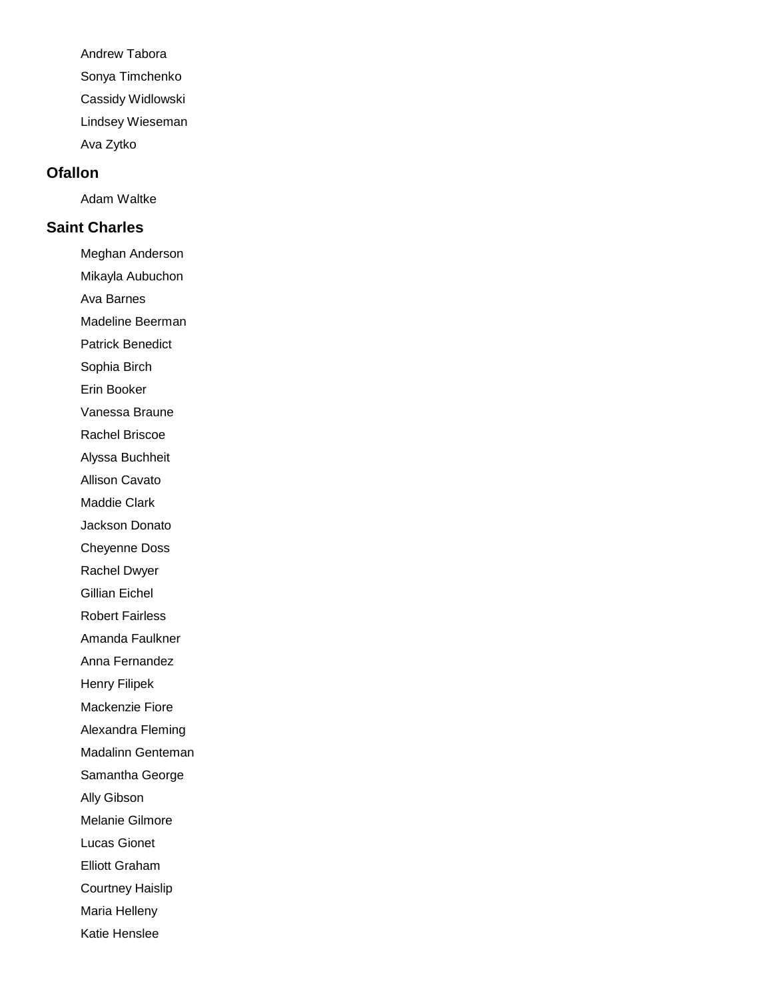Andrew Tabora Sonya Timchenko Cassidy Widlowski Lindsey Wieseman Ava Zytko

#### **Ofallon**

Adam Waltke

### **Saint Charles**

Meghan Anderson

Mikayla Aubuchon

Ava Barnes

Madeline Beerman

Patrick Benedict

Sophia Birch

Erin Booker

Vanessa Braune

Rachel Briscoe

Alyssa Buchheit

Allison Cavato

Maddie Clark

Jackson Donato

Cheyenne Doss

Rachel Dwyer

Gillian Eichel

Robert Fairless

Amanda Faulkner

Anna Fernandez

Henry Filipek

Mackenzie Fiore

Alexandra Fleming

Madalinn Genteman

Samantha George

Ally Gibson

Melanie Gilmore

Lucas Gionet

Elliott Graham

Courtney Haislip

Maria Helleny

Katie Henslee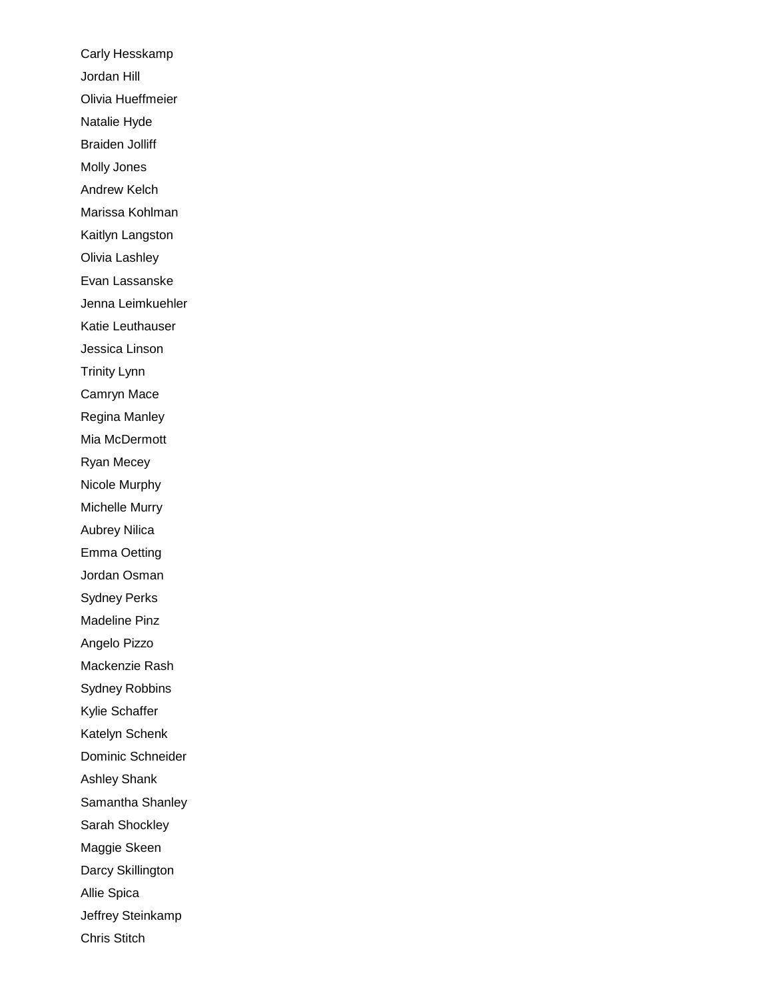Carly Hesskamp Jordan Hill Olivia Hueffmeier Natalie Hyde Braiden Jolliff Molly Jones Andrew Kelch Marissa Kohlman Kaitlyn Langston Olivia Lashley Evan Lassanske Jenna Leimkuehler Katie Leuthauser Jessica Linson Trinity Lynn Camryn Mace Regina Manley Mia McDermott Ryan Mecey Nicole Murphy Michelle Murry Aubrey Nilica Emma Oetting Jordan Osman Sydney Perks Madeline Pinz Angelo Pizzo Mackenzie Rash Sydney Robbins Kylie Schaffer Katelyn Schenk Dominic Schneider Ashley Shank Samantha Shanley Sarah Shockley Maggie Skeen Darcy Skillington Allie Spica Jeffrey Steinkamp Chris Stitch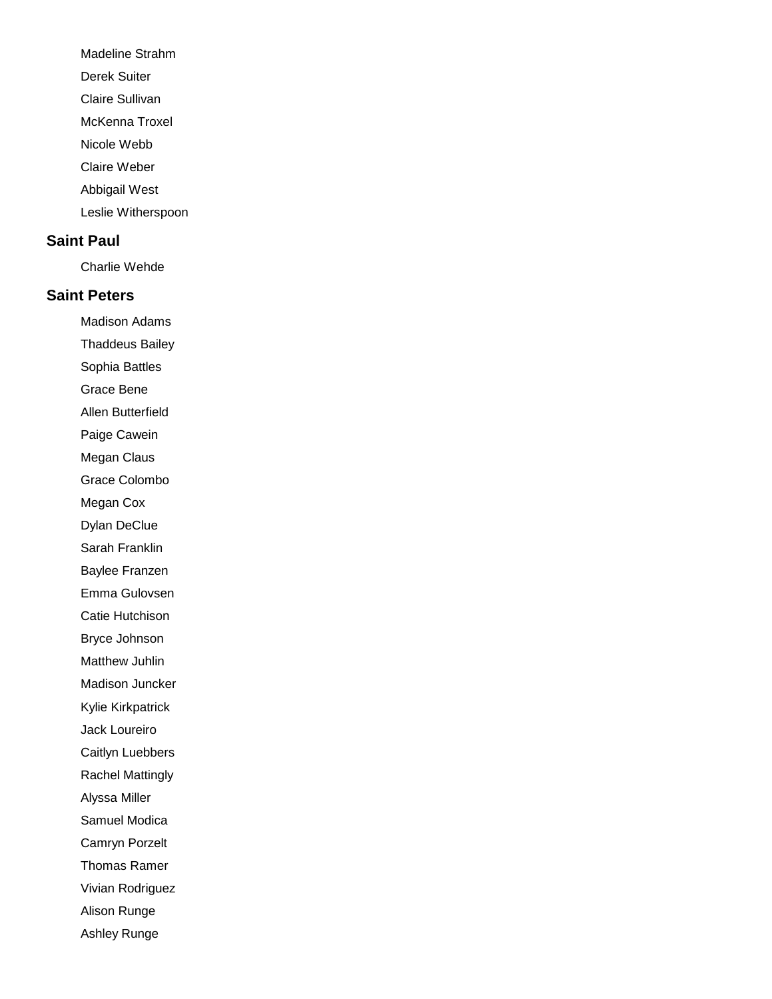- Madeline Strahm
- Derek Suiter
- Claire Sullivan
- McKenna Troxel
- Nicole Webb
- Claire Weber
- Abbigail West
- Leslie Witherspoon

### **Saint Paul**

Charlie Wehde

### **Saint Peters**

Madison Adams

Thaddeus Bailey

Sophia Battles Grace Bene

Allen Butterfield

Paige Cawein

Megan Claus

Grace Colombo

Megan Cox

Dylan DeClue

Sarah Franklin

Baylee Franzen

Emma Gulovsen

Catie Hutchison

Bryce Johnson

Matthew Juhlin

Madison Juncker

Kylie Kirkpatrick

Jack Loureiro

Caitlyn Luebbers

Rachel Mattingly

Alyssa Miller

Samuel Modica

Camryn Porzelt

Thomas Ramer

Vivian Rodriguez

Alison Runge

Ashley Runge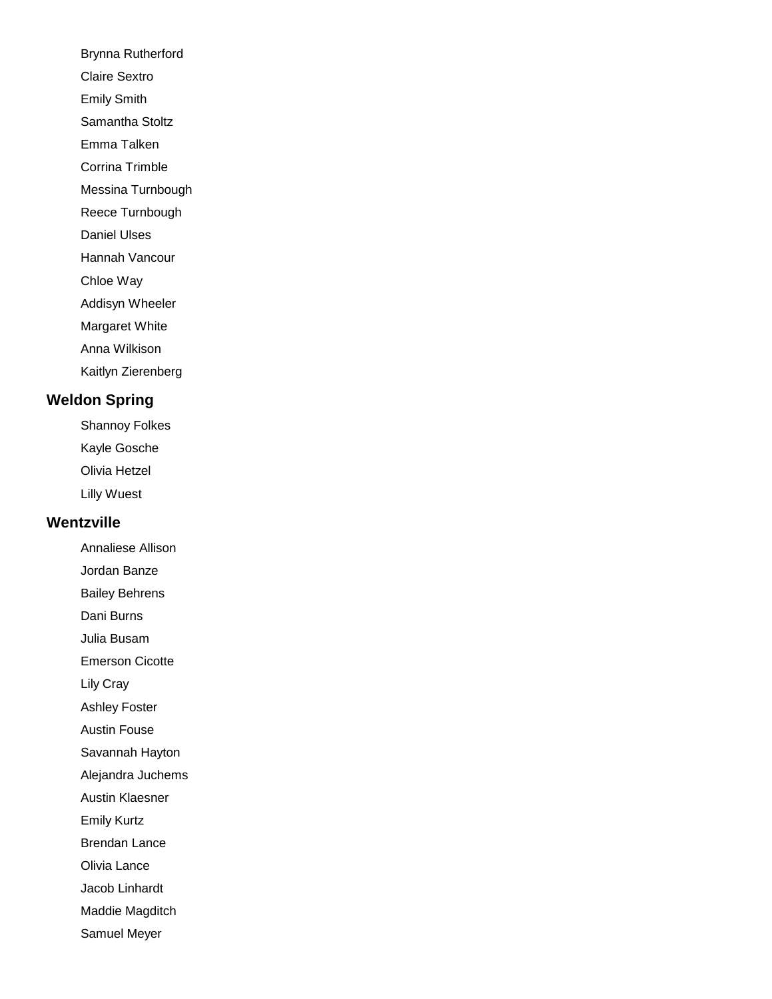- Brynna Rutherford
- Claire Sextro
- Emily Smith
- Samantha Stoltz
- Emma Talken
- Corrina Trimble
- Messina Turnbough
- Reece Turnbough
- Daniel Ulses
- Hannah Vancour
- Chloe Way
- Addisyn Wheeler
- Margaret White
- Anna Wilkison
- Kaitlyn Zierenberg

# **Weldon Spring**

- Shannoy Folkes
- Kayle Gosche
- Olivia Hetzel
- Lilly Wuest

# **Wentzville**

- Annaliese Allison
- Jordan Banze
- Bailey Behrens
- Dani Burns
- Julia Busam
- Emerson Cicotte
- Lily Cray
- Ashley Foster
- Austin Fouse
- Savannah Hayton
- Alejandra Juchems
- Austin Klaesner
- Emily Kurtz
- Brendan Lance
- Olivia Lance
- Jacob Linhardt
- Maddie Magditch
- Samuel Meyer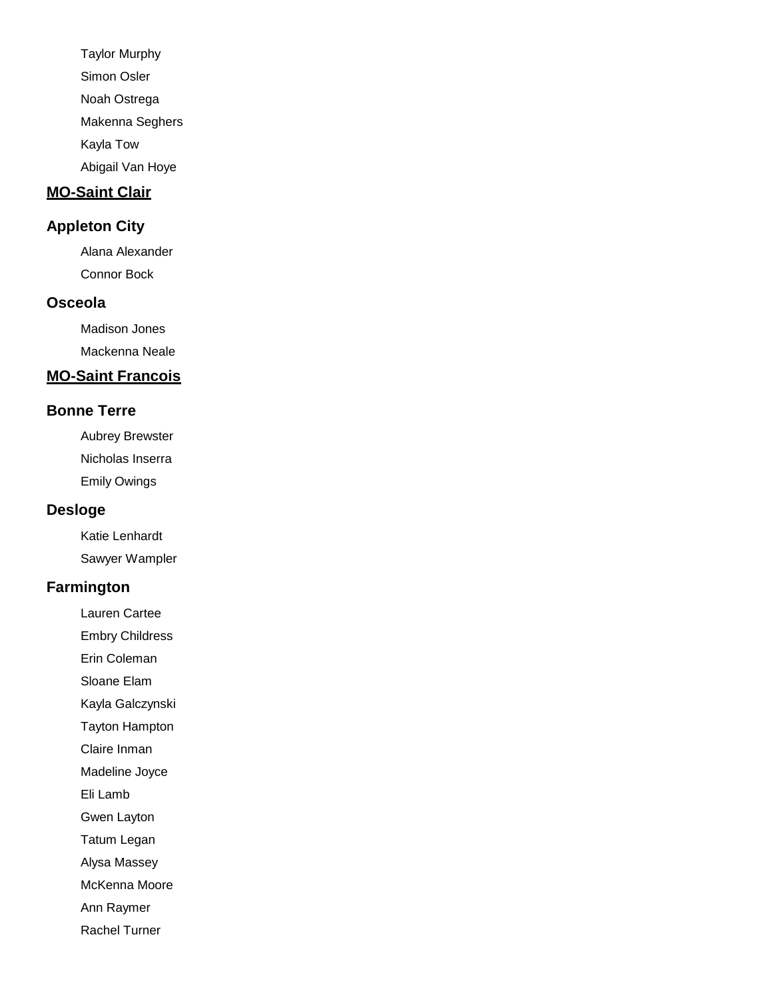Taylor Murphy Simon Osler Noah Ostrega Makenna Seghers Kayla Tow Abigail Van Hoye

#### **MO-Saint Clair**

### **Appleton City**

Alana Alexander Connor Bock

### **Osceola**

Madison Jones Mackenna Neale

# **MO-Saint Francois**

#### **Bonne Terre**

Aubrey Brewster Nicholas Inserra Emily Owings

#### **Desloge**

Katie Lenhardt Sawyer Wampler

#### **Farmington**

Lauren Cartee

Embry Childress

Erin Coleman

Sloane Elam

Kayla Galczynski

Tayton Hampton

Claire Inman

Madeline Joyce

Eli Lamb

Gwen Layton

Tatum Legan

Alysa Massey

McKenna Moore

Ann Raymer

Rachel Turner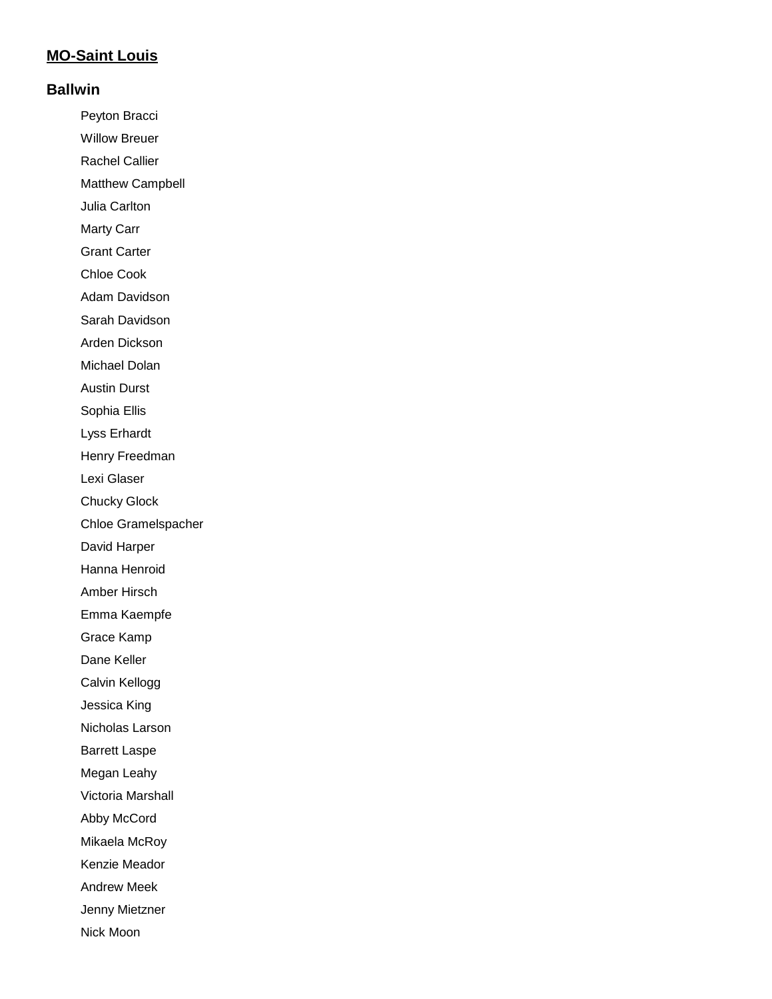### **MO-Saint Louis**

#### **Ballwin**

Peyton Bracci Willow Breuer Rachel Callier Matthew Campbell Julia Carlton Marty Carr Grant Carter Chloe Cook Adam Davidson Sarah Davidson Arden Dickson Michael Dolan Austin Durst Sophia Ellis Lyss Erhardt Henry Freedman Lexi Glaser Chucky Glock Chloe Gramelspacher David Harper Hanna Henroid Amber Hirsch Emma Kaempfe Grace Kamp Dane Keller Calvin Kellogg Jessica King Nicholas Larson Barrett Laspe Megan Leahy Victoria Marshall Abby McCord Mikaela McRoy Kenzie Meador Andrew Meek Jenny Mietzner Nick Moon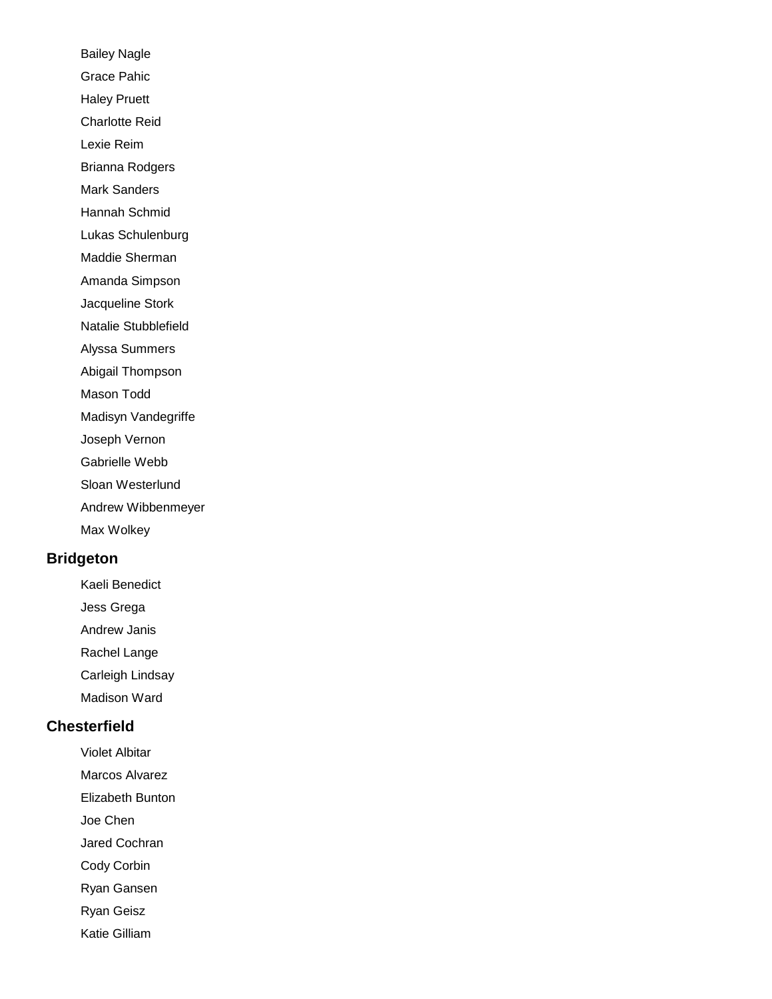Bailey Nagle Grace Pahic Haley Pruett Charlotte Reid Lexie Reim Brianna Rodgers Mark Sanders Hannah Schmid Lukas Schulenburg Maddie Sherman Amanda Simpson Jacqueline Stork Natalie Stubblefield Alyssa Summers Abigail Thompson Mason Todd Madisyn Vandegriffe Joseph Vernon Gabrielle Webb Sloan Westerlund Andrew Wibbenmeyer Max Wolkey

#### **Bridgeton**

Kaeli Benedict

Jess Grega

Andrew Janis

Rachel Lange

Carleigh Lindsay

Madison Ward

## **Chesterfield**

Violet Albitar

Marcos Alvarez

Elizabeth Bunton

Joe Chen

Jared Cochran

Cody Corbin

Ryan Gansen

Ryan Geisz

Katie Gilliam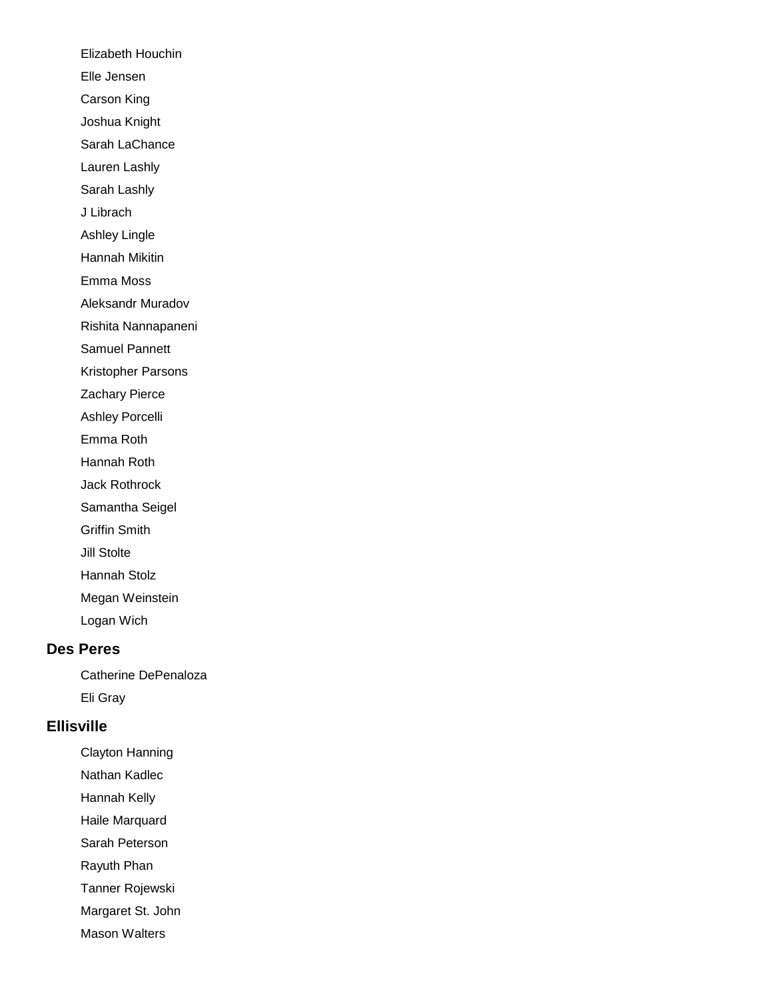Elizabeth Houchin Elle Jensen Carson King Joshua Knight Sarah LaChance Lauren Lashly Sarah Lashly J Librach Ashley Lingle Hannah Mikitin Emma Moss Aleksandr Muradov Rishita Nannapaneni Samuel Pannett Kristopher Parsons Zachary Pierce Ashley Porcelli Emma Roth Hannah Roth Jack Rothrock Samantha Seigel Griffin Smith Jill Stolte Hannah Stolz Megan Weinstein Logan Wich

#### **Des Peres**

Catherine DePenaloza Eli Gray

#### **Ellisville**

Clayton Hanning

Nathan Kadlec

Hannah Kelly

Haile Marquard

Sarah Peterson

Rayuth Phan

Tanner Rojewski

Margaret St. John

Mason Walters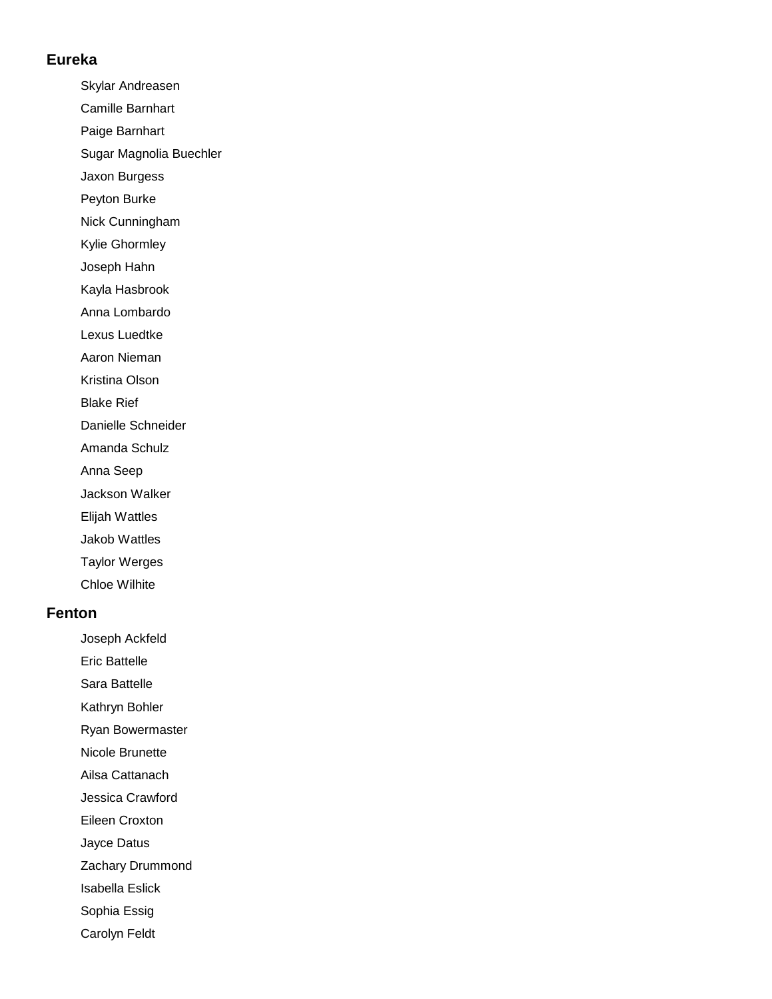#### **Eureka**

Skylar Andreasen

- Camille Barnhart
- Paige Barnhart
- Sugar Magnolia Buechler
- Jaxon Burgess
- Peyton Burke
- Nick Cunningham
- Kylie Ghormley
- Joseph Hahn
- Kayla Hasbrook
- Anna Lombardo
- Lexus Luedtke
- Aaron Nieman
- Kristina Olson
- Blake Rief
- Danielle Schneider
- Amanda Schulz
- Anna Seep
- Jackson Walker
- Elijah Wattles
- Jakob Wattles
- Taylor Werges
- Chloe Wilhite

#### **Fenton**

- Joseph Ackfeld
- Eric Battelle
- Sara Battelle
- Kathryn Bohler
- Ryan Bowermaster
- Nicole Brunette
- Ailsa Cattanach
- Jessica Crawford
- Eileen Croxton
- Jayce Datus
- Zachary Drummond
- Isabella Eslick
- Sophia Essig
- Carolyn Feldt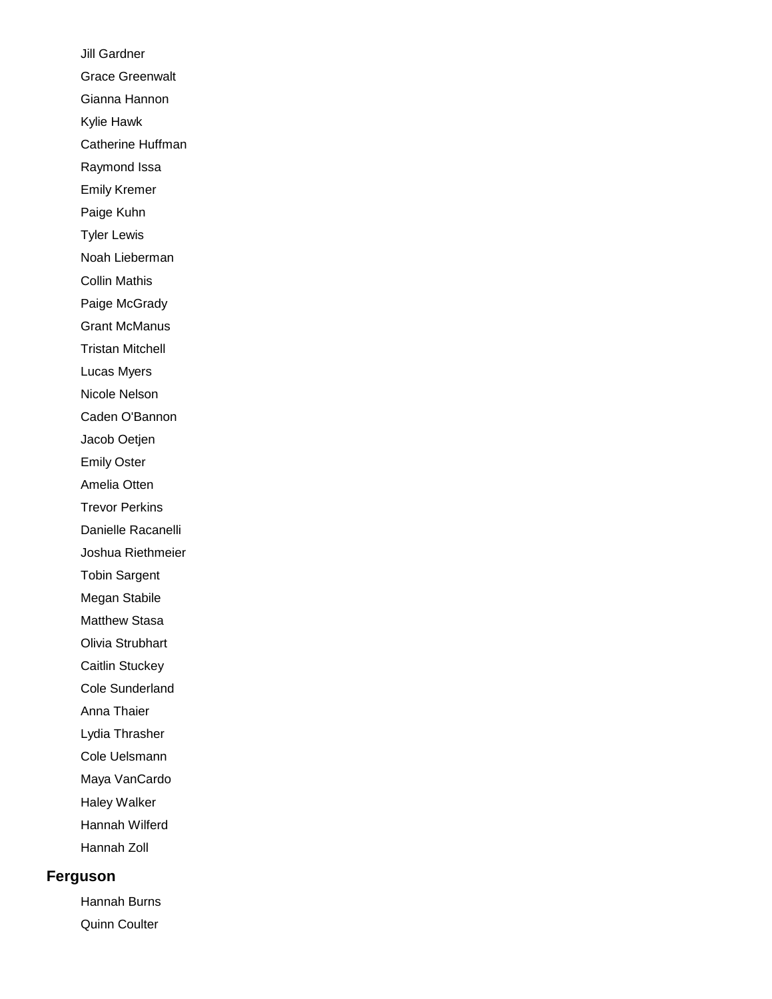Jill Gardner Grace Greenwalt Gianna Hannon Kylie Hawk Catherine Huffman Raymond Issa Emily Kremer Paige Kuhn Tyler Lewis Noah Lieberman Collin Mathis Paige McGrady Grant McManus Tristan Mitchell Lucas Myers Nicole Nelson Caden O'Bannon Jacob Oetjen Emily Oster Amelia Otten Trevor Perkins Danielle Racanelli Joshua Riethmeier Tobin Sargent Megan Stabile Matthew Stasa Olivia Strubhart Caitlin Stuckey Cole Sunderland Anna Thaier Lydia Thrasher Cole Uelsmann Maya VanCardo Haley Walker Hannah Wilferd Hannah Zoll **Ferguson**

> Hannah Burns Quinn Coulter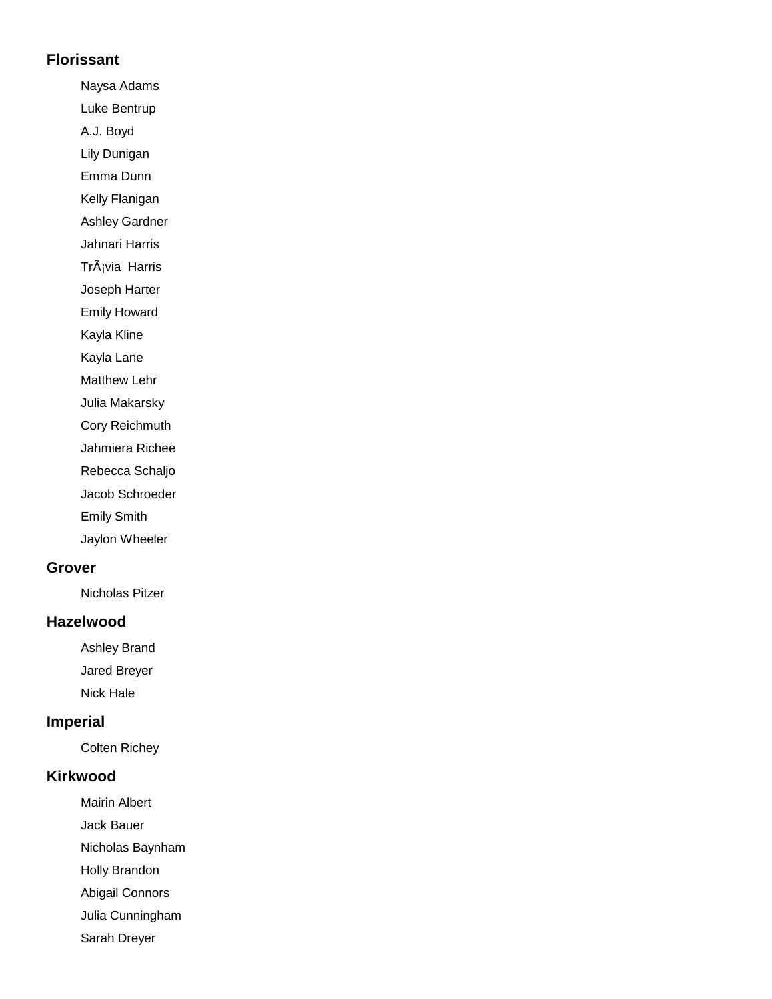#### **Florissant**

Naysa Adams

Luke Bentrup

A.J. Boyd

Lily Dunigan

Emma Dunn

Kelly Flanigan Ashley Gardner

Jahnari Harris

Trávia Harris

Joseph Harter

Emily Howard

Kayla Kline

Kayla Lane

Matthew Lehr

Julia Makarsky

Cory Reichmuth

Jahmiera Richee

Rebecca Schaljo

Jacob Schroeder

Emily Smith

Jaylon Wheeler

#### **Grover**

Nicholas Pitzer

### **Hazelwood**

Ashley Brand Jared Breyer

Nick Hale

## **Imperial**

Colten Richey

### **Kirkwood**

Mairin Albert

Jack Bauer

Nicholas Baynham

Holly Brandon

Abigail Connors

Julia Cunningham

Sarah Dreyer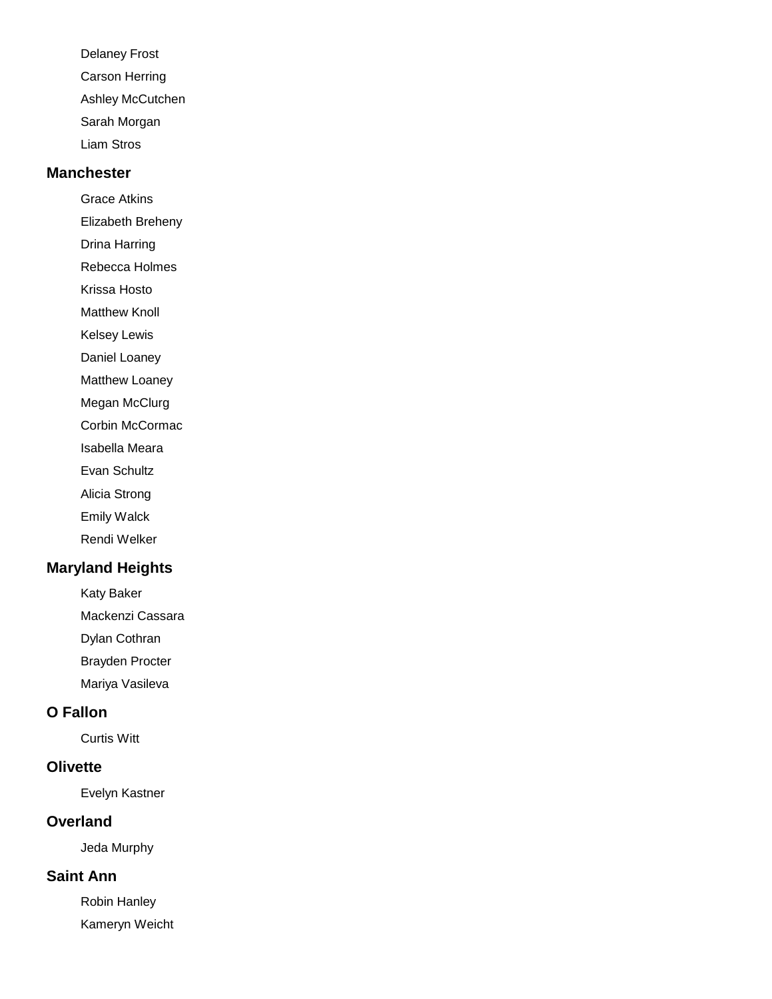Delaney Frost Carson Herring Ashley McCutchen Sarah Morgan Liam Stros

#### **Manchester**

Grace Atkins

Elizabeth Breheny

Drina Harring

Rebecca Holmes

Krissa Hosto

Matthew Knoll

Kelsey Lewis

Daniel Loaney

Matthew Loaney

Megan McClurg

Corbin McCormac

Isabella Meara

Evan Schultz

Alicia Strong

Emily Walck

Rendi Welker

## **Maryland Heights**

Katy Baker

Mackenzi Cassara

Dylan Cothran

Brayden Procter

Mariya Vasileva

## **O Fallon**

Curtis Witt

#### **Olivette**

Evelyn Kastner

#### **Overland**

Jeda Murphy

### **Saint Ann**

Robin Hanley Kameryn Weicht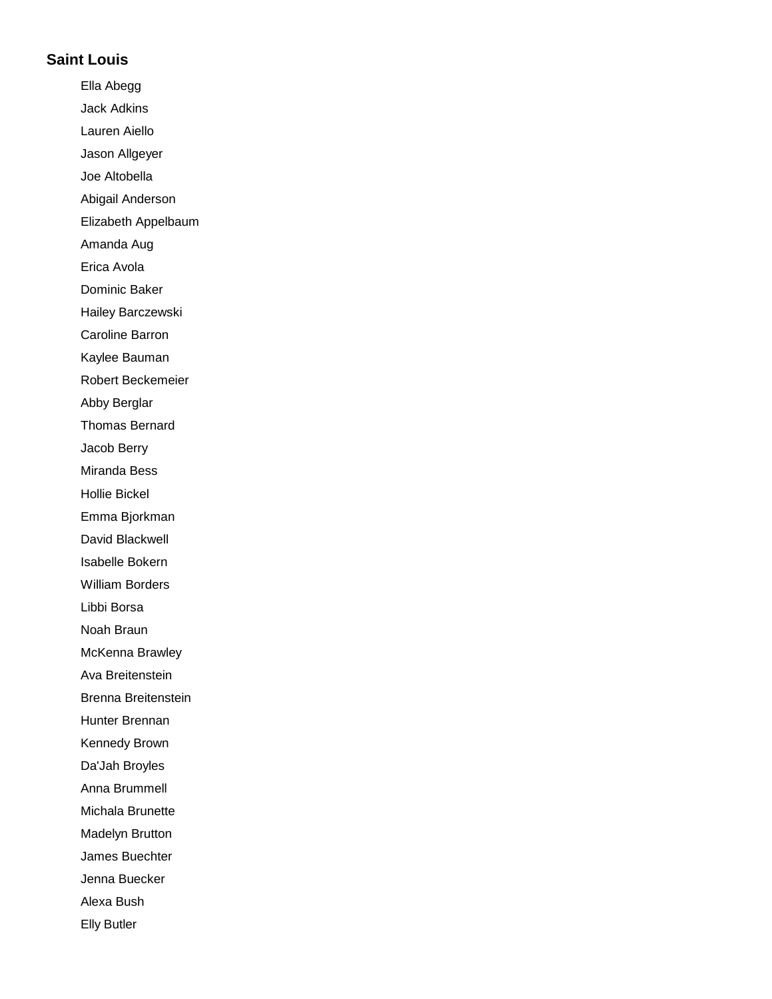#### **Saint Louis**

Ella Abegg Jack Adkins Lauren Aiello Jason Allgeyer Joe Altobella Abigail Anderson Elizabeth Appelbaum Amanda Aug Erica Avola Dominic Baker Hailey Barczewski Caroline Barron Kaylee Bauman Robert Beckemeier Abby Berglar Thomas Bernard Jacob Berry Miranda Bess Hollie Bickel Emma Bjorkman David Blackwell Isabelle Bokern William Borders Libbi Borsa Noah Braun McKenna Brawley Ava Breitenstein Brenna Breitenstein Hunter Brennan Kennedy Brown Da'Jah Broyles Anna Brummell Michala Brunette Madelyn Brutton James Buechter Jenna Buecker Alexa Bush Elly Butler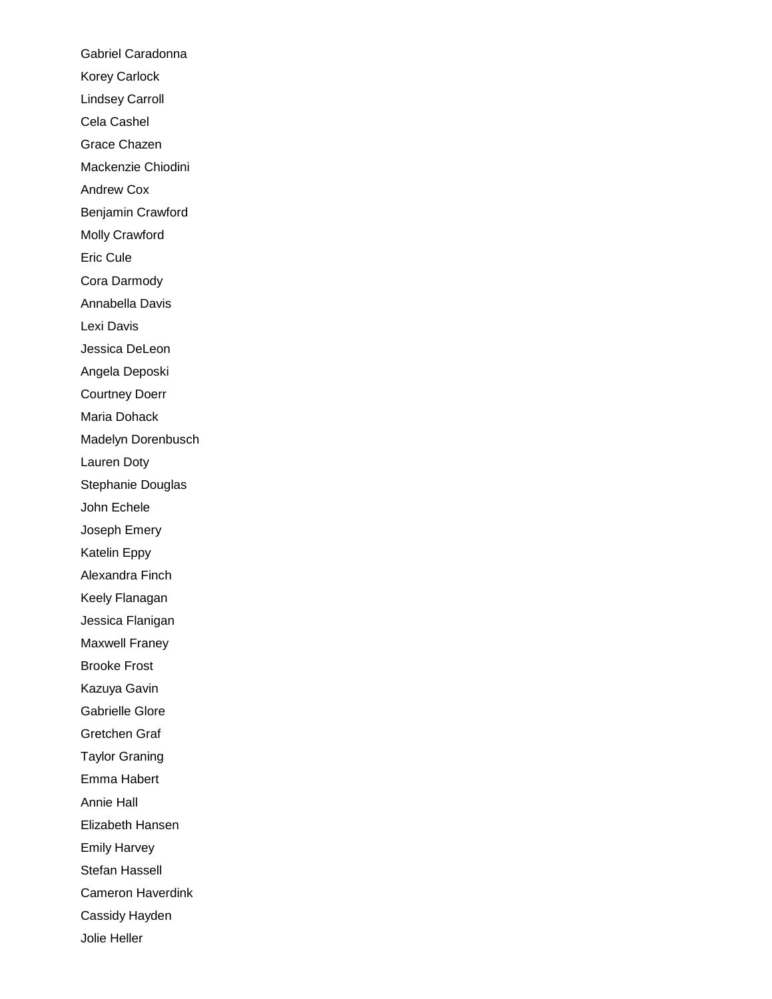Gabriel Caradonna Korey Carlock Lindsey Carroll Cela Cashel Grace Chazen Mackenzie Chiodini Andrew Cox Benjamin Crawford Molly Crawford Eric Cule Cora Darmody Annabella Davis Lexi Davis Jessica DeLeon Angela Deposki Courtney Doerr Maria Dohack Madelyn Dorenbusch Lauren Doty Stephanie Douglas John Echele Joseph Emery Katelin Eppy Alexandra Finch Keely Flanagan Jessica Flanigan Maxwell Franey Brooke Frost Kazuya Gavin Gabrielle Glore Gretchen Graf Taylor Graning Emma Habert Annie Hall Elizabeth Hansen Emily Harvey Stefan Hassell Cameron Haverdink Cassidy Hayden Jolie Heller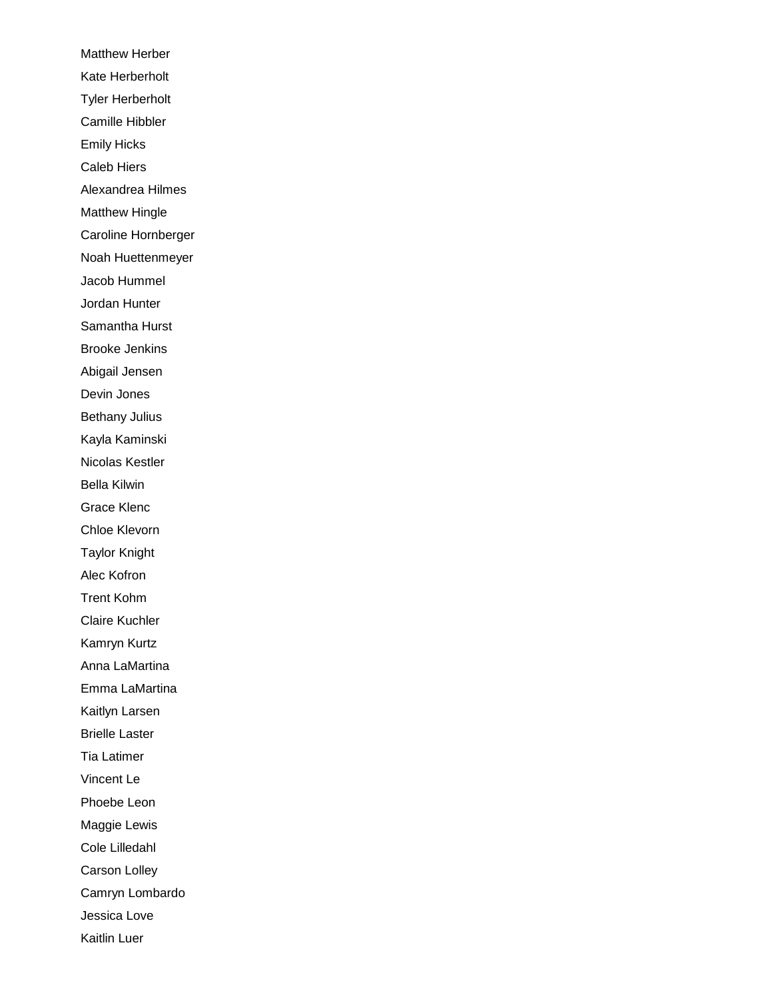Matthew Herber Kate Herberholt Tyler Herberholt Camille Hibbler Emily Hicks Caleb Hiers Alexandrea Hilmes Matthew Hingle Caroline Hornberger Noah Huettenmeyer Jacob Hummel Jordan Hunter Samantha Hurst Brooke Jenkins Abigail Jensen Devin Jones Bethany Julius Kayla Kaminski Nicolas Kestler Bella Kilwin Grace Klenc Chloe Klevorn Taylor Knight Alec Kofron Trent Kohm Claire Kuchler Kamryn Kurtz Anna LaMartina Emma LaMartina Kaitlyn Larsen Brielle Laster Tia Latimer Vincent Le Phoebe Leon Maggie Lewis Cole Lilledahl Carson Lolley Camryn Lombardo Jessica Love Kaitlin Luer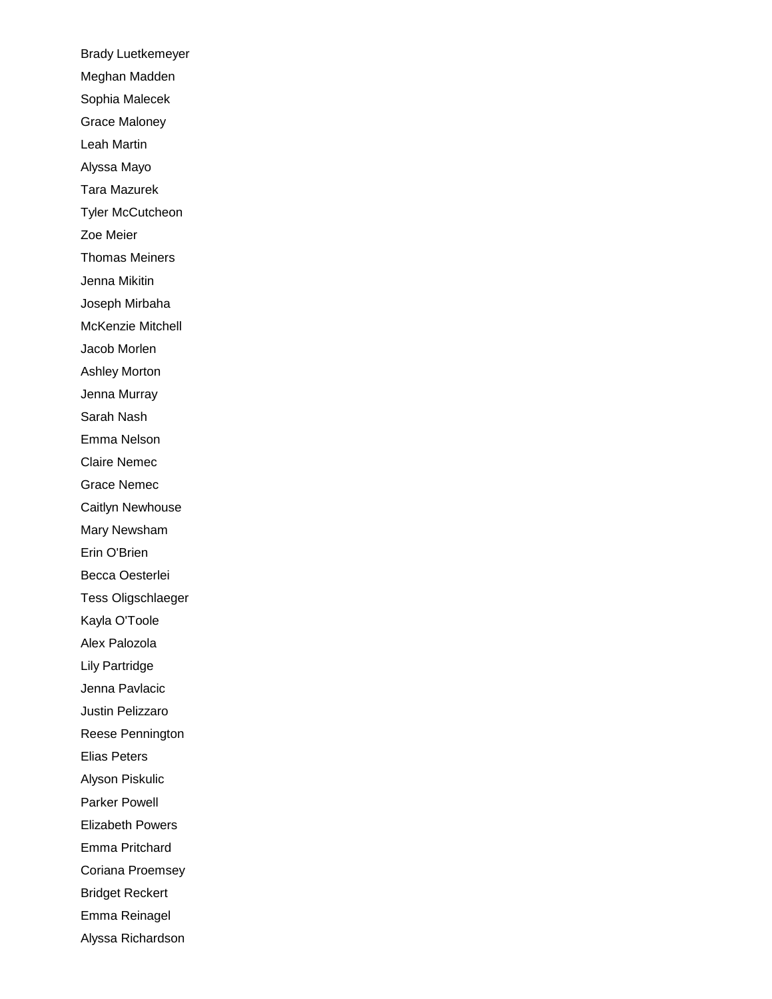Brady Luetkemeyer Meghan Madden Sophia Malecek Grace Maloney Leah Martin Alyssa Mayo Tara Mazurek Tyler McCutcheon Zoe Meier Thomas Meiners Jenna Mikitin Joseph Mirbaha McKenzie Mitchell Jacob Morlen Ashley Morton Jenna Murray Sarah Nash Emma Nelson Claire Nemec Grace Nemec Caitlyn Newhouse Mary Newsham Erin O'Brien Becca Oesterlei Tess Oligschlaeger Kayla O'Toole Alex Palozola Lily Partridge Jenna Pavlacic Justin Pelizzaro Reese Pennington Elias Peters Alyson Piskulic Parker Powell Elizabeth Powers Emma Pritchard Coriana Proemsey Bridget Reckert Emma Reinagel Alyssa Richardson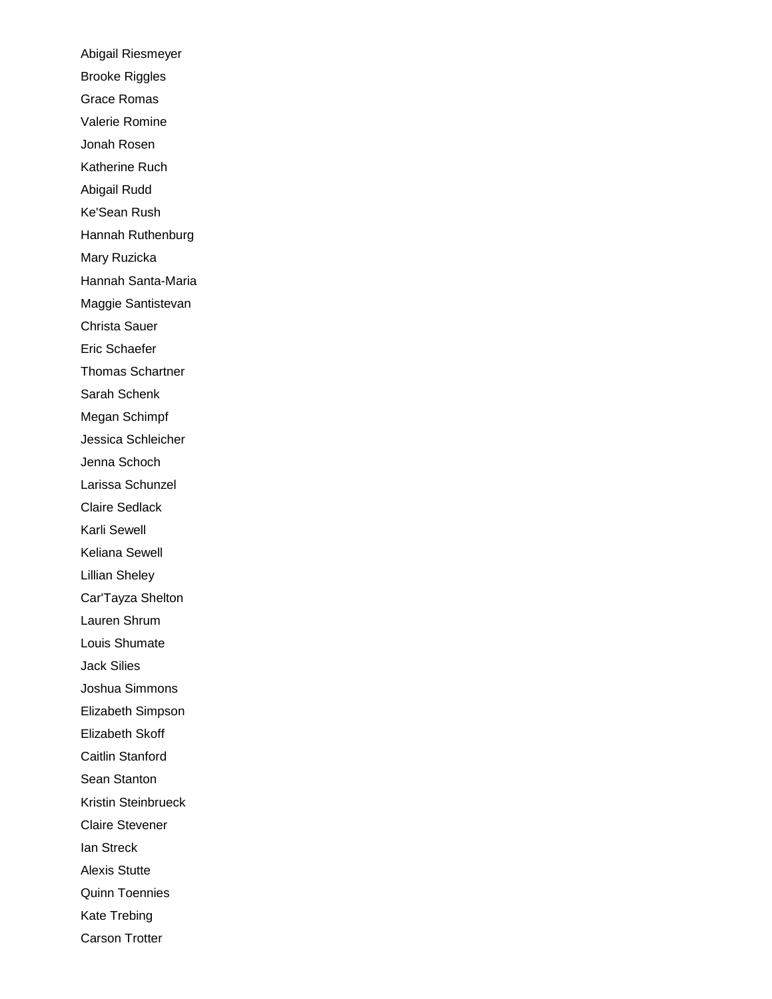Abigail Riesmeyer Brooke Riggles Grace Romas Valerie Romine Jonah Rosen Katherine Ruch Abigail Rudd Ke'Sean Rush Hannah Ruthenburg Mary Ruzicka Hannah Santa-Maria Maggie Santistevan Christa Sauer Eric Schaefer Thomas Schartner Sarah Schenk Megan Schimpf Jessica Schleicher Jenna Schoch Larissa Schunzel Claire Sedlack Karli Sewell Keliana Sewell Lillian Sheley Car'Tayza Shelton Lauren Shrum Louis Shumate Jack Silies Joshua Simmons Elizabeth Simpson Elizabeth Skoff Caitlin Stanford Sean Stanton Kristin Steinbrueck Claire Stevener Ian Streck Alexis Stutte Quinn Toennies Kate Trebing Carson Trotter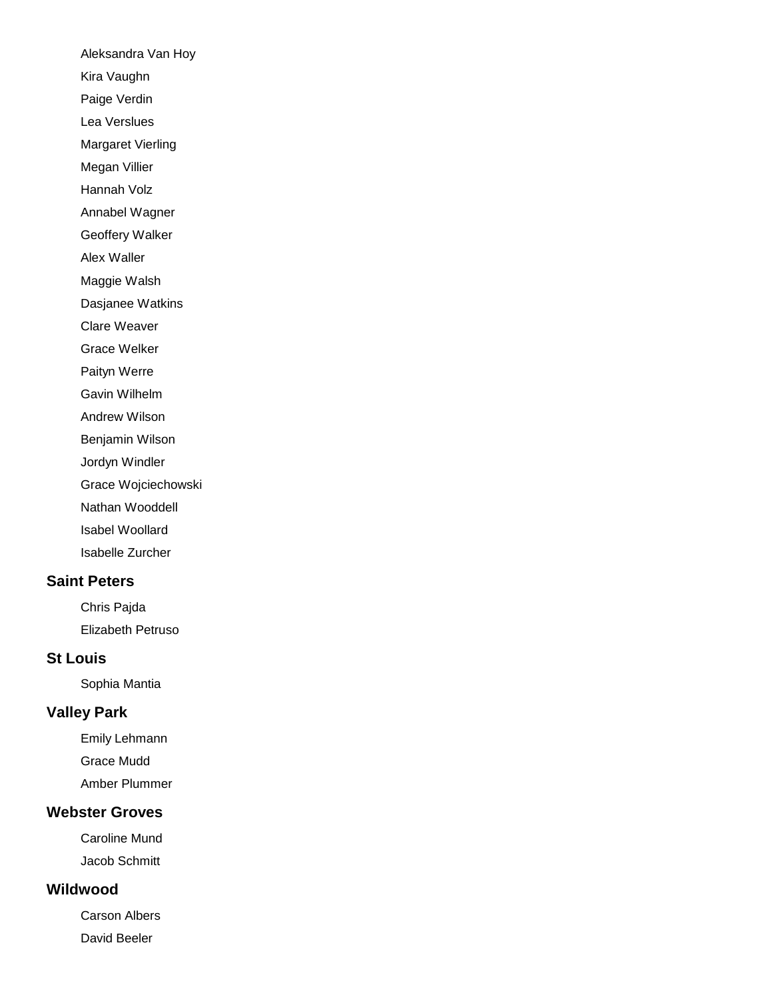Aleksandra Van Hoy Kira Vaughn Paige Verdin Lea Verslues Margaret Vierling Megan Villier Hannah Volz Annabel Wagner Geoffery Walker Alex Waller Maggie Walsh Dasjanee Watkins Clare Weaver Grace Welker Paityn Werre Gavin Wilhelm Andrew Wilson Benjamin Wilson Jordyn Windler Grace Wojciechowski Nathan Wooddell Isabel Woollard Isabelle Zurcher

## **Saint Peters**

Chris Pajda Elizabeth Petruso

#### **St Louis**

Sophia Mantia

## **Valley Park**

Emily Lehmann Grace Mudd Amber Plummer

## **Webster Groves**

Caroline Mund Jacob Schmitt

## **Wildwood**

Carson Albers David Beeler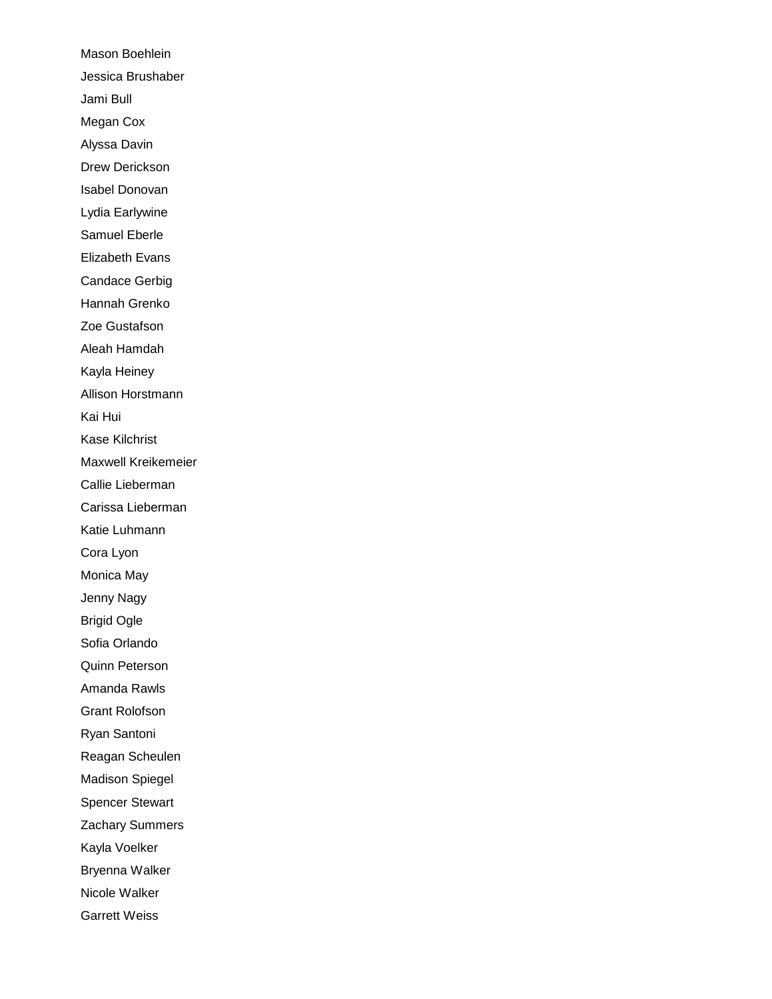Mason Boehlein Jessica Brushaber Jami Bull Megan Cox Alyssa Davin Drew Derickson Isabel Donovan Lydia Earlywine Samuel Eberle Elizabeth Evans Candace Gerbig Hannah Grenko Zoe Gustafson Aleah Hamdah Kayla Heiney Allison Horstmann Kai Hui Kase Kilchrist Maxwell Kreikemeier Callie Lieberman Carissa Lieberman Katie Luhmann Cora Lyon Monica May Jenny Nagy Brigid Ogle Sofia Orlando Quinn Peterson Amanda Rawls Grant Rolofson Ryan Santoni Reagan Scheulen Madison Spiegel Spencer Stewart Zachary Summers Kayla Voelker Bryenna Walker Nicole Walker Garrett Weiss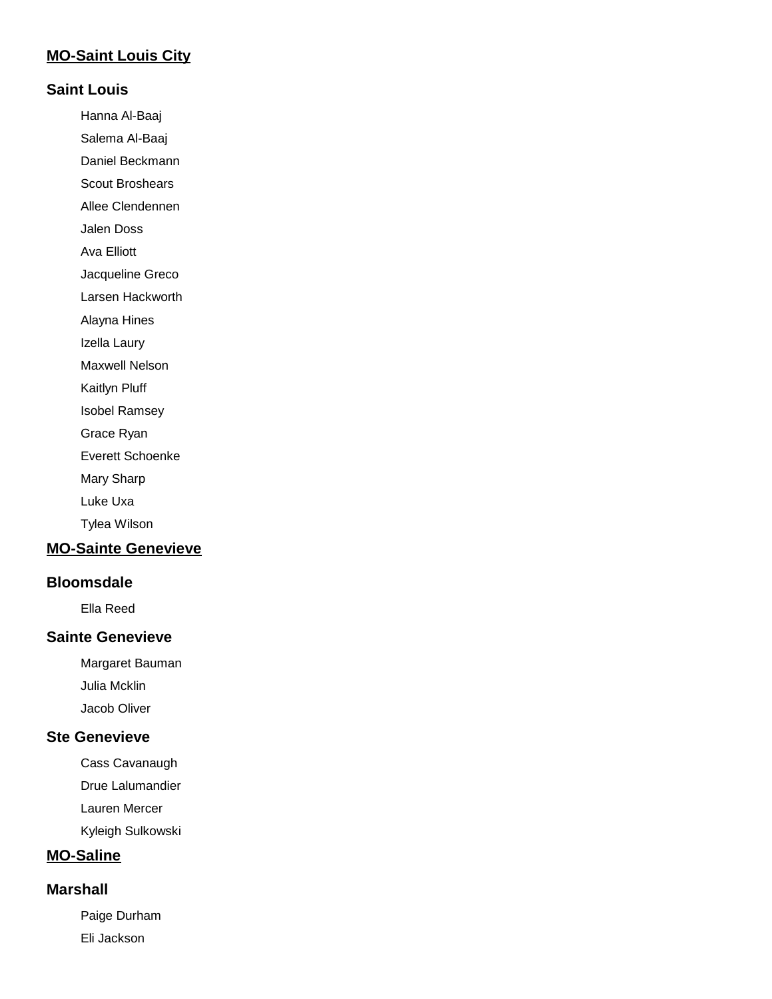## **MO-Saint Louis City**

#### **Saint Louis**

Hanna Al-Baaj

Salema Al-Baaj

Daniel Beckmann

Scout Broshears Allee Clendennen

Jalen Doss

Ava Elliott

Jacqueline Greco

Larsen Hackworth

Alayna Hines

Izella Laury

Maxwell Nelson

Kaitlyn Pluff

Isobel Ramsey

Grace Ryan

Everett Schoenke

Mary Sharp

Luke Uxa

Tylea Wilson

# **MO-Sainte Genevieve**

#### **Bloomsdale**

Ella Reed

### **Sainte Genevieve**

Margaret Bauman Julia Mcklin

Jacob Oliver

#### **Ste Genevieve**

Cass Cavanaugh Drue Lalumandier

Lauren Mercer

Kyleigh Sulkowski

# **MO-Saline**

#### **Marshall**

Paige Durham Eli Jackson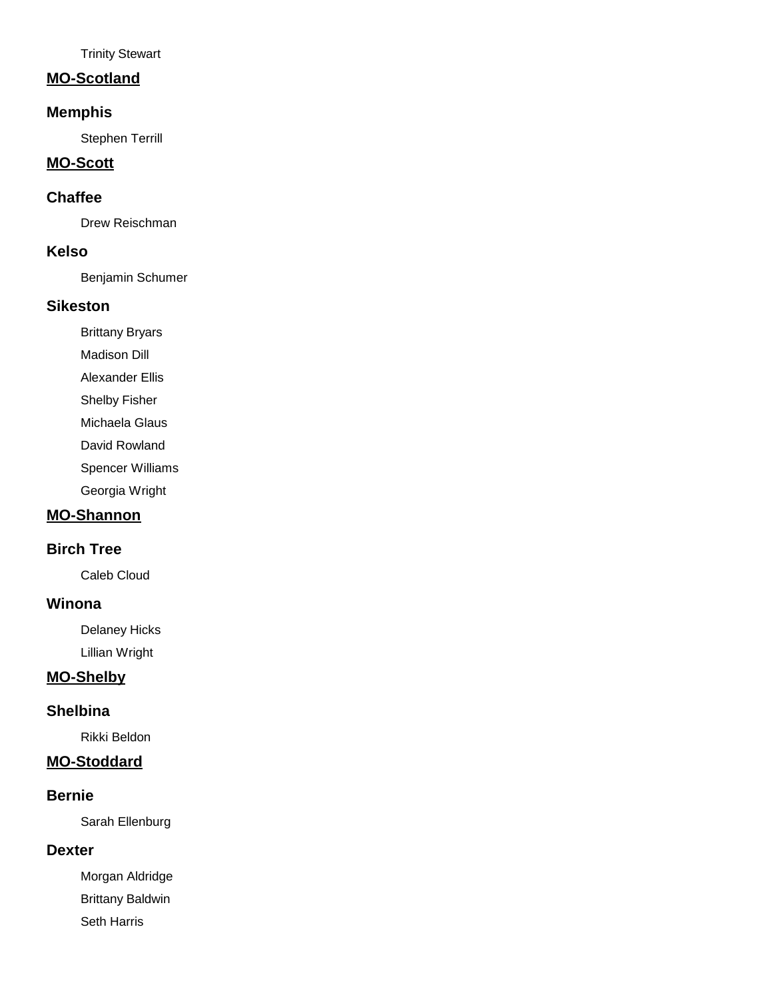Trinity Stewart

#### **MO-Scotland**

## **Memphis**

Stephen Terrill

### **MO-Scott**

### **Chaffee**

Drew Reischman

#### **Kelso**

Benjamin Schumer

#### **Sikeston**

Brittany Bryars

Madison Dill

Alexander Ellis

Shelby Fisher

Michaela Glaus

David Rowland

Spencer Williams

Georgia Wright

# **MO-Shannon**

## **Birch Tree**

Caleb Cloud

#### **Winona**

Delaney Hicks Lillian Wright

## **MO-Shelby**

#### **Shelbina**

Rikki Beldon

## **MO-Stoddard**

#### **Bernie**

Sarah Ellenburg

#### **Dexter**

Morgan Aldridge Brittany Baldwin Seth Harris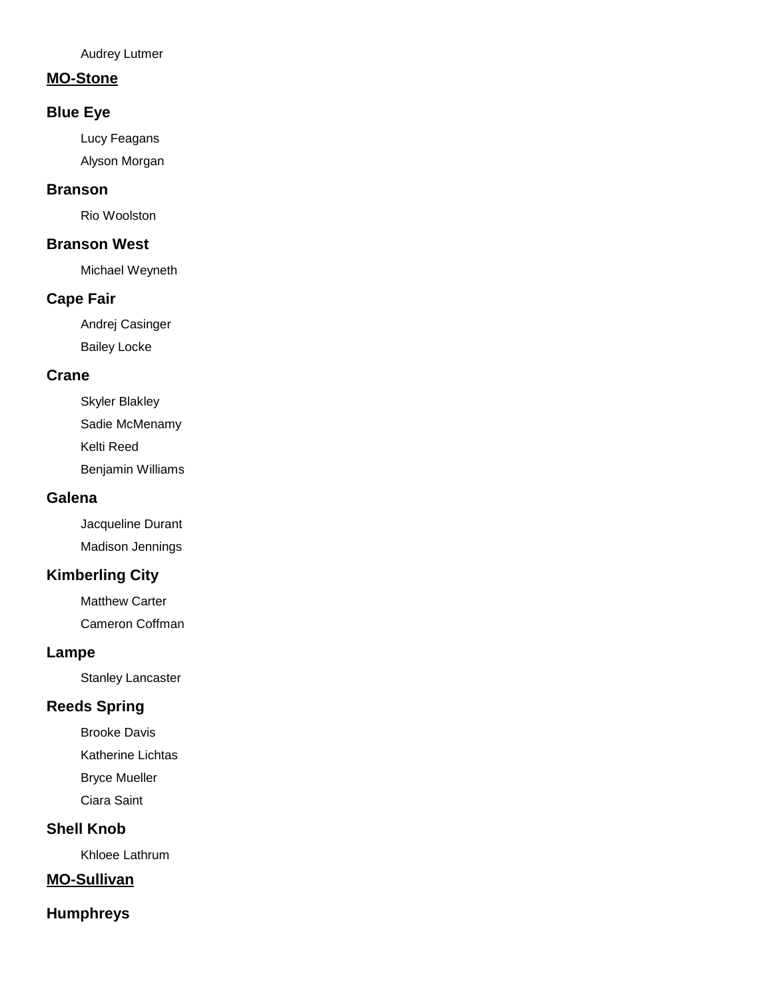Audrey Lutmer

#### **MO-Stone**

## **Blue Eye**

Lucy Feagans

Alyson Morgan

# **Branson**

Rio Woolston

### **Branson West**

Michael Weyneth

## **Cape Fair**

Andrej Casinger Bailey Locke

#### **Crane**

Skyler Blakley Sadie McMenamy Kelti Reed Benjamin Williams

#### **Galena**

Jacqueline Durant Madison Jennings

# **Kimberling City**

Matthew Carter Cameron Coffman

#### **Lampe**

Stanley Lancaster

# **Reeds Spring**

Brooke Davis Katherine Lichtas Bryce Mueller Ciara Saint

## **Shell Knob**

Khloee Lathrum

## **MO-Sullivan**

## **Humphreys**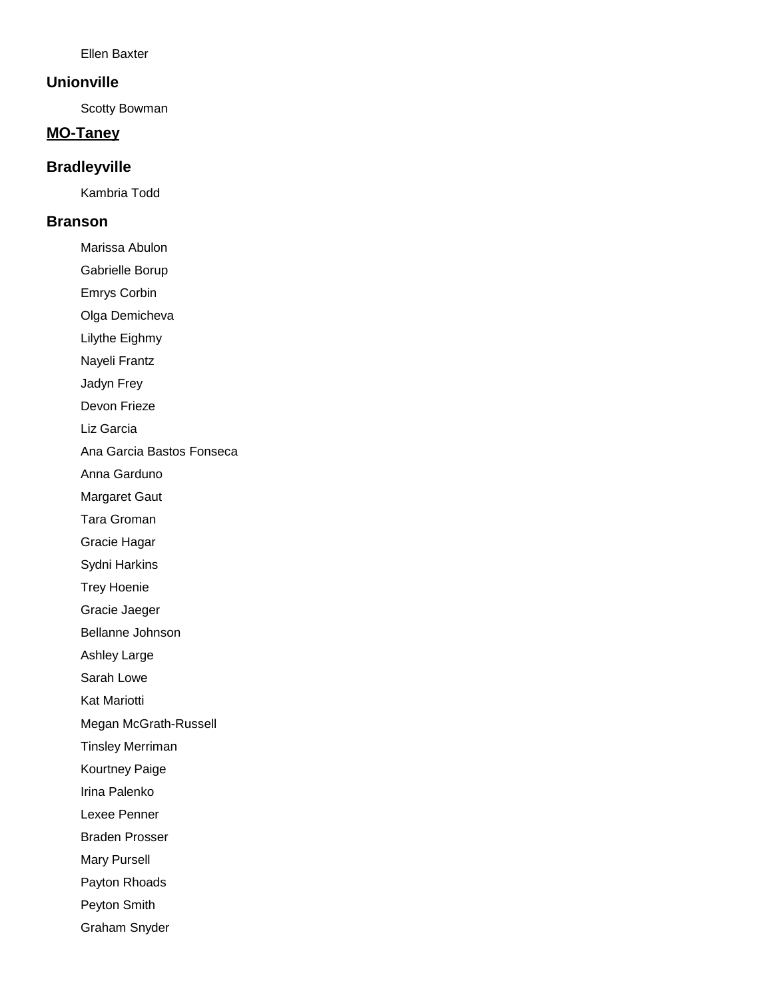Ellen Baxter

#### **Unionville**

Scotty Bowman

## **MO-Taney**

#### **Bradleyville**

Kambria Todd

#### **Branson**

Marissa Abulon

Gabrielle Borup

Emrys Corbin

Olga Demicheva

Lilythe Eighmy

Nayeli Frantz

Jadyn Frey

Devon Frieze

Liz Garcia

Ana Garcia Bastos Fonseca

Anna Garduno

Margaret Gaut

Tara Groman

Gracie Hagar

Sydni Harkins

Trey Hoenie

Gracie Jaeger

Bellanne Johnson

Ashley Large

Sarah Lowe

Kat Mariotti

Megan McGrath-Russell

Tinsley Merriman

Kourtney Paige

Irina Palenko

Lexee Penner

Braden Prosser

Mary Pursell

Payton Rhoads

Peyton Smith

Graham Snyder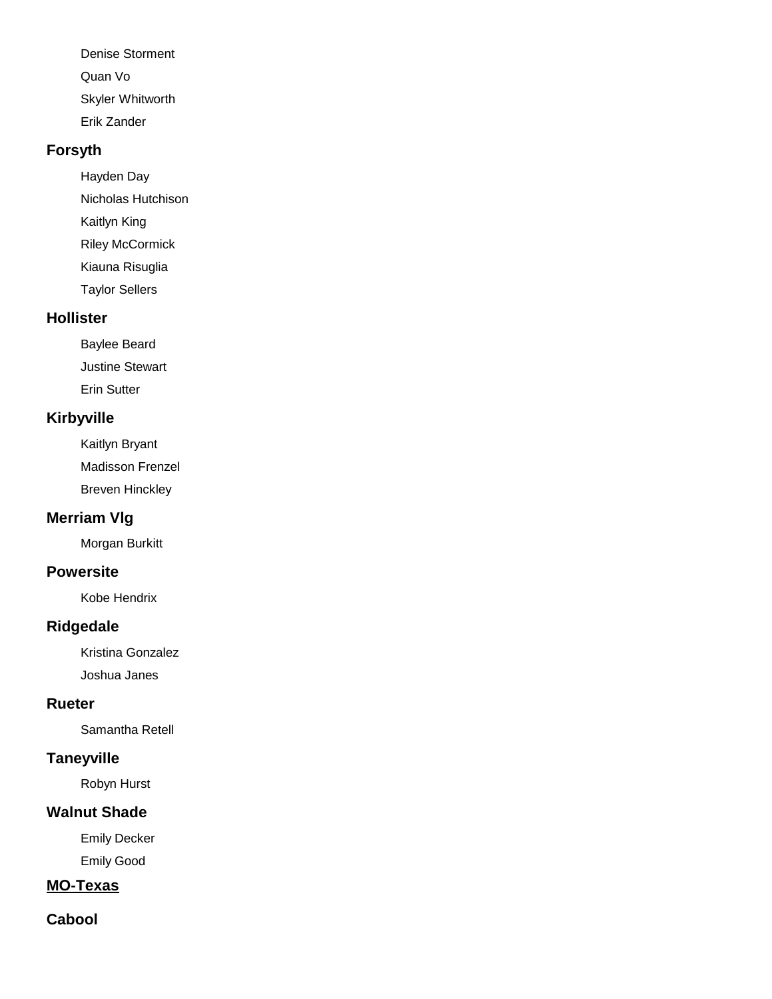Denise Storment Quan Vo Skyler Whitworth Erik Zander

# **Forsyth**

Hayden Day Nicholas Hutchison Kaitlyn King Riley McCormick

Kiauna Risuglia

Taylor Sellers

#### **Hollister**

Baylee Beard Justine Stewart Erin Sutter

## **Kirbyville**

Kaitlyn Bryant Madisson Frenzel Breven Hinckley

## **Merriam Vlg**

Morgan Burkitt

## **Powersite**

Kobe Hendrix

## **Ridgedale**

Kristina Gonzalez Joshua Janes

#### **Rueter**

Samantha Retell

## **Taneyville**

Robyn Hurst

# **Walnut Shade**

Emily Decker Emily Good

# **MO-Texas**

## **Cabool**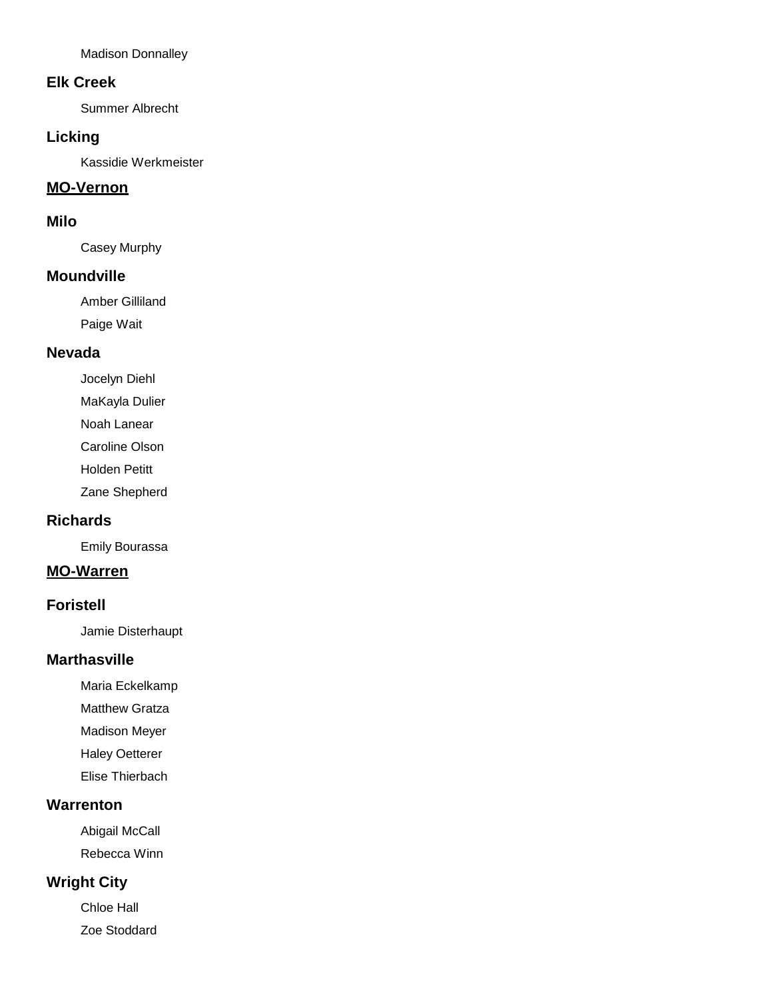Madison Donnalley

#### **Elk Creek**

Summer Albrecht

## **Licking**

Kassidie Werkmeister

## **MO-Vernon**

#### **Milo**

Casey Murphy

#### **Moundville**

Amber Gilliland Paige Wait

### **Nevada**

Jocelyn Diehl

- MaKayla Dulier
- Noah Lanear

Caroline Olson

Holden Petitt

Zane Shepherd

#### **Richards**

Emily Bourassa

### **MO-Warren**

#### **Foristell**

Jamie Disterhaupt

#### **Marthasville**

- Maria Eckelkamp
- Matthew Gratza
- Madison Meyer
- Haley Oetterer
- Elise Thierbach

## **Warrenton**

Abigail McCall Rebecca Winn

# **Wright City**

Chloe Hall Zoe Stoddard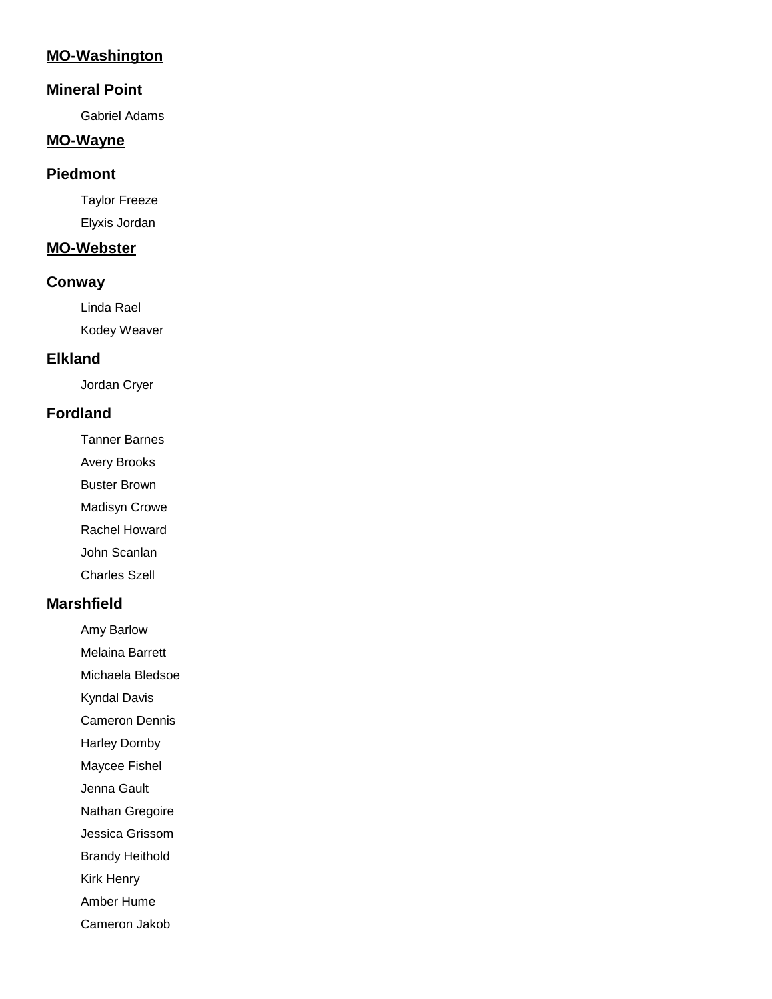# **MO-Washington**

#### **Mineral Point**

Gabriel Adams

#### **MO-Wayne**

#### **Piedmont**

Taylor Freeze Elyxis Jordan

#### **MO-Webster**

#### **Conway**

Linda Rael Kodey Weaver

## **Elkland**

Jordan Cryer

# **Fordland**

- Tanner Barnes
- Avery Brooks
- Buster Brown
- Madisyn Crowe
- Rachel Howard
- John Scanlan
- Charles Szell

### **Marshfield**

Amy Barlow

- Melaina Barrett
- Michaela Bledsoe
- Kyndal Davis
- Cameron Dennis
- Harley Domby
- Maycee Fishel
- Jenna Gault
- Nathan Gregoire
- Jessica Grissom
- Brandy Heithold
- Kirk Henry
- Amber Hume
- Cameron Jakob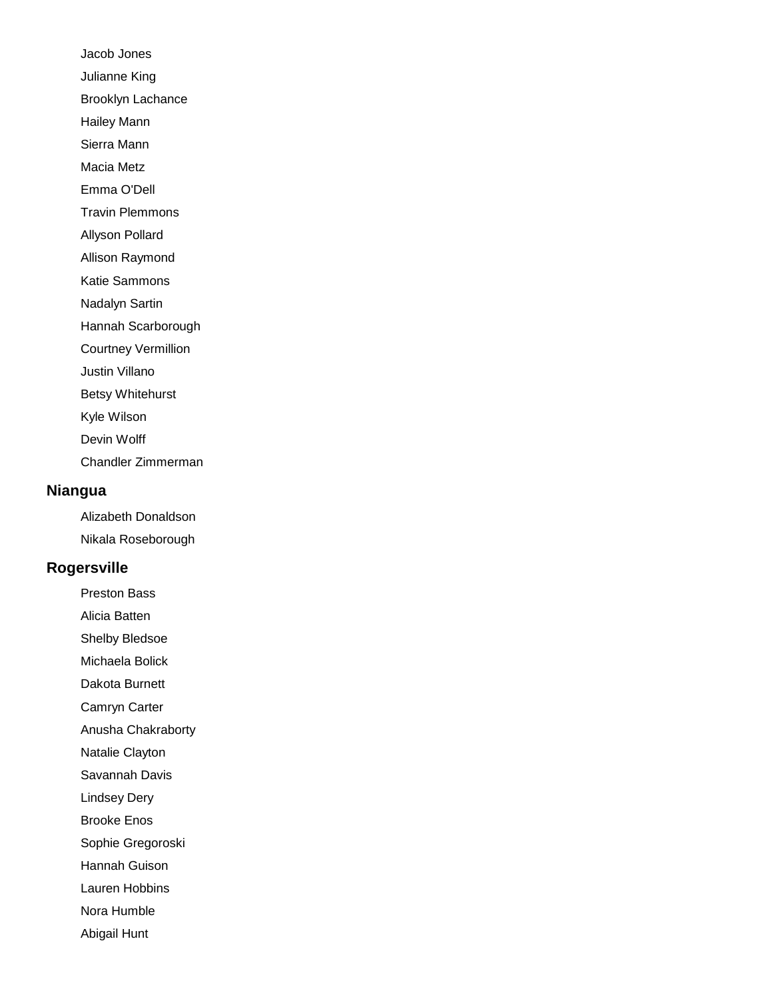Jacob Jones Julianne King Brooklyn Lachance Hailey Mann Sierra Mann Macia Metz Emma O'Dell Travin Plemmons Allyson Pollard Allison Raymond Katie Sammons Nadalyn Sartin Hannah Scarborough Courtney Vermillion Justin Villano Betsy Whitehurst Kyle Wilson Devin Wolff Chandler Zimmerman

#### **Niangua**

Alizabeth Donaldson Nikala Roseborough

#### **Rogersville**

Preston Bass

Alicia Batten

Shelby Bledsoe

Michaela Bolick Dakota Burnett

Camryn Carter

Anusha Chakraborty

Natalie Clayton

Savannah Davis

Lindsey Dery

Brooke Enos

Sophie Gregoroski

Hannah Guison

Lauren Hobbins

Nora Humble

Abigail Hunt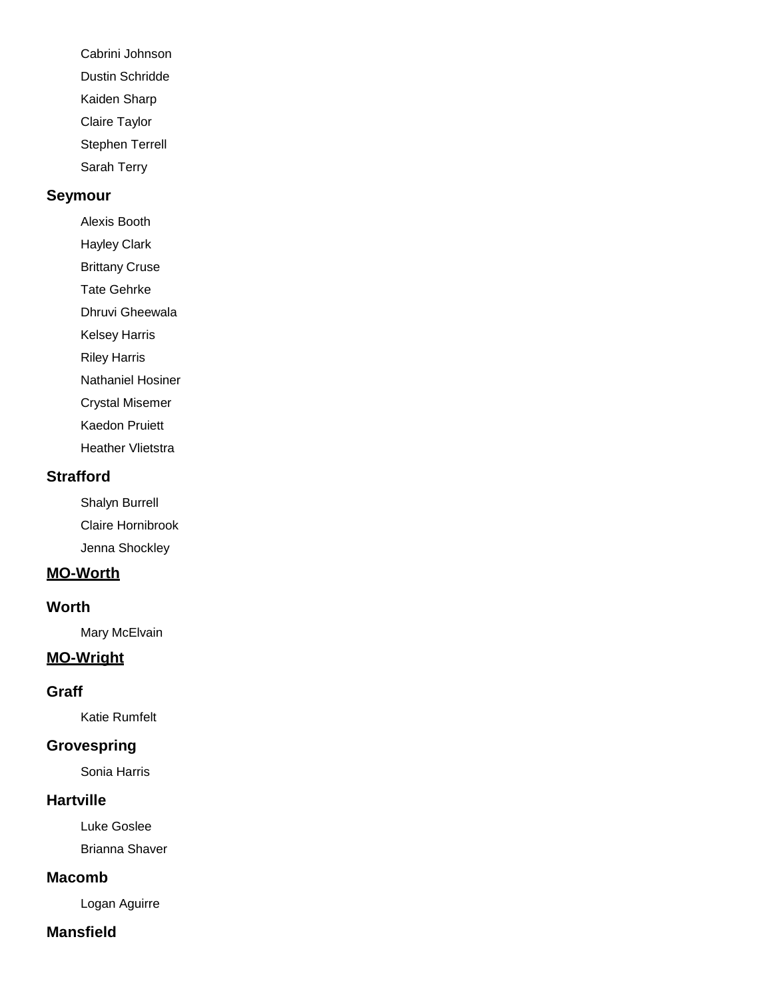- Cabrini Johnson Dustin Schridde
- Kaiden Sharp
- Claire Taylor
- Stephen Terrell
- Sarah Terry

# **Seymour**

- Alexis Booth
- Hayley Clark
- Brittany Cruse
- Tate Gehrke
- Dhruvi Gheewala
- Kelsey Harris
- Riley Harris
- Nathaniel Hosiner
- Crystal Misemer
- Kaedon Pruiett
- Heather Vlietstra

# **Strafford**

Shalyn Burrell Claire Hornibrook Jenna Shockley

# **MO-Worth**

# **Worth**

Mary McElvain

# **MO-Wright**

# **Graff**

Katie Rumfelt

# **Grovespring**

Sonia Harris

# **Hartville**

Luke Goslee Brianna Shaver

# **Macomb**

Logan Aguirre

# **Mansfield**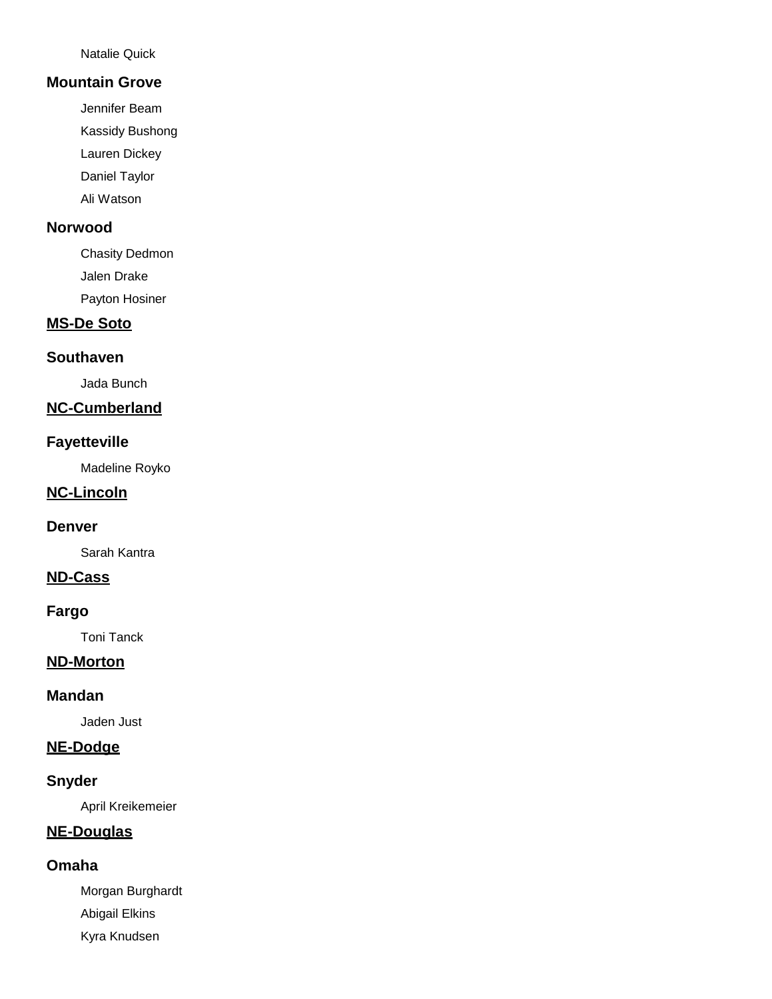Natalie Quick

#### **Mountain Grove**

Jennifer Beam

Kassidy Bushong

Lauren Dickey

Daniel Taylor

Ali Watson

#### **Norwood**

Chasity Dedmon Jalen Drake

Payton Hosiner

## **MS-De Soto**

## **Southaven**

Jada Bunch

## **NC-Cumberland**

## **Fayetteville**

Madeline Royko

### **NC-Lincoln**

#### **Denver**

Sarah Kantra

#### **ND-Cass**

## **Fargo**

Toni Tanck

### **ND-Morton**

### **Mandan**

Jaden Just

## **NE-Dodge**

## **Snyder**

April Kreikemeier

## **NE-Douglas**

#### **Omaha**

Morgan Burghardt Abigail Elkins Kyra Knudsen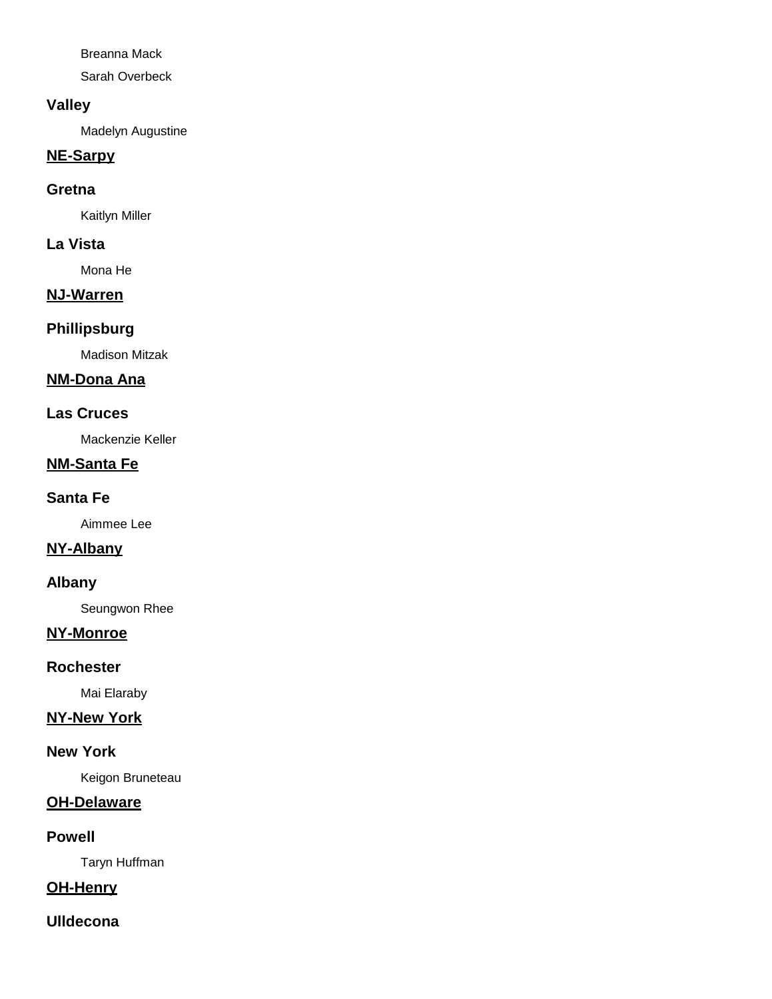Breanna Mack

Sarah Overbeck

## **Valley**

Madelyn Augustine

## **NE-Sarpy**

### **Gretna**

Kaitlyn Miller

## **La Vista**

Mona He

# **NJ-Warren**

## **Phillipsburg**

Madison Mitzak

# **NM-Dona Ana**

## **Las Cruces**

Mackenzie Keller

# **NM-Santa Fe**

## **Santa Fe**

Aimmee Lee

# **NY-Albany**

## **Albany**

Seungwon Rhee

## **NY-Monroe**

#### **Rochester**

Mai Elaraby

# **NY-New York**

#### **New York**

Keigon Bruneteau

# **OH-Delaware**

## **Powell**

Taryn Huffman

## **OH-Henry**

## **Ulldecona**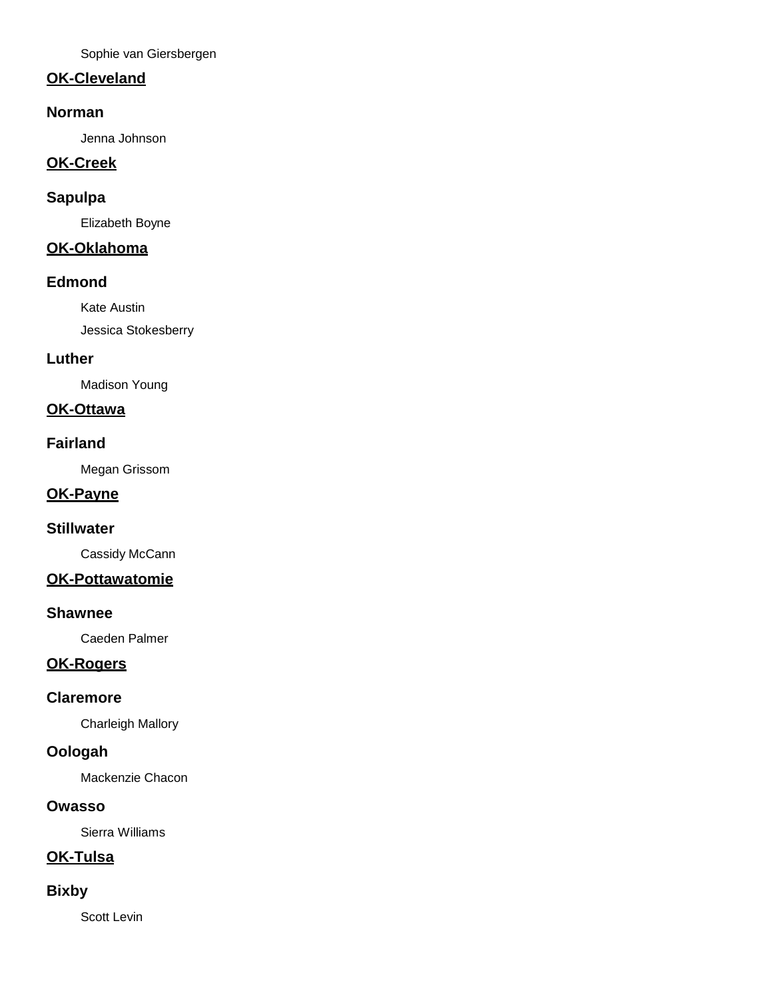Sophie van Giersbergen

# **OK-Cleveland**

### **Norman**

Jenna Johnson

# **OK-Creek**

## **Sapulpa**

Elizabeth Boyne

# **OK-Oklahoma**

#### **Edmond**

Kate Austin Jessica Stokesberry

#### **Luther**

Madison Young

# **OK-Ottawa**

#### **Fairland**

Megan Grissom

#### **OK-Payne**

#### **Stillwater**

Cassidy McCann

## **OK-Pottawatomie**

#### **Shawnee**

Caeden Palmer

## **OK-Rogers**

#### **Claremore**

Charleigh Mallory

# **Oologah**

Mackenzie Chacon

## **Owasso**

Sierra Williams

# **OK-Tulsa**

#### **Bixby**

Scott Levin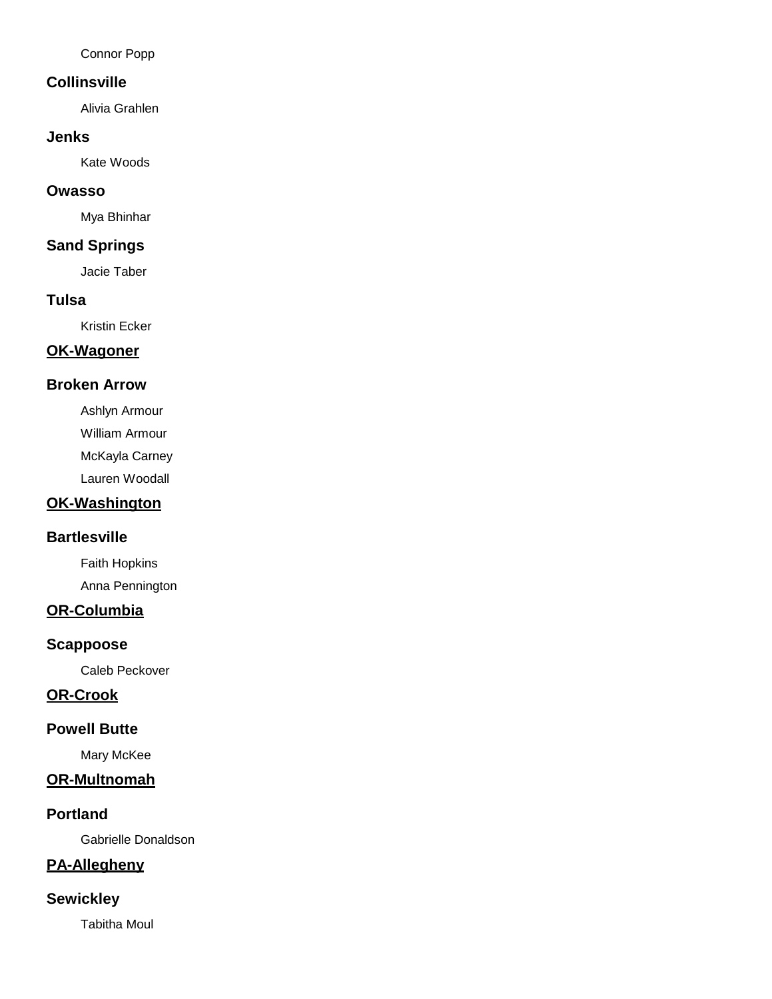Connor Popp

#### **Collinsville**

Alivia Grahlen

#### **Jenks**

Kate Woods

#### **Owasso**

Mya Bhinhar

## **Sand Springs**

Jacie Taber

## **Tulsa**

Kristin Ecker

## **OK-Wagoner**

## **Broken Arrow**

Ashlyn Armour

William Armour

McKayla Carney

Lauren Woodall

# **OK-Washington**

#### **Bartlesville**

Faith Hopkins Anna Pennington

## **OR-Columbia**

#### **Scappoose**

Caleb Peckover

#### **OR-Crook**

## **Powell Butte**

Mary McKee

#### **OR-Multnomah**

#### **Portland**

Gabrielle Donaldson

## **PA-Allegheny**

## **Sewickley**

Tabitha Moul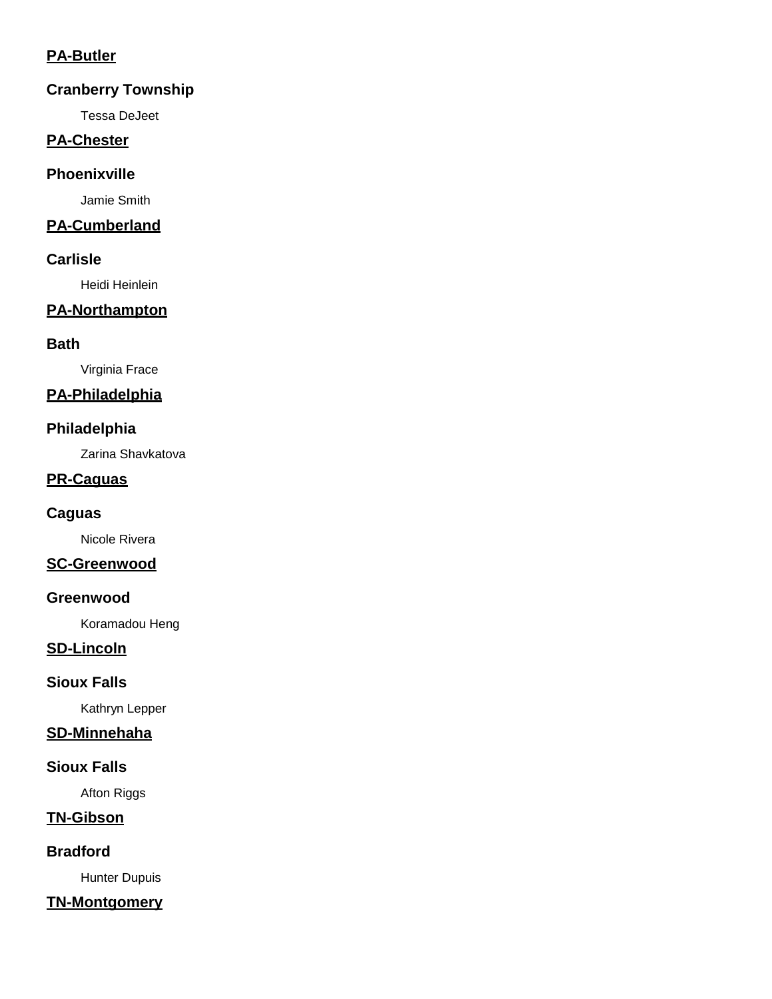## **PA-Butler**

## **Cranberry Township**

Tessa DeJeet

## **PA-Chester**

## **Phoenixville**

Jamie Smith

## **PA-Cumberland**

## **Carlisle**

Heidi Heinlein

# **PA-Northampton**

## **Bath**

Virginia Frace

# **PA-Philadelphia**

## **Philadelphia**

Zarina Shavkatova

## **PR-Caguas**

#### **Caguas**

Nicole Rivera

## **SC-Greenwood**

#### **Greenwood**

Koramadou Heng

## **SD-Lincoln**

#### **Sioux Falls**

Kathryn Lepper

#### **SD-Minnehaha**

#### **Sioux Falls**

Afton Riggs

# **TN-Gibson**

**Bradford**

Hunter Dupuis

# **TN-Montgomery**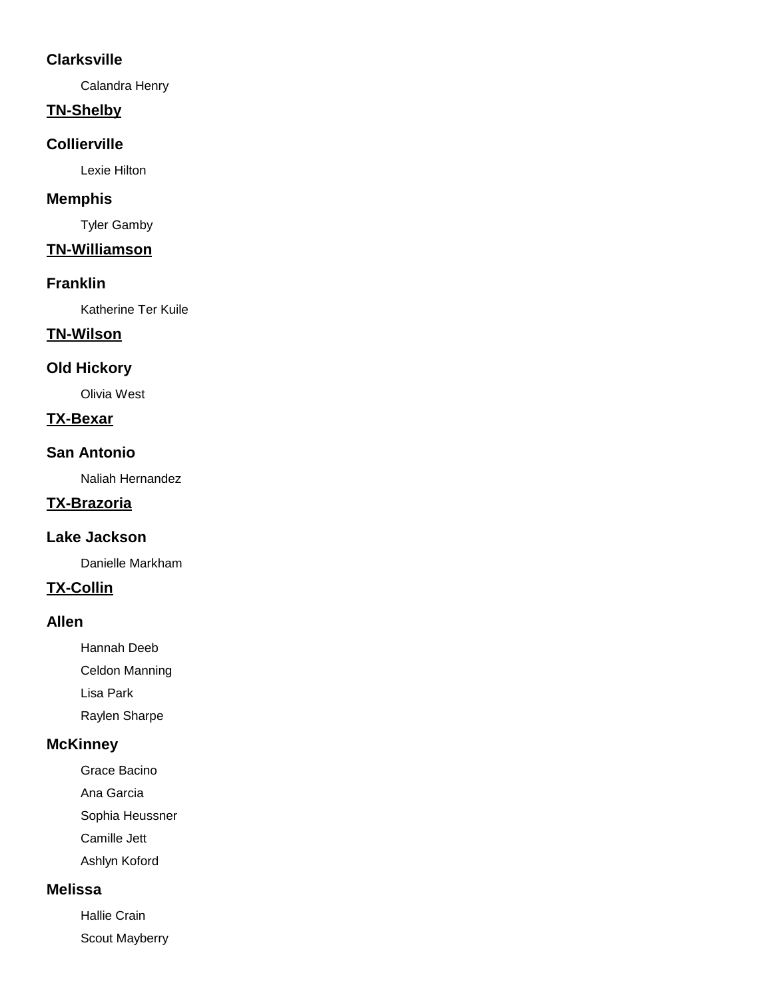## **Clarksville**

Calandra Henry

## **TN-Shelby**

#### **Collierville**

Lexie Hilton

## **Memphis**

Tyler Gamby

# **TN-Williamson**

#### **Franklin**

Katherine Ter Kuile

## **TN-Wilson**

# **Old Hickory**

Olivia West

## **TX-Bexar**

#### **San Antonio**

Naliah Hernandez

# **TX-Brazoria**

#### **Lake Jackson**

Danielle Markham

### **TX-Collin**

### **Allen**

Hannah Deeb

Celdon Manning

Lisa Park

Raylen Sharpe

## **McKinney**

Grace Bacino

Ana Garcia

Sophia Heussner

Camille Jett

Ashlyn Koford

# **Melissa**

Hallie Crain Scout Mayberry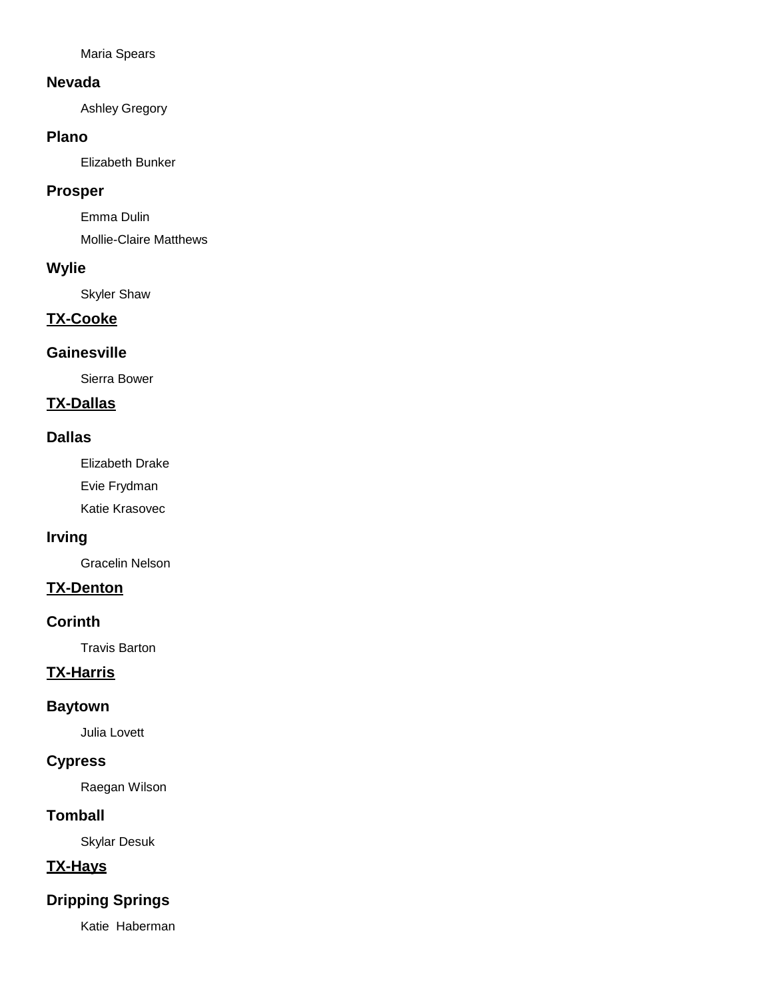Maria Spears

#### **Nevada**

Ashley Gregory

#### **Plano**

Elizabeth Bunker

### **Prosper**

Emma Dulin

Mollie-Claire Matthews

## **Wylie**

Skyler Shaw

# **TX-Cooke**

## **Gainesville**

Sierra Bower

# **TX-Dallas**

#### **Dallas**

Elizabeth Drake

Evie Frydman

Katie Krasovec

## **Irving**

Gracelin Nelson

## **TX-Denton**

### **Corinth**

Travis Barton

# **TX-Harris**

#### **Baytown**

Julia Lovett

# **Cypress**

Raegan Wilson

## **Tomball**

Skylar Desuk

# **TX-Hays**

# **Dripping Springs**

Katie Haberman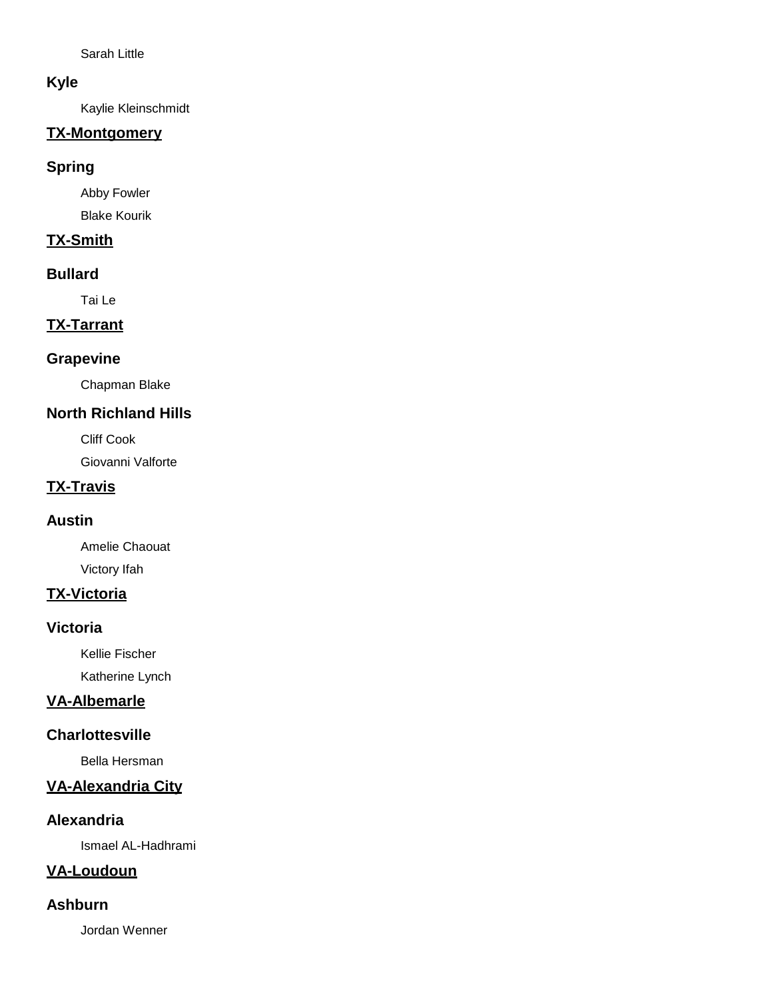Sarah Little

## **Kyle**

Kaylie Kleinschmidt

# **TX-Montgomery**

## **Spring**

Abby Fowler Blake Kourik

# **TX-Smith**

## **Bullard**

Tai Le

# **TX-Tarrant**

## **Grapevine**

Chapman Blake

# **North Richland Hills**

Cliff Cook

Giovanni Valforte

# **TX-Travis**

## **Austin**

Amelie Chaouat Victory Ifah

# **TX-Victoria**

#### **Victoria**

Kellie Fischer Katherine Lynch

# **VA-Albemarle**

## **Charlottesville**

Bella Hersman

# **VA-Alexandria City**

## **Alexandria**

Ismael AL-Hadhrami

## **VA-Loudoun**

### **Ashburn**

Jordan Wenner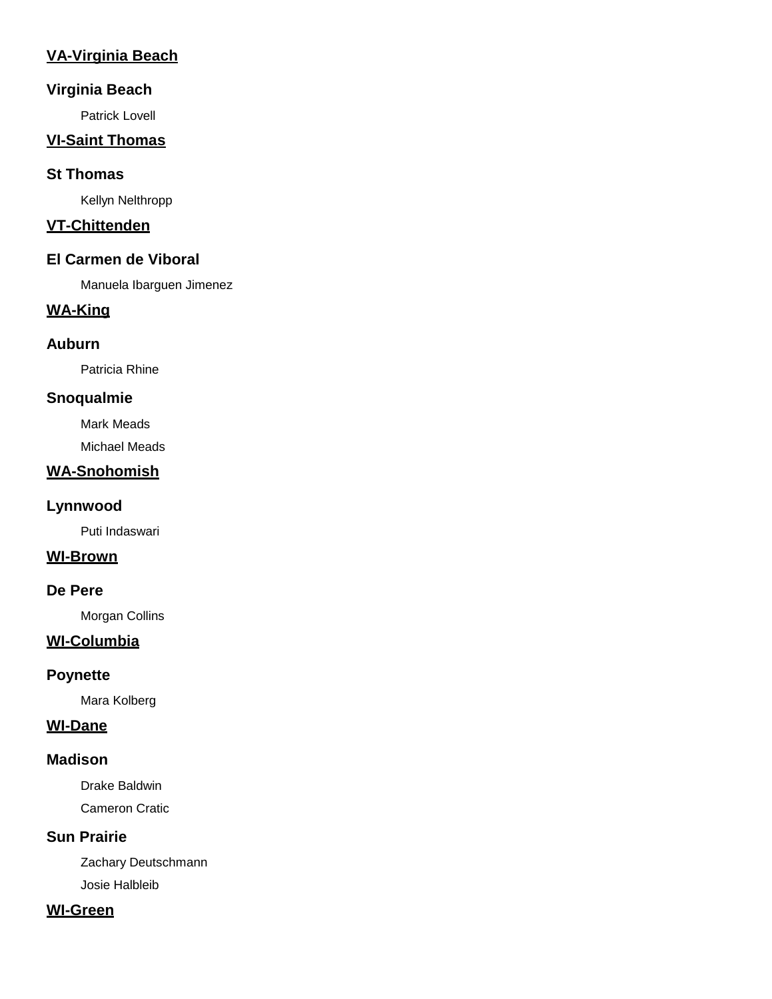# **VA-Virginia Beach**

## **Virginia Beach**

Patrick Lovell

## **VI-Saint Thomas**

### **St Thomas**

Kellyn Nelthropp

# **VT-Chittenden**

## **El Carmen de Viboral**

Manuela Ibarguen Jimenez

# **WA-King**

## **Auburn**

Patricia Rhine

## **Snoqualmie**

Mark Meads

Michael Meads

## **WA-Snohomish**

## **Lynnwood**

Puti Indaswari

### **WI-Brown**

### **De Pere**

Morgan Collins

## **WI-Columbia**

#### **Poynette**

Mara Kolberg

## **WI-Dane**

### **Madison**

Drake Baldwin Cameron Cratic

## **Sun Prairie**

Zachary Deutschmann Josie Halbleib

#### **WI-Green**